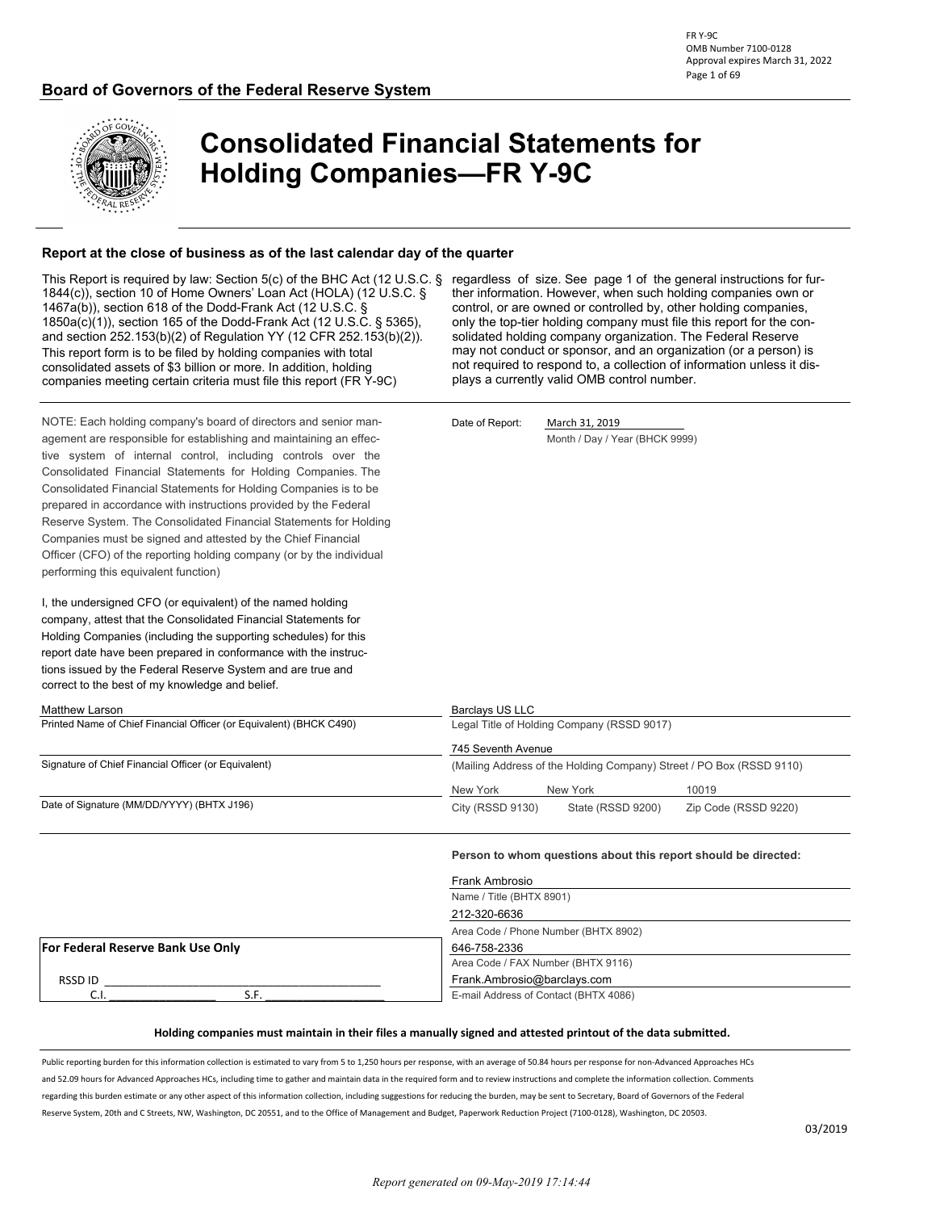

# **Consolidated Financial Statements for Holding Companies—FR Y-9C**

#### **Report at the close of business as of the last calendar day of the quarter**

This Report is required by law: Section 5(c) of the BHC Act (12 U.S.C. § regardless of size. See page 1 of the general instructions for fur-1844(c)), section 10 of Home Owners' Loan Act (HOLA) (12 U.S.C. § 1467a(b)), section 618 of the Dodd-Frank Act (12 U.S.C. § 1850a(c)(1)), section 165 of the Dodd-Frank Act (12 U.S.C. § 5365), and section 252.153(b)(2) of Regulation YY (12 CFR 252.153(b)(2)). This report form is to be filed by holding companies with total consolidated assets of \$3 billion or more. In addition, holding companies meeting certain criteria must file this report (FR Y-9C)

ther information. However, when such holding companies own or control, or are owned or controlled by, other holding companies, only the top-tier holding company must file this report for the consolidated holding company organization. The Federal Reserve may not conduct or sponsor, and an organization (or a person) is not required to respond to, a collection of information unless it dis-

NOTE: Each holding company's board of directors and senior man-<br>
Date of Report: March 31, 2019 agement are responsible for establishing and maintaining an effec-<br>
Month / Day / Year (BHCK 9999) tive system of internal control, including controls over the Consolidated Financial Statements for Holding Companies. The Consolidated Financial Statements for Holding Companies is to be prepared in accordance with instructions provided by the Federal Reserve System. The Consolidated Financial Statements for Holding Companies must be signed and attested by the Chief Financial Officer (CFO) of the reporting holding company (or by the individual performing this equivalent function).

I, the undersigned CFO (or equivalent) of the named holding company, attest that the Consolidated Financial Statements for Holding Companies (including the supporting schedules) for this report date have been prepared in conformance with the instructions issued by the Federal Reserve System and are true and correct to the best of my knowledge and belief.

plays a currently valid OMB control number.

Matthew Larson **Barclays US LLC** Printed Name of Chief Financial Officer (or Equivalent) (BHCK C490) Legal Title of Holding Company (RSSD 9017) 745 Seventh Avenue Signature of Chief Financial Officer (or Equivalent) (Mailing Address of the Holding Company) Street / PO Box (RSSD 9110) New York New York 10019 Date of Signature (MM/DD/YYYY) (BHTX J196) City (RSSD 9130) State (RSSD 9200) Zip Code (RSSD 9220)

**Person to whom questions about this report should be directed:**

| Frank Ambrosio                       |                                       |  |  |  |
|--------------------------------------|---------------------------------------|--|--|--|
|                                      | Name / Title (BHTX 8901)              |  |  |  |
|                                      | 212-320-6636                          |  |  |  |
| Area Code / Phone Number (BHTX 8902) |                                       |  |  |  |
| For Federal Reserve Bank Use Only    | 646-758-2336                          |  |  |  |
|                                      | Area Code / FAX Number (BHTX 9116)    |  |  |  |
| RSSD ID                              | Frank.Ambrosio@barclays.com           |  |  |  |
| J.I                                  | E-mail Address of Contact (BHTX 4086) |  |  |  |

#### **Holding companies must maintain in their files a manually signed and attested printout of the data submitted.**

Public reporting burden for this information collection is estimated to vary from 5 to 1,250 hours per response, with an average of 50.84 hours per response for non-Advanced Approaches HCs and 52.09 hours for Advanced Approaches HCs, including time to gather and maintain data in the required form and to review instructions and complete the information collection. Comments regarding this burden estimate or any other aspect of this information collection, including suggestions for reducing the burden, may be sent to Secretary, Board of Governors of the Federal Reserve System, 20th and C Streets, NW, Washington, DC 20551, and to the Office of Management and Budget, Paperwork Reduction Project (7100-0128), Washington, DC 20503.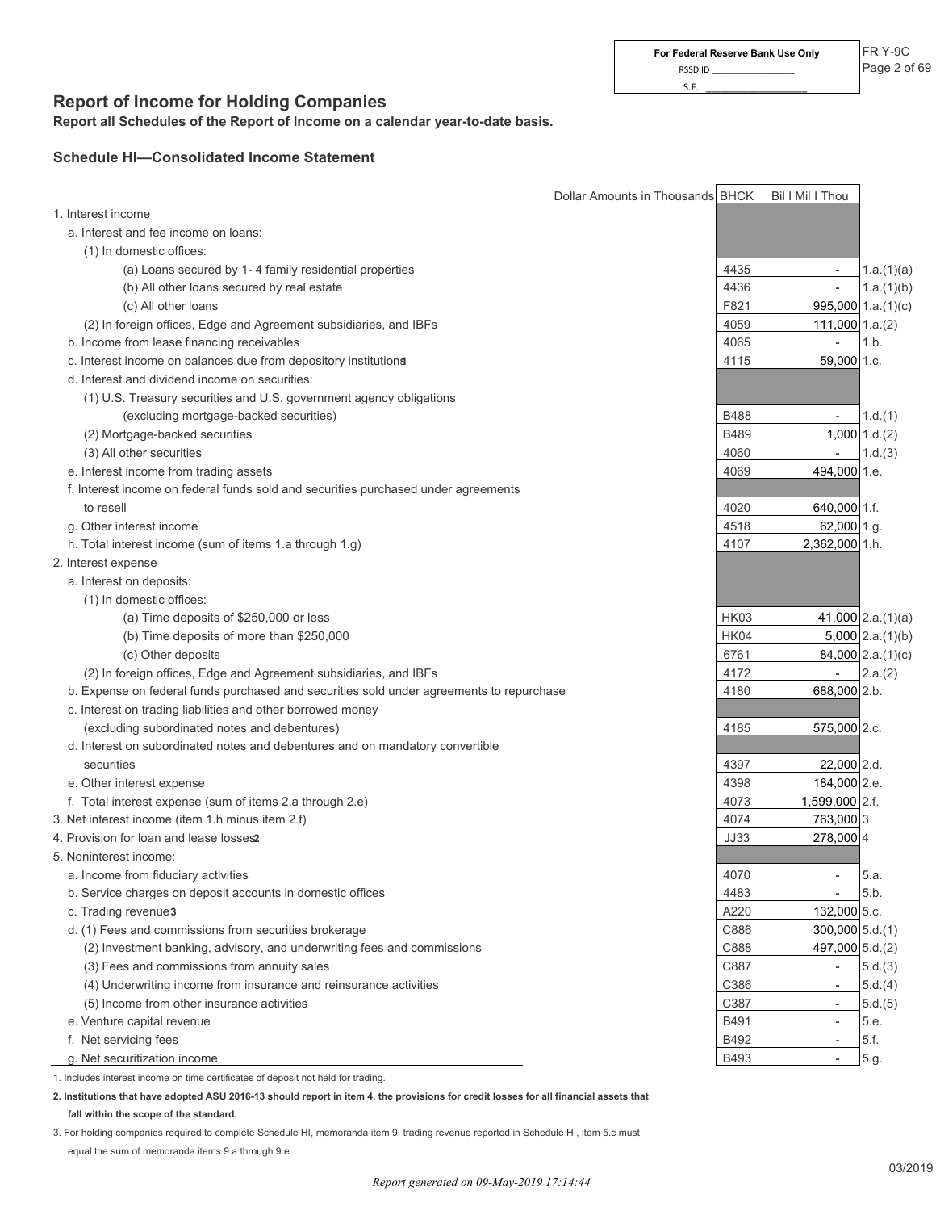## **Report of Income for Holding Companies**

**Report all Schedules of the Report of Income on a calendar year-to-date basis.**

#### **Schedule HI—Consolidated Income Statement**

|                                                                                          | Dollar Amounts in Thousands BHCK | Bil I Mil I Thou                        |                         |
|------------------------------------------------------------------------------------------|----------------------------------|-----------------------------------------|-------------------------|
| 1. Interest income                                                                       |                                  |                                         |                         |
| a. Interest and fee income on loans:                                                     |                                  |                                         |                         |
| (1) In domestic offices:                                                                 |                                  |                                         |                         |
| (a) Loans secured by 1-4 family residential properties                                   |                                  | 4435                                    | 1.a.(1)(a)              |
| (b) All other loans secured by real estate                                               |                                  | 4436<br>$\overline{\phantom{a}}$        | 1.a.(1)(b)              |
| (c) All other loans                                                                      |                                  | F821                                    | $995,000$ 1.a. $(1)(c)$ |
| (2) In foreign offices, Edge and Agreement subsidiaries, and IBFs                        |                                  | 4059<br>$111,000$ 1.a.(2)               |                         |
| b. Income from lease financing receivables                                               |                                  | 4065<br>$\overline{\phantom{a}}$        | 1.b.                    |
| c. Interest income on balances due from depository institutions                          |                                  | 4115<br>59,000 1.c.                     |                         |
| d. Interest and dividend income on securities:                                           |                                  |                                         |                         |
| (1) U.S. Treasury securities and U.S. government agency obligations                      |                                  |                                         |                         |
| (excluding mortgage-backed securities)                                                   |                                  | <b>B488</b><br>$\overline{\phantom{a}}$ | 1.d.(1)                 |
| (2) Mortgage-backed securities                                                           |                                  | B489                                    | $1,000$ $1.d.(2)$       |
| (3) All other securities                                                                 |                                  | 4060<br>$\overline{\phantom{a}}$        | 1.d.(3)                 |
| e. Interest income from trading assets                                                   |                                  | 494,000 1.e.<br>4069                    |                         |
| f. Interest income on federal funds sold and securities purchased under agreements       |                                  |                                         |                         |
| to resell                                                                                |                                  | 4020<br>640,000 1.f.                    |                         |
| g. Other interest income                                                                 |                                  | 62,000 1.g.<br>4518                     |                         |
| h. Total interest income (sum of items 1.a through 1.g)                                  |                                  | 4107<br>2,362,000 1.h.                  |                         |
| 2. Interest expense                                                                      |                                  |                                         |                         |
| a. Interest on deposits:                                                                 |                                  |                                         |                         |
| (1) In domestic offices:                                                                 |                                  |                                         |                         |
| (a) Time deposits of \$250,000 or less                                                   |                                  | <b>HK03</b>                             | $41,000$ 2.a. $(1)(a)$  |
| (b) Time deposits of more than \$250,000                                                 |                                  | HK04                                    | $5,000$ 2.a. $(1)(b)$   |
| (c) Other deposits                                                                       |                                  | 6761                                    | $84,000$ 2.a. $(1)(c)$  |
| (2) In foreign offices, Edge and Agreement subsidiaries, and IBFs                        |                                  | 4172<br>$\overline{\phantom{a}}$        | 2.a.(2)                 |
| b. Expense on federal funds purchased and securities sold under agreements to repurchase |                                  | 4180<br>688,000 2.b.                    |                         |
| c. Interest on trading liabilities and other borrowed money                              |                                  |                                         |                         |
| (excluding subordinated notes and debentures)                                            |                                  | 4185<br>575,000 2.c.                    |                         |
| d. Interest on subordinated notes and debentures and on mandatory convertible            |                                  |                                         |                         |
| securities                                                                               |                                  | 4397<br>22,000 2.d.                     |                         |
| e. Other interest expense                                                                |                                  | 4398<br>184,000 2.e.                    |                         |
| f. Total interest expense (sum of items 2.a through 2.e)                                 |                                  | 4073<br>1,599,000 2.f.                  |                         |
| 3. Net interest income (item 1.h minus item 2.f)                                         |                                  | 4074<br>763,000 3                       |                         |
| 4. Provision for loan and lease losses2                                                  |                                  | <b>JJ33</b><br>278,000 4                |                         |
| 5. Noninterest income:                                                                   |                                  |                                         |                         |
| a. Income from fiduciary activities                                                      |                                  | 4070                                    | 5.a.                    |
| b. Service charges on deposit accounts in domestic offices                               |                                  | 4483                                    | 5.b.                    |
| c. Trading revenue3                                                                      |                                  | A220<br>132,000 5.c.                    |                         |
| d. (1) Fees and commissions from securities brokerage                                    |                                  | C886<br>$300,000$ 5.d.(1)               |                         |
| (2) Investment banking, advisory, and underwriting fees and commissions                  |                                  | C888<br>497,000 5.d.(2)                 |                         |
| (3) Fees and commissions from annuity sales                                              |                                  | C887<br>$\overline{\phantom{a}}$        | 5.d.(3)                 |
| (4) Underwriting income from insurance and reinsurance activities                        |                                  | C386<br>$\overline{\phantom{a}}$        | 5.d.(4)                 |
| (5) Income from other insurance activities                                               |                                  | C387                                    | 5.d.(5)                 |
| e. Venture capital revenue                                                               |                                  | B491                                    | 5.e.                    |
| f. Net servicing fees                                                                    |                                  | B492<br>$\overline{\phantom{a}}$        | 5.f.                    |
| g. Net securitization income                                                             |                                  | B493                                    | 5.g.                    |
| 1. Includes interest income on time certificates of deposit not held for trading.        |                                  |                                         |                         |

**2. Institutions that have adopted ASU 2016-13 should report in item 4, the provisions for credit losses for all financial assets that fall within the scope of the standard.**

3. For holding companies required to complete Schedule HI, memoranda item 9, trading revenue reported in Schedule HI, item 5.c must equal the sum of memoranda items 9.a through 9.e.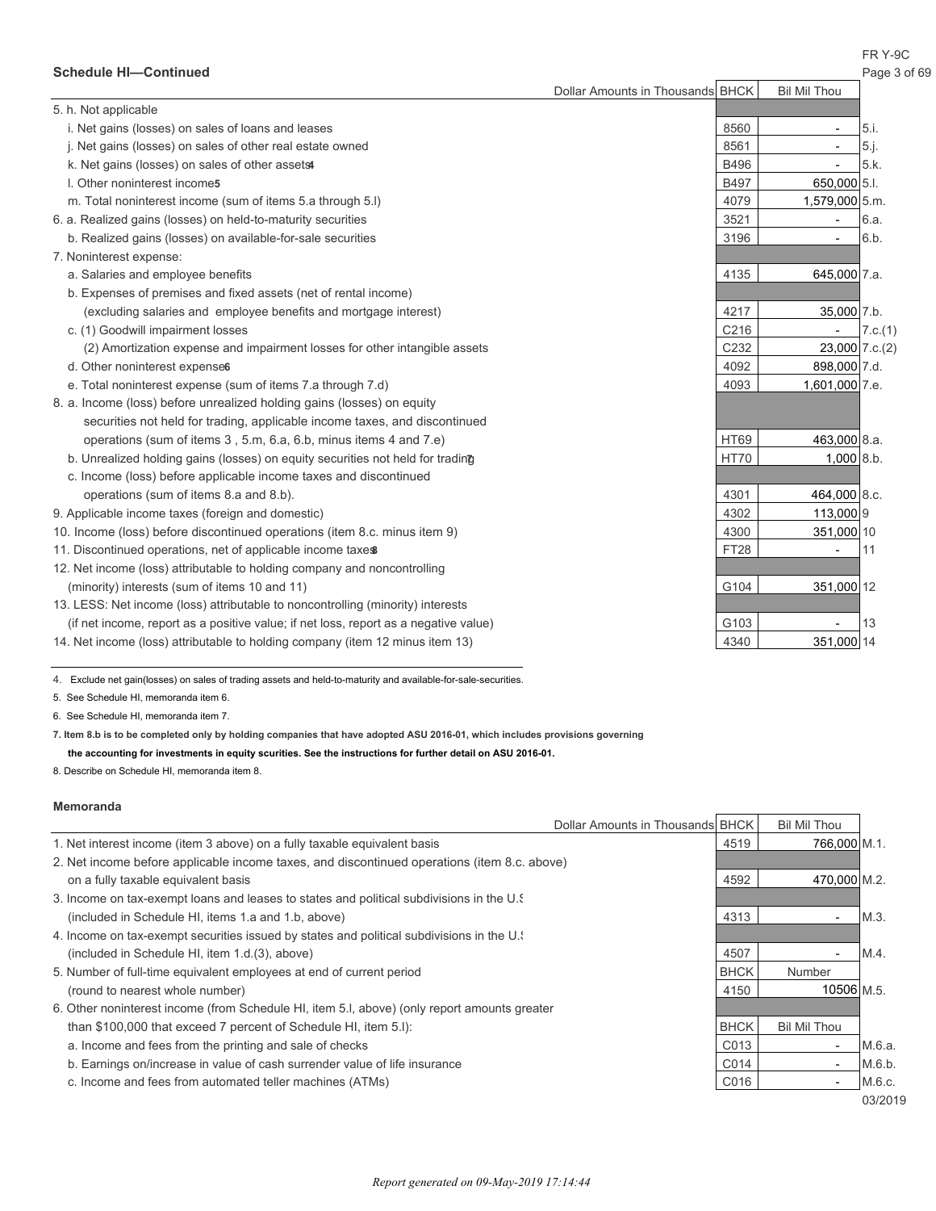FR Y-9C

| <b>Schedule HI-Continued</b> | Page 3 of 69 |
|------------------------------|--------------|
|------------------------------|--------------|

|                                                                                      | Dollar Amounts in Thousands BHCK |             | <b>Bil Mil Thou</b>      |         |
|--------------------------------------------------------------------------------------|----------------------------------|-------------|--------------------------|---------|
| 5. h. Not applicable                                                                 |                                  |             |                          |         |
| i. Net gains (losses) on sales of loans and leases                                   |                                  | 8560        | $\overline{\phantom{a}}$ | 5.i.    |
| j. Net gains (losses) on sales of other real estate owned                            |                                  | 8561        | $\overline{\phantom{a}}$ | 5.j.    |
| k. Net gains (losses) on sales of other assets                                       |                                  | B496        |                          | 5.k.    |
| I. Other noninterest incomes                                                         |                                  | <b>B497</b> | 650,000 5.1.             |         |
| m. Total noninterest income (sum of items 5.a through 5.I)                           |                                  | 4079        | 1,579,000 5.m.           |         |
| 6. a. Realized gains (losses) on held-to-maturity securities                         |                                  | 3521        | $\overline{\phantom{a}}$ | 6.a.    |
| b. Realized gains (losses) on available-for-sale securities                          |                                  | 3196        | $\overline{\phantom{a}}$ | 6.b.    |
| 7. Noninterest expense:                                                              |                                  |             |                          |         |
| a. Salaries and employee benefits                                                    |                                  | 4135        | 645,000 7.a.             |         |
| b. Expenses of premises and fixed assets (net of rental income)                      |                                  |             |                          |         |
| (excluding salaries and employee benefits and mortgage interest)                     |                                  | 4217        | 35,000 7.b.              |         |
| c. (1) Goodwill impairment losses                                                    |                                  | C216        | $\overline{\phantom{a}}$ | 7.c.(1) |
| (2) Amortization expense and impairment losses for other intangible assets           |                                  | C232        | $23,000$ 7.c.(2)         |         |
| d. Other noninterest expenses                                                        |                                  | 4092        | 898,000 7.d.             |         |
| e. Total noninterest expense (sum of items 7.a through 7.d)                          |                                  | 4093        | 1,601,000 7.e.           |         |
| 8. a. Income (loss) before unrealized holding gains (losses) on equity               |                                  |             |                          |         |
| securities not held for trading, applicable income taxes, and discontinued           |                                  |             |                          |         |
| operations (sum of items 3, 5.m, 6.a, 6.b, minus items 4 and 7.e)                    |                                  | <b>HT69</b> | 463,000 8.a.             |         |
| b. Unrealized holding gains (losses) on equity securities not held for trading       |                                  | <b>HT70</b> | $1,000$ 8.b.             |         |
| c. Income (loss) before applicable income taxes and discontinued                     |                                  |             |                          |         |
| operations (sum of items 8.a and 8.b).                                               |                                  | 4301        | 464,000 8.c.             |         |
| 9. Applicable income taxes (foreign and domestic)                                    |                                  | 4302        | 113,000 9                |         |
| 10. Income (loss) before discontinued operations (item 8.c. minus item 9)            |                                  | 4300        | 351,000 10               |         |
| 11. Discontinued operations, net of applicable income taxes                          |                                  | <b>FT28</b> |                          | 11      |
| 12. Net income (loss) attributable to holding company and noncontrolling             |                                  |             |                          |         |
| (minority) interests (sum of items 10 and 11)                                        |                                  | G104        | 351,000 12               |         |
| 13. LESS: Net income (loss) attributable to noncontrolling (minority) interests      |                                  |             |                          |         |
| (if net income, report as a positive value; if net loss, report as a negative value) |                                  | G103        |                          | 13      |
| 14. Net income (loss) attributable to holding company (item 12 minus item 13)        |                                  | 4340        | 351,000 14               |         |

4. Exclude net gain(losses) on sales of trading assets and held-to-maturity and available-for-sale-securities.

5. See Schedule HI, memoranda item 6.

6. See Schedule HI, memoranda item 7.

**7. Item 8.b is to be completed only by holding companies that have adopted ASU 2016-01, which includes provisions governing**

#### **the accounting for investments in equity scurities. See the instructions for further detail on ASU 2016-01.**

8. Describe on Schedule HI, memoranda item 8.

#### **Memoranda**

|                                                                                              | Dollar Amounts in Thousands BHCK | <b>Bil Mil Thou</b>      |         |
|----------------------------------------------------------------------------------------------|----------------------------------|--------------------------|---------|
| 1. Net interest income (item 3 above) on a fully taxable equivalent basis                    | 4519                             | 766,000 M.1.             |         |
| 2. Net income before applicable income taxes, and discontinued operations (item 8.c. above)  |                                  |                          |         |
| on a fully taxable equivalent basis                                                          | 4592                             | 470,000 M.2.             |         |
| 3. Income on tax-exempt loans and leases to states and political subdivisions in the U.      |                                  |                          |         |
| (included in Schedule HI, items 1.a and 1.b, above)                                          | 4313                             | $\overline{\phantom{a}}$ | M.3.    |
| 4. Income on tax-exempt securities issued by states and political subdivisions in the U.     |                                  |                          |         |
| (included in Schedule HI, item 1.d. (3), above)                                              | 4507                             | $\overline{\phantom{a}}$ | M.4.    |
| 5. Number of full-time equivalent employees at end of current period                         | <b>BHCK</b>                      | Number                   |         |
| (round to nearest whole number)                                                              | 4150                             | 10506 M.5.               |         |
| 6. Other noninterest income (from Schedule HI, item 5.I, above) (only report amounts greater |                                  |                          |         |
| than \$100,000 that exceed 7 percent of Schedule HI, item 5.I):                              | <b>BHCK</b>                      | <b>Bil Mil Thou</b>      |         |
| a. Income and fees from the printing and sale of checks                                      | C013                             | $\overline{\phantom{a}}$ | M.6.a.  |
| b. Earnings on/increase in value of cash surrender value of life insurance                   | C014                             | $\overline{\phantom{a}}$ | M.6.b.  |
| c. Income and fees from automated teller machines (ATMs)                                     | C016                             | $\overline{\phantom{a}}$ | M.6.c.  |
|                                                                                              |                                  |                          | 03/2019 |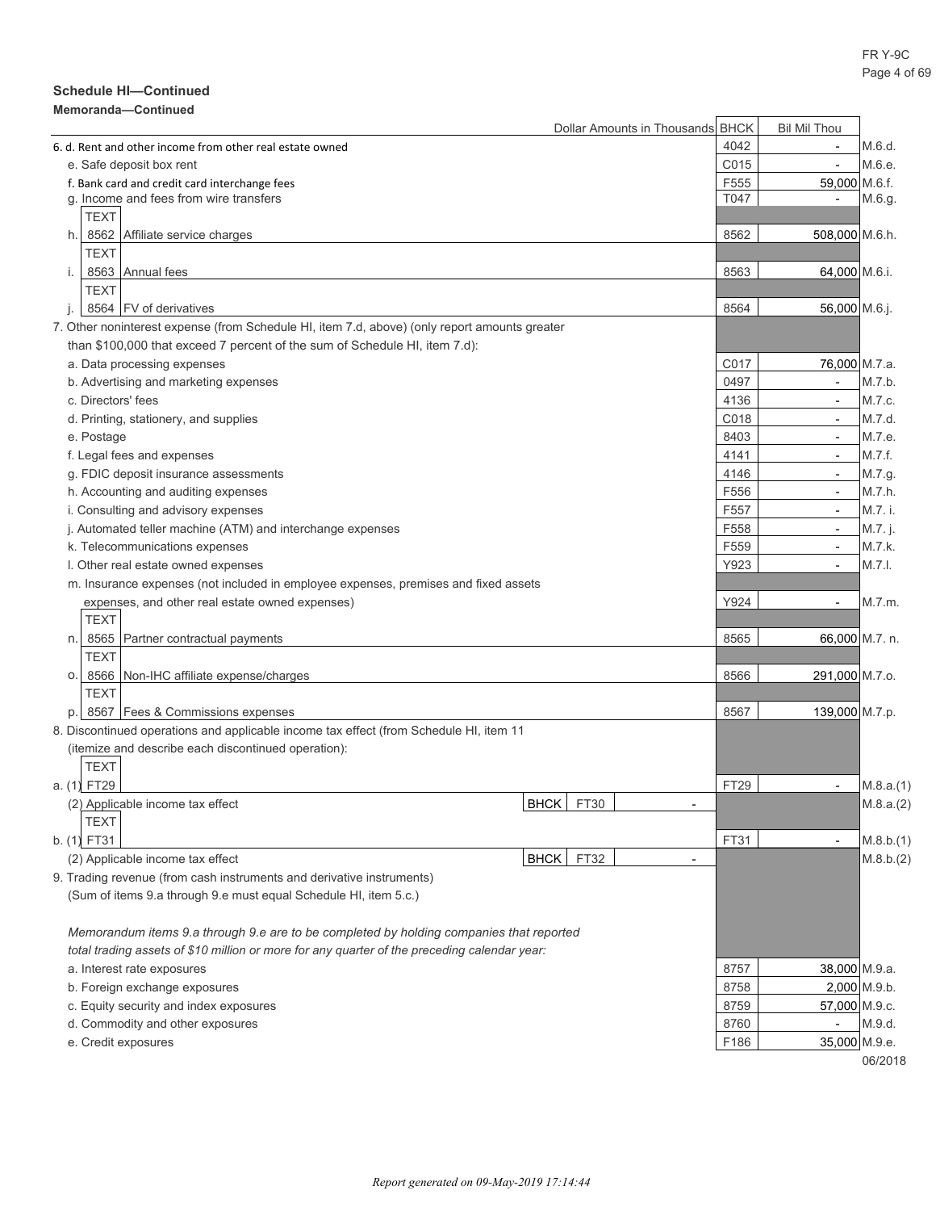## **Schedule HI—Continued**

#### **Memoranda—Continued**

| MEIIIVI aliua—vullulueu                                                                       |             | Dollar Amounts in Thousands BHCK |      | <b>Bil Mil Thou</b>      |           |
|-----------------------------------------------------------------------------------------------|-------------|----------------------------------|------|--------------------------|-----------|
| 6. d. Rent and other income from other real estate owned                                      |             |                                  | 4042 | $\blacksquare$           | M.6.d.    |
| e. Safe deposit box rent                                                                      |             |                                  | C015 | $\overline{\phantom{a}}$ | M.6.e.    |
| f. Bank card and credit card interchange fees                                                 |             |                                  | F555 | 59,000 M.6.f.            |           |
| g. Income and fees from wire transfers                                                        |             |                                  | T047 | $\overline{\phantom{a}}$ | M.6.g.    |
| <b>TEXT</b>                                                                                   |             |                                  |      |                          |           |
| 8562 Affiliate service charges<br>h.                                                          |             |                                  | 8562 | 508,000 M.6.h.           |           |
| <b>TEXT</b>                                                                                   |             |                                  |      |                          |           |
| 8563 Annual fees<br>i.                                                                        |             |                                  | 8563 | 64,000 M.6.i.            |           |
| <b>TEXT</b>                                                                                   |             |                                  |      |                          |           |
| 8564 FV of derivatives                                                                        |             |                                  | 8564 | 56,000 M.6.j.            |           |
| 7. Other noninterest expense (from Schedule HI, item 7.d, above) (only report amounts greater |             |                                  |      |                          |           |
| than \$100,000 that exceed 7 percent of the sum of Schedule HI, item 7.d):                    |             |                                  |      |                          |           |
| a. Data processing expenses                                                                   |             |                                  | C017 | 76,000 M.7.a.            |           |
| b. Advertising and marketing expenses                                                         |             |                                  | 0497 | $\overline{\phantom{a}}$ | M.7.b.    |
| c. Directors' fees                                                                            |             |                                  | 4136 | $\overline{\phantom{a}}$ | M.7.c.    |
|                                                                                               |             |                                  | C018 |                          | M.7.d.    |
| d. Printing, stationery, and supplies                                                         |             |                                  |      | $\overline{\phantom{a}}$ |           |
| e. Postage                                                                                    |             |                                  | 8403 | $\overline{\phantom{a}}$ | M.7.e.    |
| f. Legal fees and expenses                                                                    |             |                                  | 4141 | $\overline{\phantom{a}}$ | M.7.f.    |
| g. FDIC deposit insurance assessments                                                         |             |                                  | 4146 | $\overline{\phantom{a}}$ | M.7.g.    |
| h. Accounting and auditing expenses                                                           |             |                                  | F556 | $\overline{\phantom{a}}$ | M.7.h.    |
| i. Consulting and advisory expenses                                                           |             |                                  | F557 | $\overline{\phantom{a}}$ | M.7. i.   |
| j. Automated teller machine (ATM) and interchange expenses                                    |             |                                  | F558 | $\overline{\phantom{a}}$ | M.7. j.   |
| k. Telecommunications expenses                                                                |             |                                  | F559 | $\overline{\phantom{a}}$ | M.7.k.    |
| I. Other real estate owned expenses                                                           |             |                                  | Y923 | $\overline{\phantom{a}}$ | M.7.1.    |
| m. Insurance expenses (not included in employee expenses, premises and fixed assets           |             |                                  |      |                          |           |
| expenses, and other real estate owned expenses)                                               |             |                                  | Y924 | $\overline{\phantom{a}}$ | M.7.m.    |
| <b>TEXT</b>                                                                                   |             |                                  |      |                          |           |
| 8565 Partner contractual payments<br>n.                                                       |             |                                  | 8565 | 66,000 M.7. n.           |           |
| TEXT                                                                                          |             |                                  |      |                          |           |
| O.<br>8566   Non-IHC affiliate expense/charges                                                |             |                                  | 8566 | 291,000 M.7.o.           |           |
| TEXT                                                                                          |             |                                  |      |                          |           |
| 8567 Fees & Commissions expenses                                                              |             |                                  | 8567 | 139,000 M.7.p.           |           |
| 8. Discontinued operations and applicable income tax effect (from Schedule HI, item 11        |             |                                  |      |                          |           |
| (itemize and describe each discontinued operation):                                           |             |                                  |      |                          |           |
| TEXT                                                                                          |             |                                  |      |                          |           |
| a. (1) FT29                                                                                   |             |                                  | FT29 | $\overline{\phantom{a}}$ | M.8.a.(1) |
| (2) Applicable income tax effect                                                              | BHCK FT30   |                                  |      |                          | M.8.a.(2) |
| <b>TEXT</b>                                                                                   |             |                                  |      |                          |           |
| b. (1) FT31                                                                                   |             |                                  | FT31 | $\overline{\phantom{a}}$ | M.8.b.(1) |
| (2) Applicable income tax effect                                                              | <b>BHCK</b> | FT32<br>$\overline{\phantom{a}}$ |      |                          | M.8.b.(2) |
| 9. Trading revenue (from cash instruments and derivative instruments)                         |             |                                  |      |                          |           |
| (Sum of items 9.a through 9.e must equal Schedule HI, item 5.c.)                              |             |                                  |      |                          |           |
|                                                                                               |             |                                  |      |                          |           |
| Memorandum items 9.a through 9.e are to be completed by holding companies that reported       |             |                                  |      |                          |           |
| total trading assets of \$10 million or more for any quarter of the preceding calendar year:  |             |                                  |      |                          |           |
| a. Interest rate exposures                                                                    |             |                                  | 8757 | 38,000 M.9.a.            |           |
| b. Foreign exchange exposures                                                                 |             |                                  | 8758 | $2,000$ M.9.b.           |           |
| c. Equity security and index exposures                                                        |             |                                  | 8759 | 57,000 M.9.c.            |           |
|                                                                                               |             |                                  | 8760 | $\overline{\phantom{a}}$ | M.9.d.    |
| d. Commodity and other exposures                                                              |             |                                  | F186 | 35,000 M.9.e.            |           |
| e. Credit exposures                                                                           |             |                                  |      |                          | 06/2018   |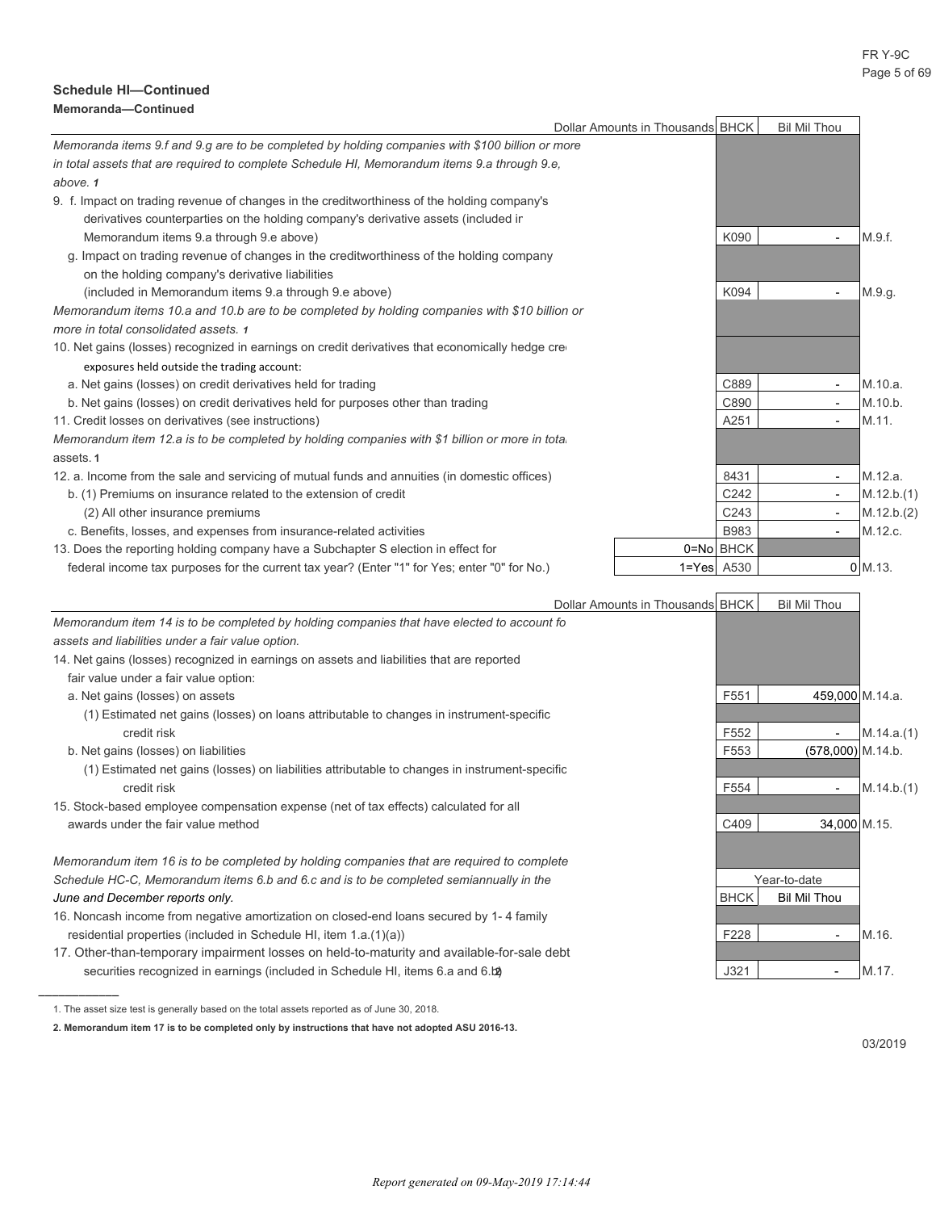#### FR Y-9C Page 5 of 69

#### **Schedule HI—Continued Memoranda—Continued**

|                                                                                                  | Dollar Amounts in Thousands BHCK |                  | <b>Bil Mil Thou</b>      |            |
|--------------------------------------------------------------------------------------------------|----------------------------------|------------------|--------------------------|------------|
| Memoranda items 9.f and 9.g are to be completed by holding companies with \$100 billion or more  |                                  |                  |                          |            |
| in total assets that are required to complete Schedule HI, Memorandum items 9.a through 9.e,     |                                  |                  |                          |            |
| above. 1                                                                                         |                                  |                  |                          |            |
| 9. f. Impact on trading revenue of changes in the creditworthiness of the holding company's      |                                  |                  |                          |            |
| derivatives counterparties on the holding company's derivative assets (included in               |                                  |                  |                          |            |
| Memorandum items 9.a through 9.e above)                                                          |                                  | K090             |                          | M.9.f.     |
| g. Impact on trading revenue of changes in the creditworthiness of the holding company           |                                  |                  |                          |            |
| on the holding company's derivative liabilities                                                  |                                  |                  |                          |            |
| (included in Memorandum items 9.a through 9.e above)                                             |                                  | K094             |                          | M.9.g.     |
| Memorandum items 10.a and 10.b are to be completed by holding companies with \$10 billion or     |                                  |                  |                          |            |
| more in total consolidated assets. 1                                                             |                                  |                  |                          |            |
| 10. Net gains (losses) recognized in earnings on credit derivatives that economically hedge cre- |                                  |                  |                          |            |
| exposures held outside the trading account:                                                      |                                  |                  |                          |            |
| a. Net gains (losses) on credit derivatives held for trading                                     |                                  | C889             | $\overline{\phantom{a}}$ | M.10.a.    |
| b. Net gains (losses) on credit derivatives held for purposes other than trading                 |                                  | C890             | $\overline{\phantom{a}}$ | M.10.b.    |
| 11. Credit losses on derivatives (see instructions)                                              |                                  | A251             | $\overline{\phantom{a}}$ | M.11.      |
| Memorandum item 12 a is to be completed by holding companies with \$1 billion or more in total   |                                  |                  |                          |            |
| assets.1                                                                                         |                                  |                  |                          |            |
| 12. a. Income from the sale and servicing of mutual funds and annuities (in domestic offices)    |                                  | 8431             | $\overline{\phantom{a}}$ | M.12.a.    |
| b. (1) Premiums on insurance related to the extension of credit                                  |                                  | C242             | $\overline{\phantom{a}}$ | M.12.b.(1) |
| (2) All other insurance premiums                                                                 |                                  | C <sub>243</sub> | $\overline{\phantom{a}}$ | M.12.b.(2) |
| c. Benefits, losses, and expenses from insurance-related activities                              |                                  | <b>B983</b>      | $\overline{\phantom{a}}$ | M.12.c.    |
| 13. Does the reporting holding company have a Subchapter S election in effect for                |                                  | 0=No BHCK        |                          |            |
| federal income tax purposes for the current tax year? (Enter "1" for Yes; enter "0" for No.)     |                                  | $1 = Yes$ A530   |                          | $0$ M.13.  |

|                                                                                                | Dollar Amounts in Thousands BHCK |                  | <b>Bil Mil Thou</b>      |            |
|------------------------------------------------------------------------------------------------|----------------------------------|------------------|--------------------------|------------|
| Memorandum item 14 is to be completed by holding companies that have elected to account fo     |                                  |                  |                          |            |
| assets and liabilities under a fair value option.                                              |                                  |                  |                          |            |
| 14. Net gains (losses) recognized in earnings on assets and liabilities that are reported      |                                  |                  |                          |            |
| fair value under a fair value option:                                                          |                                  |                  |                          |            |
| a. Net gains (losses) on assets                                                                |                                  | F <sub>551</sub> | 459,000 M.14.a.          |            |
| (1) Estimated net gains (losses) on loans attributable to changes in instrument-specific       |                                  |                  |                          |            |
| credit risk                                                                                    |                                  | F552             |                          | M.14.a.(1) |
| b. Net gains (losses) on liabilities                                                           |                                  | F553             | $(578,000)$ M.14.b.      |            |
| (1) Estimated net gains (losses) on liabilities attributable to changes in instrument-specific |                                  |                  |                          |            |
| credit risk                                                                                    |                                  | F554             | $\overline{\phantom{a}}$ | M.14.b.(1) |
| 15. Stock-based employee compensation expense (net of tax effects) calculated for all          |                                  |                  |                          |            |
| awards under the fair value method                                                             |                                  | C409             | 34,000 M.15.             |            |
|                                                                                                |                                  |                  |                          |            |
| Memorandum item 16 is to be completed by holding companies that are required to complete       |                                  |                  |                          |            |
| Schedule HC-C, Memorandum items 6.b and 6.c and is to be completed semiannually in the         |                                  |                  | Year-to-date             |            |
| June and December reports only.                                                                |                                  | <b>BHCK</b>      | Bil Mil Thou             |            |
| 16. Noncash income from negative amortization on closed-end loans secured by 1-4 family        |                                  |                  |                          |            |
| residential properties (included in Schedule HI, item 1.a.(1)(a))                              |                                  | F228             | $\overline{\phantom{a}}$ | M.16.      |
| 17. Other-than-temporary impairment losses on held-to-maturity and available-for-sale debt     |                                  |                  |                          |            |
| securities recognized in earnings (included in Schedule HI, items 6.a and 6.b)                 |                                  | J321             | $\overline{\phantom{a}}$ | M.17.      |
|                                                                                                |                                  |                  |                          |            |

<sup>1.</sup> The asset size test is generally based on the total assets reported as of June 30, 2018.

**<sup>2.</sup> Memorandum item 17 is to be completed only by instructions that have not adopted ASU 2016-13.**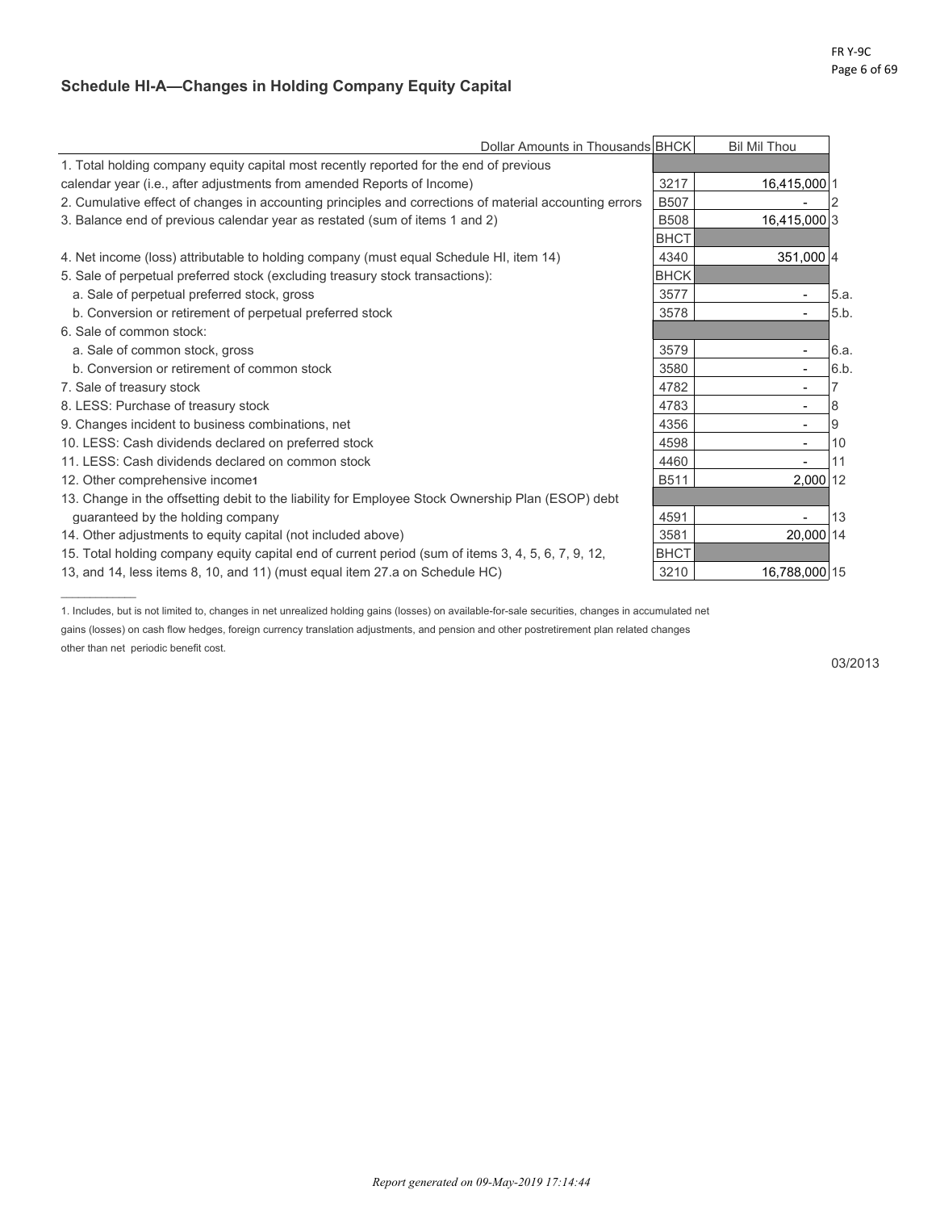## **Schedule HI-A—Changes in Holding Company Equity Capital**

|                                                                                                        | Dollar Amounts in Thousands BHCK |             | <b>Bil Mil Thou</b>      |      |
|--------------------------------------------------------------------------------------------------------|----------------------------------|-------------|--------------------------|------|
| 1. Total holding company equity capital most recently reported for the end of previous                 |                                  |             |                          |      |
| calendar year (i.e., after adjustments from amended Reports of Income)                                 |                                  | 3217        | 16,415,000 1             |      |
| 2. Cumulative effect of changes in accounting principles and corrections of material accounting errors |                                  | <b>B507</b> |                          |      |
| 3. Balance end of previous calendar year as restated (sum of items 1 and 2)                            |                                  | <b>B508</b> | 16,415,000 3             |      |
|                                                                                                        |                                  | <b>BHCT</b> |                          |      |
| 4. Net income (loss) attributable to holding company (must equal Schedule HI, item 14)                 |                                  | 4340        | 351,000 4                |      |
| 5. Sale of perpetual preferred stock (excluding treasury stock transactions):                          |                                  | <b>BHCK</b> |                          |      |
| a. Sale of perpetual preferred stock, gross                                                            |                                  | 3577        |                          | 5.a. |
| b. Conversion or retirement of perpetual preferred stock                                               |                                  | 3578        |                          | 5.b. |
| 6. Sale of common stock:                                                                               |                                  |             |                          |      |
| a. Sale of common stock, gross                                                                         |                                  | 3579        |                          | 6.a. |
| b. Conversion or retirement of common stock                                                            |                                  | 3580        | $\blacksquare$           | 6.b. |
| 7. Sale of treasury stock                                                                              |                                  | 4782        | $\overline{\phantom{a}}$ |      |
| 8. LESS: Purchase of treasury stock                                                                    |                                  | 4783        |                          | 8    |
| 9. Changes incident to business combinations, net                                                      |                                  | 4356        |                          | 9    |
| 10. LESS: Cash dividends declared on preferred stock                                                   |                                  | 4598        |                          | 10   |
| 11. LESS: Cash dividends declared on common stock                                                      |                                  | 4460        |                          | 11   |
| 12. Other comprehensive income                                                                         |                                  | <b>B511</b> | 2,000 12                 |      |
| 13. Change in the offsetting debit to the liability for Employee Stock Ownership Plan (ESOP) debt      |                                  |             |                          |      |
| quaranteed by the holding company                                                                      |                                  | 4591        |                          | 13   |
| 14. Other adjustments to equity capital (not included above)                                           |                                  | 3581        | 20.000 14                |      |
| 15. Total holding company equity capital end of current period (sum of items 3, 4, 5, 6, 7, 9, 12,     |                                  | <b>BHCT</b> |                          |      |
| 13, and 14, less items 8, 10, and 11) (must equal item 27 a on Schedule HC)                            |                                  | 3210        | 16,788,000 15            |      |

1. Includes, but is not limited to, changes in net unrealized holding gains (losses) on available-for-sale securities, changes in accumulated net gains (losses) on cash flow hedges, foreign currency translation adjustments, and pension and other postretirement plan related changes other than net periodic benefit cost.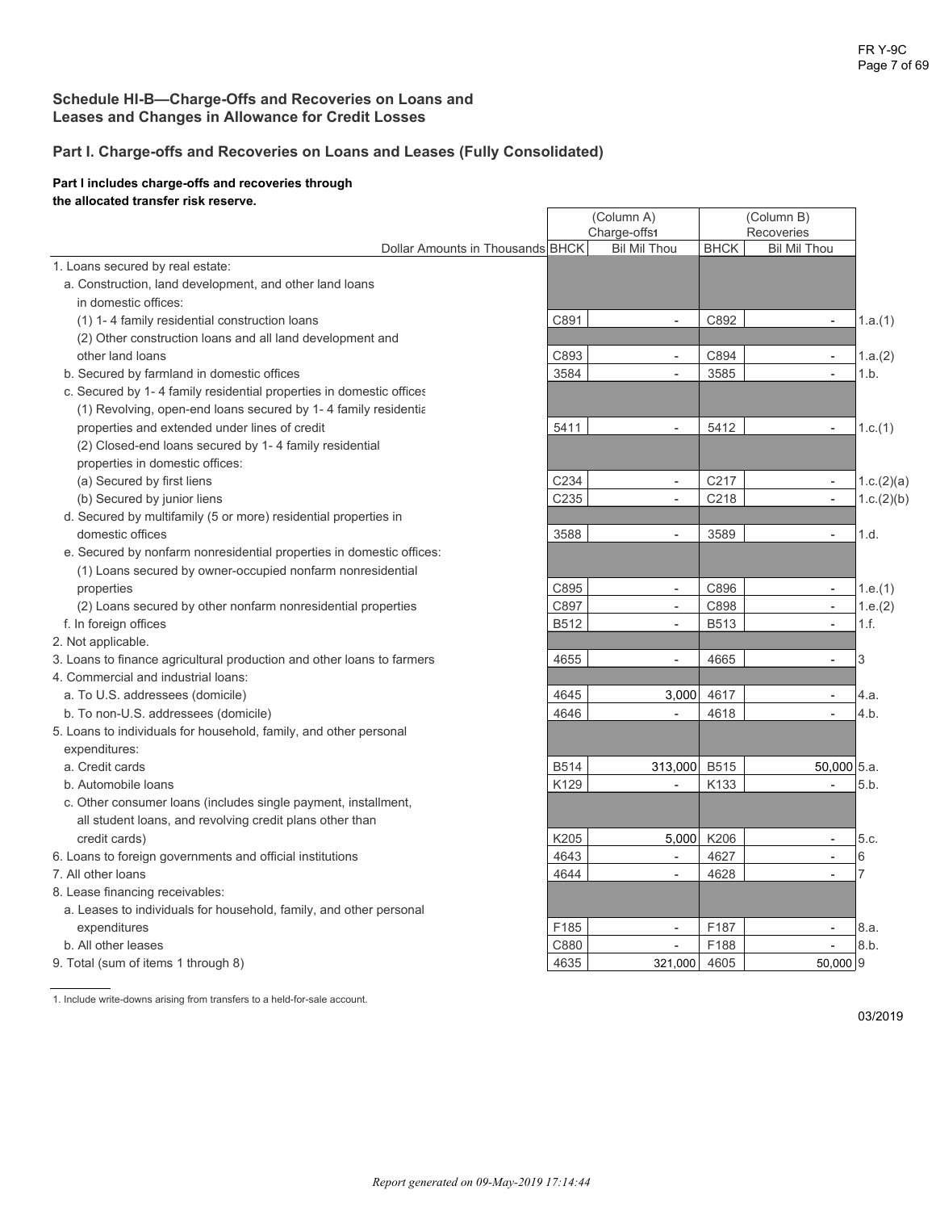## **Schedule HI-B—Charge-Offs and Recoveries on Loans and Leases and Changes in Allowance for Credit Losses**

## **Part I. Charge-offs and Recoveries on Loans and Leases (Fully Consolidated)**

#### **Part I includes charge-offs and recoveries through the allocated transfer risk reserve.**

| Charge-offs1<br>Recoveries<br>Dollar Amounts in Thousands BHCK<br><b>BHCK</b><br><b>Bil Mil Thou</b><br><b>Bil Mil Thou</b><br>1. Loans secured by real estate:<br>a. Construction, land development, and other land loans<br>in domestic offices:<br>C891<br>C892<br>(1) 1-4 family residential construction loans<br>1.a.(1)<br>$\overline{\phantom{a}}$<br>(2) Other construction loans and all land development and<br>C893<br>C894<br>other land loans<br>1.a.(2)<br>$\overline{\phantom{a}}$<br>$\blacksquare$<br>b. Secured by farmland in domestic offices<br>3584<br>3585<br>1.b.<br>$\overline{\phantom{a}}$<br>$\overline{a}$<br>c. Secured by 1-4 family residential properties in domestic offices<br>(1) Revolving, open-end loans secured by 1-4 family residentia<br>5411<br>5412<br>properties and extended under lines of credit<br>1.c.(1)<br>$\overline{\phantom{a}}$<br>(2) Closed-end loans secured by 1-4 family residential<br>properties in domestic offices:<br>C217<br>C234<br>(a) Secured by first liens<br>1.c.(2)(a)<br>$\blacksquare$<br>$\blacksquare$<br>C235<br>C218<br>1.c.(2)(b)<br>(b) Secured by junior liens<br>$\overline{a}$<br>$\overline{\phantom{a}}$<br>d. Secured by multifamily (5 or more) residential properties in<br>3588<br>3589<br>domestic offices<br>1.d.<br>$\overline{a}$<br>e. Secured by nonfarm nonresidential properties in domestic offices:<br>(1) Loans secured by owner-occupied nonfarm nonresidential<br>C896<br>C895<br>properties<br>1.e.(1)<br>$\blacksquare$<br>$\blacksquare$<br>C897<br>C898<br>1.e.(2)<br>(2) Loans secured by other nonfarm nonresidential properties<br>$\overline{a}$<br>$\overline{\phantom{a}}$<br>B512<br><b>B513</b><br>1.f.<br>f. In foreign offices<br>$\overline{\phantom{a}}$<br>$\mathbf{r}$<br>2. Not applicable.<br>4665<br>3<br>3. Loans to finance agricultural production and other loans to farmers<br>4655<br>$\overline{\phantom{0}}$<br>4. Commercial and industrial loans:<br>3,000<br>4617<br>a. To U.S. addressees (domicile)<br>4645<br>$\overline{a}$<br>4.a.<br>4646<br>4618<br>4.b.<br>b. To non-U.S. addressees (domicile)<br>$\overline{\phantom{a}}$<br>5. Loans to individuals for household, family, and other personal<br>expenditures:<br>313,000 B515<br>a. Credit cards<br><b>B514</b><br>50,000 5.a.<br>K129<br>b. Automobile loans<br>K133<br>5.b.<br>c. Other consumer loans (includes single payment, installment,<br>all student loans, and revolving credit plans other than<br>K206<br>K205<br>5,000<br>credit cards)<br>5.c.<br>$\overline{\phantom{a}}$<br>4643<br>4627<br>6. Loans to foreign governments and official institutions<br>6<br>$\blacksquare$<br>$\overline{a}$<br>4644<br>4628<br>7<br>7. All other loans<br>8. Lease financing receivables:<br>a. Leases to individuals for household, family, and other personal<br>F185<br>F187<br>8.a.<br>expenditures<br>$\overline{\phantom{a}}$<br>$\overline{a}$<br>8.b.<br>F188<br>b. All other leases<br>C880<br>$\blacksquare$<br>$\overline{\phantom{a}}$ |                                     | (Column A) |         | (Column B) |          |  |
|--------------------------------------------------------------------------------------------------------------------------------------------------------------------------------------------------------------------------------------------------------------------------------------------------------------------------------------------------------------------------------------------------------------------------------------------------------------------------------------------------------------------------------------------------------------------------------------------------------------------------------------------------------------------------------------------------------------------------------------------------------------------------------------------------------------------------------------------------------------------------------------------------------------------------------------------------------------------------------------------------------------------------------------------------------------------------------------------------------------------------------------------------------------------------------------------------------------------------------------------------------------------------------------------------------------------------------------------------------------------------------------------------------------------------------------------------------------------------------------------------------------------------------------------------------------------------------------------------------------------------------------------------------------------------------------------------------------------------------------------------------------------------------------------------------------------------------------------------------------------------------------------------------------------------------------------------------------------------------------------------------------------------------------------------------------------------------------------------------------------------------------------------------------------------------------------------------------------------------------------------------------------------------------------------------------------------------------------------------------------------------------------------------------------------------------------------------------------------------------------------------------------------------------------------------------------------------------------------------------------------------------------------------------------------------------------------------------------------------------------------------------------------------------------------------------------------------------------------------------------------------------------------------------------------------------------------------------------------------------------------------------------------------------------------------------|-------------------------------------|------------|---------|------------|----------|--|
|                                                                                                                                                                                                                                                                                                                                                                                                                                                                                                                                                                                                                                                                                                                                                                                                                                                                                                                                                                                                                                                                                                                                                                                                                                                                                                                                                                                                                                                                                                                                                                                                                                                                                                                                                                                                                                                                                                                                                                                                                                                                                                                                                                                                                                                                                                                                                                                                                                                                                                                                                                                                                                                                                                                                                                                                                                                                                                                                                                                                                                                              |                                     |            |         |            |          |  |
|                                                                                                                                                                                                                                                                                                                                                                                                                                                                                                                                                                                                                                                                                                                                                                                                                                                                                                                                                                                                                                                                                                                                                                                                                                                                                                                                                                                                                                                                                                                                                                                                                                                                                                                                                                                                                                                                                                                                                                                                                                                                                                                                                                                                                                                                                                                                                                                                                                                                                                                                                                                                                                                                                                                                                                                                                                                                                                                                                                                                                                                              |                                     |            |         |            |          |  |
|                                                                                                                                                                                                                                                                                                                                                                                                                                                                                                                                                                                                                                                                                                                                                                                                                                                                                                                                                                                                                                                                                                                                                                                                                                                                                                                                                                                                                                                                                                                                                                                                                                                                                                                                                                                                                                                                                                                                                                                                                                                                                                                                                                                                                                                                                                                                                                                                                                                                                                                                                                                                                                                                                                                                                                                                                                                                                                                                                                                                                                                              |                                     |            |         |            |          |  |
|                                                                                                                                                                                                                                                                                                                                                                                                                                                                                                                                                                                                                                                                                                                                                                                                                                                                                                                                                                                                                                                                                                                                                                                                                                                                                                                                                                                                                                                                                                                                                                                                                                                                                                                                                                                                                                                                                                                                                                                                                                                                                                                                                                                                                                                                                                                                                                                                                                                                                                                                                                                                                                                                                                                                                                                                                                                                                                                                                                                                                                                              |                                     |            |         |            |          |  |
|                                                                                                                                                                                                                                                                                                                                                                                                                                                                                                                                                                                                                                                                                                                                                                                                                                                                                                                                                                                                                                                                                                                                                                                                                                                                                                                                                                                                                                                                                                                                                                                                                                                                                                                                                                                                                                                                                                                                                                                                                                                                                                                                                                                                                                                                                                                                                                                                                                                                                                                                                                                                                                                                                                                                                                                                                                                                                                                                                                                                                                                              |                                     |            |         |            |          |  |
|                                                                                                                                                                                                                                                                                                                                                                                                                                                                                                                                                                                                                                                                                                                                                                                                                                                                                                                                                                                                                                                                                                                                                                                                                                                                                                                                                                                                                                                                                                                                                                                                                                                                                                                                                                                                                                                                                                                                                                                                                                                                                                                                                                                                                                                                                                                                                                                                                                                                                                                                                                                                                                                                                                                                                                                                                                                                                                                                                                                                                                                              |                                     |            |         |            |          |  |
|                                                                                                                                                                                                                                                                                                                                                                                                                                                                                                                                                                                                                                                                                                                                                                                                                                                                                                                                                                                                                                                                                                                                                                                                                                                                                                                                                                                                                                                                                                                                                                                                                                                                                                                                                                                                                                                                                                                                                                                                                                                                                                                                                                                                                                                                                                                                                                                                                                                                                                                                                                                                                                                                                                                                                                                                                                                                                                                                                                                                                                                              |                                     |            |         |            |          |  |
|                                                                                                                                                                                                                                                                                                                                                                                                                                                                                                                                                                                                                                                                                                                                                                                                                                                                                                                                                                                                                                                                                                                                                                                                                                                                                                                                                                                                                                                                                                                                                                                                                                                                                                                                                                                                                                                                                                                                                                                                                                                                                                                                                                                                                                                                                                                                                                                                                                                                                                                                                                                                                                                                                                                                                                                                                                                                                                                                                                                                                                                              |                                     |            |         |            |          |  |
|                                                                                                                                                                                                                                                                                                                                                                                                                                                                                                                                                                                                                                                                                                                                                                                                                                                                                                                                                                                                                                                                                                                                                                                                                                                                                                                                                                                                                                                                                                                                                                                                                                                                                                                                                                                                                                                                                                                                                                                                                                                                                                                                                                                                                                                                                                                                                                                                                                                                                                                                                                                                                                                                                                                                                                                                                                                                                                                                                                                                                                                              |                                     |            |         |            |          |  |
|                                                                                                                                                                                                                                                                                                                                                                                                                                                                                                                                                                                                                                                                                                                                                                                                                                                                                                                                                                                                                                                                                                                                                                                                                                                                                                                                                                                                                                                                                                                                                                                                                                                                                                                                                                                                                                                                                                                                                                                                                                                                                                                                                                                                                                                                                                                                                                                                                                                                                                                                                                                                                                                                                                                                                                                                                                                                                                                                                                                                                                                              |                                     |            |         |            |          |  |
|                                                                                                                                                                                                                                                                                                                                                                                                                                                                                                                                                                                                                                                                                                                                                                                                                                                                                                                                                                                                                                                                                                                                                                                                                                                                                                                                                                                                                                                                                                                                                                                                                                                                                                                                                                                                                                                                                                                                                                                                                                                                                                                                                                                                                                                                                                                                                                                                                                                                                                                                                                                                                                                                                                                                                                                                                                                                                                                                                                                                                                                              |                                     |            |         |            |          |  |
|                                                                                                                                                                                                                                                                                                                                                                                                                                                                                                                                                                                                                                                                                                                                                                                                                                                                                                                                                                                                                                                                                                                                                                                                                                                                                                                                                                                                                                                                                                                                                                                                                                                                                                                                                                                                                                                                                                                                                                                                                                                                                                                                                                                                                                                                                                                                                                                                                                                                                                                                                                                                                                                                                                                                                                                                                                                                                                                                                                                                                                                              |                                     |            |         |            |          |  |
|                                                                                                                                                                                                                                                                                                                                                                                                                                                                                                                                                                                                                                                                                                                                                                                                                                                                                                                                                                                                                                                                                                                                                                                                                                                                                                                                                                                                                                                                                                                                                                                                                                                                                                                                                                                                                                                                                                                                                                                                                                                                                                                                                                                                                                                                                                                                                                                                                                                                                                                                                                                                                                                                                                                                                                                                                                                                                                                                                                                                                                                              |                                     |            |         |            |          |  |
|                                                                                                                                                                                                                                                                                                                                                                                                                                                                                                                                                                                                                                                                                                                                                                                                                                                                                                                                                                                                                                                                                                                                                                                                                                                                                                                                                                                                                                                                                                                                                                                                                                                                                                                                                                                                                                                                                                                                                                                                                                                                                                                                                                                                                                                                                                                                                                                                                                                                                                                                                                                                                                                                                                                                                                                                                                                                                                                                                                                                                                                              |                                     |            |         |            |          |  |
|                                                                                                                                                                                                                                                                                                                                                                                                                                                                                                                                                                                                                                                                                                                                                                                                                                                                                                                                                                                                                                                                                                                                                                                                                                                                                                                                                                                                                                                                                                                                                                                                                                                                                                                                                                                                                                                                                                                                                                                                                                                                                                                                                                                                                                                                                                                                                                                                                                                                                                                                                                                                                                                                                                                                                                                                                                                                                                                                                                                                                                                              |                                     |            |         |            |          |  |
|                                                                                                                                                                                                                                                                                                                                                                                                                                                                                                                                                                                                                                                                                                                                                                                                                                                                                                                                                                                                                                                                                                                                                                                                                                                                                                                                                                                                                                                                                                                                                                                                                                                                                                                                                                                                                                                                                                                                                                                                                                                                                                                                                                                                                                                                                                                                                                                                                                                                                                                                                                                                                                                                                                                                                                                                                                                                                                                                                                                                                                                              |                                     |            |         |            |          |  |
|                                                                                                                                                                                                                                                                                                                                                                                                                                                                                                                                                                                                                                                                                                                                                                                                                                                                                                                                                                                                                                                                                                                                                                                                                                                                                                                                                                                                                                                                                                                                                                                                                                                                                                                                                                                                                                                                                                                                                                                                                                                                                                                                                                                                                                                                                                                                                                                                                                                                                                                                                                                                                                                                                                                                                                                                                                                                                                                                                                                                                                                              |                                     |            |         |            |          |  |
|                                                                                                                                                                                                                                                                                                                                                                                                                                                                                                                                                                                                                                                                                                                                                                                                                                                                                                                                                                                                                                                                                                                                                                                                                                                                                                                                                                                                                                                                                                                                                                                                                                                                                                                                                                                                                                                                                                                                                                                                                                                                                                                                                                                                                                                                                                                                                                                                                                                                                                                                                                                                                                                                                                                                                                                                                                                                                                                                                                                                                                                              |                                     |            |         |            |          |  |
|                                                                                                                                                                                                                                                                                                                                                                                                                                                                                                                                                                                                                                                                                                                                                                                                                                                                                                                                                                                                                                                                                                                                                                                                                                                                                                                                                                                                                                                                                                                                                                                                                                                                                                                                                                                                                                                                                                                                                                                                                                                                                                                                                                                                                                                                                                                                                                                                                                                                                                                                                                                                                                                                                                                                                                                                                                                                                                                                                                                                                                                              |                                     |            |         |            |          |  |
|                                                                                                                                                                                                                                                                                                                                                                                                                                                                                                                                                                                                                                                                                                                                                                                                                                                                                                                                                                                                                                                                                                                                                                                                                                                                                                                                                                                                                                                                                                                                                                                                                                                                                                                                                                                                                                                                                                                                                                                                                                                                                                                                                                                                                                                                                                                                                                                                                                                                                                                                                                                                                                                                                                                                                                                                                                                                                                                                                                                                                                                              |                                     |            |         |            |          |  |
|                                                                                                                                                                                                                                                                                                                                                                                                                                                                                                                                                                                                                                                                                                                                                                                                                                                                                                                                                                                                                                                                                                                                                                                                                                                                                                                                                                                                                                                                                                                                                                                                                                                                                                                                                                                                                                                                                                                                                                                                                                                                                                                                                                                                                                                                                                                                                                                                                                                                                                                                                                                                                                                                                                                                                                                                                                                                                                                                                                                                                                                              |                                     |            |         |            |          |  |
|                                                                                                                                                                                                                                                                                                                                                                                                                                                                                                                                                                                                                                                                                                                                                                                                                                                                                                                                                                                                                                                                                                                                                                                                                                                                                                                                                                                                                                                                                                                                                                                                                                                                                                                                                                                                                                                                                                                                                                                                                                                                                                                                                                                                                                                                                                                                                                                                                                                                                                                                                                                                                                                                                                                                                                                                                                                                                                                                                                                                                                                              |                                     |            |         |            |          |  |
|                                                                                                                                                                                                                                                                                                                                                                                                                                                                                                                                                                                                                                                                                                                                                                                                                                                                                                                                                                                                                                                                                                                                                                                                                                                                                                                                                                                                                                                                                                                                                                                                                                                                                                                                                                                                                                                                                                                                                                                                                                                                                                                                                                                                                                                                                                                                                                                                                                                                                                                                                                                                                                                                                                                                                                                                                                                                                                                                                                                                                                                              |                                     |            |         |            |          |  |
|                                                                                                                                                                                                                                                                                                                                                                                                                                                                                                                                                                                                                                                                                                                                                                                                                                                                                                                                                                                                                                                                                                                                                                                                                                                                                                                                                                                                                                                                                                                                                                                                                                                                                                                                                                                                                                                                                                                                                                                                                                                                                                                                                                                                                                                                                                                                                                                                                                                                                                                                                                                                                                                                                                                                                                                                                                                                                                                                                                                                                                                              |                                     |            |         |            |          |  |
|                                                                                                                                                                                                                                                                                                                                                                                                                                                                                                                                                                                                                                                                                                                                                                                                                                                                                                                                                                                                                                                                                                                                                                                                                                                                                                                                                                                                                                                                                                                                                                                                                                                                                                                                                                                                                                                                                                                                                                                                                                                                                                                                                                                                                                                                                                                                                                                                                                                                                                                                                                                                                                                                                                                                                                                                                                                                                                                                                                                                                                                              |                                     |            |         |            |          |  |
|                                                                                                                                                                                                                                                                                                                                                                                                                                                                                                                                                                                                                                                                                                                                                                                                                                                                                                                                                                                                                                                                                                                                                                                                                                                                                                                                                                                                                                                                                                                                                                                                                                                                                                                                                                                                                                                                                                                                                                                                                                                                                                                                                                                                                                                                                                                                                                                                                                                                                                                                                                                                                                                                                                                                                                                                                                                                                                                                                                                                                                                              |                                     |            |         |            |          |  |
|                                                                                                                                                                                                                                                                                                                                                                                                                                                                                                                                                                                                                                                                                                                                                                                                                                                                                                                                                                                                                                                                                                                                                                                                                                                                                                                                                                                                                                                                                                                                                                                                                                                                                                                                                                                                                                                                                                                                                                                                                                                                                                                                                                                                                                                                                                                                                                                                                                                                                                                                                                                                                                                                                                                                                                                                                                                                                                                                                                                                                                                              |                                     |            |         |            |          |  |
|                                                                                                                                                                                                                                                                                                                                                                                                                                                                                                                                                                                                                                                                                                                                                                                                                                                                                                                                                                                                                                                                                                                                                                                                                                                                                                                                                                                                                                                                                                                                                                                                                                                                                                                                                                                                                                                                                                                                                                                                                                                                                                                                                                                                                                                                                                                                                                                                                                                                                                                                                                                                                                                                                                                                                                                                                                                                                                                                                                                                                                                              |                                     |            |         |            |          |  |
|                                                                                                                                                                                                                                                                                                                                                                                                                                                                                                                                                                                                                                                                                                                                                                                                                                                                                                                                                                                                                                                                                                                                                                                                                                                                                                                                                                                                                                                                                                                                                                                                                                                                                                                                                                                                                                                                                                                                                                                                                                                                                                                                                                                                                                                                                                                                                                                                                                                                                                                                                                                                                                                                                                                                                                                                                                                                                                                                                                                                                                                              |                                     |            |         |            |          |  |
|                                                                                                                                                                                                                                                                                                                                                                                                                                                                                                                                                                                                                                                                                                                                                                                                                                                                                                                                                                                                                                                                                                                                                                                                                                                                                                                                                                                                                                                                                                                                                                                                                                                                                                                                                                                                                                                                                                                                                                                                                                                                                                                                                                                                                                                                                                                                                                                                                                                                                                                                                                                                                                                                                                                                                                                                                                                                                                                                                                                                                                                              |                                     |            |         |            |          |  |
|                                                                                                                                                                                                                                                                                                                                                                                                                                                                                                                                                                                                                                                                                                                                                                                                                                                                                                                                                                                                                                                                                                                                                                                                                                                                                                                                                                                                                                                                                                                                                                                                                                                                                                                                                                                                                                                                                                                                                                                                                                                                                                                                                                                                                                                                                                                                                                                                                                                                                                                                                                                                                                                                                                                                                                                                                                                                                                                                                                                                                                                              |                                     |            |         |            |          |  |
|                                                                                                                                                                                                                                                                                                                                                                                                                                                                                                                                                                                                                                                                                                                                                                                                                                                                                                                                                                                                                                                                                                                                                                                                                                                                                                                                                                                                                                                                                                                                                                                                                                                                                                                                                                                                                                                                                                                                                                                                                                                                                                                                                                                                                                                                                                                                                                                                                                                                                                                                                                                                                                                                                                                                                                                                                                                                                                                                                                                                                                                              |                                     |            |         |            |          |  |
|                                                                                                                                                                                                                                                                                                                                                                                                                                                                                                                                                                                                                                                                                                                                                                                                                                                                                                                                                                                                                                                                                                                                                                                                                                                                                                                                                                                                                                                                                                                                                                                                                                                                                                                                                                                                                                                                                                                                                                                                                                                                                                                                                                                                                                                                                                                                                                                                                                                                                                                                                                                                                                                                                                                                                                                                                                                                                                                                                                                                                                                              |                                     |            |         |            |          |  |
|                                                                                                                                                                                                                                                                                                                                                                                                                                                                                                                                                                                                                                                                                                                                                                                                                                                                                                                                                                                                                                                                                                                                                                                                                                                                                                                                                                                                                                                                                                                                                                                                                                                                                                                                                                                                                                                                                                                                                                                                                                                                                                                                                                                                                                                                                                                                                                                                                                                                                                                                                                                                                                                                                                                                                                                                                                                                                                                                                                                                                                                              |                                     |            |         |            |          |  |
|                                                                                                                                                                                                                                                                                                                                                                                                                                                                                                                                                                                                                                                                                                                                                                                                                                                                                                                                                                                                                                                                                                                                                                                                                                                                                                                                                                                                                                                                                                                                                                                                                                                                                                                                                                                                                                                                                                                                                                                                                                                                                                                                                                                                                                                                                                                                                                                                                                                                                                                                                                                                                                                                                                                                                                                                                                                                                                                                                                                                                                                              |                                     |            |         |            |          |  |
|                                                                                                                                                                                                                                                                                                                                                                                                                                                                                                                                                                                                                                                                                                                                                                                                                                                                                                                                                                                                                                                                                                                                                                                                                                                                                                                                                                                                                                                                                                                                                                                                                                                                                                                                                                                                                                                                                                                                                                                                                                                                                                                                                                                                                                                                                                                                                                                                                                                                                                                                                                                                                                                                                                                                                                                                                                                                                                                                                                                                                                                              |                                     |            |         |            |          |  |
|                                                                                                                                                                                                                                                                                                                                                                                                                                                                                                                                                                                                                                                                                                                                                                                                                                                                                                                                                                                                                                                                                                                                                                                                                                                                                                                                                                                                                                                                                                                                                                                                                                                                                                                                                                                                                                                                                                                                                                                                                                                                                                                                                                                                                                                                                                                                                                                                                                                                                                                                                                                                                                                                                                                                                                                                                                                                                                                                                                                                                                                              |                                     |            |         |            |          |  |
|                                                                                                                                                                                                                                                                                                                                                                                                                                                                                                                                                                                                                                                                                                                                                                                                                                                                                                                                                                                                                                                                                                                                                                                                                                                                                                                                                                                                                                                                                                                                                                                                                                                                                                                                                                                                                                                                                                                                                                                                                                                                                                                                                                                                                                                                                                                                                                                                                                                                                                                                                                                                                                                                                                                                                                                                                                                                                                                                                                                                                                                              |                                     |            |         |            |          |  |
|                                                                                                                                                                                                                                                                                                                                                                                                                                                                                                                                                                                                                                                                                                                                                                                                                                                                                                                                                                                                                                                                                                                                                                                                                                                                                                                                                                                                                                                                                                                                                                                                                                                                                                                                                                                                                                                                                                                                                                                                                                                                                                                                                                                                                                                                                                                                                                                                                                                                                                                                                                                                                                                                                                                                                                                                                                                                                                                                                                                                                                                              |                                     |            |         |            |          |  |
|                                                                                                                                                                                                                                                                                                                                                                                                                                                                                                                                                                                                                                                                                                                                                                                                                                                                                                                                                                                                                                                                                                                                                                                                                                                                                                                                                                                                                                                                                                                                                                                                                                                                                                                                                                                                                                                                                                                                                                                                                                                                                                                                                                                                                                                                                                                                                                                                                                                                                                                                                                                                                                                                                                                                                                                                                                                                                                                                                                                                                                                              |                                     |            |         |            |          |  |
|                                                                                                                                                                                                                                                                                                                                                                                                                                                                                                                                                                                                                                                                                                                                                                                                                                                                                                                                                                                                                                                                                                                                                                                                                                                                                                                                                                                                                                                                                                                                                                                                                                                                                                                                                                                                                                                                                                                                                                                                                                                                                                                                                                                                                                                                                                                                                                                                                                                                                                                                                                                                                                                                                                                                                                                                                                                                                                                                                                                                                                                              |                                     |            |         |            |          |  |
|                                                                                                                                                                                                                                                                                                                                                                                                                                                                                                                                                                                                                                                                                                                                                                                                                                                                                                                                                                                                                                                                                                                                                                                                                                                                                                                                                                                                                                                                                                                                                                                                                                                                                                                                                                                                                                                                                                                                                                                                                                                                                                                                                                                                                                                                                                                                                                                                                                                                                                                                                                                                                                                                                                                                                                                                                                                                                                                                                                                                                                                              | 9. Total (sum of items 1 through 8) | 4635       | 321,000 | 4605       | 50,000 9 |  |

1. Include write-downs arising from transfers to a held-for-sale account.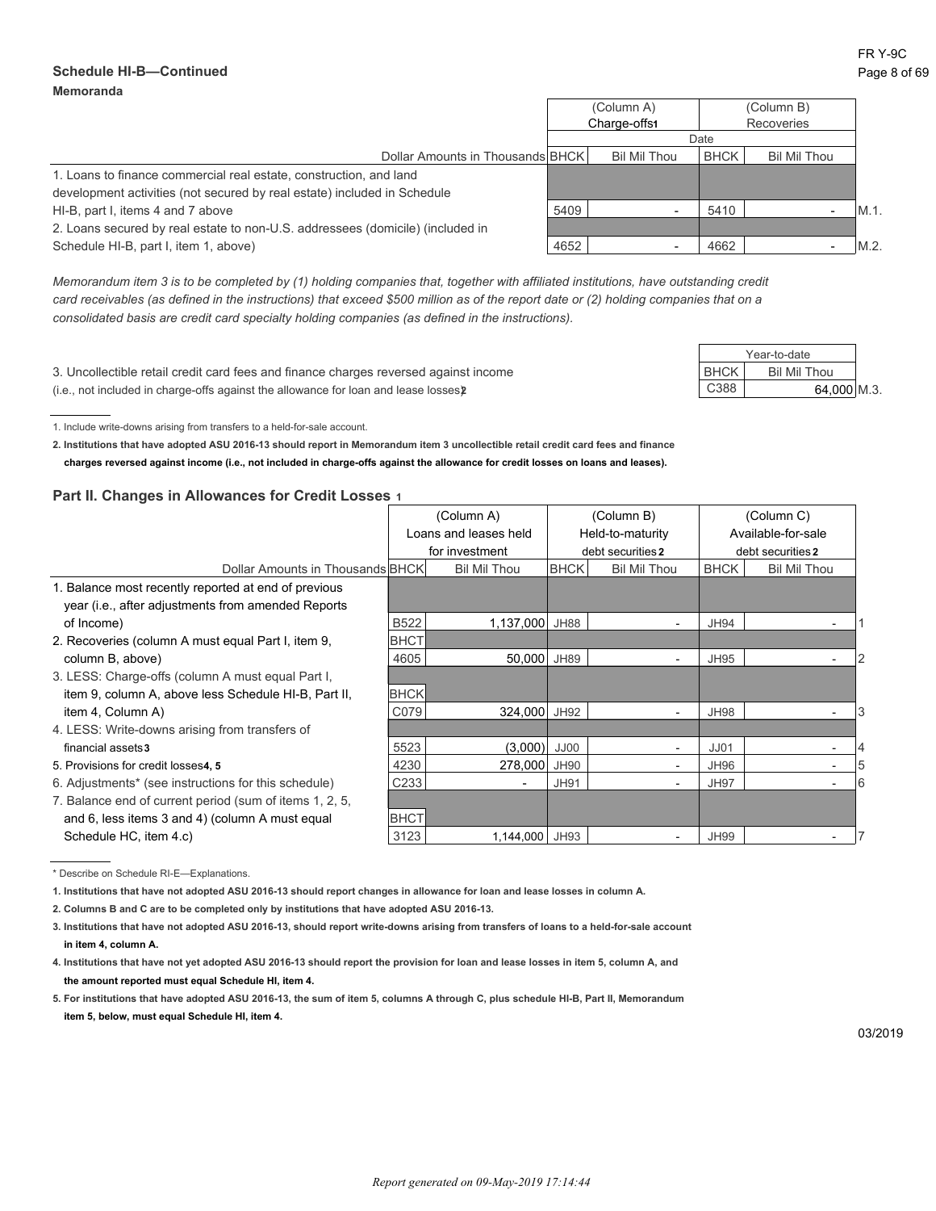#### **Schedule HI-B—Continued** Page 8 of 69 **Memoranda**

Year-to-date

|                                                                                | (Column A)<br>Charge-offs1 |              | (Column B)<br>Recoveries |                     |         |
|--------------------------------------------------------------------------------|----------------------------|--------------|--------------------------|---------------------|---------|
|                                                                                | Date                       |              |                          |                     |         |
| Dollar Amounts in Thousands BHCK                                               |                            | Bil Mil Thou | BHCK                     | <b>Bil Mil Thou</b> |         |
| 1. Loans to finance commercial real estate, construction, and land             |                            |              |                          |                     |         |
| development activities (not secured by real estate) included in Schedule       |                            |              |                          |                     |         |
| HI-B, part I, items 4 and 7 above                                              | 5409                       |              | 5410                     |                     | $M.1$ . |
| 2. Loans secured by real estate to non-U.S. addressees (domicile) (included in |                            |              |                          |                     |         |
| Schedule HI-B, part I, item 1, above)                                          | 4652                       |              | 4662                     |                     | M.2     |

*Memorandum item 3 is to be completed by (1) holding companies that, together with affiliated institutions, have outstanding credit card receivables (as defined in the instructions) that exceed \$500 million as of the report date or (2) holding companies that on a consolidated basis are credit card specialty holding companies (as defined in the instructions).*

3. Uncollectible retail credit card fees and finance charges reversed against income BHCK BIL Mil Thou (i.e., not included in charge-offs against the allowance for loan and lease losses) **2** C388 64,000 M.3.

1. Include write-downs arising from transfers to a held-for-sale account.

**2. Institutions that have adopted ASU 2016-13 should report in Memorandum item 3 uncollectible retail credit card fees and finance charges reversed against income (i.e., not included in charge-offs against the allowance for credit losses on loans and leases).**

#### **Part II. Changes in Allowances for Credit Losses 1**

|                                                         |             | (Column A)               |             | (Column B)               |             | (Column C)          |   |  |
|---------------------------------------------------------|-------------|--------------------------|-------------|--------------------------|-------------|---------------------|---|--|
|                                                         |             | Loans and leases held    |             | Held-to-maturity         |             | Available-for-sale  |   |  |
|                                                         |             | for investment           |             | debt securities 2        |             | debt securities 2   |   |  |
| Dollar Amounts in Thousands BHCK                        |             | <b>Bil Mil Thou</b>      | <b>BHCK</b> | <b>Bil Mil Thou</b>      | <b>BHCK</b> | <b>Bil Mil Thou</b> |   |  |
| 1. Balance most recently reported at end of previous    |             |                          |             |                          |             |                     |   |  |
| year (i.e., after adjustments from amended Reports      |             |                          |             |                          |             |                     |   |  |
| of Income)                                              | <b>B522</b> | 1,137,000                | JH88        | $\overline{\phantom{a}}$ | <b>JH94</b> |                     |   |  |
| 2. Recoveries (column A must equal Part I, item 9,      | <b>BHCT</b> |                          |             |                          |             |                     |   |  |
| column B, above)                                        | 4605        | 50,000                   | <b>JH89</b> |                          | <b>JH95</b> |                     |   |  |
| 3. LESS: Charge-offs (column A must equal Part I,       |             |                          |             |                          |             |                     |   |  |
| item 9, column A, above less Schedule HI-B, Part II,    | <b>BHCK</b> |                          |             |                          |             |                     |   |  |
| item 4, Column A)                                       | C079        | 324,000                  | JH92        |                          | <b>JH98</b> |                     |   |  |
| 4. LESS: Write-downs arising from transfers of          |             |                          |             |                          |             |                     |   |  |
| financial assets3                                       | 5523        | (3,000)                  | JJ00        |                          | JJ01        |                     |   |  |
| 5. Provisions for credit losses4, 5                     | 4230        | 278,000                  | <b>JH90</b> | $\overline{\phantom{0}}$ | JH96        |                     | 5 |  |
| 6. Adjustments* (see instructions for this schedule)    | C233        | $\overline{\phantom{a}}$ | <b>JH91</b> | $\sim$                   | <b>JH97</b> |                     | 6 |  |
| 7. Balance end of current period (sum of items 1, 2, 5, |             |                          |             |                          |             |                     |   |  |
| and 6, less items 3 and 4) (column A must equal         | <b>BHCT</b> |                          |             |                          |             |                     |   |  |
| Schedule HC, item 4.c)                                  | 3123        | 1,144,000                | <b>JH93</b> |                          | <b>JH99</b> |                     |   |  |

<sup>\*</sup> Describe on Schedule RI-E—Explanations.

**1. Institutions that have not adopted ASU 2016-13 should report changes in allowance for loan and lease losses in column A.**

**2. Columns B and C are to be completed only by institutions that have adopted ASU 2016-13.**

**3. Institutions that have not adopted ASU 2016-13, should report write-downs arising from transfers of loans to a held-for-sale account in item 4, column A.**

**4. Institutions that have not yet adopted ASU 2016-13 should report the provision for loan and lease losses in item 5, column A, and the amount reported must equal Schedule HI, item 4.**

**5. For institutions that have adopted ASU 2016-13, the sum of item 5, columns A through C, plus schedule HI-B, Part II, Memorandum item 5, below, must equal Schedule HI, item 4.**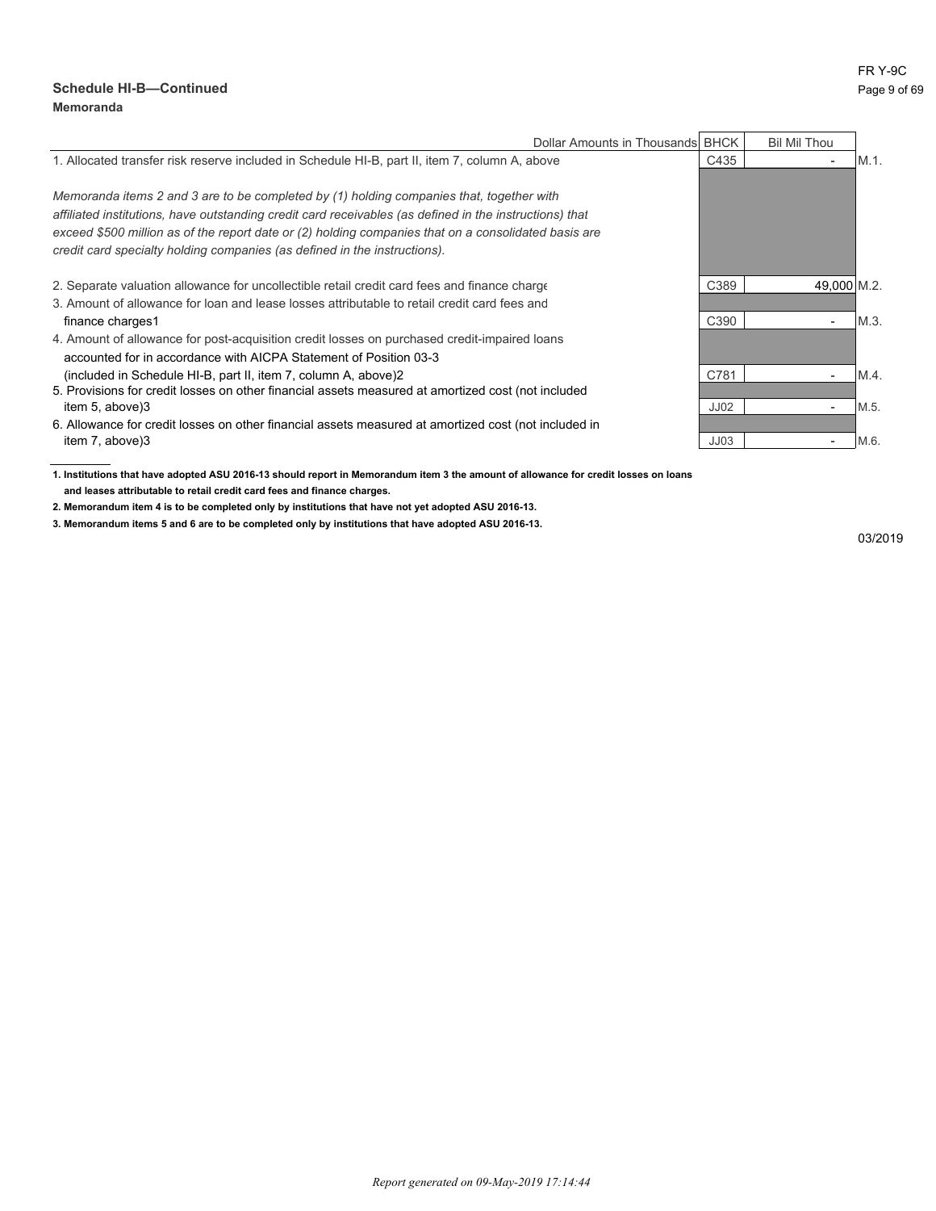#### **Schedule HI-B—Continued** Page 9 of 69 **Memoranda**

| Dollar Amounts in Thousands BHCK                                                                        |      | <b>Bil Mil Thou</b>      |         |
|---------------------------------------------------------------------------------------------------------|------|--------------------------|---------|
| 1. Allocated transfer risk reserve included in Schedule HI-B, part II, item 7, column A, above          | C435 | $\overline{\phantom{0}}$ | $M.1$ . |
| Memoranda items 2 and 3 are to be completed by (1) holding companies that, together with                |      |                          |         |
| affiliated institutions, have outstanding credit card receivables (as defined in the instructions) that |      |                          |         |
| exceed \$500 million as of the report date or (2) holding companies that on a consolidated basis are    |      |                          |         |
| credit card specialty holding companies (as defined in the instructions).                               |      |                          |         |
| 2. Separate valuation allowance for uncollectible retail credit card fees and finance charge            | C389 | 49.000 M.2.              |         |
| 3. Amount of allowance for loan and lease losses attributable to retail credit card fees and            |      |                          |         |
| finance charges1                                                                                        | C390 | $\overline{\phantom{0}}$ | M.3.    |
| 4. Amount of allowance for post-acquisition credit losses on purchased credit-impaired loans            |      |                          |         |
| accounted for in accordance with AICPA Statement of Position 03-3                                       |      |                          |         |
| (included in Schedule HI-B, part II, item 7, column A, above)2                                          | C781 | -                        | M.4.    |
| 5. Provisions for credit losses on other financial assets measured at amortized cost (not included      |      |                          |         |
| item 5, above)3                                                                                         | JJ02 |                          | M.5.    |
| 6. Allowance for credit losses on other financial assets measured at amortized cost (not included in    |      |                          |         |
| item 7, above)3                                                                                         | JJ03 |                          | M.6.    |

**1. Institutions that have adopted ASU 2016-13 should report in Memorandum item 3 the amount of allowance for credit losses on loans and leases attributable to retail credit card fees and finance charges.**

**2. Memorandum item 4 is to be completed only by institutions that have not yet adopted ASU 2016-13.**

**3. Memorandum items 5 and 6 are to be completed only by institutions that have adopted ASU 2016-13.**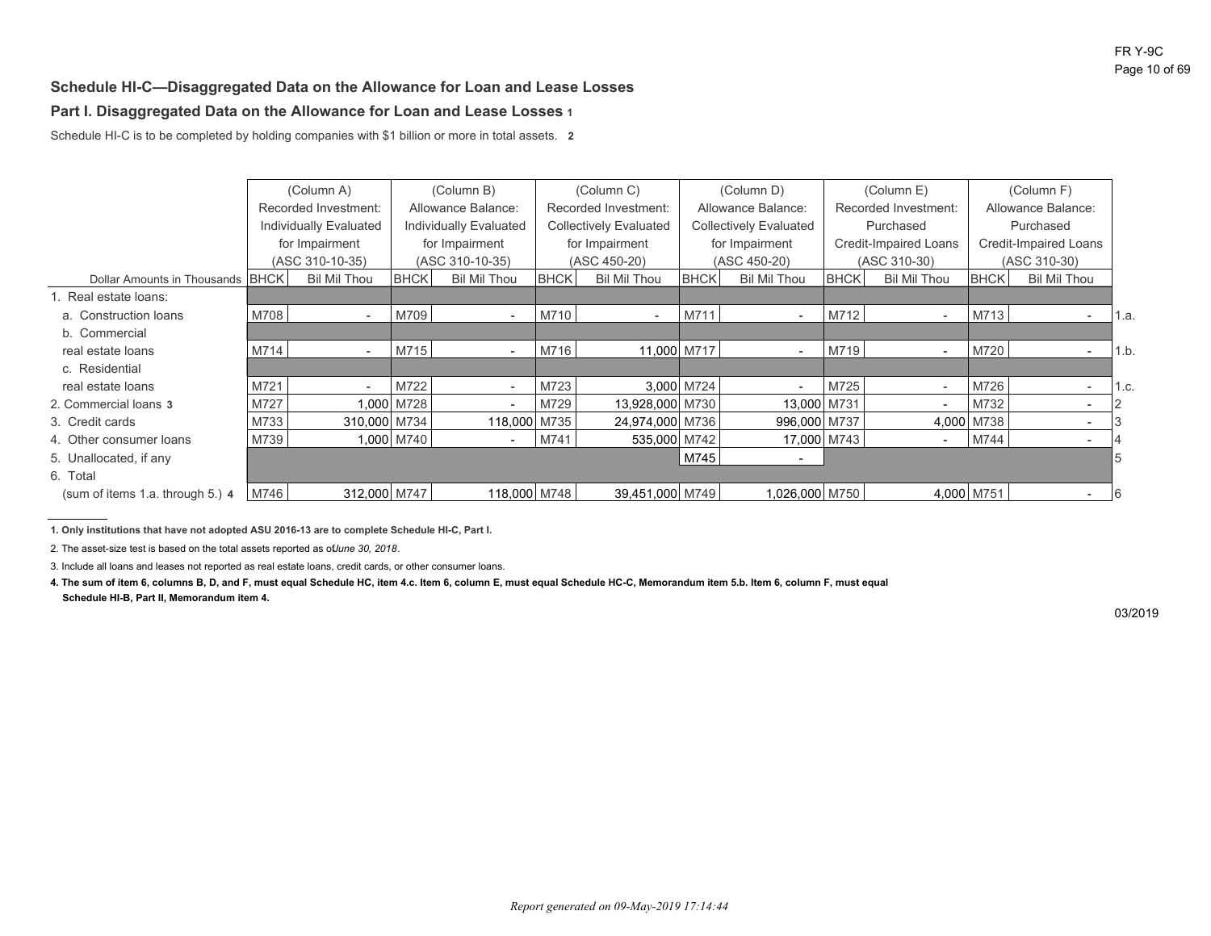#### **Schedule HI-C—Disaggregated Data on the Allowance for Loan and Lease Losses**

### **Part I. Disaggregated Data on the Allowance for Loan and Lease Losses 1**

Schedule HI-C is to be completed by holding companies with \$1 billion or more in total assets. **2**

|                                  |      | (Column A)             |             | (Column B)               |             | (Column C)                    | (Column D)         |                               | (Column E)           |                              | (Column F)            |                          |      |
|----------------------------------|------|------------------------|-------------|--------------------------|-------------|-------------------------------|--------------------|-------------------------------|----------------------|------------------------------|-----------------------|--------------------------|------|
|                                  |      | Recorded Investment:   |             | Allowance Balance:       |             | Recorded Investment:          | Allowance Balance: |                               | Recorded Investment: |                              | Allowance Balance:    |                          |      |
|                                  |      | Individually Evaluated |             | Individually Evaluated   |             | <b>Collectively Evaluated</b> |                    | <b>Collectively Evaluated</b> |                      | Purchased                    | Purchased             |                          |      |
|                                  |      | for Impairment         |             | for Impairment           |             | for Impairment                |                    | for Impairment                |                      | <b>Credit-Impaired Loans</b> | Credit-Impaired Loans |                          |      |
|                                  |      | (ASC 310-10-35)        |             | (ASC 310-10-35)          |             | (ASC 450-20)                  |                    | (ASC 450-20)                  |                      | (ASC 310-30)                 | (ASC 310-30)          |                          |      |
| Dollar Amounts in Thousands BHCK |      | <b>Bil Mil Thou</b>    | <b>BHCK</b> | <b>Bil Mil Thou</b>      | <b>BHCK</b> | <b>Bil Mil Thou</b>           | <b>BHCK</b>        | <b>Bil Mil Thou</b>           | <b>BHCK</b>          | <b>Bil Mil Thou</b>          | <b>BHCK</b>           | <b>Bil Mil Thou</b>      |      |
| 1. Real estate loans:            |      |                        |             |                          |             |                               |                    |                               |                      |                              |                       |                          |      |
| a. Construction loans            | M708 |                        | M709        |                          | M710        | $\overline{\phantom{a}}$      | M711               | $\overline{\phantom{a}}$      | M712                 | $\overline{\phantom{a}}$     | M713                  |                          | 1.a. |
| b. Commercial                    |      |                        |             |                          |             |                               |                    |                               |                      |                              |                       |                          |      |
| real estate loans                | M714 |                        | M715        |                          | M716        | 11,000 M717                   |                    |                               | M719                 |                              | M720                  |                          | 1.b. |
| c. Residential                   |      |                        |             |                          |             |                               |                    |                               |                      |                              |                       |                          |      |
| real estate loans                | M721 |                        | M722        | $\overline{\phantom{a}}$ | M723        |                               | 3.000 M724         | $\overline{\phantom{a}}$      | M725                 | $\overline{\phantom{a}}$     | M726                  | $\overline{\phantom{a}}$ | 1.c. |
| 2. Commercial loans 3            | M727 |                        | 1,000 M728  | $\overline{\phantom{a}}$ | M729        | 13,928,000 M730               |                    | 13,000 M731                   |                      | $\overline{\phantom{0}}$     | M732                  |                          |      |
| 3. Credit cards                  | M733 | 310,000 M734           |             | 118,000 M735             |             | 24,974,000 M736               |                    | 996,000 M737                  |                      |                              | 4,000 M738            |                          |      |
| 4. Other consumer loans          | M739 |                        | 1,000 M740  |                          | M741        | 535,000 M742                  |                    | 17,000 M743                   |                      |                              | M744                  |                          |      |
| 5. Unallocated, if any           |      |                        |             |                          |             |                               | M745               | $\overline{\phantom{a}}$      |                      |                              |                       |                          |      |
| 6. Total                         |      |                        |             |                          |             |                               |                    |                               |                      |                              |                       |                          |      |
| (sum of items 1.a. through 5.) 4 | M746 | 312,000 M747           |             | 118,000 M748             |             | 39,451,000 M749               |                    | 1,026,000 M750                |                      |                              | 4,000 M751            |                          | 16   |

**1. Only institutions that have not adopted ASU 2016-13 are to complete Schedule HI-C, Part I.**

2. The asset-size test is based on the total assets reported as of *June 30, 2018*.

3. Include all loans and leases not reported as real estate loans, credit cards, or other consumer loans.

**4. The sum of item 6, columns B, D, and F, must equal Schedule HC, item 4.c. Item 6, column E, must equal Schedule HC-C, Memorandum item 5.b. Item 6, column F, must equal Schedule HI-B, Part II, Memorandum item 4.**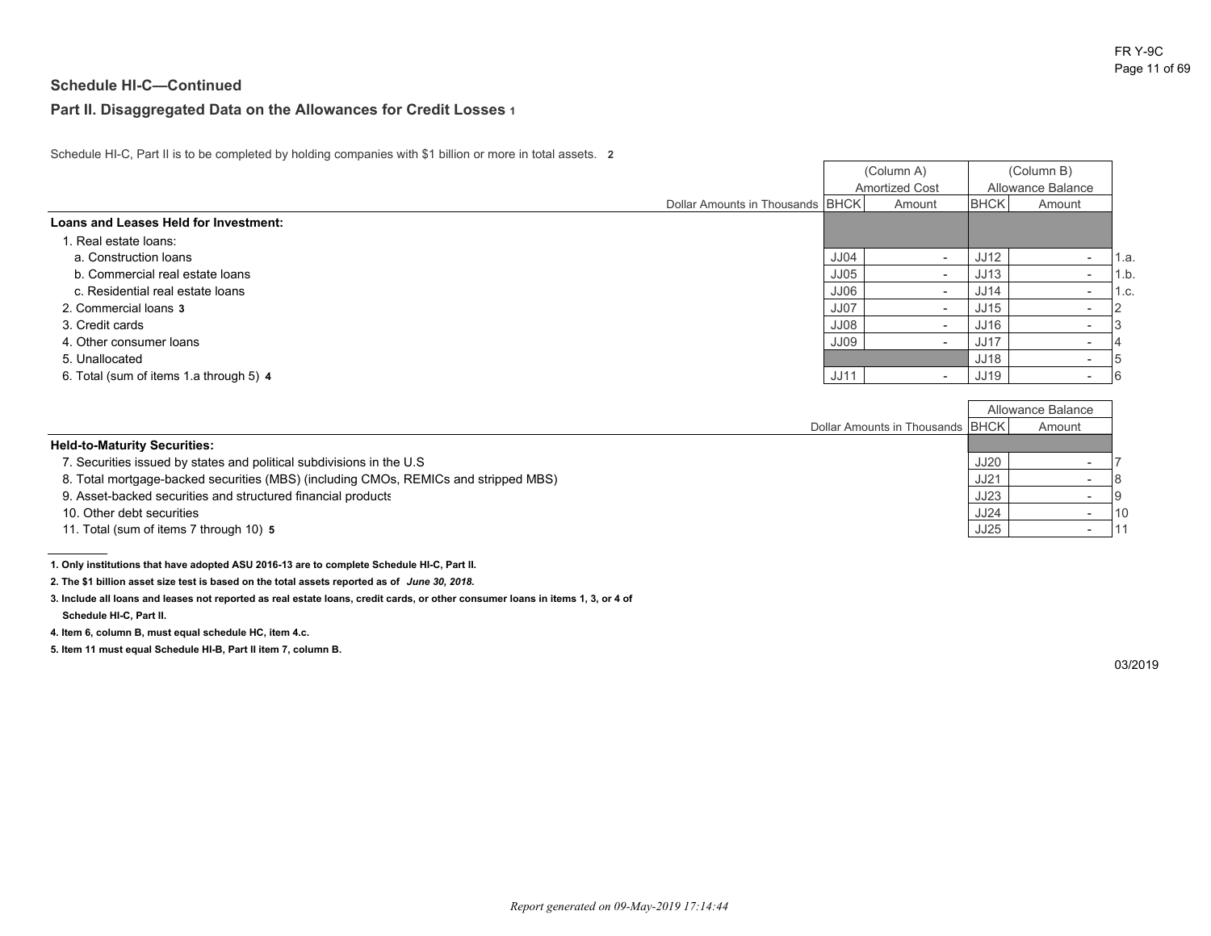### **Part II. Disaggregated Data on the Allowances for Credit Losses 1**

Schedule HI-C, Part II is to be completed by holding companies with \$1 billion or more in total assets. **2**

|                                         |                                  |             | (Column A)            | (Column B)<br>Allowance Balance |                          |      |
|-----------------------------------------|----------------------------------|-------------|-----------------------|---------------------------------|--------------------------|------|
|                                         |                                  |             | <b>Amortized Cost</b> |                                 |                          |      |
|                                         | Dollar Amounts in Thousands BHCK |             | Amount                | <b>BHCK</b>                     | Amount                   |      |
| Loans and Leases Held for Investment:   |                                  |             |                       |                                 |                          |      |
| 1. Real estate loans:                   |                                  |             |                       |                                 |                          |      |
| a. Construction loans                   |                                  | <b>JJ04</b> | -                     | JJ12                            | -                        | 1.a. |
| b. Commercial real estate loans         |                                  | <b>JJ05</b> |                       | JJ13                            | -                        | 1.b. |
| c. Residential real estate loans        |                                  | JJ06        |                       | <b>JJ14</b>                     | $\overline{\phantom{0}}$ | 1.c. |
| 2. Commercial loans 3                   |                                  | <b>JJ07</b> |                       | JJ15                            |                          |      |
| 3. Credit cards                         |                                  | JJ08        |                       | JJ16                            |                          |      |
| 4. Other consumer loans                 |                                  | <b>JJ09</b> |                       | JJ17                            | $\overline{\phantom{0}}$ |      |
| 5. Unallocated                          |                                  |             |                       | <b>JJ18</b>                     |                          |      |
| 6. Total (sum of items 1.a through 5) 4 |                                  | <b>JJ11</b> |                       | <b>JJ19</b>                     |                          |      |

Г

|                                                                                     |                                    |             | Allowance Balance |      |
|-------------------------------------------------------------------------------------|------------------------------------|-------------|-------------------|------|
|                                                                                     | Dollar Amounts in Thousands   BHCK |             | Amount            |      |
| <b>Held-to-Maturity Securities:</b>                                                 |                                    |             |                   |      |
| 7. Securities issued by states and political subdivisions in the U.S                |                                    | <b>JJ20</b> |                   |      |
| 8. Total mortgage-backed securities (MBS) (including CMOs, REMICs and stripped MBS) |                                    | <b>JJ21</b> |                   |      |
| 9. Asset-backed securities and structured financial products                        |                                    | JJ23        |                   |      |
| 10. Other debt securities                                                           |                                    | <b>JJ24</b> |                   | l 10 |
| 11. Total (sum of items 7 through 10) 5                                             |                                    | JJ25        |                   |      |

**<sup>1.</sup> Only institutions that have adopted ASU 2016-13 are to complete Schedule HI-C, Part II.**

**2. The \$1 billion asset size test is based on the total assets reported as of** *June 30, 2018.*

**3. Include all loans and leases not reported as real estate loans, credit cards, or other consumer loans in items 1, 3, or 4 of Schedule HI-C, Part II.**

**4. Item 6, column B, must equal schedule HC, item 4.c.**

**5. Item 11 must equal Schedule HI-B, Part II item 7, column B.**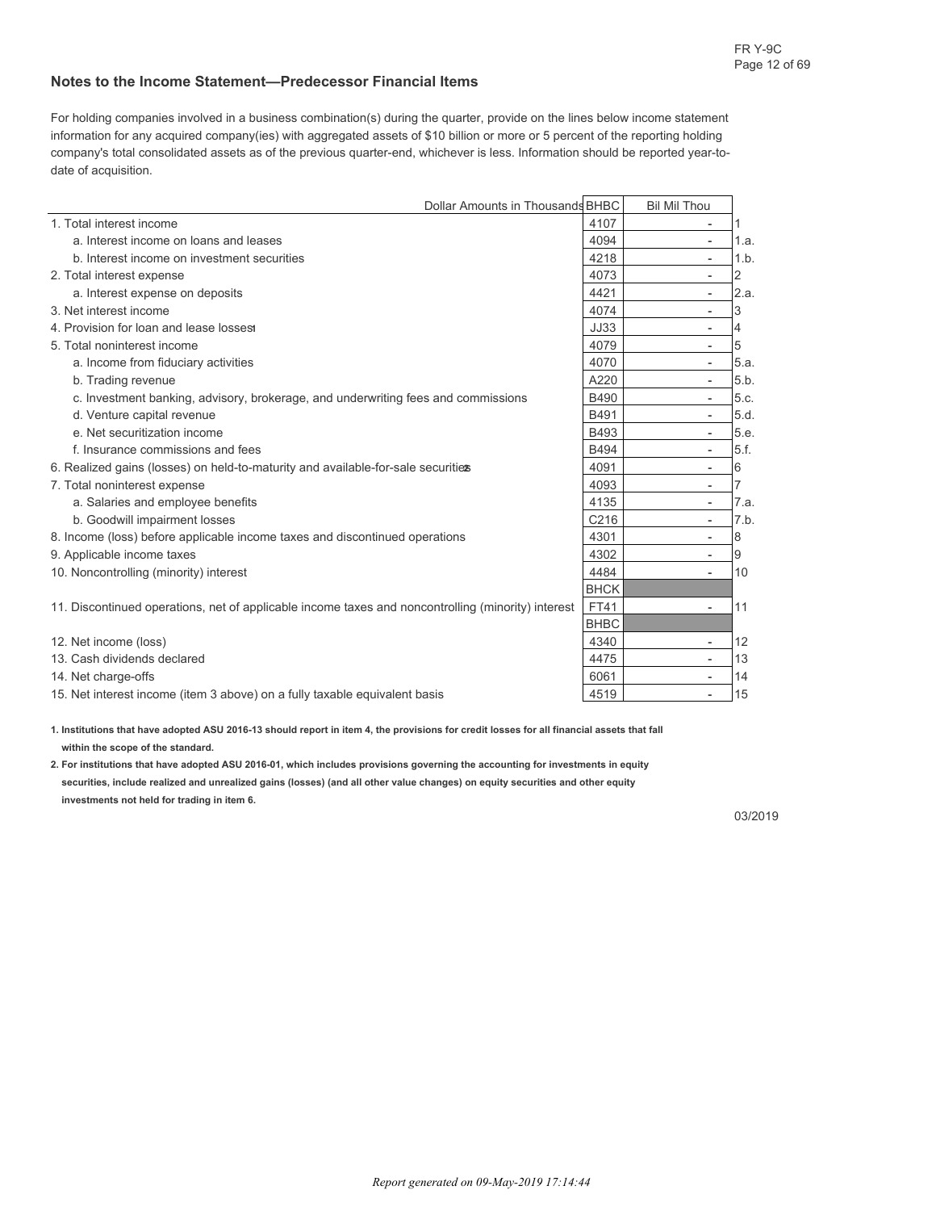#### **Notes to the Income Statement—Predecessor Financial Items**

For holding companies involved in a business combination(s) during the quarter, provide on the lines below income statement information for any acquired company(ies) with aggregated assets of \$10 billion or more or 5 percent of the reporting holding company's total consolidated assets as of the previous quarter-end, whichever is less. Information should be reported year-todate of acquisition.

|                                                                                                    | Dollar Amounts in Thousands BHBC | <b>Bil Mil Thou</b>      |      |
|----------------------------------------------------------------------------------------------------|----------------------------------|--------------------------|------|
| 1. Total interest income                                                                           | 4107                             | $\overline{\phantom{a}}$ |      |
| a. Interest income on loans and leases                                                             | 4094                             |                          | 1.a. |
| b. Interest income on investment securities                                                        | 4218                             | $\overline{\phantom{a}}$ | 1.b. |
| 2. Total interest expense                                                                          | 4073                             | $\overline{\phantom{a}}$ | 2    |
| a. Interest expense on deposits                                                                    | 4421                             | $\overline{\phantom{a}}$ | 2.a. |
| 3. Net interest income                                                                             | 4074                             | $\overline{\phantom{a}}$ | 3    |
| 4. Provision for loan and lease losses                                                             | <b>JJ33</b>                      | $\overline{\phantom{a}}$ | 4    |
| 5. Total noninterest income                                                                        | 4079                             | $\overline{\phantom{a}}$ | 5    |
| a. Income from fiduciary activities                                                                | 4070                             | $\overline{\phantom{a}}$ | 5.a. |
| b. Trading revenue                                                                                 | A220                             | $\overline{\phantom{a}}$ | 5.b. |
| c. Investment banking, advisory, brokerage, and underwriting fees and commissions                  | <b>B490</b>                      | $\overline{\phantom{a}}$ | 5.c. |
| d. Venture capital revenue                                                                         | B491                             | $\overline{\phantom{a}}$ | 5.d. |
| e. Net securitization income                                                                       | B493                             | $\overline{\phantom{a}}$ | 5.e. |
| f. Insurance commissions and fees                                                                  | <b>B494</b>                      | $\overline{\phantom{a}}$ | 5.f. |
| 6. Realized gains (losses) on held-to-maturity and available-for-sale securities                   | 4091                             | $\overline{\phantom{a}}$ | 6    |
| 7. Total noninterest expense                                                                       | 4093                             | $\overline{a}$           |      |
| a. Salaries and employee benefits                                                                  | 4135                             | $\overline{\phantom{a}}$ | 7.a. |
| b. Goodwill impairment losses                                                                      | C <sub>216</sub>                 | $\overline{\phantom{a}}$ | 7.b. |
| 8. Income (loss) before applicable income taxes and discontinued operations                        | 4301                             | $\overline{\phantom{a}}$ | 8    |
| 9. Applicable income taxes                                                                         | 4302                             | $\overline{\phantom{a}}$ | 9    |
| 10. Noncontrolling (minority) interest                                                             | 4484                             | $\overline{\phantom{a}}$ | 10   |
|                                                                                                    | <b>BHCK</b>                      |                          |      |
| 11. Discontinued operations, net of applicable income taxes and noncontrolling (minority) interest | FT41                             | $\overline{a}$           | 11   |
|                                                                                                    | <b>BHBC</b>                      |                          |      |
| 12. Net income (loss)                                                                              | 4340                             | $\overline{\phantom{a}}$ | 12   |
| 13. Cash dividends declared                                                                        | 4475                             | $\overline{\phantom{a}}$ | 13   |
| 14. Net charge-offs                                                                                | 6061                             | $\overline{\phantom{a}}$ | 14   |
| 15. Net interest income (item 3 above) on a fully taxable equivalent basis                         | 4519                             | $\overline{a}$           | 15   |

**1. Institutions that have adopted ASU 2016-13 should report in item 4, the provisions for credit losses for all financial assets that fall within the scope of the standard.**

**2. For institutions that have adopted ASU 2016-01, which includes provisions governing the accounting for investments in equity securities, include realized and unrealized gains (losses) (and all other value changes) on equity securities and other equity investments not held for trading in item 6.**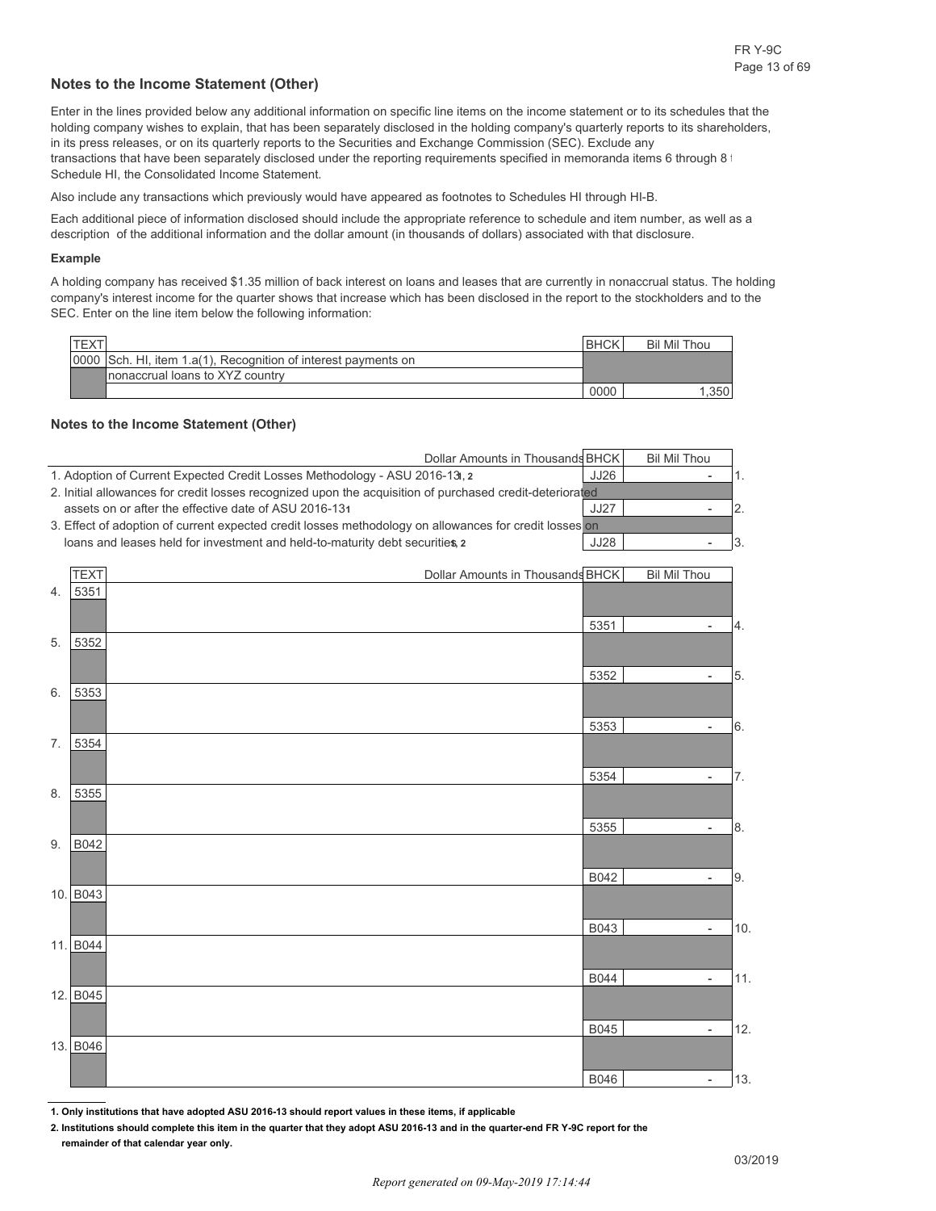#### **Notes to the Income Statement (Other)**

Enter in the lines provided below any additional information on specific line items on the income statement or to its schedules that the holding company wishes to explain, that has been separately disclosed in the holding company's quarterly reports to its shareholders, in its press releases, or on its quarterly reports to the Securities and Exchange Commission (SEC). Exclude any transactions that have been separately disclosed under the reporting requirements specified in memoranda items 6 through 8 t Schedule HI, the Consolidated Income Statement.

Also include any transactions which previously would have appeared as footnotes to Schedules HI through HI-B.

Each additional piece of information disclosed should include the appropriate reference to schedule and item number, as well as a description of the additional information and the dollar amount (in thousands of dollars) associated with that disclosure.

#### **Example**

A holding company has received \$1.35 million of back interest on loans and leases that are currently in nonaccrual status. The holding company's interest income for the quarter shows that increase which has been disclosed in the report to the stockholders and to the SEC. Enter on the line item below the following information:

| <b>TEXT</b> |                                                                | <b>IBHCK</b> | <b>Bil Mil Thou</b> |
|-------------|----------------------------------------------------------------|--------------|---------------------|
|             | 0000 Sch. HI, item 1.a(1), Recognition of interest payments on |              |                     |
|             | Inonaccrual loans to XYZ country                               |              |                     |
|             |                                                                | 0000         | 1,350               |

#### **Notes to the Income Statement (Other)**

|    | Dollar Amounts in Thousands BHCK                                                                         |             | <b>Bil Mil Thou</b> |     |
|----|----------------------------------------------------------------------------------------------------------|-------------|---------------------|-----|
|    | 1. Adoption of Current Expected Credit Losses Methodology - ASU 2016-13, 2                               | JJ26        |                     | 1.  |
|    | 2. Initial allowances for credit losses recognized upon the acquisition of purchased credit-deteriorated |             |                     |     |
|    | assets on or after the effective date of ASU 2016-131                                                    | <b>JJ27</b> | $\overline{a}$      | 2.  |
|    | 3. Effect of adoption of current expected credit losses methodology on allowances for credit losses on   |             |                     |     |
|    | loans and leases held for investment and held-to-maturity debt securities, 2                             | <b>JJ28</b> |                     | 3.  |
|    |                                                                                                          |             |                     |     |
|    | <b>TEXT</b><br>Dollar Amounts in Thousands BHCK                                                          |             | <b>Bil Mil Thou</b> |     |
| 4. | 5351                                                                                                     |             |                     |     |
|    |                                                                                                          |             |                     |     |
|    |                                                                                                          | 5351        | $\overline{a}$      | 4.  |
| 5. | 5352                                                                                                     |             |                     |     |
|    |                                                                                                          |             |                     |     |
|    |                                                                                                          | 5352        | $\overline{a}$      | 5.  |
| 6. | 5353                                                                                                     |             |                     |     |
|    |                                                                                                          |             |                     |     |
|    |                                                                                                          | 5353        | $\overline{a}$      | 6.  |
| 7. | 5354                                                                                                     |             |                     |     |
|    |                                                                                                          |             |                     |     |
|    |                                                                                                          | 5354        |                     | 7.  |
| 8. | 5355                                                                                                     |             |                     |     |
|    |                                                                                                          |             |                     |     |
|    |                                                                                                          | 5355        |                     | 8.  |
| 9. | B042                                                                                                     |             |                     |     |
|    |                                                                                                          |             |                     |     |
|    |                                                                                                          | B042        |                     | 9.  |
|    | 10. B043                                                                                                 |             |                     |     |
|    |                                                                                                          |             |                     |     |
|    |                                                                                                          | B043        |                     | 10. |
|    | 11. B044                                                                                                 |             |                     |     |
|    |                                                                                                          |             |                     |     |
|    |                                                                                                          | B044        |                     | 11. |
|    | 12. B045                                                                                                 |             |                     |     |
|    |                                                                                                          |             |                     |     |
|    |                                                                                                          | B045        | $\overline{a}$      | 12. |
|    | 13. B046                                                                                                 |             |                     |     |
|    |                                                                                                          |             |                     |     |
|    |                                                                                                          | <b>B046</b> |                     | 13. |
|    |                                                                                                          |             |                     |     |

**1. Only institutions that have adopted ASU 2016-13 should report values in these items, if applicable**

**2. Institutions should complete this item in the quarter that they adopt ASU 2016-13 and in the quarter-end FR Y-9C report for the remainder of that calendar year only.**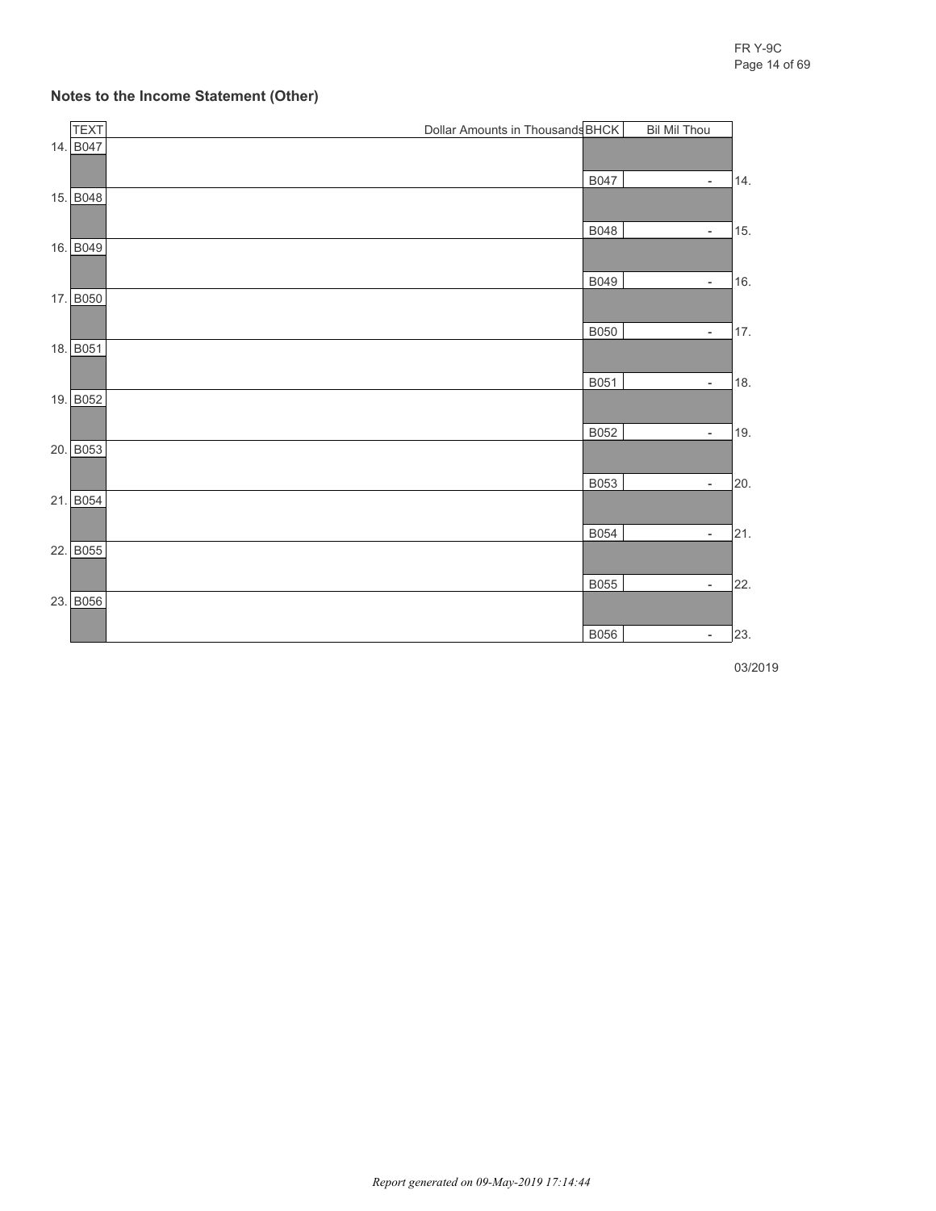#### **Notes to the Income Statement (Other)**

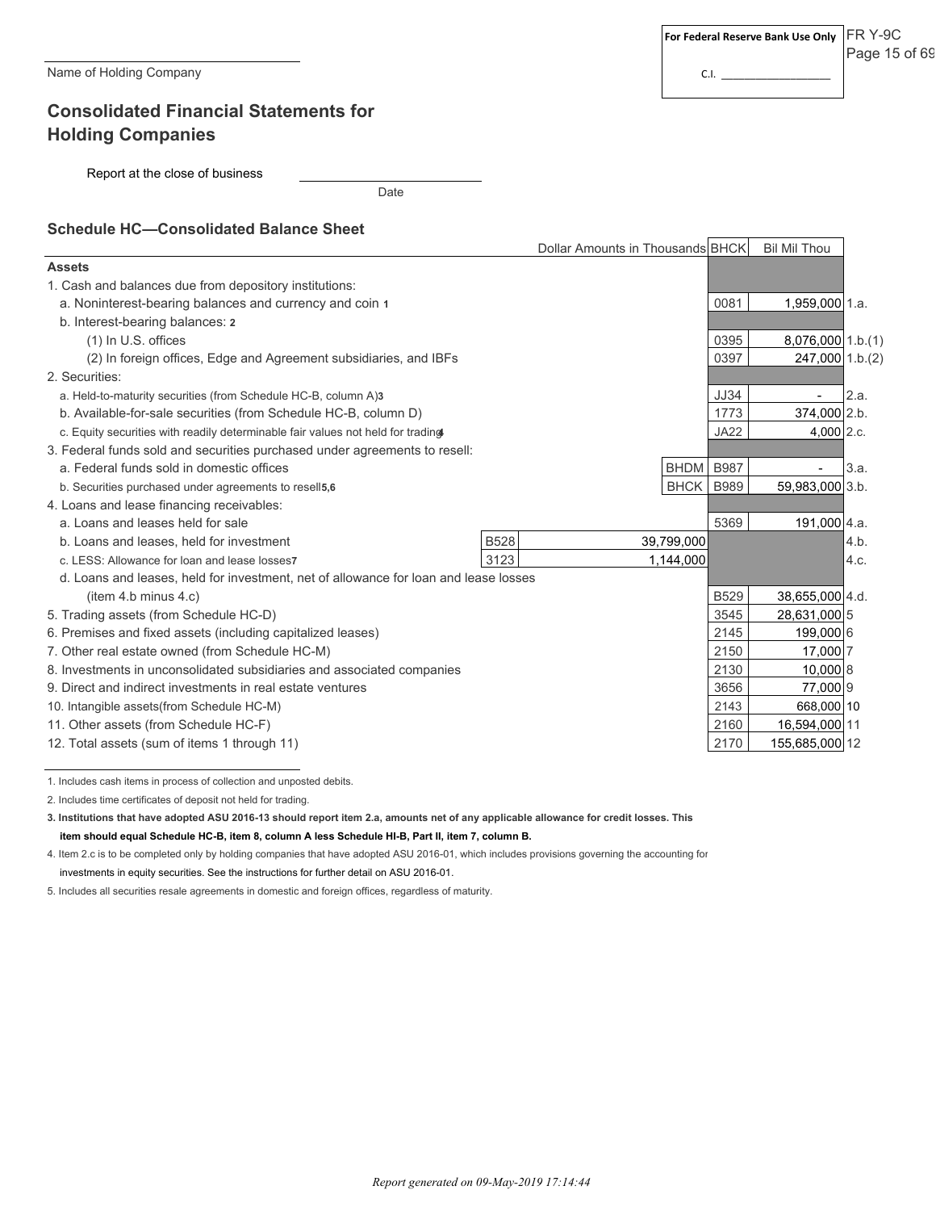## **Consolidated Financial Statements for Holding Companies**

Report at the close of business

Date

### **Schedule HC—Consolidated Balance Sheet**

|                                                                                      | Dollar Amounts in Thousands BHCK |             |             | <b>Bil Mil Thou</b> |      |
|--------------------------------------------------------------------------------------|----------------------------------|-------------|-------------|---------------------|------|
| <b>Assets</b>                                                                        |                                  |             |             |                     |      |
| 1. Cash and balances due from depository institutions:                               |                                  |             |             |                     |      |
| a. Noninterest-bearing balances and currency and coin 1                              |                                  |             | 0081        | 1,959,000 1.a.      |      |
| b. Interest-bearing balances: 2                                                      |                                  |             |             |                     |      |
| (1) In U.S. offices                                                                  |                                  |             | 0395        | 8,076,000 1.b.(1)   |      |
| (2) In foreign offices, Edge and Agreement subsidiaries, and IBFs                    |                                  |             | 0397        | 247,000 1.b.(2)     |      |
| 2. Securities:                                                                       |                                  |             |             |                     |      |
| a. Held-to-maturity securities (from Schedule HC-B, column A)3                       |                                  |             | <b>JJ34</b> |                     | 2.a. |
| b. Available-for-sale securities (from Schedule HC-B, column D)                      |                                  |             | 1773        | 374,000 2.b.        |      |
| c. Equity securities with readily determinable fair values not held for trading      |                                  |             | <b>JA22</b> | 4,000 2.c.          |      |
| 3. Federal funds sold and securities purchased under agreements to resell:           |                                  |             |             |                     |      |
| a. Federal funds sold in domestic offices                                            |                                  | <b>BHDM</b> | <b>B987</b> |                     | 3.a. |
| b. Securities purchased under agreements to resell5,6                                |                                  | <b>BHCK</b> | <b>B989</b> | 59,983,000 3.b.     |      |
| 4. Loans and lease financing receivables:                                            |                                  |             |             |                     |      |
| a. Loans and leases held for sale                                                    |                                  |             | 5369        | 191,000 4.a.        |      |
| <b>B528</b><br>b. Loans and leases, held for investment                              |                                  | 39,799,000  |             |                     | 4.b. |
| 3123<br>c. LESS: Allowance for loan and lease losses7                                |                                  | 1,144,000   |             |                     | 4.c. |
| d. Loans and leases, held for investment, net of allowance for loan and lease losses |                                  |             |             |                     |      |
| item 4.b minus 4.c)                                                                  |                                  |             | <b>B529</b> | 38,655,000 4.d.     |      |
| 5. Trading assets (from Schedule HC-D)                                               |                                  |             | 3545        | 28,631,000 5        |      |
| 6. Premises and fixed assets (including capitalized leases)                          |                                  |             | 2145        | 199,000 6           |      |
| 7. Other real estate owned (from Schedule HC-M)                                      |                                  |             | 2150        | 17,000 7            |      |
| 8. Investments in unconsolidated subsidiaries and associated companies               |                                  |             | 2130        | 10,000 8            |      |
| 9. Direct and indirect investments in real estate ventures                           |                                  |             | 3656        | 77,000 9            |      |
| 10. Intangible assets (from Schedule HC-M)                                           |                                  |             | 2143        | 668,000 10          |      |
| 11. Other assets (from Schedule HC-F)                                                |                                  |             | 2160        | 16,594,000 11       |      |
| 12. Total assets (sum of items 1 through 11)                                         |                                  |             | 2170        | 155,685,000 12      |      |

1. Includes cash items in process of collection and unposted debits.

2. Includes time certificates of deposit not held for trading.

**3. Institutions that have adopted ASU 2016-13 should report item 2.a, amounts net of any applicable allowance for credit losses. This item should equal Schedule HC-B, item 8, column A less Schedule HI-B, Part II, item 7, column B.**

4. Item 2.c is to be completed only by holding companies that have adopted ASU 2016-01, which includes provisions governing the accounting for investments in equity securities. See the instructions for further detail on ASU 2016-01.

5. Includes all securities resale agreements in domestic and foreign offices, regardless of maturity.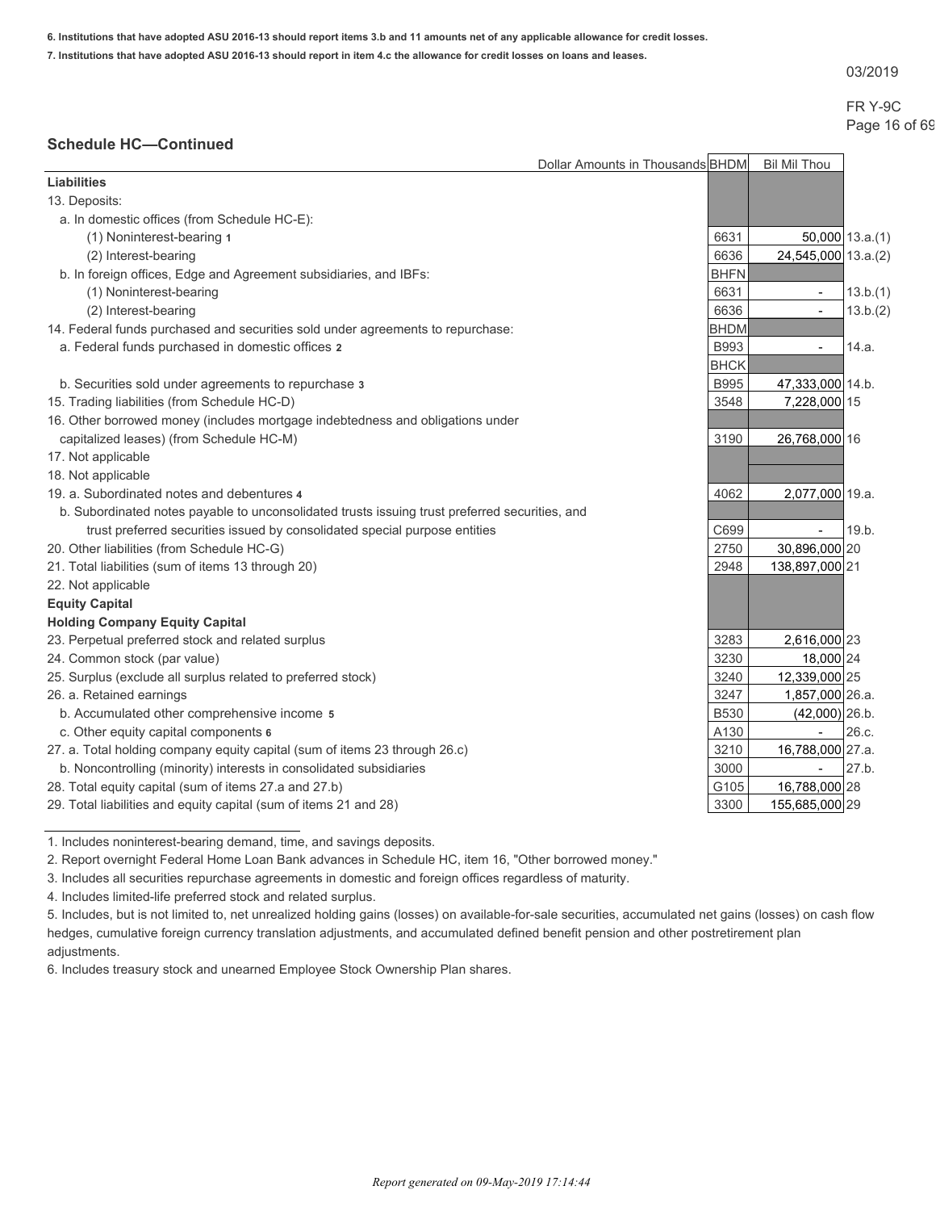**6. Institutions that have adopted ASU 2016-13 should report items 3.b and 11 amounts net of any applicable allowance for credit losses.**

**7. Institutions that have adopted ASU 2016-13 should report in item 4.c the allowance for credit losses on loans and leases.**

03/2019

## FR Y-9C Page 16 of 69

### **Schedule HC—Continued**

|                                                                                                | Dollar Amounts in Thousands BHDM | <b>Bil Mil Thou</b>      |                   |
|------------------------------------------------------------------------------------------------|----------------------------------|--------------------------|-------------------|
| <b>Liabilities</b>                                                                             |                                  |                          |                   |
| 13. Deposits:                                                                                  |                                  |                          |                   |
| a. In domestic offices (from Schedule HC-E):                                                   |                                  |                          |                   |
| (1) Noninterest-bearing 1                                                                      | 6631                             |                          | $50,000$ 13.a.(1) |
| (2) Interest-bearing                                                                           | 6636                             | 24,545,000 13.a.(2)      |                   |
| b. In foreign offices, Edge and Agreement subsidiaries, and IBFs:                              | <b>BHFN</b>                      |                          |                   |
| (1) Noninterest-bearing                                                                        | 6631                             | $\overline{\phantom{a}}$ | 13.b.(1)          |
| (2) Interest-bearing                                                                           | 6636                             | $\blacksquare$           | 13.b.(2)          |
| 14. Federal funds purchased and securities sold under agreements to repurchase:                | <b>BHDM</b>                      |                          |                   |
| a. Federal funds purchased in domestic offices 2                                               | B993                             | $\overline{a}$           | 14.a.             |
|                                                                                                | <b>BHCK</b>                      |                          |                   |
| b. Securities sold under agreements to repurchase 3                                            | <b>B995</b>                      | 47,333,000 14.b.         |                   |
| 15. Trading liabilities (from Schedule HC-D)                                                   | 3548                             | 7,228,000 15             |                   |
| 16. Other borrowed money (includes mortgage indebtedness and obligations under                 |                                  |                          |                   |
| capitalized leases) (from Schedule HC-M)                                                       | 3190                             | 26,768,000 16            |                   |
| 17. Not applicable                                                                             |                                  |                          |                   |
| 18. Not applicable                                                                             |                                  |                          |                   |
| 19. a. Subordinated notes and debentures 4                                                     | 4062                             | 2,077,000 19.a.          |                   |
| b. Subordinated notes payable to unconsolidated trusts issuing trust preferred securities, and |                                  |                          |                   |
| trust preferred securities issued by consolidated special purpose entities                     | C699                             |                          | 19.b.             |
| 20. Other liabilities (from Schedule HC-G)                                                     | 2750                             | 30,896,000 20            |                   |
| 21. Total liabilities (sum of items 13 through 20)                                             | 2948                             | 138,897,000 21           |                   |
| 22. Not applicable                                                                             |                                  |                          |                   |
| <b>Equity Capital</b>                                                                          |                                  |                          |                   |
| <b>Holding Company Equity Capital</b>                                                          |                                  |                          |                   |
| 23. Perpetual preferred stock and related surplus                                              | 3283                             | 2,616,000 23             |                   |
| 24. Common stock (par value)                                                                   | 3230                             | 18,000 24                |                   |
| 25. Surplus (exclude all surplus related to preferred stock)                                   | 3240                             | 12,339,000 25            |                   |
| 26. a. Retained earnings                                                                       | 3247                             | 1,857,000 26.a.          |                   |
| b. Accumulated other comprehensive income 5                                                    | <b>B530</b>                      | $(42,000)$ 26.b.         |                   |
| c. Other equity capital components 6                                                           | A130                             | $\blacksquare$           | 26.c.             |
| 27. a. Total holding company equity capital (sum of items 23 through 26.c)                     | 3210                             | 16,788,000 27.a.         |                   |
| b. Noncontrolling (minority) interests in consolidated subsidiaries                            | 3000                             |                          | 27.b.             |
| 28. Total equity capital (sum of items 27.a and 27.b)                                          | G105                             | 16,788,000 28            |                   |
| 29. Total liabilities and equity capital (sum of items 21 and 28)                              | 3300                             | 155,685,000 29           |                   |

1. Includes noninterest-bearing demand, time, and savings deposits.

2. Report overnight Federal Home Loan Bank advances in Schedule HC, item 16, "Other borrowed money."

3. Includes all securities repurchase agreements in domestic and foreign offices regardless of maturity.

4. Includes limited-life preferred stock and related surplus.

5. Includes, but is not limited to, net unrealized holding gains (losses) on available-for-sale securities, accumulated net gains (losses) on cash flow hedges, cumulative foreign currency translation adjustments, and accumulated defined benefit pension and other postretirement plan adjustments.

6. Includes treasury stock and unearned Employee Stock Ownership Plan shares.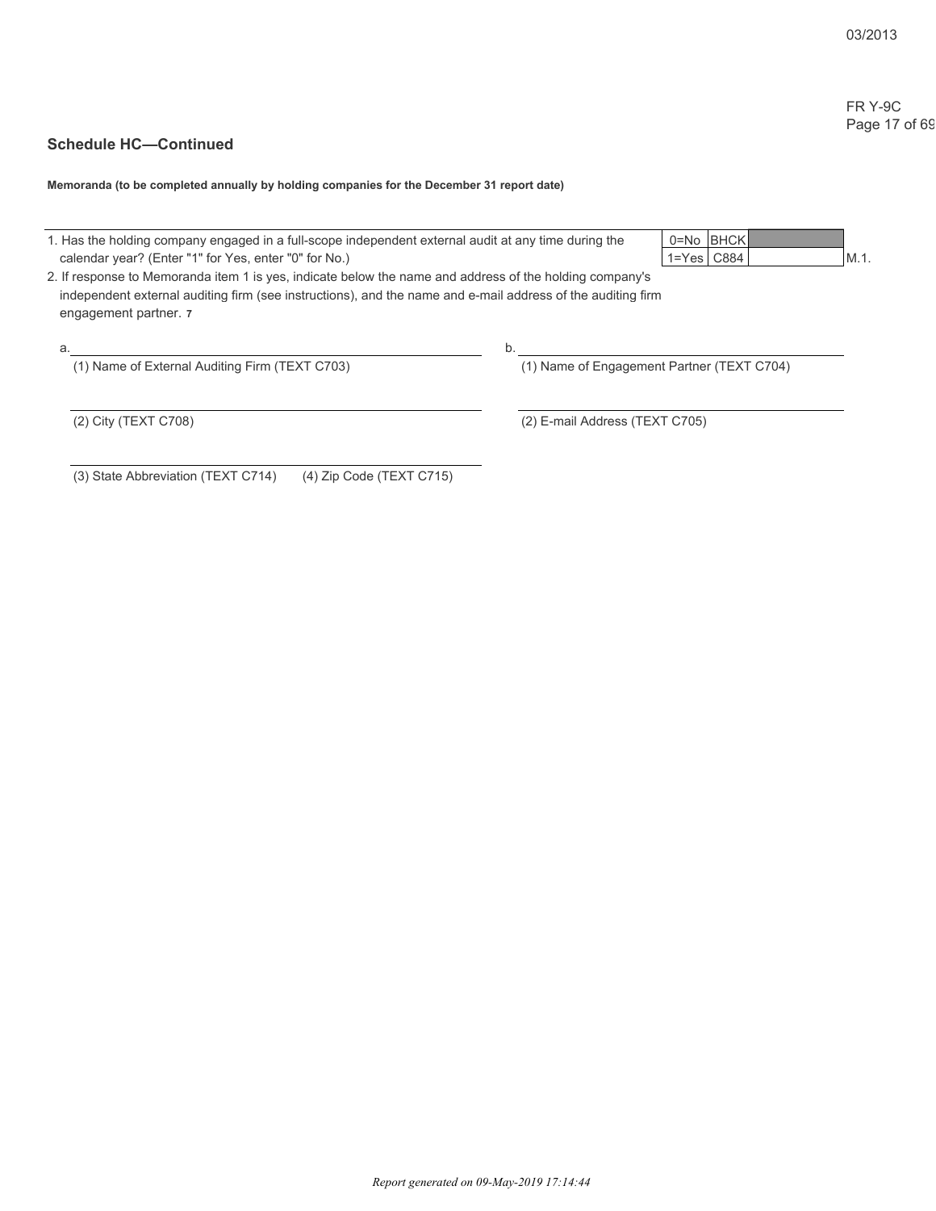## FR Y-9C Page 17 of 69

## **Schedule HC—Continued**

**Memoranda (to be completed annually by holding companies for the December 31 report date)**

| 1. Has the holding company engaged in a full-scope independent external audit at any time during the<br>calendar year? (Enter "1" for Yes, enter "0" for No.)                                                                                   | 0=No BHCK<br>$1 = Yes$ $C884$              | $M.1$ . |
|-------------------------------------------------------------------------------------------------------------------------------------------------------------------------------------------------------------------------------------------------|--------------------------------------------|---------|
| 2. If response to Memoranda item 1 is yes, indicate below the name and address of the holding company's<br>independent external auditing firm (see instructions), and the name and e-mail address of the auditing firm<br>engagement partner. 7 |                                            |         |
| а.                                                                                                                                                                                                                                              | b.                                         |         |
| (1) Name of External Auditing Firm (TEXT C703)                                                                                                                                                                                                  | (1) Name of Engagement Partner (TEXT C704) |         |
| (2) City (TEXT C708)                                                                                                                                                                                                                            | (2) E-mail Address (TEXT C705)             |         |
| $(4)$ Zip Code (TEXT C715)<br>(3) State Abbreviation (TEXT C714)                                                                                                                                                                                |                                            |         |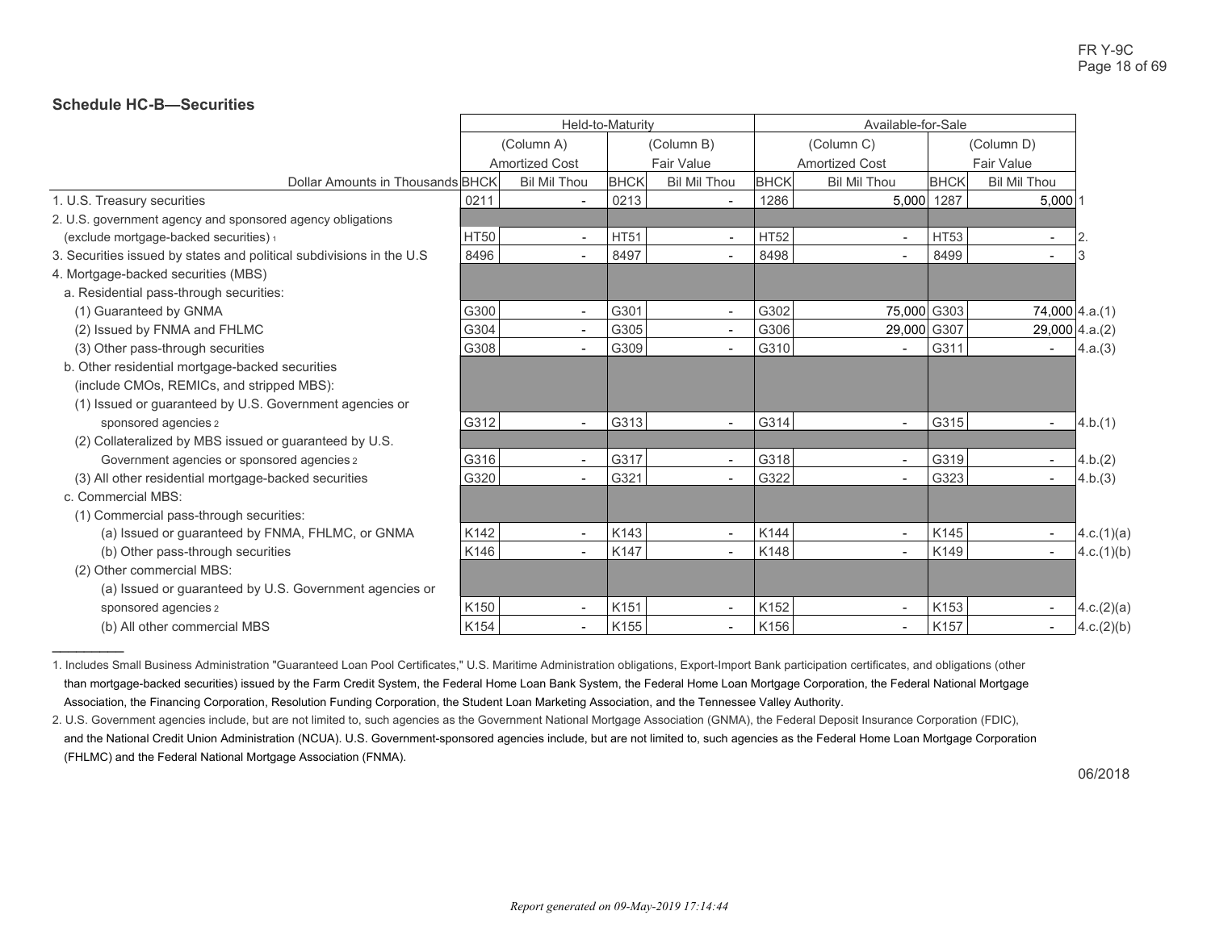### **Schedule HC-B—Securities**

|                                                                       | Held-to-Maturity |                          |             |                          | Available-for-Sale |                          |             |                          |                  |
|-----------------------------------------------------------------------|------------------|--------------------------|-------------|--------------------------|--------------------|--------------------------|-------------|--------------------------|------------------|
|                                                                       |                  | (Column A)               |             | (Column B)               | (Column C)         |                          | (Column D)  |                          |                  |
|                                                                       |                  | <b>Amortized Cost</b>    |             | Fair Value               |                    | <b>Amortized Cost</b>    |             | <b>Fair Value</b>        |                  |
| Dollar Amounts in Thousands BHCK                                      |                  | <b>Bil Mil Thou</b>      | <b>BHCK</b> | <b>Bil Mil Thou</b>      | <b>BHCK</b>        | <b>Bil Mil Thou</b>      | <b>BHCK</b> | <b>Bil Mil Thou</b>      |                  |
| 1. U.S. Treasury securities                                           | 0211             |                          | 0213        |                          | 1286               |                          | 5,000 1287  | $5,000$ 1                |                  |
| 2. U.S. government agency and sponsored agency obligations            |                  |                          |             |                          |                    |                          |             |                          |                  |
| (exclude mortgage-backed securities) 1                                | <b>HT50</b>      | $\overline{a}$           | <b>HT51</b> | $\overline{\phantom{0}}$ | <b>HT52</b>        | $\overline{\phantom{a}}$ | <b>HT53</b> | $\overline{\phantom{a}}$ | 2                |
| 3. Securities issued by states and political subdivisions in the U.S. | 8496             |                          | 8497        |                          | 8498               | $\overline{\phantom{a}}$ | 8499        | $\blacksquare$           |                  |
| 4. Mortgage-backed securities (MBS)                                   |                  |                          |             |                          |                    |                          |             |                          |                  |
| a. Residential pass-through securities:                               |                  |                          |             |                          |                    |                          |             |                          |                  |
| (1) Guaranteed by GNMA                                                | G300             | $\blacksquare$           | G301        | $\blacksquare$           | G302               | 75,000 G303              |             |                          | $74,000$ 4.a.(1) |
| (2) Issued by FNMA and FHLMC                                          | G304             | $\overline{\phantom{a}}$ | G305        | $\sim$                   | G306               | 29,000 G307              |             |                          | $29,000$ 4.a.(2) |
| (3) Other pass-through securities                                     | G308             | $\blacksquare$           | G309        | $\blacksquare$           | G310               | $\sim$                   | G311        | $\sim$                   | 4.a.(3)          |
| b. Other residential mortgage-backed securities                       |                  |                          |             |                          |                    |                          |             |                          |                  |
| (include CMOs, REMICs, and stripped MBS):                             |                  |                          |             |                          |                    |                          |             |                          |                  |
| (1) Issued or quaranteed by U.S. Government agencies or               |                  |                          |             |                          |                    |                          |             |                          |                  |
| sponsored agencies 2                                                  | G312             |                          | G313        | $\overline{\phantom{a}}$ | G314               | $\overline{\phantom{a}}$ | G315        | $\overline{\phantom{a}}$ | 4.b.(1)          |
| (2) Collateralized by MBS issued or guaranteed by U.S.                |                  |                          |             |                          |                    |                          |             |                          |                  |
| Government agencies or sponsored agencies 2                           | G316             |                          | G317        |                          | G318               | $\overline{\phantom{a}}$ | G319        | $\overline{\phantom{a}}$ | 4.b.(2)          |
| (3) All other residential mortgage-backed securities                  | G320             | $\overline{\phantom{a}}$ | G321        | $\overline{\phantom{a}}$ | G322               | $\overline{\phantom{a}}$ | G323        | $\sim$                   | 4.b.(3)          |
| c. Commercial MBS:                                                    |                  |                          |             |                          |                    |                          |             |                          |                  |
| (1) Commercial pass-through securities:                               |                  |                          |             |                          |                    |                          |             |                          |                  |
| (a) Issued or quaranteed by FNMA, FHLMC, or GNMA                      | K142             | $\overline{\phantom{a}}$ | K143        | $\blacksquare$           | K144               | $\overline{\phantom{a}}$ | K145        | $\sim$                   | 4.c.(1)(a)       |
| (b) Other pass-through securities                                     | K146             | $\overline{\phantom{a}}$ | K147        | $\sim$                   | K148               | $\overline{\phantom{a}}$ | K149        | $\overline{\phantom{a}}$ | 4.c.(1)(b)       |
| (2) Other commercial MBS:                                             |                  |                          |             |                          |                    |                          |             |                          |                  |
| (a) Issued or guaranteed by U.S. Government agencies or               |                  |                          |             |                          |                    |                          |             |                          |                  |
| sponsored agencies 2                                                  | K150             | $\overline{\phantom{a}}$ | K151        | $\overline{\phantom{a}}$ | K152               | $\overline{\phantom{a}}$ | K153        | $\sim$                   | 4.c.(2)(a)       |
| (b) All other commercial MBS                                          | K154             | $\overline{\phantom{a}}$ | K155        | $\overline{\phantom{a}}$ | K156               | $\blacksquare$           | K157        | $\sim$                   | 4.c.(2)(b)       |

1. Includes Small Business Administration "Guaranteed Loan Pool Certificates," U.S. Maritime Administration obligations, Export-Import Bank participation certificates, and obligations (other than mortgage-backed securities) issued by the Farm Credit System, the Federal Home Loan Bank System, the Federal Home Loan Mortgage Corporation, the Federal National Mortgage Association, the Financing Corporation, Resolution Funding Corporation, the Student Loan Marketing Association, and the Tennessee Valley Authority.

2. U.S. Government agencies include, but are not limited to, such agencies as the Government National Mortgage Association (GNMA), the Federal Deposit Insurance Corporation (FDIC), and the National Credit Union Administration (NCUA). U.S. Government-sponsored agencies include, but are not limited to, such agencies as the Federal Home Loan Mortgage Corporation (FHLMC) and the Federal National Mortgage Association (FNMA).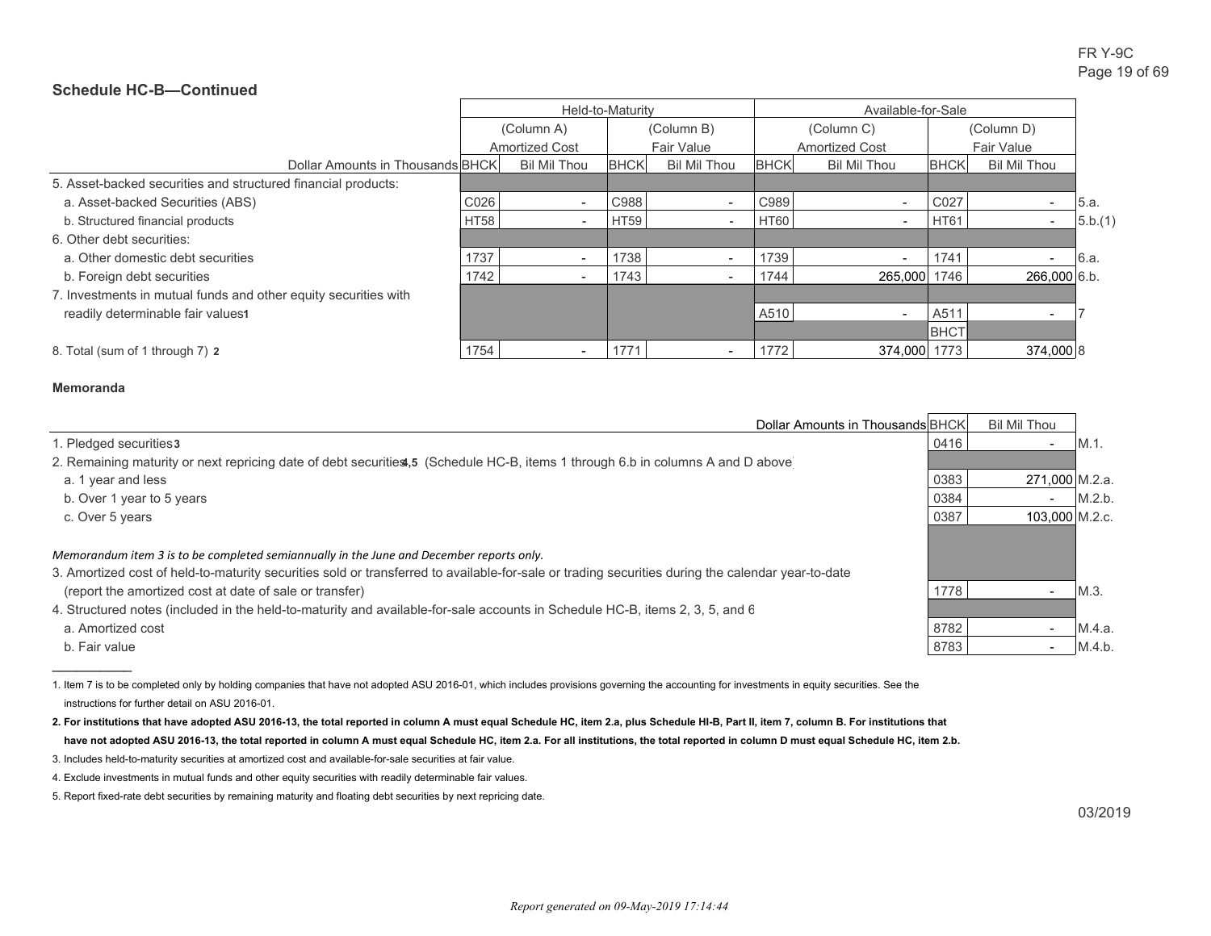|                                                                 | Held-to-Maturity |                          |             |                          | Available-for-Sale |                          |                   |                          |         |
|-----------------------------------------------------------------|------------------|--------------------------|-------------|--------------------------|--------------------|--------------------------|-------------------|--------------------------|---------|
|                                                                 |                  | (Column A)               |             | (Column B)               |                    | (Column C)               | (Column D)        |                          |         |
|                                                                 |                  | <b>Amortized Cost</b>    |             | Fair Value               |                    | <b>Amortized Cost</b>    | <b>Fair Value</b> |                          |         |
| Dollar Amounts in Thousands BHCK                                |                  | <b>Bil Mil Thou</b>      | <b>BHCK</b> | <b>Bil Mil Thou</b>      | <b>BHCK</b>        | <b>Bil Mil Thou</b>      | <b>BHCK</b>       | <b>Bil Mil Thou</b>      |         |
| 5. Asset-backed securities and structured financial products:   |                  |                          |             |                          |                    |                          |                   |                          |         |
| a. Asset-backed Securities (ABS)                                | C026             |                          | C988        | $\overline{\phantom{a}}$ | C989               | $\overline{\phantom{a}}$ | C027              |                          | 5.a.    |
| b. Structured financial products                                | <b>HT58</b>      |                          | <b>HT59</b> | $\overline{\phantom{a}}$ | <b>HT60</b>        | $\overline{\phantom{a}}$ | <b>HT61</b>       | $\overline{\phantom{0}}$ | 5.b.(1) |
| 6. Other debt securities:                                       |                  |                          |             |                          |                    |                          |                   |                          |         |
| a. Other domestic debt securities                               | 1737             | $\overline{\phantom{0}}$ | 1738        | $\overline{\phantom{a}}$ | 1739               | $\overline{\phantom{a}}$ | 1741              |                          | 6.a.    |
| b. Foreign debt securities                                      | 1742             |                          | 1743        |                          | 1744               | 265,000                  | 1746              | 266.000 6.b.             |         |
| 7. Investments in mutual funds and other equity securities with |                  |                          |             |                          |                    |                          |                   |                          |         |
| readily determinable fair values1                               |                  |                          |             |                          | A510               | $\overline{\phantom{a}}$ | A511              | $\overline{\phantom{a}}$ |         |
|                                                                 |                  |                          |             |                          |                    |                          | <b>BHCT</b>       |                          |         |
| 8. Total (sum of 1 through 7) 2                                 | 1754             |                          | 1771        | $\overline{\phantom{a}}$ | 1772               | 374,000 1773             |                   | 374,000 8                |         |

#### **Memoranda**

 $\frac{1}{2}$  ,  $\frac{1}{2}$  ,  $\frac{1}{2}$  ,  $\frac{1}{2}$  ,  $\frac{1}{2}$  ,  $\frac{1}{2}$ 

| Dollar Amounts in Thousands BHCK                                                                                                                                                                             |      | <b>Bil Mil Thou</b> |         |
|--------------------------------------------------------------------------------------------------------------------------------------------------------------------------------------------------------------|------|---------------------|---------|
| 1. Pledged securities3                                                                                                                                                                                       | 0416 |                     | $M.1$ . |
| 2. Remaining maturity or next repricing date of debt securities, 5 (Schedule HC-B, items 1 through 6.b in columns A and D above                                                                              |      |                     |         |
| a. 1 year and less                                                                                                                                                                                           | 0383 | 271.000 M.2.a.      |         |
| b. Over 1 year to 5 years                                                                                                                                                                                    | 0384 | <b>.</b>            | M.2.b.  |
| c. Over 5 years                                                                                                                                                                                              | 0387 | 103.000 M.2.c.      |         |
| Memorandum item 3 is to be completed semiannually in the June and December reports only.                                                                                                                     |      |                     |         |
| 3. Amortized cost of held-to-maturity securities sold or transferred to available-for-sale or trading securities during the calendar year-to-date<br>(report the amortized cost at date of sale or transfer) | 1778 |                     | $M.3$ . |
| 4. Structured notes (included in the held-to-maturity and available-for-sale accounts in Schedule HC-B, items 2, 3, 5, and 6                                                                                 |      |                     |         |
| a. Amortized cost                                                                                                                                                                                            | 8782 |                     | M.4.a.  |
| b. Fair value                                                                                                                                                                                                | 8783 |                     | M.4.b.  |

1. Item 7 is to be completed only by holding companies that have not adopted ASU 2016-01, which includes provisions governing the accounting for investments in equity securities. See the instructions for further detail on ASU 2016-01.

**2. For institutions that have adopted ASU 2016-13, the total reported in column A must equal Schedule HC, item 2.a, plus Schedule HI-B, Part II, item 7, column B. For institutions that have not adopted ASU 2016-13, the total reported in column A must equal Schedule HC, item 2.a. For all institutions, the total reported in column D must equal Schedule HC, item 2.b.**

<sup>3.</sup> Includes held-to-maturity securities at amortized cost and available-for-sale securities at fair value.

<sup>4.</sup> Exclude investments in mutual funds and other equity securities with readily determinable fair values.

<sup>5.</sup> Report fixed-rate debt securities by remaining maturity and floating debt securities by next repricing date.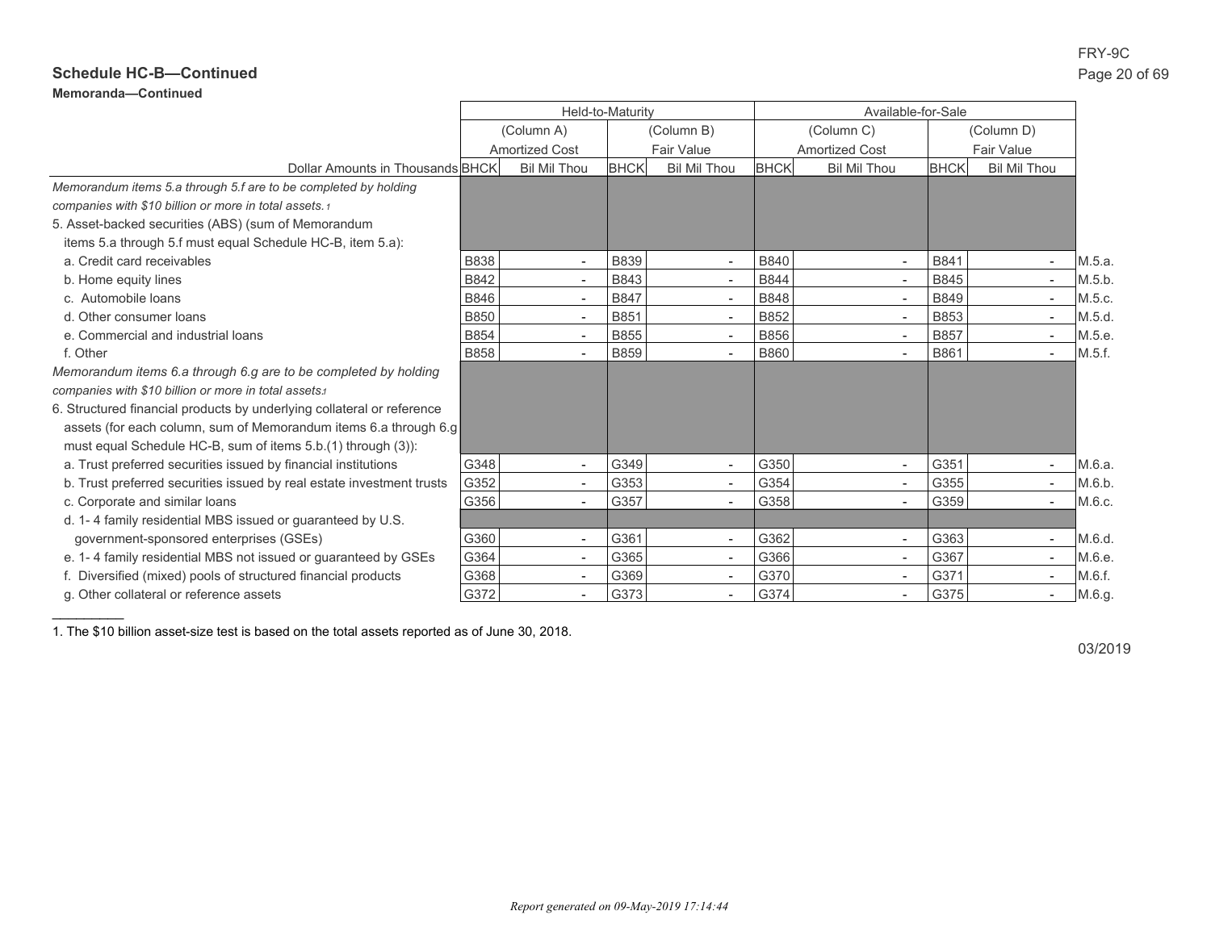# FRY-9C

## **Schedule HC-B—Continued** Page 20 of 69

**Memoranda—Continued**

 $\frac{1}{2}$ 

|                                                                        | Held-to-Maturity |                          |             | Available-for-Sale       |             |                          |             |                          |        |
|------------------------------------------------------------------------|------------------|--------------------------|-------------|--------------------------|-------------|--------------------------|-------------|--------------------------|--------|
|                                                                        |                  | (Column A)               |             | (Column B)               |             | (Column C)               |             | (Column D)               |        |
|                                                                        |                  | <b>Amortized Cost</b>    |             | <b>Fair Value</b>        |             | <b>Amortized Cost</b>    |             | <b>Fair Value</b>        |        |
| Dollar Amounts in Thousands BHCK                                       |                  | <b>Bil Mil Thou</b>      | <b>BHCK</b> | <b>Bil Mil Thou</b>      | <b>BHCK</b> | <b>Bil Mil Thou</b>      | <b>BHCK</b> | <b>Bil Mil Thou</b>      |        |
| Memorandum items 5.a through 5.f are to be completed by holding        |                  |                          |             |                          |             |                          |             |                          |        |
| companies with \$10 billion or more in total assets.1                  |                  |                          |             |                          |             |                          |             |                          |        |
| 5. Asset-backed securities (ABS) (sum of Memorandum                    |                  |                          |             |                          |             |                          |             |                          |        |
| items 5.a through 5.f must equal Schedule HC-B, item 5.a):             |                  |                          |             |                          |             |                          |             |                          |        |
| a. Credit card receivables                                             | <b>B838</b>      | $\blacksquare$           | <b>B839</b> | $\sim$                   | B840        | $\sim$                   | B841        | $\overline{\phantom{a}}$ | M.5.a. |
| b. Home equity lines                                                   | B842             | $\overline{\phantom{a}}$ | B843        | $\overline{\phantom{a}}$ | <b>B844</b> | $\overline{\phantom{a}}$ | B845        | $\overline{\phantom{a}}$ | M.5.b. |
| c. Automobile loans                                                    | <b>B846</b>      |                          | <b>B847</b> | $\sim$                   | <b>B848</b> | $\sim$                   | <b>B849</b> | $\overline{\phantom{a}}$ | M.5.c. |
| d. Other consumer loans                                                | <b>B850</b>      | $\sim$                   | B851        | $\sim$                   | B852        | $\sim$                   | <b>B853</b> |                          | M.5.d. |
| e. Commercial and industrial loans                                     | <b>B854</b>      | $\blacksquare$           | <b>B855</b> | $\blacksquare$           | <b>B856</b> | $\sim$                   | <b>B857</b> | $\overline{\phantom{a}}$ | M.5.e. |
| f. Other                                                               | <b>B858</b>      | $\sim$                   | <b>B859</b> | $\overline{\phantom{a}}$ | <b>B860</b> | $\blacksquare$           | B861        | $\overline{\phantom{a}}$ | M.5.f. |
| Memorandum items 6.a through 6.g are to be completed by holding        |                  |                          |             |                          |             |                          |             |                          |        |
| companies with \$10 billion or more in total assets.                   |                  |                          |             |                          |             |                          |             |                          |        |
| 6. Structured financial products by underlying collateral or reference |                  |                          |             |                          |             |                          |             |                          |        |
| assets (for each column, sum of Memorandum items 6.a through 6.g       |                  |                          |             |                          |             |                          |             |                          |        |
| must equal Schedule HC-B, sum of items 5.b.(1) through (3)):           |                  |                          |             |                          |             |                          |             |                          |        |
| a. Trust preferred securities issued by financial institutions         | G348             |                          | G349        | $\overline{\phantom{a}}$ | G350        | $\overline{\phantom{a}}$ | G351        |                          | M.6.a. |
| b. Trust preferred securities issued by real estate investment trusts  | G352             | $\overline{\phantom{a}}$ | G353        | $\overline{\phantom{a}}$ | G354        | $\overline{\phantom{a}}$ | G355        | $\overline{\phantom{a}}$ | M.6.b. |
| c. Corporate and similar loans                                         | G356             | $\blacksquare$           | G357        | $\overline{\phantom{a}}$ | G358        | $\blacksquare$           | G359        | $\overline{\phantom{a}}$ | M.6.c. |
| d. 1-4 family residential MBS issued or quaranteed by U.S.             |                  |                          |             |                          |             |                          |             |                          |        |
| government-sponsored enterprises (GSEs)                                | G360             |                          | G361        | $\overline{\phantom{a}}$ | G362        | $\overline{\phantom{a}}$ | G363        | $\overline{\phantom{a}}$ | M.6.d. |
| e. 1-4 family residential MBS not issued or guaranteed by GSEs         | G364             | $\blacksquare$           | G365        | $\blacksquare$           | G366        | $\blacksquare$           | G367        | $\blacksquare$           | M.6.e. |
| f. Diversified (mixed) pools of structured financial products          | G368             | $\blacksquare$           | G369        | $\overline{\phantom{a}}$ | G370        | $\blacksquare$           | G371        | $\overline{\phantom{a}}$ | M.6.f. |
| g. Other collateral or reference assets                                | G372             |                          | G373        | $\overline{\phantom{a}}$ | G374        | $\overline{\phantom{a}}$ | G375        |                          | M.6.g. |

1. The \$10 billion asset-size test is based on the total assets reported as of June 30, 2018.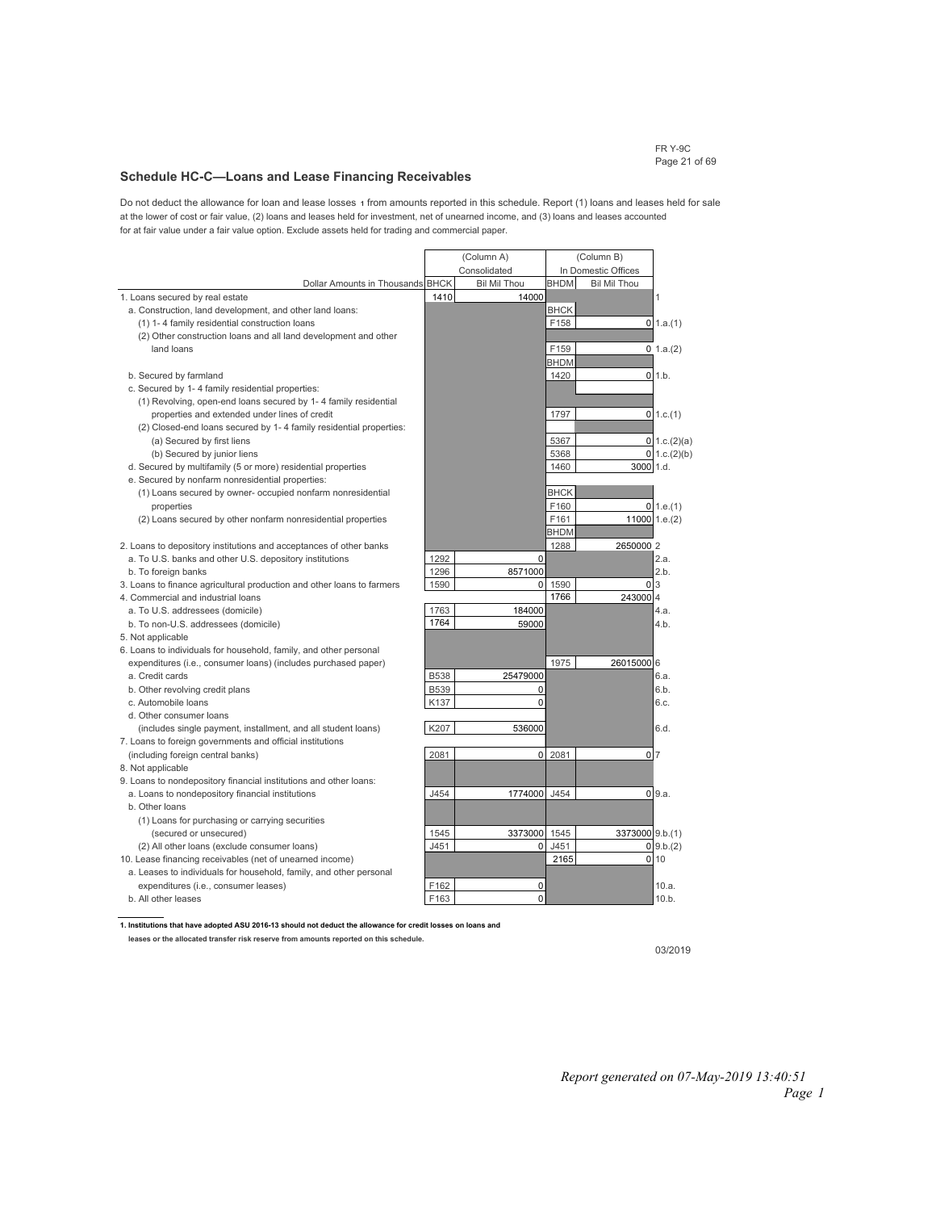FR Y-9C Page 21 of 69

## **Schedule HC-C—Loans and Lease Financing Receivables**

Do not deduct the allowance for loan and lease losses **1** from amounts reported in this schedule. Report (1) loans and leases held for sale at the lower of cost or fair value, (2) loans and leases held for investment, net of unearned income, and (3) loans and leases accounted for at fair value under a fair value option. Exclude assets held for trading and commercial paper.

|                                                                        | (Column A)  |                     | (Column B)  |                     |                     |
|------------------------------------------------------------------------|-------------|---------------------|-------------|---------------------|---------------------|
|                                                                        |             | Consolidated        |             | In Domestic Offices |                     |
| Dollar Amounts in Thousands BHCK                                       |             | <b>Bil Mil Thou</b> | <b>BHDM</b> | <b>Bil Mil Thou</b> |                     |
| 1. Loans secured by real estate                                        | 1410        | 14000               |             |                     | 1                   |
| a. Construction, land development, and other land loans:               |             |                     | <b>BHCK</b> |                     |                     |
| (1) 1-4 family residential construction loans                          |             |                     | F158        |                     | $0$ 1.a.(1)         |
| (2) Other construction loans and all land development and other        |             |                     |             |                     |                     |
| land loans                                                             |             |                     | F159        |                     | $0 \; 1.a.(2)$      |
|                                                                        |             |                     | BHDM        |                     |                     |
| b. Secured by farmland                                                 |             |                     | 1420        |                     | $0 \vert 1.b.$      |
| c. Secured by 1-4 family residential properties:                       |             |                     |             |                     |                     |
| (1) Revolving, open-end loans secured by 1-4 family residential        |             |                     |             |                     |                     |
| properties and extended under lines of credit                          |             |                     | 1797        |                     | $0$ 1.c.(1)         |
| (2) Closed-end loans secured by 1-4 family residential properties:     |             |                     |             |                     |                     |
| (a) Secured by first liens                                             |             |                     | 5367        |                     | $0 \mid 1.c.(2)(a)$ |
| (b) Secured by junior liens                                            |             |                     | 5368        |                     | $0 \mid 1.c.(2)(b)$ |
| d. Secured by multifamily (5 or more) residential properties           |             |                     | 1460        | 3000 1.d.           |                     |
| e. Secured by nonfarm nonresidential properties:                       |             |                     |             |                     |                     |
| (1) Loans secured by owner- occupied nonfarm nonresidential            |             |                     | <b>BHCK</b> |                     |                     |
| properties                                                             |             |                     | F160        |                     | $0 \mid 1.e.(1)$    |
| (2) Loans secured by other nonfarm nonresidential properties           |             |                     | F161        |                     | 11000 1.e.(2)       |
|                                                                        |             |                     | <b>BHDM</b> |                     |                     |
| 2. Loans to depository institutions and acceptances of other banks     |             |                     | 1288        | 2650000 2           |                     |
| a. To U.S. banks and other U.S. depository institutions                | 1292        | $\Omega$            |             |                     | 2.a.                |
| b. To foreign banks                                                    | 1296        | 8571000             |             |                     | 2.b.                |
| 3. Loans to finance agricultural production and other loans to farmers | 1590        | 0                   | 1590        |                     | 0 <sub>3</sub>      |
| 4. Commercial and industrial loans                                     |             |                     | 1766        | 243000 4            |                     |
| a. To U.S. addressees (domicile)                                       | 1763        | 184000              |             |                     | 4.a.                |
| b. To non-U.S. addressees (domicile)                                   | 1764        | 59000               |             |                     | 4.b.                |
| 5. Not applicable                                                      |             |                     |             |                     |                     |
| 6. Loans to individuals for household, family, and other personal      |             |                     |             |                     |                     |
| expenditures (i.e., consumer loans) (includes purchased paper)         |             |                     | 1975        | 26015000 6          |                     |
| a. Credit cards                                                        | <b>B538</b> | 25479000            |             |                     | 6.а.                |
| b. Other revolving credit plans                                        | <b>B539</b> | 0                   |             |                     | 6.b.                |
| c. Automobile loans                                                    | K137        | 0                   |             |                     | 6.c.                |
| d. Other consumer loans                                                |             |                     |             |                     |                     |
| (includes single payment, installment, and all student loans)          | K207        | 536000              |             |                     | 6.d.                |
| 7. Loans to foreign governments and official institutions              |             |                     |             |                     |                     |
| (including foreign central banks)                                      | 2081        | $\mathbf 0$         | 2081        |                     | 0 <sub>7</sub>      |
| 8. Not applicable                                                      |             |                     |             |                     |                     |
| 9. Loans to nondepository financial institutions and other loans:      |             |                     |             |                     |                     |
| a. Loans to nondepository financial institutions                       | J454        | 1774000             | J454        |                     | 09.a.               |
| b. Other loans                                                         |             |                     |             |                     |                     |
| (1) Loans for purchasing or carrying securities                        |             |                     |             |                     |                     |
| (secured or unsecured)                                                 | 1545        | 3373000             | 1545        | 3373000 9.b.(1)     |                     |
| (2) All other loans (exclude consumer loans)                           | J451        | 0                   | J451        |                     | 0,9.b.(2)           |
| 10. Lease financing receivables (net of unearned income)               |             |                     | 2165        |                     | $0$ 10              |
| a. Leases to individuals for household, family, and other personal     |             |                     |             |                     |                     |
| expenditures (i.e., consumer leases)                                   | F162        | 0                   |             |                     | 10.a.               |
| b. All other leases                                                    | F163        | 0                   |             |                     | 10.b.               |

**1. Institutions that have adopted ASU 2016-13 should not deduct the allowance for credit losses on loans and leases or the allocated transfer risk reserve from amounts reported on this schedule.**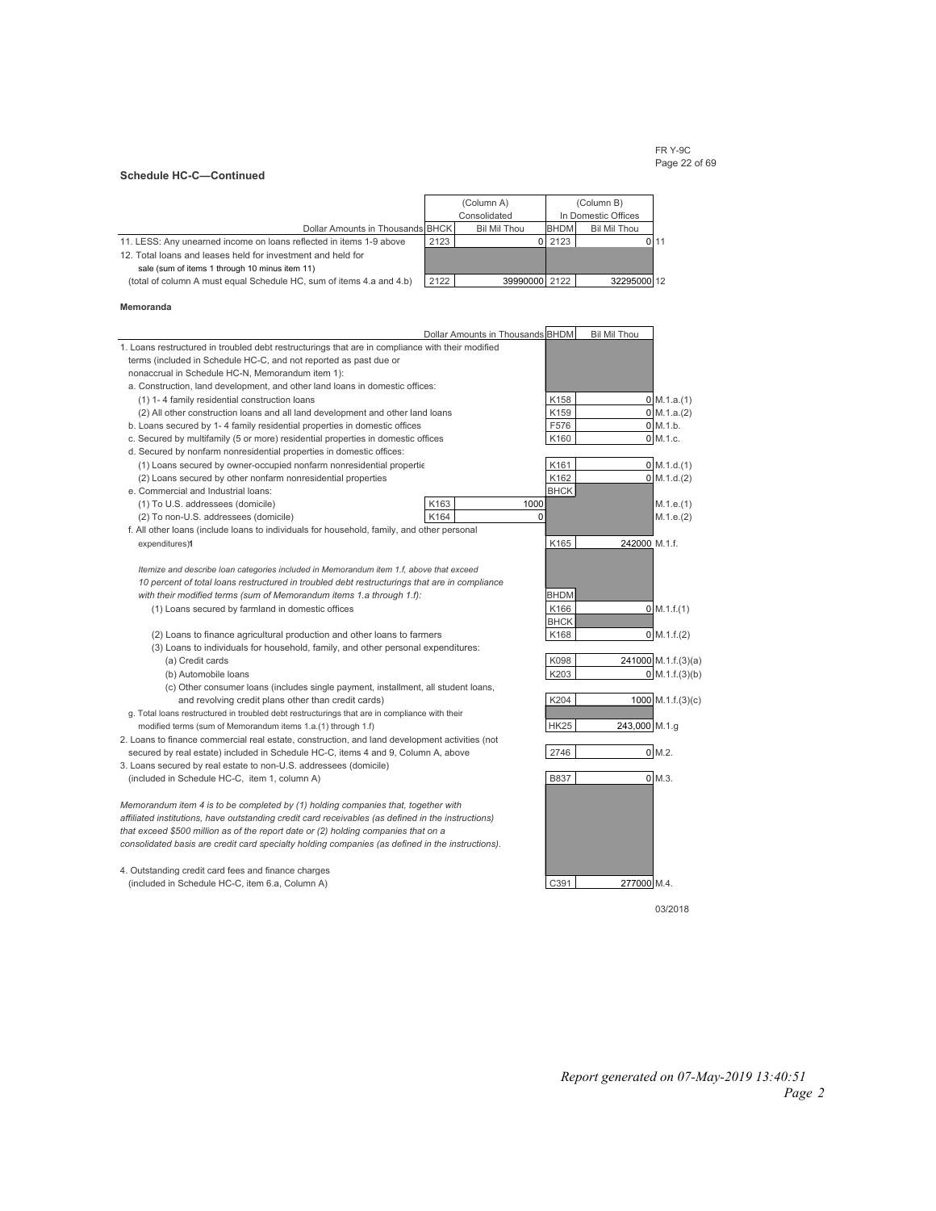#### FR Y-9C Page 22 of 69

#### **Schedule HC-C—Continued**

|                                                                      |                                     | (Column A)    | (Column B)  |                     |      |
|----------------------------------------------------------------------|-------------------------------------|---------------|-------------|---------------------|------|
|                                                                      | Consolidated<br>In Domestic Offices |               |             |                     |      |
| Dollar Amounts in Thousands BHCK                                     |                                     | Bil Mil Thou  | <b>BHDM</b> | <b>Bil Mil Thou</b> |      |
| 11. LESS: Any unearned income on loans reflected in items 1-9 above  | 2123                                |               | 2123        |                     | 0 11 |
| 12. Total loans and leases held for investment and held for          |                                     |               |             |                     |      |
| sale (sum of items 1 through 10 minus item 11)                       |                                     |               |             |                     |      |
| (total of column A must equal Schedule HC, sum of items 4.a and 4.b) | 2122                                | 39990000 2122 |             | 32295000 12         |      |

#### **Memoranda**

|                                                                                                        | Dollar Amounts in Thousands BHDM |             | <b>Bil Mil Thou</b> |                          |
|--------------------------------------------------------------------------------------------------------|----------------------------------|-------------|---------------------|--------------------------|
| 1. Loans restructured in troubled debt restructurings that are in compliance with their modified       |                                  |             |                     |                          |
| terms (included in Schedule HC-C, and not reported as past due or                                      |                                  |             |                     |                          |
| nonaccrual in Schedule HC-N, Memorandum item 1):                                                       |                                  |             |                     |                          |
| a. Construction, land development, and other land loans in domestic offices:                           |                                  |             |                     |                          |
| (1) 1-4 family residential construction loans                                                          |                                  | K158        |                     | $0 \text{ M.1.a.} (1)$   |
| (2) All other construction loans and all land development and other land loans                         |                                  | K159        |                     | $0 \mid M.1.a.(2)$       |
| b. Loans secured by 1-4 family residential properties in domestic offices                              |                                  | F576        |                     | $0 \, M.1.b.$            |
| c. Secured by multifamily (5 or more) residential properties in domestic offices                       |                                  | K160        |                     | $0$ M.1.c.               |
| d. Secured by nonfarm nonresidential properties in domestic offices:                                   |                                  |             |                     |                          |
| (1) Loans secured by owner-occupied nonfarm nonresidential propertie                                   |                                  | K161        |                     | $0$ M.1.d. $(1)$         |
| (2) Loans secured by other nonfarm nonresidential properties                                           |                                  | K162        |                     | 0 M.1.d.(2)              |
| e. Commercial and Industrial loans:                                                                    |                                  | <b>BHCK</b> |                     |                          |
| (1) To U.S. addressees (domicile)                                                                      | K163                             | 1000        |                     | M.1.e.(1)                |
| (2) To non-U.S. addressees (domicile)                                                                  | K164                             | 0           |                     | M.1.e.(2)                |
| f. All other loans (include loans to individuals for household, family, and other personal             |                                  |             |                     |                          |
| expenditures)1                                                                                         |                                  | K165        | 242000 M.1.f.       |                          |
|                                                                                                        |                                  |             |                     |                          |
| Itemize and describe loan categories included in Memorandum item 1.f, above that exceed                |                                  |             |                     |                          |
| 10 percent of total loans restructured in troubled debt restructurings that are in compliance          |                                  |             |                     |                          |
| with their modified terms (sum of Memorandum items 1.a through 1.f):                                   |                                  | <b>BHDM</b> |                     |                          |
| (1) Loans secured by farmland in domestic offices                                                      |                                  | K166        |                     | $0 \mid M.1.f.(1)$       |
|                                                                                                        |                                  | <b>BHCK</b> |                     |                          |
| (2) Loans to finance agricultural production and other loans to farmers                                |                                  | K168        |                     | $0 \, M.1.f.(2)$         |
| (3) Loans to individuals for household, family, and other personal expenditures:                       |                                  |             |                     |                          |
| (a) Credit cards                                                                                       |                                  | K098        |                     | 241000 M.1.f.(3)(a)      |
| (b) Automobile Ioans                                                                                   |                                  | K203        |                     | $0 \text{ M.1.f.}(3)(b)$ |
| (c) Other consumer loans (includes single payment, installment, all student loans,                     |                                  |             |                     |                          |
| and revolving credit plans other than credit cards)                                                    |                                  | K204        |                     | $1000$ M.1.f.(3)(c)      |
| g. Total loans restructured in troubled debt restructurings that are in compliance with their          |                                  |             |                     |                          |
| modified terms (sum of Memorandum items 1.a.(1) through 1.f)                                           |                                  | <b>HK25</b> | 243,000 M.1.g       |                          |
| 2. Loans to finance commercial real estate, construction, and land development activities (not         |                                  |             |                     |                          |
| secured by real estate) included in Schedule HC-C, items 4 and 9, Column A, above                      |                                  | 2746        |                     | 0 M.2.                   |
| 3. Loans secured by real estate to non-U.S. addressees (domicile)                                      |                                  |             |                     |                          |
| (included in Schedule HC-C, item 1, column A)                                                          |                                  | <b>B837</b> |                     | $0$ M.3.                 |
|                                                                                                        |                                  |             |                     |                          |
| Memorandum item 4 is to be completed by (1) holding companies that, together with                      |                                  |             |                     |                          |
| affiliated institutions, have outstanding credit card receivables (as defined in the instructions)     |                                  |             |                     |                          |
| that exceed \$500 million as of the report date or (2) holding companies that on a                     |                                  |             |                     |                          |
| consolidated basis are credit card specialty holding companies (as defined in the instructions).       |                                  |             |                     |                          |
|                                                                                                        |                                  |             |                     |                          |
| 4. Outstanding credit card fees and finance charges<br>(included in Schedule HC-C, item 6.a, Column A) |                                  | C391        | 277000 M.4.         |                          |
|                                                                                                        |                                  |             |                     |                          |
|                                                                                                        |                                  |             |                     | 03/2018                  |

*Report generated on 07-May-2019 13:40:51 Page 2*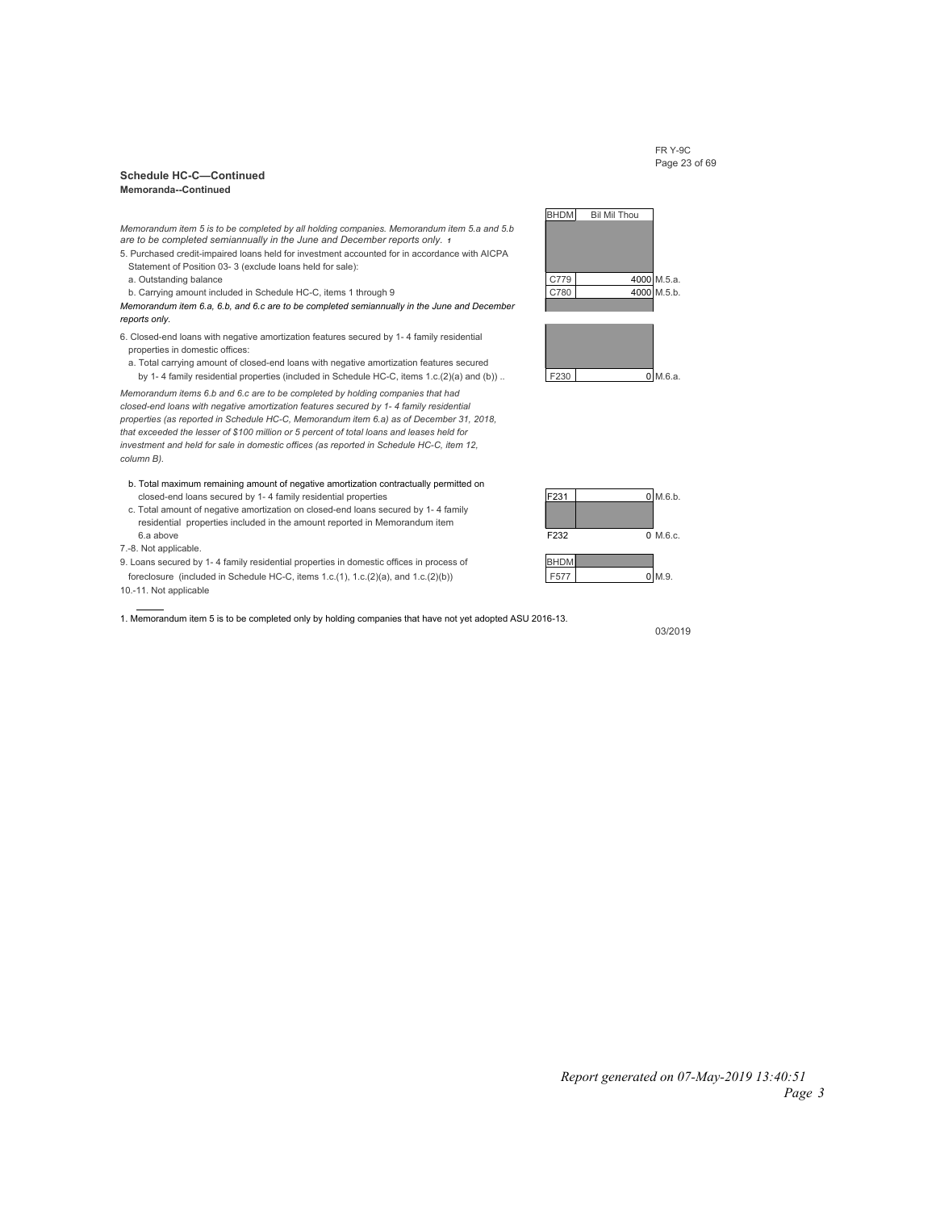#### FR Y-9C Page 23 of 69

#### **Schedule HC-C—Continued Memoranda--Continued**

*Memorandum item 5 is to be completed by all holding companies. Memorandum item 5.a and 5.b are to be completed semiannually in the June and December reports only. <sup>1</sup>*

- 5. Purchased credit-impaired loans held for investment accounted for in accordance with AICPA Statement of Position 03- 3 (exclude loans held for sale):
- 
- b. Carrying amount included in Schedule HC-C, items 1 through 9 C780 C780 4000 M.5.b

*Memorandum item 6.a, 6.b, and 6.c are to be completed semiannually in the June and December reports only.*

- 6. Closed-end loans with negative amortization features secured by 1- 4 family residential properties in domestic offices:
- a. Total carrying amount of closed-end loans with negative amortization features secured by 1- 4 family residential properties (included in Schedule HC-C, items 1.c.(2)(a) and (b)) .. F230  $\vert$  F230 0 M.6.a.

*Memorandum items 6.b and 6.c are to be completed by holding companies that had closed-end loans with negative amortization features secured by 1- 4 family residential properties (as reported in Schedule HC-C, Memorandum item 6.a) as of December 31, 2018, that exceeded the lesser of \$100 million or 5 percent of total loans and leases held for investment and held for sale in domestic offices (as reported in Schedule HC-C, item 12, column B).*

- b. Total maximum remaining amount of negative amortization contractually permitted on closed-end loans secured by 1- 4 family residential properties F231 F231 0 M.6.b.
- c. Total amount of negative amortization on closed-end loans secured by 1- 4 family residential properties included in the amount reported in Memorandum item  $6.\overline{a}$  above  $0$  M.6.c.
- 7.-8. Not applicable.
- 9. Loans secured by 1- 4 family residential properties in domestic offices in process of BHDM foreclosure (included in Schedule HC-C, items 1.c.(1), 1.c.(2)(a), and 1.c.(2)(b)) F577 0 M.9.
- 10.-11. Not applicable

1. Memorandum item 5 is to be completed only by holding companies that have not yet adopted ASU 2016-13.





03/2019

# *Report generated on 07-May-2019 13:40:51*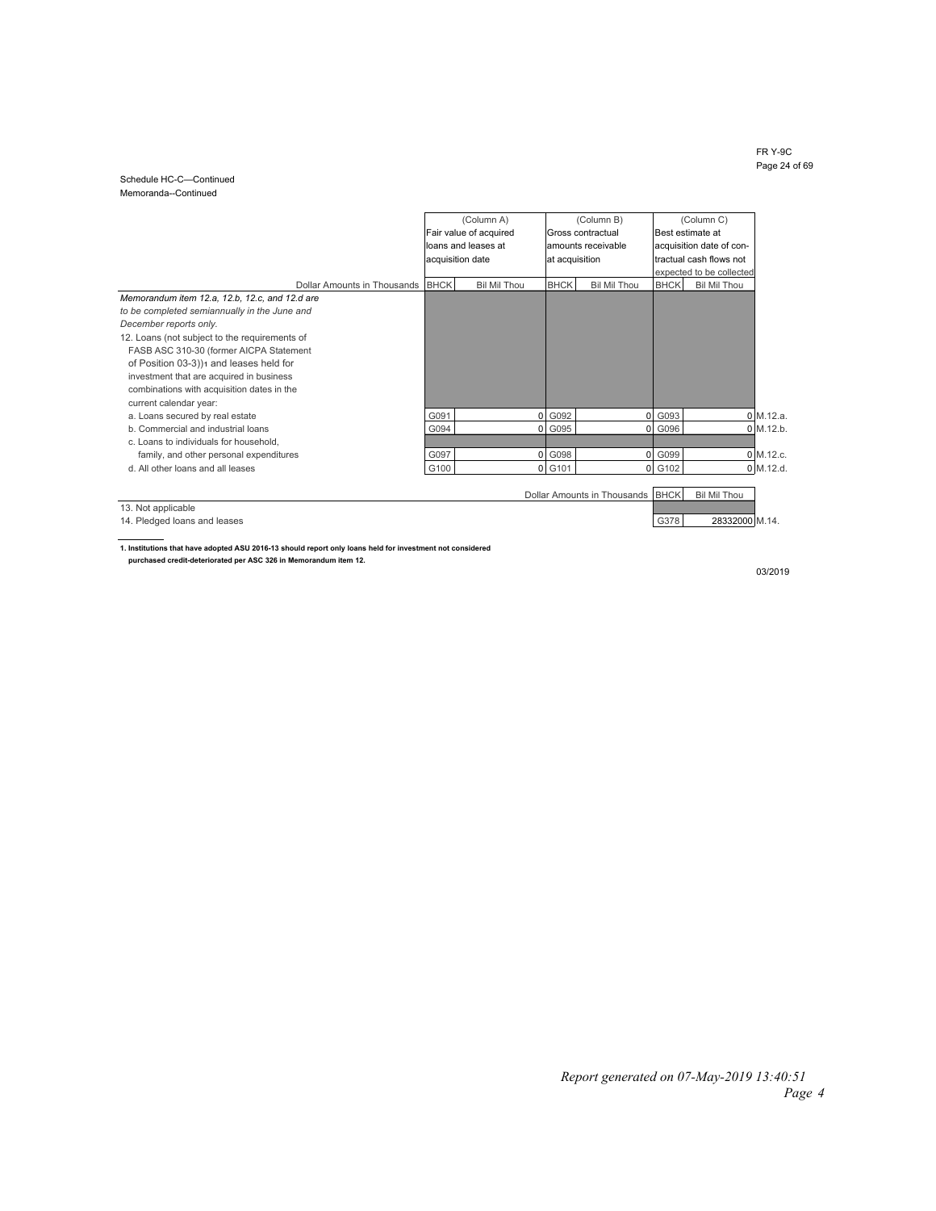#### FR Y-9C Page 24 of 69

#### Schedule HC-C—Continued Memoranda--Continued

|                                                |      | (Column A)             |                | (Column B)                  |             | (Column C)               |           |
|------------------------------------------------|------|------------------------|----------------|-----------------------------|-------------|--------------------------|-----------|
|                                                |      | Fair value of acquired |                | Gross contractual           |             | Best estimate at         |           |
|                                                |      | loans and leases at    |                | amounts receivable          |             | acquisition date of con- |           |
|                                                |      | acquisition date       | at acquisition |                             |             | tractual cash flows not  |           |
|                                                |      |                        |                |                             |             | expected to be collected |           |
| Dollar Amounts in Thousands BHCK               |      | <b>Bil Mil Thou</b>    | <b>BHCK</b>    | <b>Bil Mil Thou</b>         | <b>BHCK</b> | <b>Bil Mil Thou</b>      |           |
| Memorandum item 12.a, 12.b, 12.c, and 12.d are |      |                        |                |                             |             |                          |           |
| to be completed semiannually in the June and   |      |                        |                |                             |             |                          |           |
| December reports only.                         |      |                        |                |                             |             |                          |           |
| 12. Loans (not subject to the requirements of  |      |                        |                |                             |             |                          |           |
| FASB ASC 310-30 (former AICPA Statement        |      |                        |                |                             |             |                          |           |
| of Position 03-3))1 and leases held for        |      |                        |                |                             |             |                          |           |
| investment that are acquired in business       |      |                        |                |                             |             |                          |           |
| combinations with acquisition dates in the     |      |                        |                |                             |             |                          |           |
| current calendar year:                         |      |                        |                |                             |             |                          |           |
| a. Loans secured by real estate                | G091 | $\overline{0}$         | G092           | $\mathbf 0$                 | G093        | 0 M.12.a.                |           |
| b. Commercial and industrial loans             | G094 |                        | 0 G095         | 0l                          | G096        | $0$ M.12.b.              |           |
| c. Loans to individuals for household,         |      |                        |                |                             |             |                          |           |
| family, and other personal expenditures        | G097 |                        | 0 G098         | 01                          | G099        |                          | 0 M.12.c. |
| d. All other loans and all leases              | G100 |                        | 0 G101         | 01                          | G102        | $0$ M.12.d.              |           |
|                                                |      |                        |                |                             |             |                          |           |
|                                                |      |                        |                | Dollar Amounts in Thousands | <b>BHCK</b> | <b>Bil Mil Thou</b>      |           |
| 13. Not applicable                             |      |                        |                |                             |             |                          |           |
|                                                |      |                        |                |                             |             |                          |           |
| 14. Pledged loans and leases                   |      |                        |                |                             | G378        | 28332000 M.14.           |           |

**1. Institutions that have adopted ASU 2016-13 should report only loans held for investment not considered purchased credit-deteriorated per ASC 326 in Memorandum item 12.**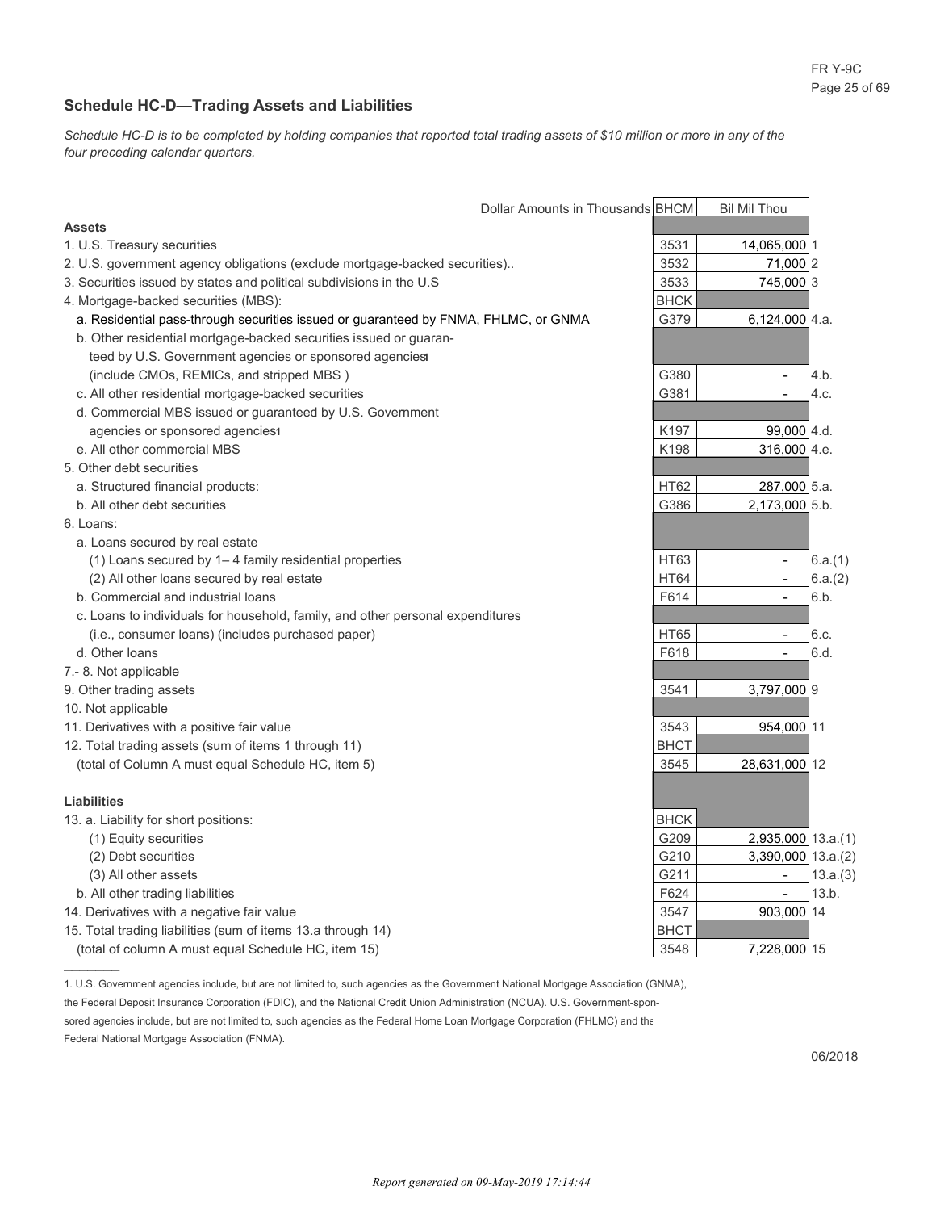### **Schedule HC-D—Trading Assets and Liabilities**

*Schedule HC-D is to be completed by holding companies that reported total trading assets of \$10 million or more in any of the four preceding calendar quarters.*

|                                                                                     | Dollar Amounts in Thousands BHCM | <b>Bil Mil Thou</b>              |
|-------------------------------------------------------------------------------------|----------------------------------|----------------------------------|
| <b>Assets</b>                                                                       |                                  |                                  |
| 1. U.S. Treasury securities                                                         | 3531                             | 14,065,000 1                     |
| 2. U.S. government agency obligations (exclude mortgage-backed securities)          | 3532                             | 71,000 2                         |
| 3. Securities issued by states and political subdivisions in the U.S                | 3533                             | 745,000 3                        |
| 4. Mortgage-backed securities (MBS):                                                | <b>BHCK</b>                      |                                  |
| a. Residential pass-through securities issued or guaranteed by FNMA, FHLMC, or GNMA | G379                             | 6,124,000 4.a.                   |
| b. Other residential mortgage-backed securities issued or guaran-                   |                                  |                                  |
| teed by U.S. Government agencies or sponsored agencies                              |                                  |                                  |
| (include CMOs, REMICs, and stripped MBS)                                            | G380                             | $\mathbf{r}$<br>4.b.             |
| c. All other residential mortgage-backed securities                                 | G381                             | 4.c.<br>$\overline{a}$           |
| d. Commercial MBS issued or guaranteed by U.S. Government                           |                                  |                                  |
| agencies or sponsored agencies1                                                     | K <sub>197</sub>                 | 99,000 4.d.                      |
| e. All other commercial MBS                                                         | K198                             | 316,000 4.e.                     |
| 5. Other debt securities                                                            |                                  |                                  |
| a. Structured financial products:                                                   | <b>HT62</b>                      | 287,000 5.a.                     |
| b. All other debt securities                                                        | G386                             | 2,173,000 5.b.                   |
| 6. Loans:                                                                           |                                  |                                  |
| a. Loans secured by real estate                                                     |                                  |                                  |
| (1) Loans secured by 1-4 family residential properties                              | HT63                             | 6.a.(1)<br>$\sim$                |
| (2) All other loans secured by real estate                                          | <b>HT64</b>                      | 6.a.(2)<br>$\blacksquare$        |
| b. Commercial and industrial loans                                                  | F614                             | 6.b.<br>٠                        |
| c. Loans to individuals for household, family, and other personal expenditures      |                                  |                                  |
| (i.e., consumer loans) (includes purchased paper)                                   | <b>HT65</b>                      | 6.c.<br>$\overline{\phantom{0}}$ |
| d. Other loans                                                                      | F618                             | 6.d.<br>$\overline{\phantom{a}}$ |
| 7.-8. Not applicable                                                                |                                  |                                  |
| 9. Other trading assets                                                             | 3541                             | 3,797,000 9                      |
| 10. Not applicable                                                                  |                                  |                                  |
| 11. Derivatives with a positive fair value                                          | 3543                             | 954,000 11                       |
| 12. Total trading assets (sum of items 1 through 11)                                | <b>BHCT</b>                      |                                  |
| (total of Column A must equal Schedule HC, item 5)                                  | 3545                             | 28,631,000 12                    |
|                                                                                     |                                  |                                  |
| <b>Liabilities</b>                                                                  |                                  |                                  |
| 13. a. Liability for short positions:                                               | <b>BHCK</b>                      |                                  |
| (1) Equity securities                                                               | G209                             | $2,935,000$ 13.a.(1)             |
| (2) Debt securities                                                                 | G210                             | $3,390,000$ 13.a.(2)             |
| (3) All other assets                                                                | G211                             | 13.a.(3)<br>$\blacksquare$       |
| b. All other trading liabilities                                                    | F624                             | 13.b.<br>$\blacksquare$          |
| 14. Derivatives with a negative fair value                                          | 3547                             | 903,000 14                       |
| 15. Total trading liabilities (sum of items 13.a through 14)                        | <b>BHCT</b>                      |                                  |
| (total of column A must equal Schedule HC, item 15)                                 | 3548                             | 7,228,000 15                     |

1. U.S. Government agencies include, but are not limited to, such agencies as the Government National Mortgage Association (GNMA),

sored agencies include, but are not limited to, such agencies as the Federal Home Loan Mortgage Corporation (FHLMC) and the

Federal National Mortgage Association (FNMA).

the Federal Deposit Insurance Corporation (FDIC), and the National Credit Union Administration (NCUA). U.S. Government-spon-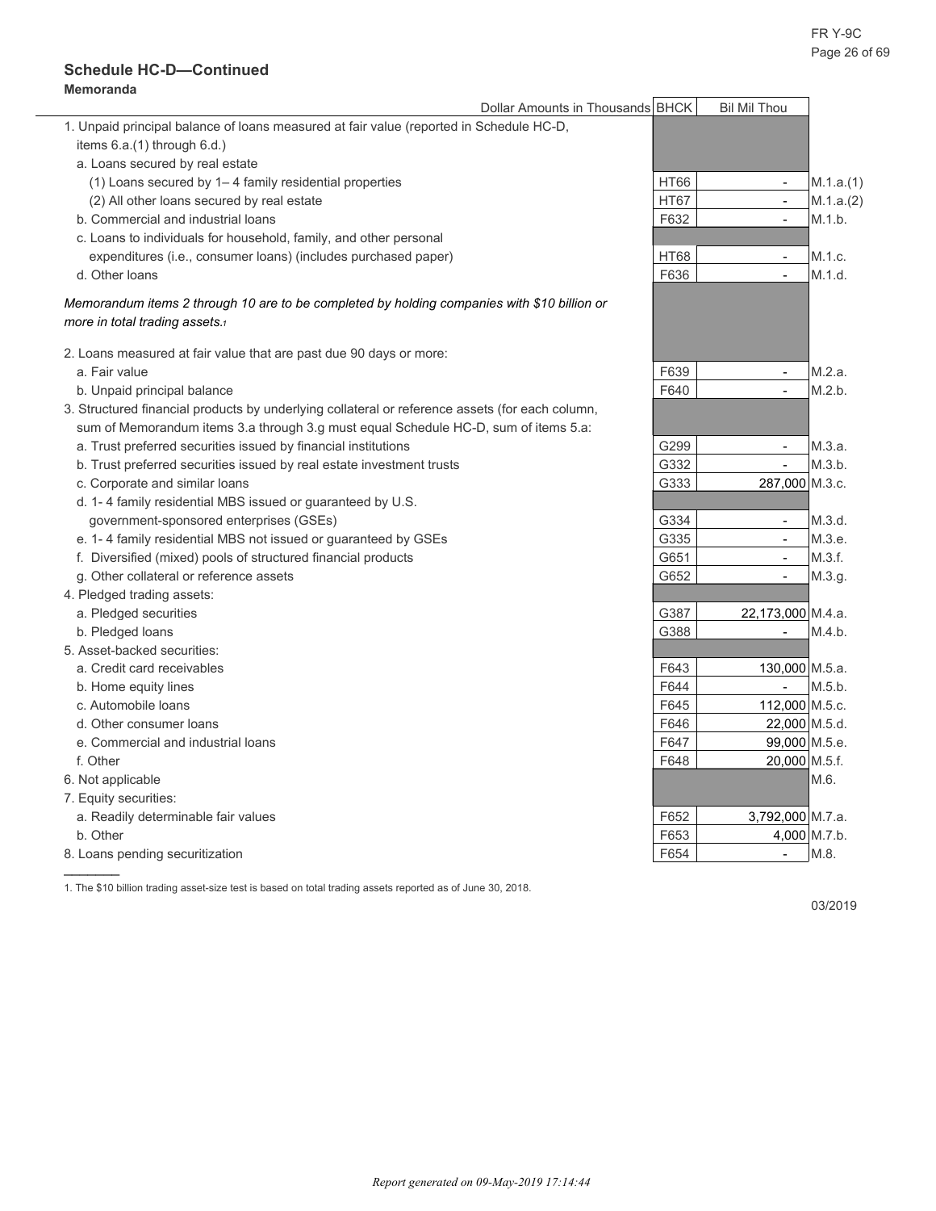### **Schedule HC-D—Continued Memoranda**

|                                                                                                 | Dollar Amounts in Thousands BHCK | <b>Bil Mil Thou</b>      |              |
|-------------------------------------------------------------------------------------------------|----------------------------------|--------------------------|--------------|
| 1. Unpaid principal balance of loans measured at fair value (reported in Schedule HC-D,         |                                  |                          |              |
| items 6.a.(1) through 6.d.)                                                                     |                                  |                          |              |
| a. Loans secured by real estate                                                                 |                                  |                          |              |
| (1) Loans secured by 1-4 family residential properties                                          | <b>HT66</b>                      | $\blacksquare$           | M.1.a.(1)    |
| (2) All other loans secured by real estate                                                      | <b>HT67</b>                      | $\blacksquare$           | M.1.a.(2)    |
| b. Commercial and industrial loans                                                              | F632                             | $\sim$                   | M.1.b.       |
| c. Loans to individuals for household, family, and other personal                               |                                  |                          |              |
| expenditures (i.e., consumer loans) (includes purchased paper)                                  | HT68                             | $\blacksquare$           | M.1.c.       |
| d. Other loans                                                                                  | F636                             | $\overline{a}$           | M.1.d.       |
| Memorandum items 2 through 10 are to be completed by holding companies with \$10 billion or     |                                  |                          |              |
| more in total trading assets.                                                                   |                                  |                          |              |
| 2. Loans measured at fair value that are past due 90 days or more:                              |                                  |                          |              |
| a. Fair value                                                                                   | F639                             | $\blacksquare$           | M.2.a.       |
| b. Unpaid principal balance                                                                     | F640                             | $\frac{1}{2}$            | M.2.b.       |
| 3. Structured financial products by underlying collateral or reference assets (for each column, |                                  |                          |              |
| sum of Memorandum items 3.a through 3.g must equal Schedule HC-D, sum of items 5.a:             |                                  |                          |              |
| a. Trust preferred securities issued by financial institutions                                  | G299                             | $\mathbf{r}$             | M.3.a.       |
| b. Trust preferred securities issued by real estate investment trusts                           | G332                             | $\overline{\phantom{a}}$ | M.3.b.       |
| c. Corporate and similar loans                                                                  | G333                             | 287,000 M.3.c.           |              |
| d. 1-4 family residential MBS issued or guaranteed by U.S.                                      |                                  |                          |              |
| government-sponsored enterprises (GSEs)                                                         | G334                             | $\mathbf{r}$             | M.3.d.       |
| e. 1-4 family residential MBS not issued or guaranteed by GSEs                                  | G335                             | $\blacksquare$           | M.3.e.       |
| f. Diversified (mixed) pools of structured financial products                                   | G651                             | $\sim$                   | M.3.f.       |
| g. Other collateral or reference assets                                                         | G652                             | $\sim$                   | M.3.g.       |
| 4. Pledged trading assets:                                                                      |                                  |                          |              |
| a. Pledged securities                                                                           | G387                             | 22.173.000 M.4.a.        |              |
| b. Pledged loans                                                                                | G388                             |                          | M.4.b.       |
| 5. Asset-backed securities:                                                                     |                                  |                          |              |
| a. Credit card receivables                                                                      | F643                             | 130,000 M.5.a.           |              |
| b. Home equity lines                                                                            | F644                             | $\blacksquare$           | M.5.b.       |
| c. Automobile loans                                                                             | F645                             | 112,000 M.5.c.           |              |
| d. Other consumer loans                                                                         | F646                             | 22,000 M.5.d.            |              |
| e. Commercial and industrial loans                                                              | F647                             | 99,000 M.5.e.            |              |
| f. Other                                                                                        | F648                             | 20,000 M.5.f.            |              |
| 6. Not applicable                                                                               |                                  |                          | M.6.         |
| 7. Equity securities:                                                                           |                                  |                          |              |
| a. Readily determinable fair values                                                             | F652                             | 3,792,000 M.7.a.         |              |
| b. Other                                                                                        | F653                             |                          | 4,000 M.7.b. |
| 8. Loans pending securitization                                                                 | F654                             | $\overline{\phantom{a}}$ | M.8.         |
|                                                                                                 |                                  |                          |              |

03/2019

1. The \$10 billion trading asset-size test is based on total trading assets reported as of June 30, 2018.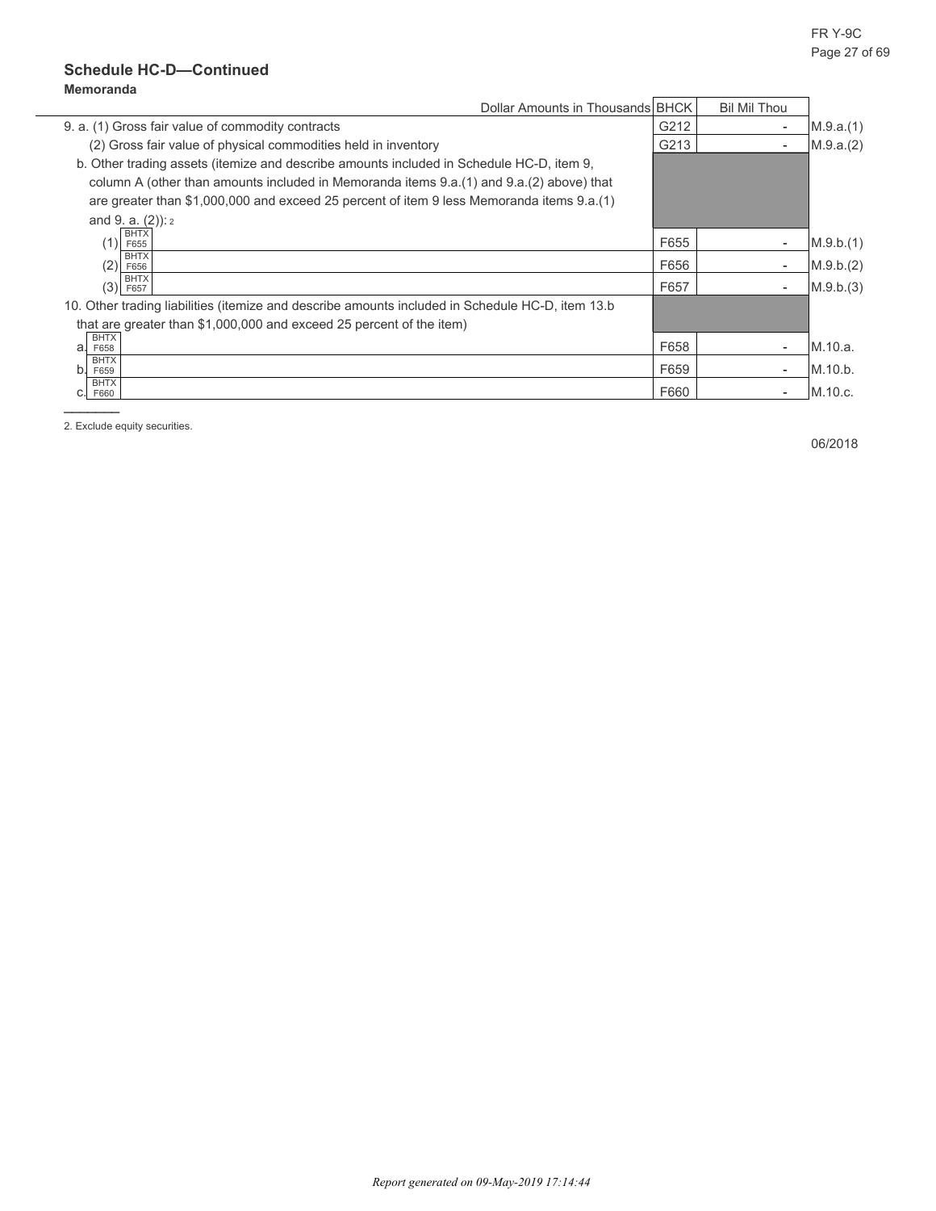## **Schedule HC-D—Continued Memoranda**

| Dollar Amounts in Thousands BHCK                                                                 |      | <b>Bil Mil Thou</b>      |           |
|--------------------------------------------------------------------------------------------------|------|--------------------------|-----------|
| 9. a. (1) Gross fair value of commodity contracts                                                | G212 | $\overline{\phantom{a}}$ | M.9.a.(1) |
| (2) Gross fair value of physical commodities held in inventory                                   | G213 | $\blacksquare$           | M.9.a.(2) |
| b. Other trading assets (itemize and describe amounts included in Schedule HC-D, item 9,         |      |                          |           |
| column A (other than amounts included in Memoranda items 9.a. (1) and 9.a. (2) above) that       |      |                          |           |
| are greater than \$1,000,000 and exceed 25 percent of item 9 less Memoranda items 9.a.(1)        |      |                          |           |
| and 9. a. $(2)$ ): $2$                                                                           |      |                          |           |
| <b>BHTX</b><br>(1)<br>F655                                                                       | F655 | $\blacksquare$           | M.9.b.(1) |
| <b>BHTX</b><br>(2)<br>F656                                                                       | F656 | $\blacksquare$           | M.9.b.(2) |
| <b>BHTX</b><br>(3)<br>F657                                                                       | F657 | $\blacksquare$           | M.9.b.(3) |
| 10. Other trading liabilities (itemize and describe amounts included in Schedule HC-D, item 13.b |      |                          |           |
| that are greater than \$1,000,000 and exceed 25 percent of the item)                             |      |                          |           |
| <b>BHTX</b><br>a.<br>F658                                                                        | F658 | $\overline{\phantom{0}}$ | M.10.a.   |
| <b>BHTX</b><br>b.<br>F659                                                                        | F659 | $\overline{\phantom{0}}$ | M.10.b.   |
| <b>BHTX</b><br>F660                                                                              | F660 | $\overline{\phantom{0}}$ | M.10.c.   |
|                                                                                                  |      |                          |           |

2. Exclude equity securities.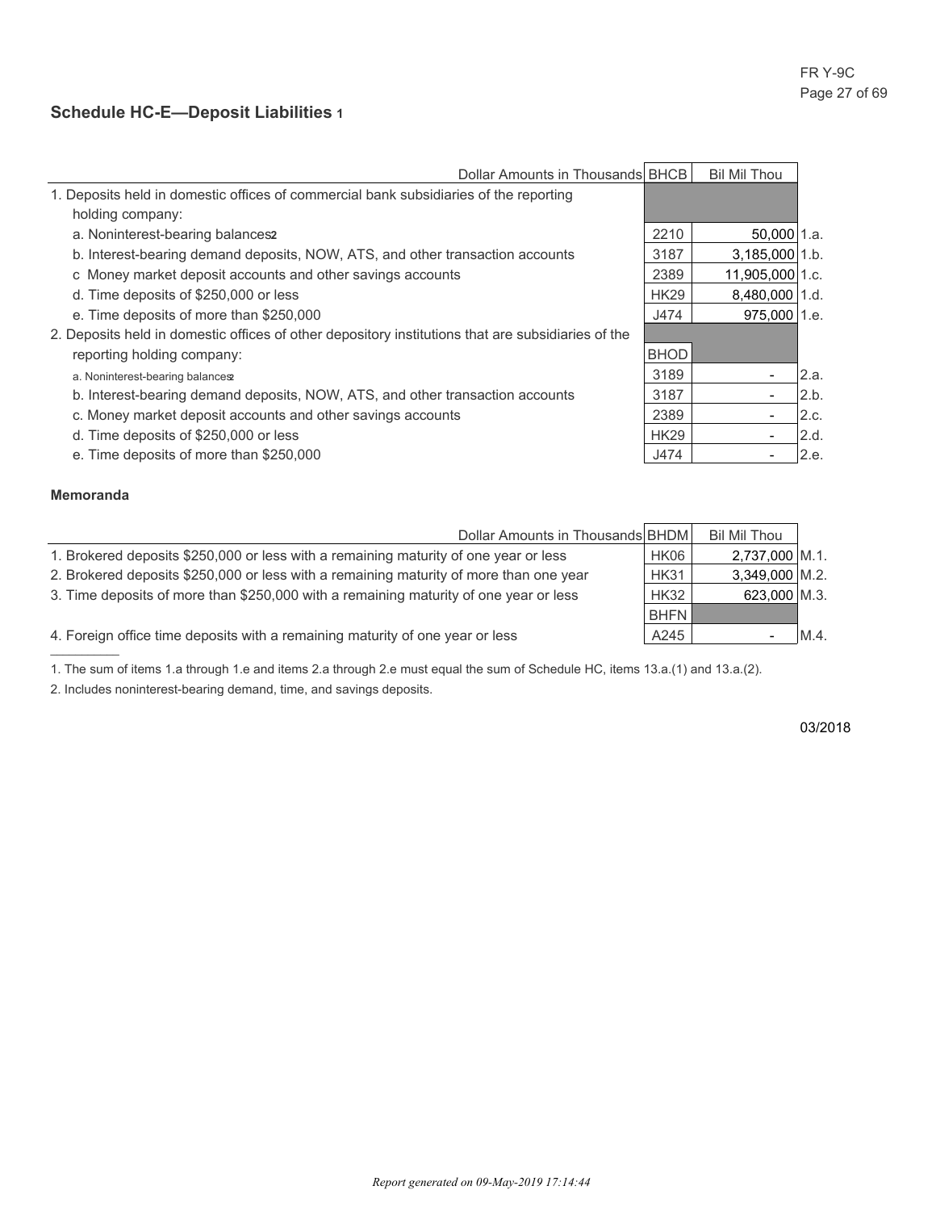## **Schedule HC-E—Deposit Liabilities 1**

| Dollar Amounts in Thousands BHCB                                                                   |             | <b>Bil Mil Thou</b>      |      |
|----------------------------------------------------------------------------------------------------|-------------|--------------------------|------|
| 1. Deposits held in domestic offices of commercial bank subsidiaries of the reporting              |             |                          |      |
| holding company:                                                                                   |             |                          |      |
| a. Noninterest-bearing balances2                                                                   | 2210        | $50,000$ 1.a.            |      |
| b. Interest-bearing demand deposits, NOW, ATS, and other transaction accounts                      | 3187        | 3,185,000 1.b.           |      |
| c Money market deposit accounts and other savings accounts                                         | 2389        | 11,905,000 1.c.          |      |
| d. Time deposits of \$250,000 or less                                                              | <b>HK29</b> | 8,480,000 1.d.           |      |
| e. Time deposits of more than \$250,000                                                            | J474        | 975,000 1.e.             |      |
| 2. Deposits held in domestic offices of other depository institutions that are subsidiaries of the |             |                          |      |
| reporting holding company:                                                                         | <b>BHOD</b> |                          |      |
| a. Noninterest-bearing balances                                                                    | 3189        |                          | 2.a. |
| b. Interest-bearing demand deposits, NOW, ATS, and other transaction accounts                      | 3187        |                          | 2.b. |
| c. Money market deposit accounts and other savings accounts                                        | 2389        | $\overline{\phantom{a}}$ | 2.c. |
| d. Time deposits of \$250,000 or less                                                              | <b>HK29</b> |                          | 2.d. |
| e. Time deposits of more than \$250,000                                                            | J474        |                          | 2.e. |

### **Memoranda**

| Dollar Amounts in Thousands BHDM                                                       |             | <b>Bil Mil Thou</b> |     |
|----------------------------------------------------------------------------------------|-------------|---------------------|-----|
| 1. Brokered deposits \$250,000 or less with a remaining maturity of one year or less   | HK06        | 2,737,000 M.1.      |     |
| 2. Brokered deposits \$250,000 or less with a remaining maturity of more than one year | <b>HK31</b> | $3,349,000$ M.2.    |     |
| 3. Time deposits of more than \$250,000 with a remaining maturity of one year or less  | <b>HK32</b> | 623,000 M.3.        |     |
|                                                                                        | <b>BHFN</b> |                     |     |
| 4. Foreign office time deposits with a remaining maturity of one year or less          | A245        |                     | M.4 |
|                                                                                        |             |                     |     |

1. The sum of items 1.a through 1.e and items 2.a through 2.e must equal the sum of Schedule HC, items 13.a.(1) and 13.a.(2).

2. Includes noninterest-bearing demand, time, and savings deposits.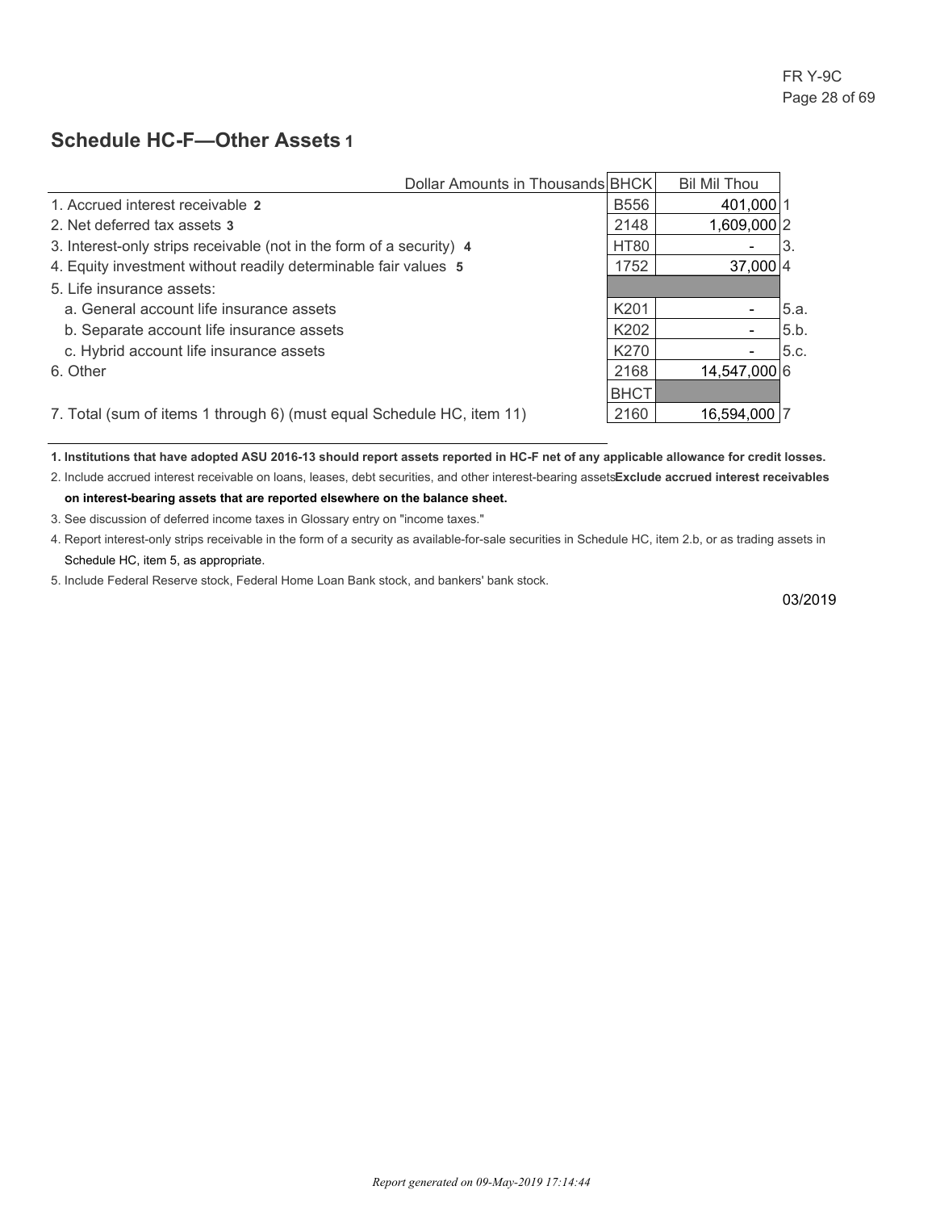## **Schedule HC-F—Other Assets 1**

| Dollar Amounts in Thousands BHCK                                      |             | Bil Mil Thou             |      |
|-----------------------------------------------------------------------|-------------|--------------------------|------|
| 1. Accrued interest receivable 2                                      | <b>B556</b> | 401,000 1                |      |
| 2. Net deferred tax assets 3                                          | 2148        | 1,609,000 2              |      |
| 3. Interest-only strips receivable (not in the form of a security) 4  | <b>HT80</b> | $\overline{\phantom{0}}$ | 3.   |
| 4. Equity investment without readily determinable fair values 5       | 1752        | $37,000$ 4               |      |
| 5. Life insurance assets:                                             |             |                          |      |
| a. General account life insurance assets                              | K201        |                          | 5.a. |
| b. Separate account life insurance assets                             | K202        |                          | 5.b. |
| c. Hybrid account life insurance assets                               | K270        |                          | 5.c. |
| 6. Other                                                              | 2168        | 14,547,000 6             |      |
|                                                                       | <b>BHCT</b> |                          |      |
| 7. Total (sum of items 1 through 6) (must equal Schedule HC, item 11) | 2160        | 16,594,000 7             |      |

**1. Institutions that have adopted ASU 2016-13 should report assets reported in HC-F net of any applicable allowance for credit losses.** 2. Include accrued interest receivable on loans, leases, debt securities, and other interest-bearing assetsExclude accrued interest receivables

**on interest-bearing assets that are reported elsewhere on the balance sheet.**

3. See discussion of deferred income taxes in Glossary entry on "income taxes."

4. Report interest-only strips receivable in the form of a security as available-for-sale securities in Schedule HC, item 2.b, or as trading assets in Schedule HC, item 5, as appropriate.

5. Include Federal Reserve stock, Federal Home Loan Bank stock, and bankers' bank stock.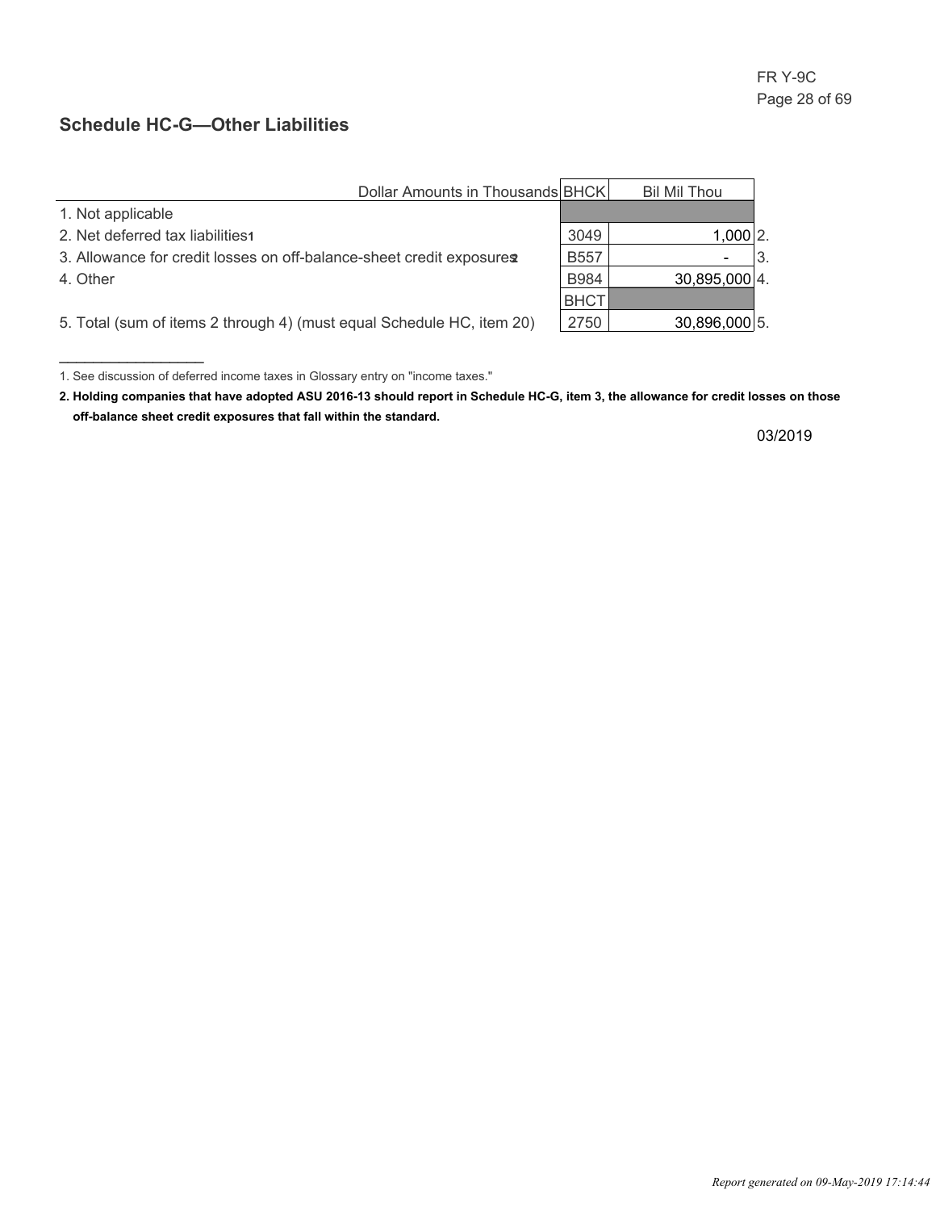## **Schedule HC-G—Other Liabilities**

\_\_\_\_\_\_\_\_\_\_\_\_\_\_\_\_\_

| Dollar Amounts in Thousands BHCK                                      |             | Bil Mil Thou  |  |
|-----------------------------------------------------------------------|-------------|---------------|--|
| 1. Not applicable                                                     |             |               |  |
| 2. Net deferred tax liabilities                                       | 3049        | $1,000$   2.  |  |
| 3. Allowance for credit losses on off-balance-sheet credit exposures  | <b>B557</b> |               |  |
| 4. Other                                                              | B984        | 30,895,000 4. |  |
|                                                                       | <b>BHCT</b> |               |  |
| 5. Total (sum of items 2 through 4) (must equal Schedule HC, item 20) | 2750        | 30,896,000 5. |  |

<sup>1.</sup> See discussion of deferred income taxes in Glossary entry on "income taxes."

**<sup>2.</sup> Holding companies that have adopted ASU 2016-13 should report in Schedule HC-G, item 3, the allowance for credit losses on those off-balance sheet credit exposures that fall within the standard.**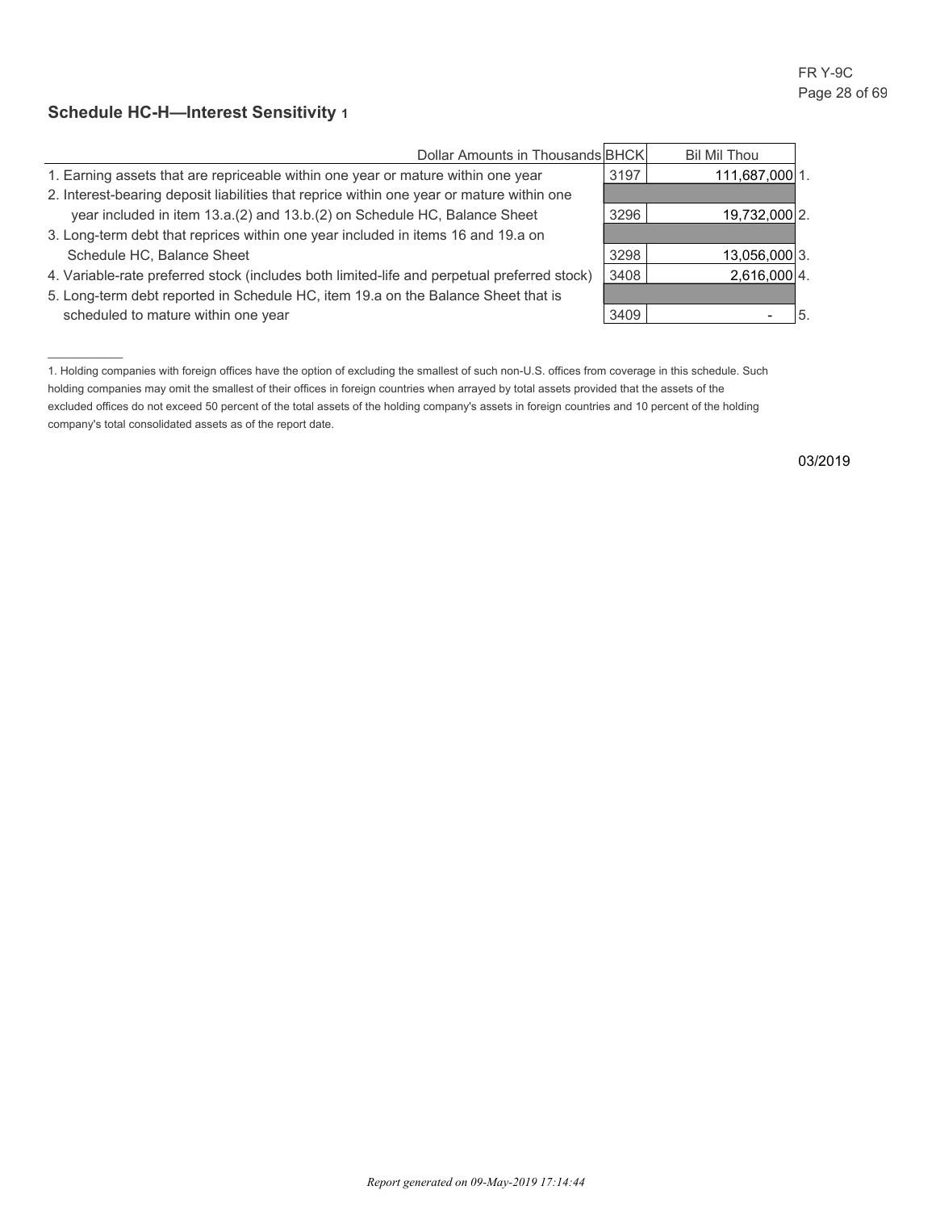## **Schedule HC-H—Interest Sensitivity 1**

 $\overline{\phantom{a}}$ 

| Dollar Amounts in Thousands BHCK                                                            |      | Bil Mil Thou   |   |
|---------------------------------------------------------------------------------------------|------|----------------|---|
| 1. Earning assets that are repriceable within one year or mature within one year            | 3197 | 111,687,000 1. |   |
| 2. Interest-bearing deposit liabilities that reprice within one year or mature within one   |      |                |   |
| year included in item 13.a.(2) and 13.b.(2) on Schedule HC, Balance Sheet                   | 3296 | 19,732,000 2.  |   |
| 3. Long-term debt that reprices within one year included in items 16 and 19.a on            |      |                |   |
| Schedule HC, Balance Sheet                                                                  | 3298 | 13,056,000 3.  |   |
| 4. Variable-rate preferred stock (includes both limited-life and perpetual preferred stock) | 3408 | $2,616,000$ 4. |   |
| 5. Long-term debt reported in Schedule HC, item 19.a on the Balance Sheet that is           |      |                |   |
| scheduled to mature within one year                                                         | 3409 |                | b |

<sup>1.</sup> Holding companies with foreign offices have the option of excluding the smallest of such non-U.S. offices from coverage in this schedule. Such holding companies may omit the smallest of their offices in foreign countries when arrayed by total assets provided that the assets of the excluded offices do not exceed 50 percent of the total assets of the holding company's assets in foreign countries and 10 percent of the holding company's total consolidated assets as of the report date.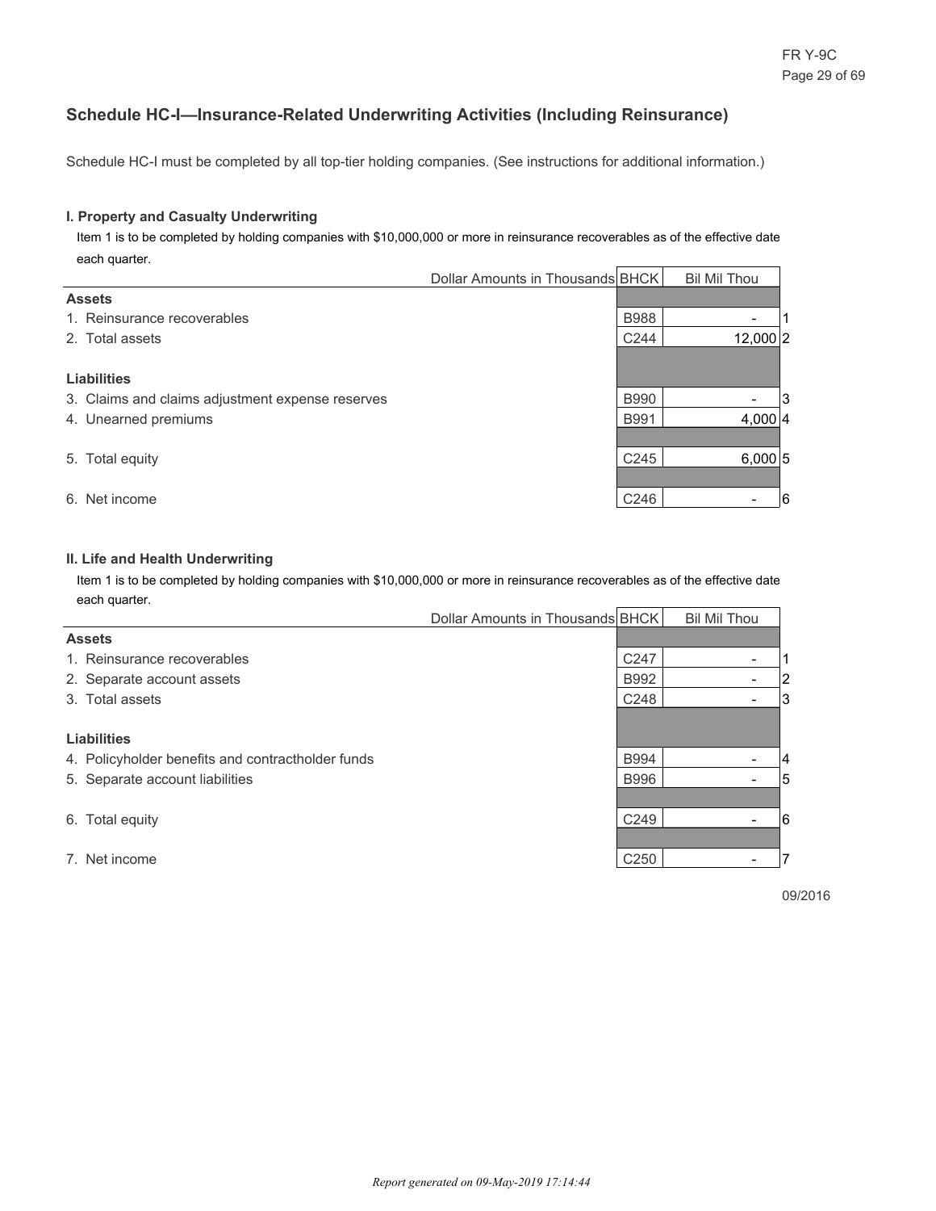## **Schedule HC-I—Insurance-Related Underwriting Activities (Including Reinsurance)**

Schedule HC-I must be completed by all top-tier holding companies. (See instructions for additional information.)

#### **I. Property and Casualty Underwriting**

 Item 1 is to be completed by holding companies with \$10,000,000 or more in reinsurance recoverables as of the effective date each quarter.

|                                                  | Dollar Amounts in Thousands BHCK |                  | <b>Bil Mil Thou</b>      |   |
|--------------------------------------------------|----------------------------------|------------------|--------------------------|---|
| <b>Assets</b>                                    |                                  |                  |                          |   |
| 1. Reinsurance recoverables                      |                                  | <b>B988</b>      | $\overline{\phantom{a}}$ |   |
| 2. Total assets                                  |                                  | C244             | 12,000 2                 |   |
|                                                  |                                  |                  |                          |   |
| <b>Liabilities</b>                               |                                  |                  |                          |   |
| 3. Claims and claims adjustment expense reserves |                                  | <b>B990</b>      | $\overline{\phantom{a}}$ | 3 |
| 4. Unearned premiums                             |                                  | <b>B991</b>      | 4,000 4                  |   |
|                                                  |                                  |                  |                          |   |
| 5. Total equity                                  |                                  | C <sub>245</sub> | 6,000 5                  |   |
|                                                  |                                  |                  |                          |   |
| 6. Net income                                    |                                  | C246             | $\overline{\phantom{a}}$ | 6 |

#### **II. Life and Health Underwriting**

 Item 1 is to be completed by holding companies with \$10,000,000 or more in reinsurance recoverables as of the effective date each quarter.

|                                                   | Dollar Amounts in Thousands BHCK |                  | <b>Bil Mil Thou</b>      |   |
|---------------------------------------------------|----------------------------------|------------------|--------------------------|---|
| <b>Assets</b>                                     |                                  |                  |                          |   |
| 1. Reinsurance recoverables                       |                                  | C <sub>247</sub> | $\overline{\phantom{0}}$ |   |
| 2. Separate account assets                        |                                  | <b>B992</b>      | $\overline{\phantom{a}}$ | 2 |
| 3. Total assets                                   |                                  | C <sub>248</sub> | $\overline{\phantom{0}}$ | 3 |
|                                                   |                                  |                  |                          |   |
| <b>Liabilities</b>                                |                                  |                  |                          |   |
| 4. Policyholder benefits and contractholder funds |                                  | <b>B994</b>      | ٠                        | 4 |
| 5. Separate account liabilities                   |                                  | <b>B996</b>      | $\overline{\phantom{a}}$ | 5 |
|                                                   |                                  |                  |                          |   |
| 6. Total equity                                   |                                  | C <sub>249</sub> |                          | 6 |
|                                                   |                                  |                  |                          |   |
| 7. Net income                                     |                                  | C <sub>250</sub> |                          |   |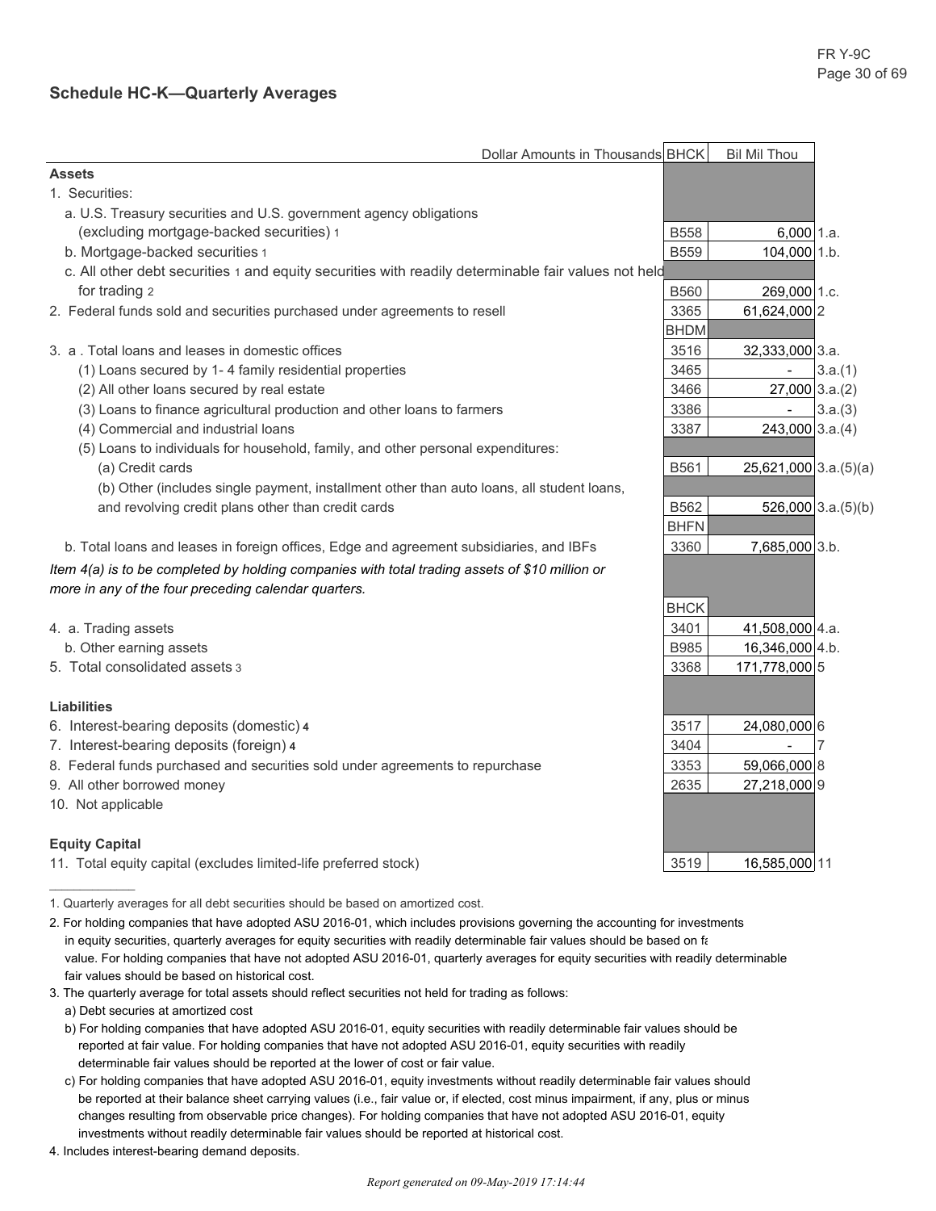## **Schedule HC-K—Quarterly Averages**

| Dollar Amounts in Thousands BHCK                                                                    |             | <b>Bil Mil Thou</b>     |                         |
|-----------------------------------------------------------------------------------------------------|-------------|-------------------------|-------------------------|
| <b>Assets</b>                                                                                       |             |                         |                         |
| 1. Securities:                                                                                      |             |                         |                         |
| a. U.S. Treasury securities and U.S. government agency obligations                                  |             |                         |                         |
| (excluding mortgage-backed securities) 1                                                            | <b>B558</b> | $6,000$ 1.a.            |                         |
| b. Mortgage-backed securities 1                                                                     | <b>B559</b> | 104,000 1.b.            |                         |
| c. All other debt securities 1 and equity securities with readily determinable fair values not held |             |                         |                         |
| for trading 2                                                                                       | <b>B560</b> | 269,000 1.c.            |                         |
| 2. Federal funds sold and securities purchased under agreements to resell                           | 3365        | 61,624,000 2            |                         |
|                                                                                                     | <b>BHDM</b> |                         |                         |
| 3. a . Total loans and leases in domestic offices                                                   | 3516        | 32,333,000 3.a.         |                         |
| (1) Loans secured by 1-4 family residential properties                                              | 3465        |                         | 3.a.(1)                 |
| (2) All other loans secured by real estate                                                          | 3466        | $27,000$ 3.a.(2)        |                         |
| (3) Loans to finance agricultural production and other loans to farmers                             | 3386        | $\blacksquare$          | 3.a.(3)                 |
| (4) Commercial and industrial loans                                                                 | 3387        | $243,000$ 3.a.(4)       |                         |
| (5) Loans to individuals for household, family, and other personal expenditures:                    |             |                         |                         |
| (a) Credit cards                                                                                    | B561        | $25,621,000$ 3.a.(5)(a) |                         |
| (b) Other (includes single payment, installment other than auto loans, all student loans,           |             |                         |                         |
| and revolving credit plans other than credit cards                                                  | B562        |                         | $526,000$ 3.a. $(5)(b)$ |
|                                                                                                     | <b>BHFN</b> |                         |                         |
| b. Total loans and leases in foreign offices, Edge and agreement subsidiaries, and IBFs             | 3360        | 7,685,000 3.b.          |                         |
| Item 4(a) is to be completed by holding companies with total trading assets of \$10 million or      |             |                         |                         |
| more in any of the four preceding calendar quarters.                                                |             |                         |                         |
|                                                                                                     | <b>BHCK</b> |                         |                         |
| 4. a. Trading assets                                                                                | 3401        | 41,508,000 4.a.         |                         |
| b. Other earning assets                                                                             | <b>B985</b> | 16,346,000 4.b.         |                         |
| 5. Total consolidated assets 3                                                                      | 3368        | 171,778,000 5           |                         |
|                                                                                                     |             |                         |                         |
| <b>Liabilities</b>                                                                                  |             |                         |                         |
| 6. Interest-bearing deposits (domestic) 4                                                           | 3517        | 24,080,000 6            |                         |
| 7. Interest-bearing deposits (foreign) 4                                                            | 3404        |                         | 7                       |
| 8. Federal funds purchased and securities sold under agreements to repurchase                       | 3353        | 59,066,000 8            |                         |
| 9. All other borrowed money                                                                         | 2635        | 27,218,000 9            |                         |
| 10. Not applicable                                                                                  |             |                         |                         |
|                                                                                                     |             |                         |                         |
| <b>Equity Capital</b>                                                                               |             |                         |                         |
| 11. Total equity capital (excludes limited-life preferred stock)                                    | 3519        | 16,585,000 11           |                         |
|                                                                                                     |             |                         |                         |

<sup>1.</sup> Quarterly averages for all debt securities should be based on amortized cost.

- 3. The quarterly average for total assets should reflect securities not held for trading as follows:
	- a) Debt securies at amortized cost
	- b) For holding companies that have adopted ASU 2016-01, equity securities with readily determinable fair values should be reported at fair value. For holding companies that have not adopted ASU 2016-01, equity securities with readily determinable fair values should be reported at the lower of cost or fair value.
	- c) For holding companies that have adopted ASU 2016-01, equity investments without readily determinable fair values should be reported at their balance sheet carrying values (i.e., fair value or, if elected, cost minus impairment, if any, plus or minus changes resulting from observable price changes). For holding companies that have not adopted ASU 2016-01, equity investments without readily determinable fair values should be reported at historical cost.
- 4. Includes interest-bearing demand deposits.

<sup>2.</sup> For holding companies that have adopted ASU 2016-01, which includes provisions governing the accounting for investments in equity securities, quarterly averages for equity securities with readily determinable fair values should be based on fail value. For holding companies that have not adopted ASU 2016-01, quarterly averages for equity securities with readily determinable fair values should be based on historical cost.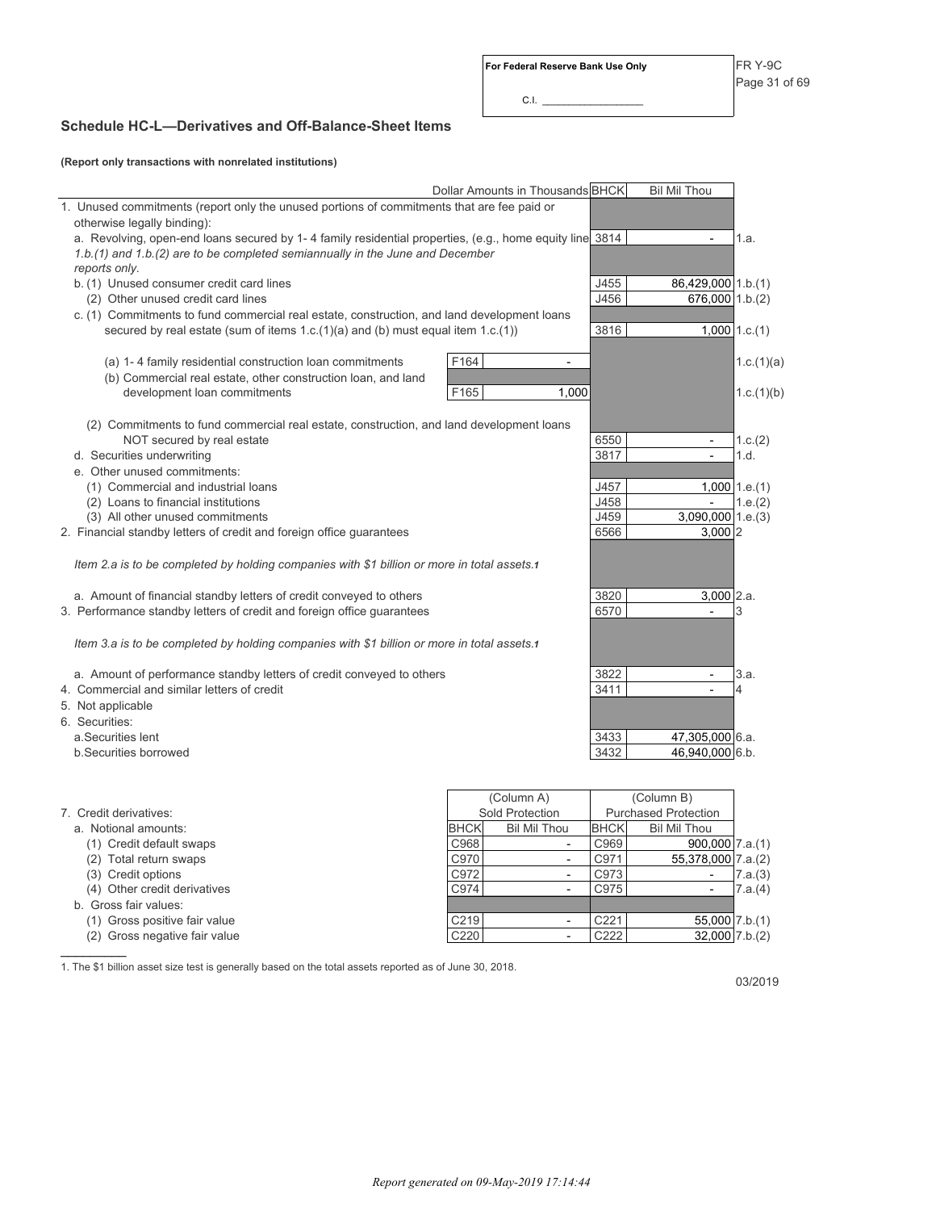$CLL$ 

## **Schedule HC-L—Derivatives and Off-Balance-Sheet Items**

**(Report only transactions with nonrelated institutions)**

| 1. Unused commitments (report only the unused portions of commitments that are fee paid or<br>otherwise legally binding):<br>a. Revolving, open-end loans secured by 1-4 family residential properties, (e.g., home equity line 3814<br>1.a.<br>1.b.(1) and 1.b.(2) are to be completed semiannually in the June and December<br>reports only.<br>J455<br>b. (1) Unused consumer credit card lines<br>86,429,000 1.b.(1)<br>J456<br>676,000 1.b.(2)<br>(2) Other unused credit card lines<br>c. (1) Commitments to fund commercial real estate, construction, and land development loans<br>3816<br>$1,000$ 1.c.(1)<br>secured by real estate (sum of items $1.c.(1)(a)$ and (b) must equal item $1.c.(1)$ )<br>F164<br>(a) 1-4 family residential construction loan commitments<br>1.c.(1)(a)<br>$\overline{a}$<br>(b) Commercial real estate, other construction loan, and land<br>F165<br>development loan commitments<br>1,000<br>1.c.(1)(b)<br>(2) Commitments to fund commercial real estate, construction, and land development loans<br>NOT secured by real estate<br>6550<br>1.c.(2)<br>$\sim$<br>3817<br>d. Securities underwriting<br>1.d.<br>$\overline{a}$<br>e. Other unused commitments:<br>(1) Commercial and industrial loans<br>J457<br>$1,000$ 1.e.(1)<br>J458<br>1.e.(2)<br>(2) Loans to financial institutions<br>$\overline{a}$<br>(3) All other unused commitments<br>J459<br>$3,090,000$   1.e.(3)<br>2. Financial standby letters of credit and foreign office guarantees<br>6566<br>3.000 2<br>Item 2.a is to be completed by holding companies with \$1 billion or more in total assets.1<br>3820<br>$3,000$ 2.a.<br>a. Amount of financial standby letters of credit conveyed to others<br>3. Performance standby letters of credit and foreign office guarantees<br>6570<br>3<br>Item 3.a is to be completed by holding companies with \$1 billion or more in total assets.1<br>a. Amount of performance standby letters of credit conveyed to others<br>3822<br>3.a.<br>$\blacksquare$<br>4. Commercial and similar letters of credit<br>3411<br>4<br>5. Not applicable<br>6. Securities:<br>a.Securities lent<br>3433<br>47,305,000 6.a.<br>3432<br>46,940,000 6.b.<br>b.Securities borrowed<br>(Column A)<br>(Column B)<br>Sold Protection<br>7. Credit derivatives:<br><b>Purchased Protection</b><br><b>BHCK</b><br><b>Bil Mil Thou</b><br><b>BHCK</b><br><b>Bil Mil Thou</b><br>a. Notional amounts: | Dollar Amounts in Thousands BHCK | <b>Bil Mil Thou</b> |  |
|-----------------------------------------------------------------------------------------------------------------------------------------------------------------------------------------------------------------------------------------------------------------------------------------------------------------------------------------------------------------------------------------------------------------------------------------------------------------------------------------------------------------------------------------------------------------------------------------------------------------------------------------------------------------------------------------------------------------------------------------------------------------------------------------------------------------------------------------------------------------------------------------------------------------------------------------------------------------------------------------------------------------------------------------------------------------------------------------------------------------------------------------------------------------------------------------------------------------------------------------------------------------------------------------------------------------------------------------------------------------------------------------------------------------------------------------------------------------------------------------------------------------------------------------------------------------------------------------------------------------------------------------------------------------------------------------------------------------------------------------------------------------------------------------------------------------------------------------------------------------------------------------------------------------------------------------------------------------------------------------------------------------------------------------------------------------------------------------------------------------------------------------------------------------------------------------------------------------------------------------------------------------------------------------------------------------------------------------------------------------------------------------------------------------------------------------|----------------------------------|---------------------|--|
|                                                                                                                                                                                                                                                                                                                                                                                                                                                                                                                                                                                                                                                                                                                                                                                                                                                                                                                                                                                                                                                                                                                                                                                                                                                                                                                                                                                                                                                                                                                                                                                                                                                                                                                                                                                                                                                                                                                                                                                                                                                                                                                                                                                                                                                                                                                                                                                                                                         |                                  |                     |  |
|                                                                                                                                                                                                                                                                                                                                                                                                                                                                                                                                                                                                                                                                                                                                                                                                                                                                                                                                                                                                                                                                                                                                                                                                                                                                                                                                                                                                                                                                                                                                                                                                                                                                                                                                                                                                                                                                                                                                                                                                                                                                                                                                                                                                                                                                                                                                                                                                                                         |                                  |                     |  |
|                                                                                                                                                                                                                                                                                                                                                                                                                                                                                                                                                                                                                                                                                                                                                                                                                                                                                                                                                                                                                                                                                                                                                                                                                                                                                                                                                                                                                                                                                                                                                                                                                                                                                                                                                                                                                                                                                                                                                                                                                                                                                                                                                                                                                                                                                                                                                                                                                                         |                                  |                     |  |
|                                                                                                                                                                                                                                                                                                                                                                                                                                                                                                                                                                                                                                                                                                                                                                                                                                                                                                                                                                                                                                                                                                                                                                                                                                                                                                                                                                                                                                                                                                                                                                                                                                                                                                                                                                                                                                                                                                                                                                                                                                                                                                                                                                                                                                                                                                                                                                                                                                         |                                  |                     |  |
|                                                                                                                                                                                                                                                                                                                                                                                                                                                                                                                                                                                                                                                                                                                                                                                                                                                                                                                                                                                                                                                                                                                                                                                                                                                                                                                                                                                                                                                                                                                                                                                                                                                                                                                                                                                                                                                                                                                                                                                                                                                                                                                                                                                                                                                                                                                                                                                                                                         |                                  |                     |  |
|                                                                                                                                                                                                                                                                                                                                                                                                                                                                                                                                                                                                                                                                                                                                                                                                                                                                                                                                                                                                                                                                                                                                                                                                                                                                                                                                                                                                                                                                                                                                                                                                                                                                                                                                                                                                                                                                                                                                                                                                                                                                                                                                                                                                                                                                                                                                                                                                                                         |                                  |                     |  |
|                                                                                                                                                                                                                                                                                                                                                                                                                                                                                                                                                                                                                                                                                                                                                                                                                                                                                                                                                                                                                                                                                                                                                                                                                                                                                                                                                                                                                                                                                                                                                                                                                                                                                                                                                                                                                                                                                                                                                                                                                                                                                                                                                                                                                                                                                                                                                                                                                                         |                                  |                     |  |
|                                                                                                                                                                                                                                                                                                                                                                                                                                                                                                                                                                                                                                                                                                                                                                                                                                                                                                                                                                                                                                                                                                                                                                                                                                                                                                                                                                                                                                                                                                                                                                                                                                                                                                                                                                                                                                                                                                                                                                                                                                                                                                                                                                                                                                                                                                                                                                                                                                         |                                  |                     |  |
|                                                                                                                                                                                                                                                                                                                                                                                                                                                                                                                                                                                                                                                                                                                                                                                                                                                                                                                                                                                                                                                                                                                                                                                                                                                                                                                                                                                                                                                                                                                                                                                                                                                                                                                                                                                                                                                                                                                                                                                                                                                                                                                                                                                                                                                                                                                                                                                                                                         |                                  |                     |  |
|                                                                                                                                                                                                                                                                                                                                                                                                                                                                                                                                                                                                                                                                                                                                                                                                                                                                                                                                                                                                                                                                                                                                                                                                                                                                                                                                                                                                                                                                                                                                                                                                                                                                                                                                                                                                                                                                                                                                                                                                                                                                                                                                                                                                                                                                                                                                                                                                                                         |                                  |                     |  |
|                                                                                                                                                                                                                                                                                                                                                                                                                                                                                                                                                                                                                                                                                                                                                                                                                                                                                                                                                                                                                                                                                                                                                                                                                                                                                                                                                                                                                                                                                                                                                                                                                                                                                                                                                                                                                                                                                                                                                                                                                                                                                                                                                                                                                                                                                                                                                                                                                                         |                                  |                     |  |
|                                                                                                                                                                                                                                                                                                                                                                                                                                                                                                                                                                                                                                                                                                                                                                                                                                                                                                                                                                                                                                                                                                                                                                                                                                                                                                                                                                                                                                                                                                                                                                                                                                                                                                                                                                                                                                                                                                                                                                                                                                                                                                                                                                                                                                                                                                                                                                                                                                         |                                  |                     |  |
|                                                                                                                                                                                                                                                                                                                                                                                                                                                                                                                                                                                                                                                                                                                                                                                                                                                                                                                                                                                                                                                                                                                                                                                                                                                                                                                                                                                                                                                                                                                                                                                                                                                                                                                                                                                                                                                                                                                                                                                                                                                                                                                                                                                                                                                                                                                                                                                                                                         |                                  |                     |  |
|                                                                                                                                                                                                                                                                                                                                                                                                                                                                                                                                                                                                                                                                                                                                                                                                                                                                                                                                                                                                                                                                                                                                                                                                                                                                                                                                                                                                                                                                                                                                                                                                                                                                                                                                                                                                                                                                                                                                                                                                                                                                                                                                                                                                                                                                                                                                                                                                                                         |                                  |                     |  |
|                                                                                                                                                                                                                                                                                                                                                                                                                                                                                                                                                                                                                                                                                                                                                                                                                                                                                                                                                                                                                                                                                                                                                                                                                                                                                                                                                                                                                                                                                                                                                                                                                                                                                                                                                                                                                                                                                                                                                                                                                                                                                                                                                                                                                                                                                                                                                                                                                                         |                                  |                     |  |
|                                                                                                                                                                                                                                                                                                                                                                                                                                                                                                                                                                                                                                                                                                                                                                                                                                                                                                                                                                                                                                                                                                                                                                                                                                                                                                                                                                                                                                                                                                                                                                                                                                                                                                                                                                                                                                                                                                                                                                                                                                                                                                                                                                                                                                                                                                                                                                                                                                         |                                  |                     |  |
|                                                                                                                                                                                                                                                                                                                                                                                                                                                                                                                                                                                                                                                                                                                                                                                                                                                                                                                                                                                                                                                                                                                                                                                                                                                                                                                                                                                                                                                                                                                                                                                                                                                                                                                                                                                                                                                                                                                                                                                                                                                                                                                                                                                                                                                                                                                                                                                                                                         |                                  |                     |  |
|                                                                                                                                                                                                                                                                                                                                                                                                                                                                                                                                                                                                                                                                                                                                                                                                                                                                                                                                                                                                                                                                                                                                                                                                                                                                                                                                                                                                                                                                                                                                                                                                                                                                                                                                                                                                                                                                                                                                                                                                                                                                                                                                                                                                                                                                                                                                                                                                                                         |                                  |                     |  |
|                                                                                                                                                                                                                                                                                                                                                                                                                                                                                                                                                                                                                                                                                                                                                                                                                                                                                                                                                                                                                                                                                                                                                                                                                                                                                                                                                                                                                                                                                                                                                                                                                                                                                                                                                                                                                                                                                                                                                                                                                                                                                                                                                                                                                                                                                                                                                                                                                                         |                                  |                     |  |
|                                                                                                                                                                                                                                                                                                                                                                                                                                                                                                                                                                                                                                                                                                                                                                                                                                                                                                                                                                                                                                                                                                                                                                                                                                                                                                                                                                                                                                                                                                                                                                                                                                                                                                                                                                                                                                                                                                                                                                                                                                                                                                                                                                                                                                                                                                                                                                                                                                         |                                  |                     |  |
|                                                                                                                                                                                                                                                                                                                                                                                                                                                                                                                                                                                                                                                                                                                                                                                                                                                                                                                                                                                                                                                                                                                                                                                                                                                                                                                                                                                                                                                                                                                                                                                                                                                                                                                                                                                                                                                                                                                                                                                                                                                                                                                                                                                                                                                                                                                                                                                                                                         |                                  |                     |  |
|                                                                                                                                                                                                                                                                                                                                                                                                                                                                                                                                                                                                                                                                                                                                                                                                                                                                                                                                                                                                                                                                                                                                                                                                                                                                                                                                                                                                                                                                                                                                                                                                                                                                                                                                                                                                                                                                                                                                                                                                                                                                                                                                                                                                                                                                                                                                                                                                                                         |                                  |                     |  |
|                                                                                                                                                                                                                                                                                                                                                                                                                                                                                                                                                                                                                                                                                                                                                                                                                                                                                                                                                                                                                                                                                                                                                                                                                                                                                                                                                                                                                                                                                                                                                                                                                                                                                                                                                                                                                                                                                                                                                                                                                                                                                                                                                                                                                                                                                                                                                                                                                                         |                                  |                     |  |
|                                                                                                                                                                                                                                                                                                                                                                                                                                                                                                                                                                                                                                                                                                                                                                                                                                                                                                                                                                                                                                                                                                                                                                                                                                                                                                                                                                                                                                                                                                                                                                                                                                                                                                                                                                                                                                                                                                                                                                                                                                                                                                                                                                                                                                                                                                                                                                                                                                         |                                  |                     |  |
|                                                                                                                                                                                                                                                                                                                                                                                                                                                                                                                                                                                                                                                                                                                                                                                                                                                                                                                                                                                                                                                                                                                                                                                                                                                                                                                                                                                                                                                                                                                                                                                                                                                                                                                                                                                                                                                                                                                                                                                                                                                                                                                                                                                                                                                                                                                                                                                                                                         |                                  |                     |  |
|                                                                                                                                                                                                                                                                                                                                                                                                                                                                                                                                                                                                                                                                                                                                                                                                                                                                                                                                                                                                                                                                                                                                                                                                                                                                                                                                                                                                                                                                                                                                                                                                                                                                                                                                                                                                                                                                                                                                                                                                                                                                                                                                                                                                                                                                                                                                                                                                                                         |                                  |                     |  |
|                                                                                                                                                                                                                                                                                                                                                                                                                                                                                                                                                                                                                                                                                                                                                                                                                                                                                                                                                                                                                                                                                                                                                                                                                                                                                                                                                                                                                                                                                                                                                                                                                                                                                                                                                                                                                                                                                                                                                                                                                                                                                                                                                                                                                                                                                                                                                                                                                                         |                                  |                     |  |
|                                                                                                                                                                                                                                                                                                                                                                                                                                                                                                                                                                                                                                                                                                                                                                                                                                                                                                                                                                                                                                                                                                                                                                                                                                                                                                                                                                                                                                                                                                                                                                                                                                                                                                                                                                                                                                                                                                                                                                                                                                                                                                                                                                                                                                                                                                                                                                                                                                         |                                  |                     |  |
|                                                                                                                                                                                                                                                                                                                                                                                                                                                                                                                                                                                                                                                                                                                                                                                                                                                                                                                                                                                                                                                                                                                                                                                                                                                                                                                                                                                                                                                                                                                                                                                                                                                                                                                                                                                                                                                                                                                                                                                                                                                                                                                                                                                                                                                                                                                                                                                                                                         |                                  |                     |  |
|                                                                                                                                                                                                                                                                                                                                                                                                                                                                                                                                                                                                                                                                                                                                                                                                                                                                                                                                                                                                                                                                                                                                                                                                                                                                                                                                                                                                                                                                                                                                                                                                                                                                                                                                                                                                                                                                                                                                                                                                                                                                                                                                                                                                                                                                                                                                                                                                                                         |                                  |                     |  |
|                                                                                                                                                                                                                                                                                                                                                                                                                                                                                                                                                                                                                                                                                                                                                                                                                                                                                                                                                                                                                                                                                                                                                                                                                                                                                                                                                                                                                                                                                                                                                                                                                                                                                                                                                                                                                                                                                                                                                                                                                                                                                                                                                                                                                                                                                                                                                                                                                                         |                                  |                     |  |
|                                                                                                                                                                                                                                                                                                                                                                                                                                                                                                                                                                                                                                                                                                                                                                                                                                                                                                                                                                                                                                                                                                                                                                                                                                                                                                                                                                                                                                                                                                                                                                                                                                                                                                                                                                                                                                                                                                                                                                                                                                                                                                                                                                                                                                                                                                                                                                                                                                         |                                  |                     |  |
|                                                                                                                                                                                                                                                                                                                                                                                                                                                                                                                                                                                                                                                                                                                                                                                                                                                                                                                                                                                                                                                                                                                                                                                                                                                                                                                                                                                                                                                                                                                                                                                                                                                                                                                                                                                                                                                                                                                                                                                                                                                                                                                                                                                                                                                                                                                                                                                                                                         |                                  |                     |  |
|                                                                                                                                                                                                                                                                                                                                                                                                                                                                                                                                                                                                                                                                                                                                                                                                                                                                                                                                                                                                                                                                                                                                                                                                                                                                                                                                                                                                                                                                                                                                                                                                                                                                                                                                                                                                                                                                                                                                                                                                                                                                                                                                                                                                                                                                                                                                                                                                                                         |                                  |                     |  |
|                                                                                                                                                                                                                                                                                                                                                                                                                                                                                                                                                                                                                                                                                                                                                                                                                                                                                                                                                                                                                                                                                                                                                                                                                                                                                                                                                                                                                                                                                                                                                                                                                                                                                                                                                                                                                                                                                                                                                                                                                                                                                                                                                                                                                                                                                                                                                                                                                                         |                                  |                     |  |
|                                                                                                                                                                                                                                                                                                                                                                                                                                                                                                                                                                                                                                                                                                                                                                                                                                                                                                                                                                                                                                                                                                                                                                                                                                                                                                                                                                                                                                                                                                                                                                                                                                                                                                                                                                                                                                                                                                                                                                                                                                                                                                                                                                                                                                                                                                                                                                                                                                         |                                  |                     |  |
|                                                                                                                                                                                                                                                                                                                                                                                                                                                                                                                                                                                                                                                                                                                                                                                                                                                                                                                                                                                                                                                                                                                                                                                                                                                                                                                                                                                                                                                                                                                                                                                                                                                                                                                                                                                                                                                                                                                                                                                                                                                                                                                                                                                                                                                                                                                                                                                                                                         |                                  |                     |  |
|                                                                                                                                                                                                                                                                                                                                                                                                                                                                                                                                                                                                                                                                                                                                                                                                                                                                                                                                                                                                                                                                                                                                                                                                                                                                                                                                                                                                                                                                                                                                                                                                                                                                                                                                                                                                                                                                                                                                                                                                                                                                                                                                                                                                                                                                                                                                                                                                                                         |                                  |                     |  |
|                                                                                                                                                                                                                                                                                                                                                                                                                                                                                                                                                                                                                                                                                                                                                                                                                                                                                                                                                                                                                                                                                                                                                                                                                                                                                                                                                                                                                                                                                                                                                                                                                                                                                                                                                                                                                                                                                                                                                                                                                                                                                                                                                                                                                                                                                                                                                                                                                                         |                                  |                     |  |
|                                                                                                                                                                                                                                                                                                                                                                                                                                                                                                                                                                                                                                                                                                                                                                                                                                                                                                                                                                                                                                                                                                                                                                                                                                                                                                                                                                                                                                                                                                                                                                                                                                                                                                                                                                                                                                                                                                                                                                                                                                                                                                                                                                                                                                                                                                                                                                                                                                         |                                  |                     |  |
| (1) Credit default swaps<br>C968<br>C969<br>$900,000$ 7.a.(1)<br>$\blacksquare$                                                                                                                                                                                                                                                                                                                                                                                                                                                                                                                                                                                                                                                                                                                                                                                                                                                                                                                                                                                                                                                                                                                                                                                                                                                                                                                                                                                                                                                                                                                                                                                                                                                                                                                                                                                                                                                                                                                                                                                                                                                                                                                                                                                                                                                                                                                                                         |                                  |                     |  |
| C970<br>C971<br>55,378,000 7.a.(2)<br>(2) Total return swaps<br>$\overline{\phantom{a}}$                                                                                                                                                                                                                                                                                                                                                                                                                                                                                                                                                                                                                                                                                                                                                                                                                                                                                                                                                                                                                                                                                                                                                                                                                                                                                                                                                                                                                                                                                                                                                                                                                                                                                                                                                                                                                                                                                                                                                                                                                                                                                                                                                                                                                                                                                                                                                |                                  |                     |  |
| C972<br>C973<br>(3) Credit options<br>7.a.(3)<br>$\overline{\phantom{a}}$<br>$\overline{\phantom{a}}$                                                                                                                                                                                                                                                                                                                                                                                                                                                                                                                                                                                                                                                                                                                                                                                                                                                                                                                                                                                                                                                                                                                                                                                                                                                                                                                                                                                                                                                                                                                                                                                                                                                                                                                                                                                                                                                                                                                                                                                                                                                                                                                                                                                                                                                                                                                                   |                                  |                     |  |
| C974<br>C975<br>(4) Other credit derivatives<br>7.a.(4)<br>$\blacksquare$<br>$\overline{\phantom{a}}$                                                                                                                                                                                                                                                                                                                                                                                                                                                                                                                                                                                                                                                                                                                                                                                                                                                                                                                                                                                                                                                                                                                                                                                                                                                                                                                                                                                                                                                                                                                                                                                                                                                                                                                                                                                                                                                                                                                                                                                                                                                                                                                                                                                                                                                                                                                                   |                                  |                     |  |

- b. Gross fair values:
- (1) Gross positive fair value
- (2) Gross negative fair value  $\frac{1}{2}$  ,  $\frac{1}{2}$  ,  $\frac{1}{2}$  ,  $\frac{1}{2}$  ,  $\frac{1}{2}$

|             | Sold Protection     |                  | <b>Purchased Protection</b> |         |  |  |  |
|-------------|---------------------|------------------|-----------------------------|---------|--|--|--|
| <b>BHCK</b> | <b>Bil Mil Thou</b> | <b>BHCK</b>      | <b>Bil Mil Thou</b>         |         |  |  |  |
| C968        |                     | C969             | $900,000$ 7.a.(1)           |         |  |  |  |
| C970        |                     | C971             | 55,378,000 7.a.(2)          |         |  |  |  |
| C972        |                     | C973             |                             | 7.a.(3) |  |  |  |
| C974        |                     | C975             |                             | 7.a.(4) |  |  |  |
|             |                     |                  |                             |         |  |  |  |
| C219        |                     | C <sub>221</sub> | 55,000 7.b.(1)              |         |  |  |  |
| C220        |                     | C222             | $32,000$ 7.b.(2)            |         |  |  |  |

1. The \$1 billion asset size test is generally based on the total assets reported as of June 30, 2018.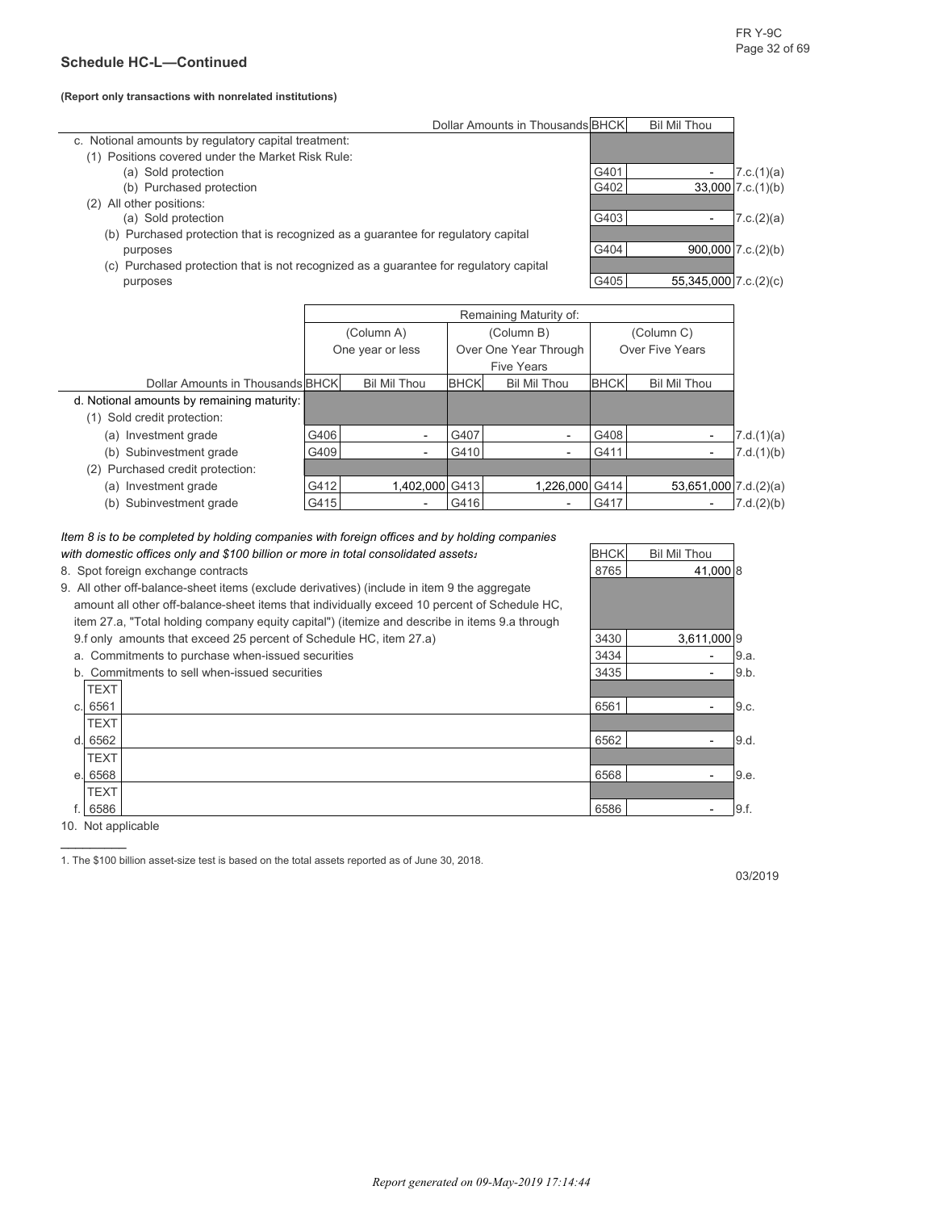#### **(Report only transactions with nonrelated institutions)**

|                                                                                          |      | Dollar Amounts in Thousands BHCK<br><b>Bil Mil Thou</b> |             |                          |                 |                          |                         |  |  |
|------------------------------------------------------------------------------------------|------|---------------------------------------------------------|-------------|--------------------------|-----------------|--------------------------|-------------------------|--|--|
| c. Notional amounts by regulatory capital treatment:                                     |      |                                                         |             |                          |                 |                          |                         |  |  |
| (1) Positions covered under the Market Risk Rule:                                        |      |                                                         |             |                          |                 |                          |                         |  |  |
| (a) Sold protection                                                                      |      |                                                         |             |                          | G401            | 7.c.(1)(a)               |                         |  |  |
| (b) Purchased protection                                                                 |      |                                                         |             |                          | G402            |                          | $33,000$ 7.c. $(1)(b)$  |  |  |
| All other positions:<br>(2)                                                              |      |                                                         |             |                          |                 |                          |                         |  |  |
| (a) Sold protection                                                                      |      |                                                         |             |                          | G403            | $\overline{\phantom{a}}$ | 7.c.(2)(a)              |  |  |
| Purchased protection that is recognized as a guarantee for regulatory capital<br>(b)     |      |                                                         |             |                          |                 |                          |                         |  |  |
| purposes                                                                                 |      |                                                         |             |                          | G404            |                          | $900,000$ 7.c. $(2)(b)$ |  |  |
| Purchased protection that is not recognized as a guarantee for regulatory capital<br>(C) |      |                                                         |             |                          |                 |                          |                         |  |  |
| purposes                                                                                 |      |                                                         |             |                          | G405            | $55,345,000$ 7.c.(2)(c)  |                         |  |  |
|                                                                                          |      |                                                         |             |                          |                 |                          |                         |  |  |
|                                                                                          |      |                                                         |             | Remaining Maturity of:   |                 |                          |                         |  |  |
|                                                                                          |      | (Column A)                                              |             | (Column B)               |                 | (Column C)               |                         |  |  |
|                                                                                          |      | One year or less                                        |             | Over One Year Through    | Over Five Years |                          |                         |  |  |
|                                                                                          |      |                                                         |             | <b>Five Years</b>        |                 |                          |                         |  |  |
| Dollar Amounts in Thousands BHCK                                                         |      | <b>Bil Mil Thou</b>                                     | <b>BHCK</b> | <b>Bil Mil Thou</b>      | <b>BHCK</b>     | <b>Bil Mil Thou</b>      |                         |  |  |
| d. Notional amounts by remaining maturity:                                               |      |                                                         |             |                          |                 |                          |                         |  |  |
| (1) Sold credit protection:                                                              |      |                                                         |             |                          |                 |                          |                         |  |  |
| (a) Investment grade                                                                     | G406 | $\overline{\phantom{a}}$                                | G407        | $\overline{\phantom{a}}$ | G408            |                          | 7.d.(1)(a)              |  |  |

| (a) Investment grade             | G406 | $\overline{\phantom{0}}$ | G407 | $\overline{\phantom{0}}$ | G408 | $\overline{\phantom{0}}$   | 7.d.(1)(a) |
|----------------------------------|------|--------------------------|------|--------------------------|------|----------------------------|------------|
| (b) Subinvestment grade          | G409 | -                        | G410 | $\overline{\phantom{0}}$ | G411 | $\overline{\phantom{0}}$   | 7.d.(1)(b) |
| (2) Purchased credit protection: |      |                          |      |                          |      |                            |            |
| (a) Investment grade             | G412 | 1.402.000 G413           |      | 1.226.000 G414           |      | $53,651,000$ 7.d. $(2)(a)$ |            |
| (b) Subinvestment grade          | G415 | $\overline{\phantom{0}}$ | G416 | $\overline{\phantom{0}}$ | G417 |                            | 7.d.(2)(b) |

#### *Item 8 is to be completed by holding companies with foreign offices and by holding companies with domestic offices only and \$100 billion or more in total consolidated assets<sup>1</sup> BHCK Bil Mil Thou*

8. Spot foreign exchange contracts and the state of the state of the state of the state of the state of the state of the state of the state of the state of the state of the state of the state of the state of the state of t

9. All other off-balance-sheet items (exclude derivatives) (include in item 9 the aggregate amount all other off-balance-sheet items item 27.a, "Total holding company equity 9.f only amounts that exceed 25 percent of Schedule HC, item 27.a) 3430 35611,000 9 a. Commitments to purchase when-issued securities 3434 - 9.a. b. Commitments to sell when-issued securities 3435 3435 - 9.b. TEXT c. 6561 - 9.c. - 9.c. - 9.c. - 9.c. - 9.c. - 9.c. - 9.c. - 9.c. - 9.c. - 9.c. - 9.c. - 9.c. - 9.c. - 9.c. - 9.c TEXT

| amount all other off-balance-sheet items that individually exceed 10 percent of Schedule HC.  |      |                          |       |
|-----------------------------------------------------------------------------------------------|------|--------------------------|-------|
| item 27.a, "Total holding company equity capital") (itemize and describe in items 9.a through |      |                          |       |
| 9.f only amounts that exceed 25 percent of Schedule HC, item 27.a)                            | 3430 | 3,611,000 9              |       |
| a. Commitments to purchase when-issued securities                                             | 3434 | $\overline{\phantom{a}}$ | 9.a.  |
| b. Commitments to sell when-issued securities                                                 | 3435 |                          | 9.b.  |
| <b>TEXT</b>                                                                                   |      |                          |       |
| c. 6561                                                                                       | 6561 |                          | 9.c.  |
| <b>TEXT</b>                                                                                   |      |                          |       |
| d. 6562                                                                                       | 6562 |                          | 9.d.  |
| <b>TEXT</b>                                                                                   |      |                          |       |
| e. 6568                                                                                       | 6568 | $\overline{\phantom{0}}$ | 19.e. |
| <b>TFXT</b>                                                                                   |      |                          |       |

f. 6586 6586 - 9.f.

10. Not applicable  $\mathcal{L}_\text{max}$  . The set of  $\mathcal{L}_\text{max}$ 

TEXT

1. The \$100 billion asset-size test is based on the total assets reported as of June 30, 2018.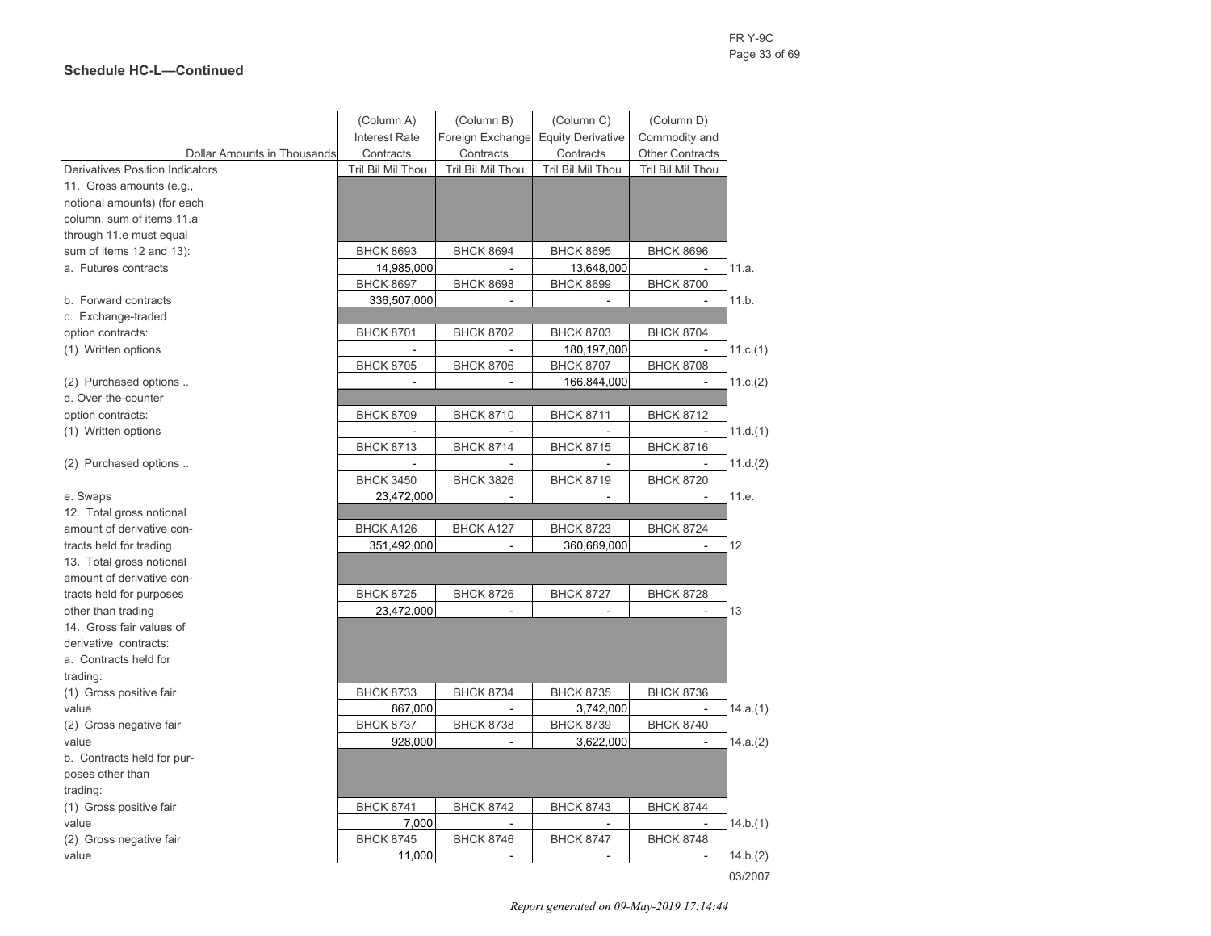|                                        | (Column A)           | (Column B)        | (Column C)               | (Column D)             |          |
|----------------------------------------|----------------------|-------------------|--------------------------|------------------------|----------|
|                                        | <b>Interest Rate</b> | Foreign Exchange  | <b>Equity Derivative</b> | Commodity and          |          |
| Dollar Amounts in Thousands            | Contracts            | Contracts         | Contracts                | <b>Other Contracts</b> |          |
| <b>Derivatives Position Indicators</b> | Tril Bil Mil Thou    | Tril Bil Mil Thou | Tril Bil Mil Thou        | Tril Bil Mil Thou      |          |
| 11. Gross amounts (e.g.,               |                      |                   |                          |                        |          |
| notional amounts) (for each            |                      |                   |                          |                        |          |
| column, sum of items 11.a              |                      |                   |                          |                        |          |
| through 11.e must equal                |                      |                   |                          |                        |          |
| sum of items 12 and 13):               | <b>BHCK 8693</b>     | <b>BHCK 8694</b>  | <b>BHCK 8695</b>         | <b>BHCK 8696</b>       |          |
| a. Futures contracts                   | 14,985,000           |                   | 13,648,000               |                        | 11.a.    |
|                                        | <b>BHCK 8697</b>     | <b>BHCK 8698</b>  | <b>BHCK 8699</b>         | <b>BHCK 8700</b>       |          |
| b. Forward contracts                   | 336,507,000          |                   | L.                       | $\sim$                 | 11.b.    |
| c. Exchange-traded                     |                      |                   |                          |                        |          |
| option contracts:                      | <b>BHCK 8701</b>     | <b>BHCK 8702</b>  | <b>BHCK 8703</b>         | <b>BHCK 8704</b>       |          |
| (1) Written options                    |                      |                   | 180, 197, 000            |                        | 11.c.(1) |
|                                        | <b>BHCK 8705</b>     | <b>BHCK 8706</b>  | <b>BHCK 8707</b>         | <b>BHCK 8708</b>       |          |
| (2) Purchased options                  | ä,                   | ä,                | 166,844,000              | $\blacksquare$         | 11.c.(2) |
| d. Over-the-counter                    |                      |                   |                          |                        |          |
| option contracts:                      | <b>BHCK 8709</b>     | <b>BHCK 8710</b>  | <b>BHCK 8711</b>         | <b>BHCK 8712</b>       |          |
| (1) Written options                    |                      |                   |                          |                        | 11.d.(1) |
|                                        | <b>BHCK 8713</b>     | <b>BHCK 8714</b>  | <b>BHCK 8715</b>         | <b>BHCK 8716</b>       |          |
| (2) Purchased options                  | L.                   |                   |                          |                        | 11.d.(2) |
|                                        | <b>BHCK 3450</b>     | <b>BHCK 3826</b>  | <b>BHCK 8719</b>         | <b>BHCK 8720</b>       |          |
| e. Swaps                               | 23,472,000           | ÷,                |                          | $\blacksquare$         | 11.e.    |
| 12. Total gross notional               |                      |                   |                          |                        |          |
| amount of derivative con-              | BHCK A126            | <b>BHCK A127</b>  | <b>BHCK 8723</b>         | <b>BHCK 8724</b>       |          |
| tracts held for trading                | 351,492,000          |                   | 360,689,000              | L.                     | 12       |
| 13. Total gross notional               |                      |                   |                          |                        |          |
| amount of derivative con-              |                      |                   |                          |                        |          |
| tracts held for purposes               | <b>BHCK 8725</b>     | <b>BHCK 8726</b>  | <b>BHCK 8727</b>         | <b>BHCK 8728</b>       |          |
| other than trading                     | 23,472,000           | ÷,                | $\overline{a}$           | $\overline{a}$         | 13       |
| 14. Gross fair values of               |                      |                   |                          |                        |          |
| derivative contracts:                  |                      |                   |                          |                        |          |
| a. Contracts held for                  |                      |                   |                          |                        |          |
| trading:                               |                      |                   |                          |                        |          |
| (1) Gross positive fair                | <b>BHCK 8733</b>     | <b>BHCK 8734</b>  | <b>BHCK 8735</b>         | <b>BHCK 8736</b>       |          |
| value                                  | 867,000              | $\overline{a}$    | 3,742,000                | $\blacksquare$         | 14.a.(1) |
| (2) Gross negative fair                | <b>BHCK 8737</b>     | <b>BHCK 8738</b>  | <b>BHCK 8739</b>         | <b>BHCK 8740</b>       |          |
| value                                  | 928,000              |                   | 3,622,000                | $\overline{a}$         | 14.a.(2) |
| b. Contracts held for pur-             |                      |                   |                          |                        |          |
| poses other than                       |                      |                   |                          |                        |          |
| trading:                               |                      |                   |                          |                        |          |
| (1) Gross positive fair                | <b>BHCK 8741</b>     | <b>BHCK 8742</b>  | <b>BHCK 8743</b>         | <b>BHCK 8744</b>       |          |
| value                                  | 7,000                |                   |                          | $\sim$                 | 14.b.(1) |
| (2) Gross negative fair                | <b>BHCK 8745</b>     | <b>BHCK 8746</b>  | <b>BHCK 8747</b>         | <b>BHCK 8748</b>       |          |
| value                                  | 11,000               |                   |                          |                        | 14.b.(2) |
|                                        |                      |                   |                          |                        |          |

*Report generated on 09-May-2019 17:14:44*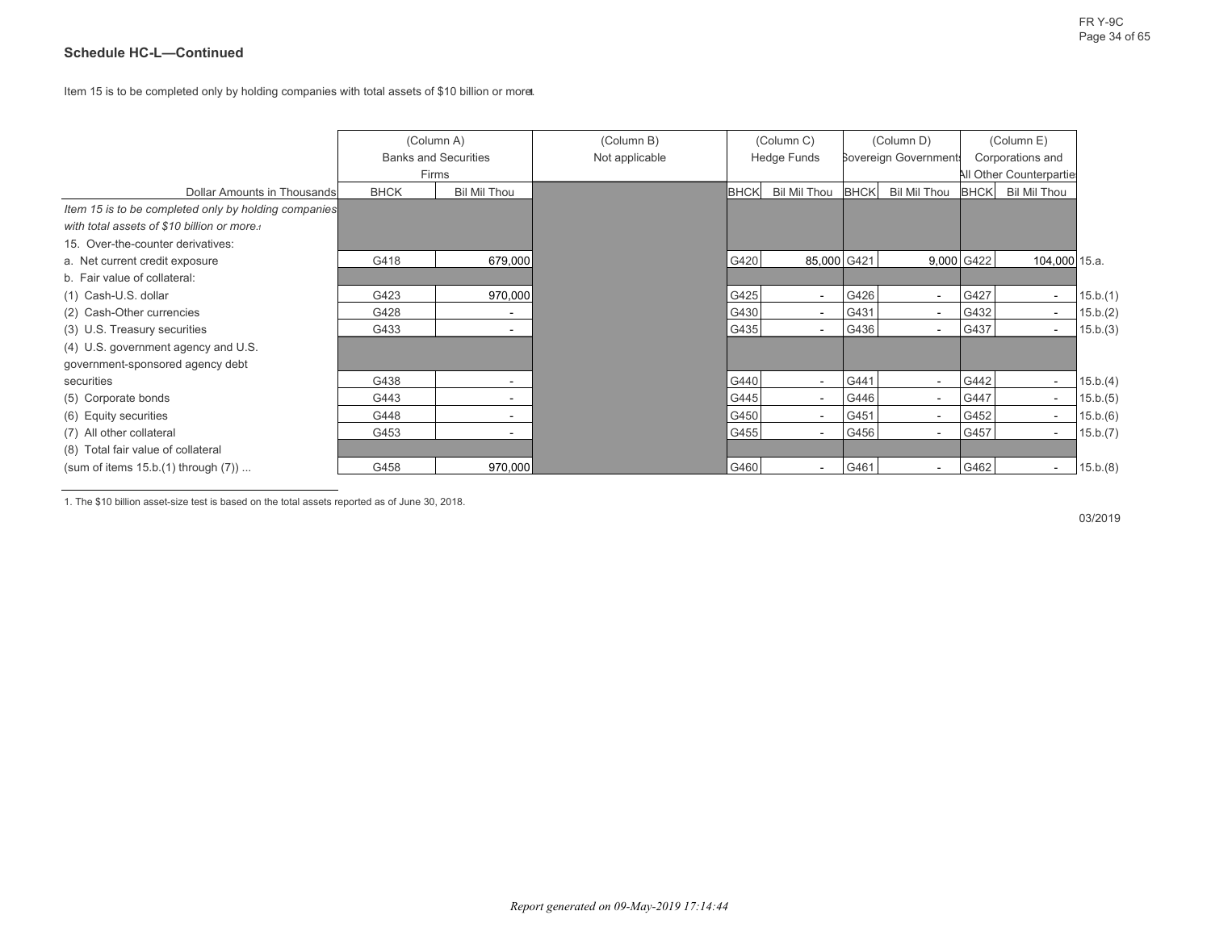Item 15 is to be completed only by holding companies with total assets of \$10 billion or more. **1**

|                                                      | (Column A)                  |                     | (Column B)     |             | (Column C)               |             | (Column D)                  |             |                          | (Column E) |  |  |
|------------------------------------------------------|-----------------------------|---------------------|----------------|-------------|--------------------------|-------------|-----------------------------|-------------|--------------------------|------------|--|--|
|                                                      | <b>Banks and Securities</b> |                     | Not applicable |             | <b>Hedge Funds</b>       |             | <b>Sovereign Government</b> |             | Corporations and         |            |  |  |
|                                                      | Firms                       |                     |                |             |                          |             |                             |             | All Other Counterparties |            |  |  |
| Dollar Amounts in Thousands                          | <b>BHCK</b>                 | <b>Bil Mil Thou</b> |                | <b>BHCK</b> | Bil Mil Thou             | <b>BHCK</b> | Bil Mil Thou                | <b>BHCK</b> | Bil Mil Thou             |            |  |  |
| Item 15 is to be completed only by holding companies |                             |                     |                |             |                          |             |                             |             |                          |            |  |  |
| with total assets of \$10 billion or more.           |                             |                     |                |             |                          |             |                             |             |                          |            |  |  |
| 15. Over-the-counter derivatives:                    |                             |                     |                |             |                          |             |                             |             |                          |            |  |  |
| a. Net current credit exposure                       | G418                        | 679,000             |                | G420        | 85,000 G421              |             |                             | 9,000 G422  | 104,000 15.a.            |            |  |  |
| b. Fair value of collateral:                         |                             |                     |                |             |                          |             |                             |             |                          |            |  |  |
| (1) Cash-U.S. dollar                                 | G423                        | 970,000             |                | G425        | $\overline{\phantom{a}}$ | G426        | $\sim$                      | G427        | $\overline{\phantom{a}}$ | 15.b.(1)   |  |  |
| (2) Cash-Other currencies                            | G428                        | ۰                   |                | G430        |                          | G431        | $\overline{\phantom{a}}$    | G432        | $\overline{\phantom{a}}$ | 15.b.(2)   |  |  |
| (3) U.S. Treasury securities                         | G433                        |                     |                | G435        |                          | G436        | $\overline{\phantom{a}}$    | G437        | $\overline{\phantom{a}}$ | 15.b.(3)   |  |  |
| (4) U.S. government agency and U.S.                  |                             |                     |                |             |                          |             |                             |             |                          |            |  |  |
| government-sponsored agency debt                     |                             |                     |                |             |                          |             |                             |             |                          |            |  |  |
| securities                                           | G438                        |                     |                | G440        |                          | G441        | $\sim$                      | G442        | $\overline{\phantom{a}}$ | 15.b.(4)   |  |  |
| (5) Corporate bonds                                  | G443                        | ٠                   |                | G445        | $\sim$                   | G446        | $\sim$                      | G447        | $\sim$                   | 15.b.(5)   |  |  |
| (6) Equity securities                                | G448                        |                     |                | G450        | $\sim$                   | G451        | $\sim$                      | G452        | $\overline{\phantom{a}}$ | 15.b.(6)   |  |  |
| (7) All other collateral                             | G453                        | ۰                   |                | G455        | $\overline{\phantom{a}}$ | G456        | $\sim$                      | G457        | $\sim$                   | 15.b.(7)   |  |  |
| (8) Total fair value of collateral                   |                             |                     |                |             |                          |             |                             |             |                          |            |  |  |
| (sum of items $15.b.(1)$ through $(7)$ )             | G458                        | 970,000             |                | G460        |                          | G461        | $\blacksquare$              | G462        | $\sim$                   | 15.b.(8)   |  |  |

1. The \$10 billion asset-size test is based on the total assets reported as of June 30, 2018.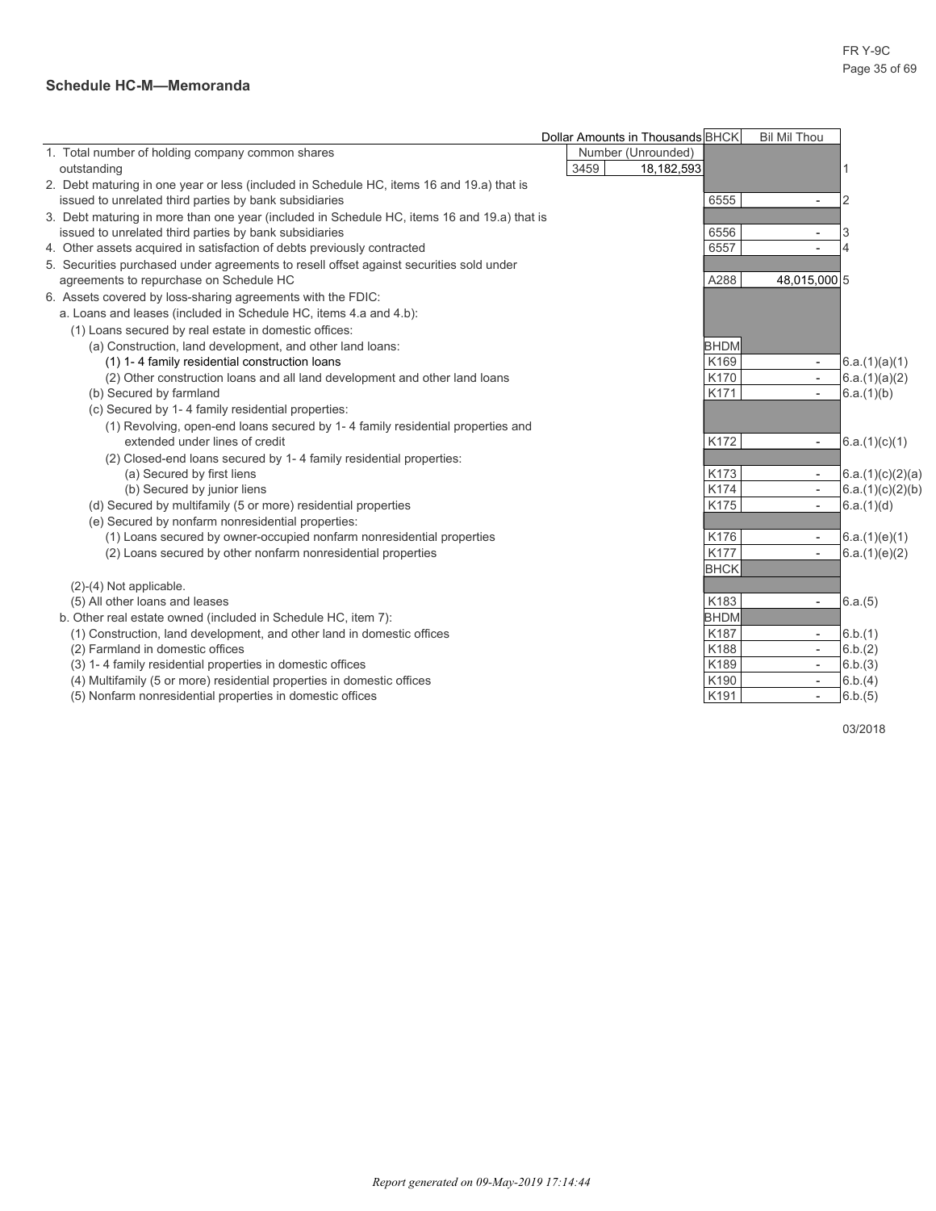#### **Schedule HC-M—Memoranda**

|                                                                                             | Dollar Amounts in Thousands BHCK<br><b>Bil Mil Thou</b> |
|---------------------------------------------------------------------------------------------|---------------------------------------------------------|
| 1. Total number of holding company common shares                                            | Number (Unrounded)                                      |
| outstanding                                                                                 | 3459<br>18,182,593                                      |
| 2. Debt maturing in one year or less (included in Schedule HC, items 16 and 19.a) that is   |                                                         |
| issued to unrelated third parties by bank subsidiaries                                      | 6555<br>2<br>$\overline{\phantom{a}}$                   |
| 3. Debt maturing in more than one year (included in Schedule HC, items 16 and 19.a) that is |                                                         |
| issued to unrelated third parties by bank subsidiaries                                      | 6556<br>3<br>$\overline{\phantom{a}}$                   |
| 4. Other assets acquired in satisfaction of debts previously contracted                     | 6557<br>4                                               |
| 5. Securities purchased under agreements to resell offset against securities sold under     |                                                         |
| agreements to repurchase on Schedule HC                                                     | A288<br>48,015,000 5                                    |
| 6. Assets covered by loss-sharing agreements with the FDIC:                                 |                                                         |
| a. Loans and leases (included in Schedule HC, items 4.a and 4.b):                           |                                                         |
| (1) Loans secured by real estate in domestic offices:                                       |                                                         |
| (a) Construction, land development, and other land loans:                                   | <b>BHDM</b>                                             |
| (1) 1-4 family residential construction loans                                               | K169<br>6.a.(1)(a)(1)<br>$\overline{\phantom{a}}$       |
| (2) Other construction loans and all land development and other land loans                  | K170<br>6.a.(1)(a)(2)                                   |
| (b) Secured by farmland                                                                     | K171<br>6.a.(1)(b)<br>$\overline{\phantom{a}}$          |
| (c) Secured by 1-4 family residential properties:                                           |                                                         |
| (1) Revolving, open-end loans secured by 1-4 family residential properties and              |                                                         |
| extended under lines of credit                                                              | K172<br>6.a.(1)(c)(1)<br>$\qquad \qquad \blacksquare$   |
| (2) Closed-end loans secured by 1-4 family residential properties:                          |                                                         |
| (a) Secured by first liens                                                                  | K173<br>6.a.(1)(c)(2)(a)                                |
| (b) Secured by junior liens                                                                 | K174<br>6.a.(1)(c)(2)(b)<br>$\sim$                      |
| (d) Secured by multifamily (5 or more) residential properties                               | K175<br>6.a.(1)(d)<br>$\overline{\phantom{0}}$          |
| (e) Secured by nonfarm nonresidential properties:                                           |                                                         |
| (1) Loans secured by owner-occupied nonfarm nonresidential properties                       | K176<br>6.a.(1)(e)(1)<br>$\overline{\phantom{a}}$       |
| (2) Loans secured by other nonfarm nonresidential properties                                | K177<br>6.a.(1)(e)(2)                                   |
|                                                                                             | <b>BHCK</b>                                             |
| (2)-(4) Not applicable.                                                                     |                                                         |
| (5) All other loans and leases                                                              | K183<br>6.a.(5)<br>$\overline{\phantom{a}}$             |
| b. Other real estate owned (included in Schedule HC, item 7):                               | <b>BHDM</b>                                             |
| (1) Construction, land development, and other land in domestic offices                      | K187<br>6.b.(1)<br>$\overline{\phantom{a}}$             |
| (2) Farmland in domestic offices                                                            | K188<br>6.b.(2)<br>$ \,$                                |
| (3) 1-4 family residential properties in domestic offices                                   | K189<br>6.b.(3)<br>$\sim$                               |
| (4) Multifamily (5 or more) residential properties in domestic offices                      | K190<br>6.b.(4)<br>$\sim$                               |
| (5) Nonfarm nonresidential properties in domestic offices                                   | K191<br>6.b.(5)<br>$\overline{\phantom{0}}$             |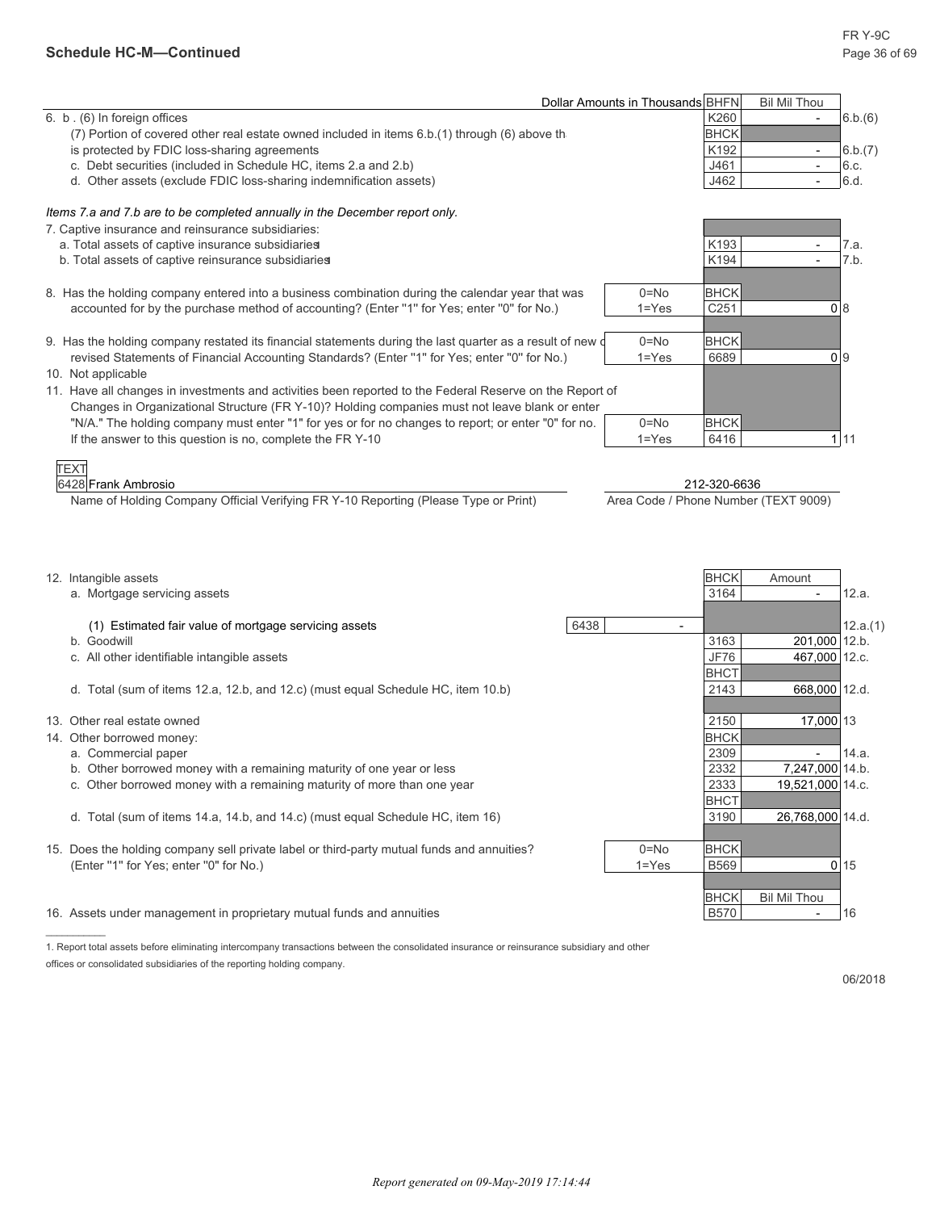l,

|                                                                                                            | Dollar Amounts in Thousands BHFN |           |                  | <b>Bil Mil Thou</b>      |                |
|------------------------------------------------------------------------------------------------------------|----------------------------------|-----------|------------------|--------------------------|----------------|
| 6. b. (6) In foreign offices                                                                               |                                  |           | K260             | $\overline{\phantom{a}}$ | 6.b.(6)        |
| (7) Portion of covered other real estate owned included in items 6.b.(1) through (6) above the             |                                  |           | <b>BHCK</b>      |                          |                |
| is protected by FDIC loss-sharing agreements                                                               |                                  |           | K192             | $\overline{\phantom{a}}$ | 6.b.(7)        |
| c. Debt securities (included in Schedule HC, items 2.a and 2.b)                                            |                                  |           | J461             |                          | 6.c.           |
| d. Other assets (exclude FDIC loss-sharing indemnification assets)                                         |                                  |           | J462             |                          | 6.d.           |
| Items 7.a and 7.b are to be completed annually in the December report only.                                |                                  |           |                  |                          |                |
| 7. Captive insurance and reinsurance subsidiaries:                                                         |                                  |           |                  |                          |                |
| a. Total assets of captive insurance subsidiaries                                                          |                                  |           | K193             |                          | 7.a.           |
| b. Total assets of captive reinsurance subsidiaries                                                        |                                  |           | K194             |                          | 7.b.           |
| 8. Has the holding company entered into a business combination during the calendar year that was           |                                  | $0 = No$  | <b>BHCK</b>      |                          |                |
| accounted for by the purchase method of accounting? (Enter "1" for Yes; enter "0" for No.)                 |                                  | $1 = Yes$ | C <sub>251</sub> |                          | 08             |
| 9. Has the holding company restated its financial statements during the last quarter as a result of new of |                                  | $0 = No$  | <b>BHCK</b>      |                          |                |
| revised Statements of Financial Accounting Standards? (Enter "1" for Yes; enter "0" for No.)               |                                  | $1 = Yes$ | 6689             |                          | 0 <sup>9</sup> |
| 10. Not applicable                                                                                         |                                  |           |                  |                          |                |
| 11. Have all changes in investments and activities been reported to the Federal Reserve on the Report of   |                                  |           |                  |                          |                |
| Changes in Organizational Structure (FR Y-10)? Holding companies must not leave blank or enter             |                                  |           |                  |                          |                |
| "N/A." The holding company must enter "1" for yes or for no changes to report; or enter "0" for no.        |                                  | $0 = No$  | <b>BHCK</b>      |                          |                |
| If the answer to this question is no, complete the FR Y-10                                                 |                                  | $1 = Yes$ | 6416             |                          | 1111           |

6428 Frank Ambrosio 212-320-6636 Name of Holding Company Official Verifying FR Y-10 Reporting (Please Type or Print) Area Code / Phone Number (TEXT 9009)

|     | 12. Intangible assets<br>a. Mortgage servicing assets                                      |      |           | <b>BHCK</b><br>3164 | Amount                   | 12.a.           |
|-----|--------------------------------------------------------------------------------------------|------|-----------|---------------------|--------------------------|-----------------|
|     | (1) Estimated fair value of mortgage servicing assets                                      | 6438 |           |                     |                          | 12.a.(1)        |
|     | b. Goodwill                                                                                |      |           | 3163                | 201,000 12.b.            |                 |
|     | c. All other identifiable intangible assets                                                |      |           | <b>JF76</b>         | 467,000 12.c.            |                 |
|     |                                                                                            |      |           | <b>BHCT</b>         |                          |                 |
|     | d. Total (sum of items 12.a, 12.b, and 12.c) (must equal Schedule HC, item 10.b)           |      |           | 2143                | 668,000 12.d.            |                 |
|     |                                                                                            |      |           |                     |                          |                 |
| 13. | Other real estate owned                                                                    |      |           | 2150                | 17,000 13                |                 |
|     | 14. Other borrowed money:                                                                  |      |           | <b>BHCK</b>         |                          |                 |
|     | a. Commercial paper                                                                        |      |           | 2309                |                          | 14.a.           |
|     | b. Other borrowed money with a remaining maturity of one year or less                      |      |           | 2332                | 7,247,000 14.b.          |                 |
|     | Other borrowed money with a remaining maturity of more than one year                       |      |           | 2333                | 19,521,000 14.c.         |                 |
|     |                                                                                            |      |           | <b>BHCT</b>         |                          |                 |
|     | d. Total (sum of items 14 a, 14 b, and 14 c) (must equal Schedule HC, item 16)             |      |           | 3190                | 26,768,000 14.d.         |                 |
|     |                                                                                            |      |           |                     |                          |                 |
|     | 15. Does the holding company sell private label or third-party mutual funds and annuities? |      | $0 = No$  | <b>BHCK</b>         |                          |                 |
|     | (Enter "1" for Yes; enter "0" for No.)                                                     |      | $1 = Yes$ | <b>B569</b>         |                          | 0 <sup>15</sup> |
|     |                                                                                            |      |           |                     |                          |                 |
|     |                                                                                            |      |           | <b>BHCK</b>         | <b>Bil Mil Thou</b>      |                 |
|     | 16. Assets under management in proprietary mutual funds and annuities                      |      |           | <b>B570</b>         | $\overline{\phantom{a}}$ | 16              |
|     |                                                                                            |      |           |                     |                          |                 |

1. Report total assets before eliminating intercompany transactions between the consolidated insurance or reinsurance subsidiary and other offices or consolidated subsidiaries of the reporting holding company.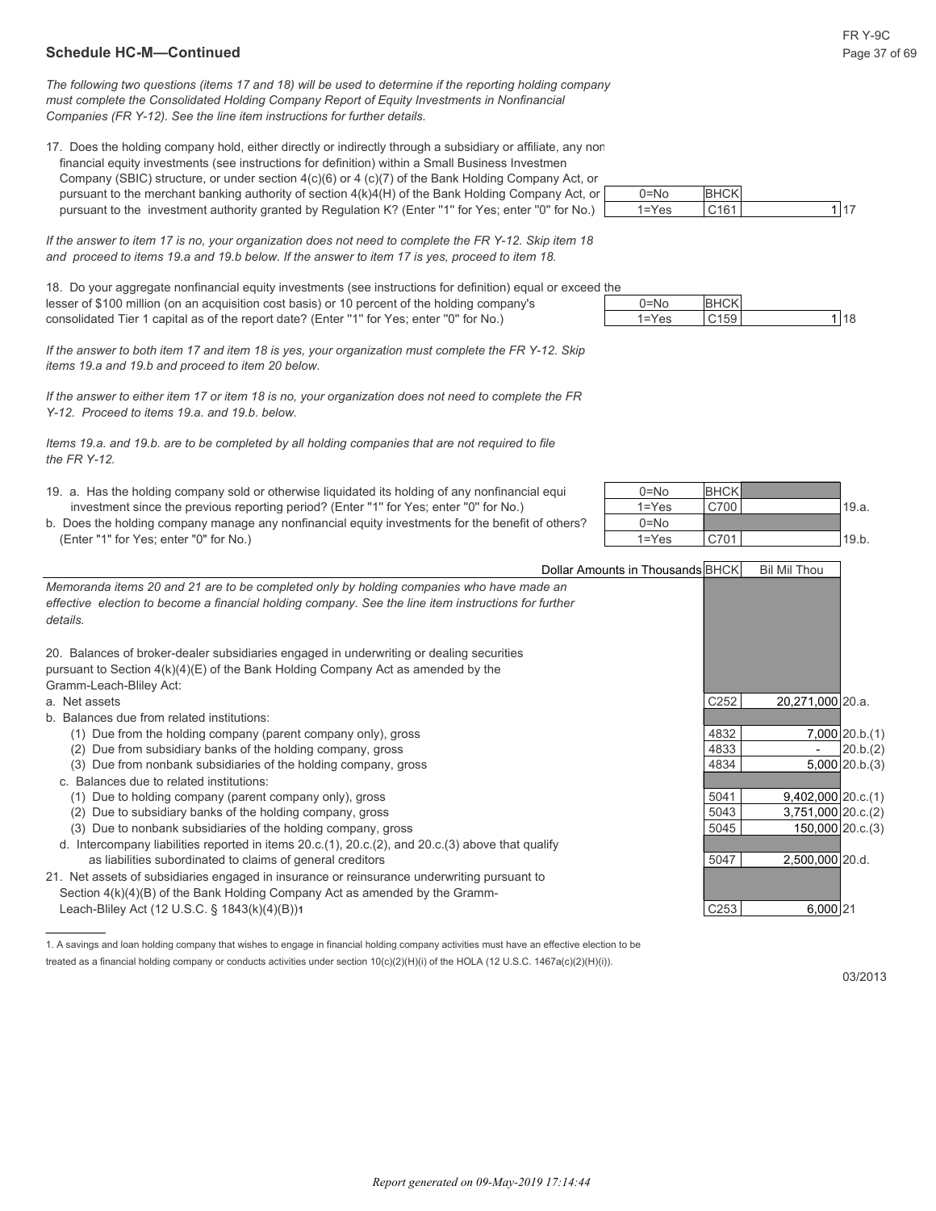#### **Schedule HC-M—Continued** Page 37 of 69

*The following two questions (items 17 and 18) will be used to determine if the reporting holding company must complete the Consolidated Holding Company Report of Equity Investments in Nonfinancial Companies (FR Y-12). See the line item instructions for further details.*

17. Does the holding company hold, either directly or indirectly through a subsidiary or affiliate, any nor financial equity investments (see instructions for definition) within a Small Business Investmen Company (SBIC) structure, or under section  $4(c)(6)$  or  $4(c)(7)$  of the Bank Holding Company Act, or pursuant to the merchant banking authority of section  $4(k)4(H)$  of the Bank Holding Company Act, or pursuant to the investment authority granted by Regulation K? (Enter "1" for Yes; enter "0" for No.

*If the answer to item 17 is no, your organization does not need to complete the FR Y-12. Skip item 18 and proceed to items 19.a and 19.b below. If the answer to item 17 is yes, proceed to item 18.*

| 18. Do your aggregate nonfinancial equity investments (see instructions for definition) equal or exceed the |           |             |  |
|-------------------------------------------------------------------------------------------------------------|-----------|-------------|--|
| lesser of \$100 million (on an acquisition cost basis) or 10 percent of the holding company's               | 0=No      | <b>BHCK</b> |  |
| consolidated Tier 1 capital as of the report date? (Enter "1" for Yes; enter "0" for No.)                   | $1 = Yes$ | C159        |  |

*If the answer to both item 17 and item 18 is yes, your organization must complete the FR Y-12. Skip items 19.a and 19.b and proceed to item 20 below.*

*If the answer to either item 17 or item 18 is no, your organization does not need to complete the FR Y-12. Proceed to items 19.a. and 19.b. below.*

*Items 19.a. and 19.b. are to be completed by all holding companies that are not required to file the FR Y-12.*

- 19. a. Has the holding company sold or otherwise liquidated its holding of any nonfinancial equimple of the No BHCK investment since the previous reporting period? (Enter "1" for Yes; enter "0" for No.)
- b. Does the holding company manage any nonfinancial equity investments for the benefit of others? (Enter "1" for Yes; enter "0" for No.)

| U-INU     | DHUNI |       |
|-----------|-------|-------|
| $1 = Yes$ | C700  | 19.a. |
| $0 = No$  |       |       |
| $1 = Yes$ | C701  | 19.b. |

Dollar Amounts in Thousands BHCK Bil Mil Thou

| эr | $0 = No$  | <b>BHCK</b> |  |
|----|-----------|-------------|--|
|    | $1 = V0c$ | C161        |  |

| or                | U=NO      | <b>BHCK</b>      |  |
|-------------------|-----------|------------------|--|
| . 1               | $1 = Yes$ | C <sub>161</sub> |  |
|                   |           |                  |  |
| <b>CONTRACTOR</b> |           |                  |  |

| <b>U-11</b> | י ישויש          |    |
|-------------|------------------|----|
| $1 = Yes$   | C <sub>159</sub> | 18 |
|             |                  |    |
|             |                  |    |
|             |                  |    |

| Memoranda items 20 and 21 are to be completed only by holding companies who have made an<br>effective election to become a financial holding company. See the line item instructions for further |                  |                        |          |
|--------------------------------------------------------------------------------------------------------------------------------------------------------------------------------------------------|------------------|------------------------|----------|
| details.                                                                                                                                                                                         |                  |                        |          |
| 20. Balances of broker-dealer subsidiaries engaged in underwriting or dealing securities                                                                                                         |                  |                        |          |
| pursuant to Section $4(k)(4)(E)$ of the Bank Holding Company Act as amended by the                                                                                                               |                  |                        |          |
| Gramm-Leach-Bliley Act:                                                                                                                                                                          |                  |                        |          |
| a. Net assets                                                                                                                                                                                    | C <sub>252</sub> | 20,271,000 20.a.       |          |
| b. Balances due from related institutions:                                                                                                                                                       |                  |                        |          |
| (1) Due from the holding company (parent company only), gross                                                                                                                                    | 4832             | $7,000$ 20.b.(1)       |          |
| (2) Due from subsidiary banks of the holding company, gross                                                                                                                                      | 4833             |                        | 20.b.(2) |
| Due from nonbank subsidiaries of the holding company, gross<br>(3)                                                                                                                               | 4834             | $5,000$  20.b.(3)      |          |
| c. Balances due to related institutions:                                                                                                                                                         |                  |                        |          |
| (1) Due to holding company (parent company only), gross                                                                                                                                          | 5041             | $9,402,000$ $20.c.(1)$ |          |
| (2) Due to subsidiary banks of the holding company, gross                                                                                                                                        | 5043             | 3,751,000 20.c.(2)     |          |
| (3) Due to nonbank subsidiaries of the holding company, gross                                                                                                                                    | 5045             | 150,000 20.c.(3)       |          |
| d. Intercompany liabilities reported in items $20 \text{ c}$ . (1), $20 \text{ c}$ . (2), and $20 \text{ c}$ . (3) above that qualify                                                            |                  |                        |          |
| as liabilities subordinated to claims of general creditors                                                                                                                                       | 5047             | 2,500,000 20.d.        |          |
| 21. Net assets of subsidiaries engaged in insurance or reinsurance underwriting pursuant to                                                                                                      |                  |                        |          |
| Section $4(k)(4)(B)$ of the Bank Holding Company Act as amended by the Gramm-                                                                                                                    |                  |                        |          |
| Leach-Bliley Act (12 U.S.C. § 1843(k)(4)(B))1                                                                                                                                                    | C <sub>253</sub> | 6,000 21               |          |
|                                                                                                                                                                                                  |                  |                        |          |

1. A savings and loan holding company that wishes to engage in financial holding company activities must have an effective election to be treated as a financial holding company or conducts activities under section 10(c)(2)(H)(i) of the HOLA (12 U.S.C. 1467a(c)(2)(H)(i)).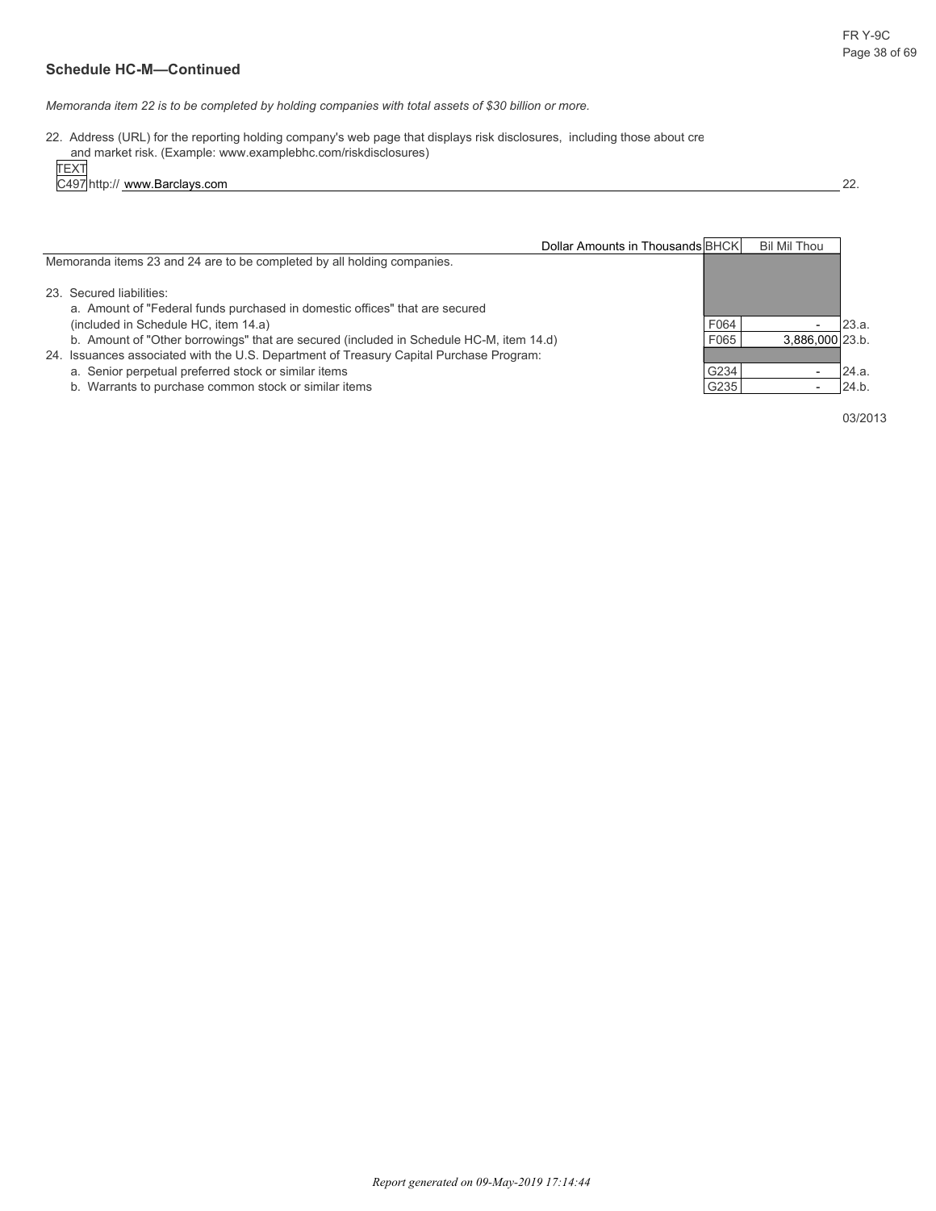*Memoranda item 22 is to be completed by holding companies with total assets of \$30 billion or more.*

22. Address (URL) for the reporting holding company's web page that displays risk disclosures, including those about cre and market risk. (Example: www.examplebhc.com/riskdisclosures)

TEXT

C497 http:// www.Barclays.com 22.

| Dollar Amounts in Thousands BHCK                                                                                                                                                   |      | <b>Bil Mil Thou</b> |       |
|------------------------------------------------------------------------------------------------------------------------------------------------------------------------------------|------|---------------------|-------|
| Memoranda items 23 and 24 are to be completed by all holding companies.                                                                                                            |      |                     |       |
| 23. Secured liabilities:<br>a. Amount of "Federal funds purchased in domestic offices" that are secured                                                                            |      |                     |       |
| (included in Schedule HC, item 14.a)                                                                                                                                               | F064 |                     | 23.a. |
| b. Amount of "Other borrowings" that are secured (included in Schedule HC-M, item 14.d)<br>24. Issuances associated with the U.S. Department of Treasury Capital Purchase Program: | F065 | 3.886.000 23.b.     |       |
| a. Senior perpetual preferred stock or similar items                                                                                                                               | G234 |                     | 24.a. |
| b. Warrants to purchase common stock or similar items                                                                                                                              | G235 |                     | 24.b. |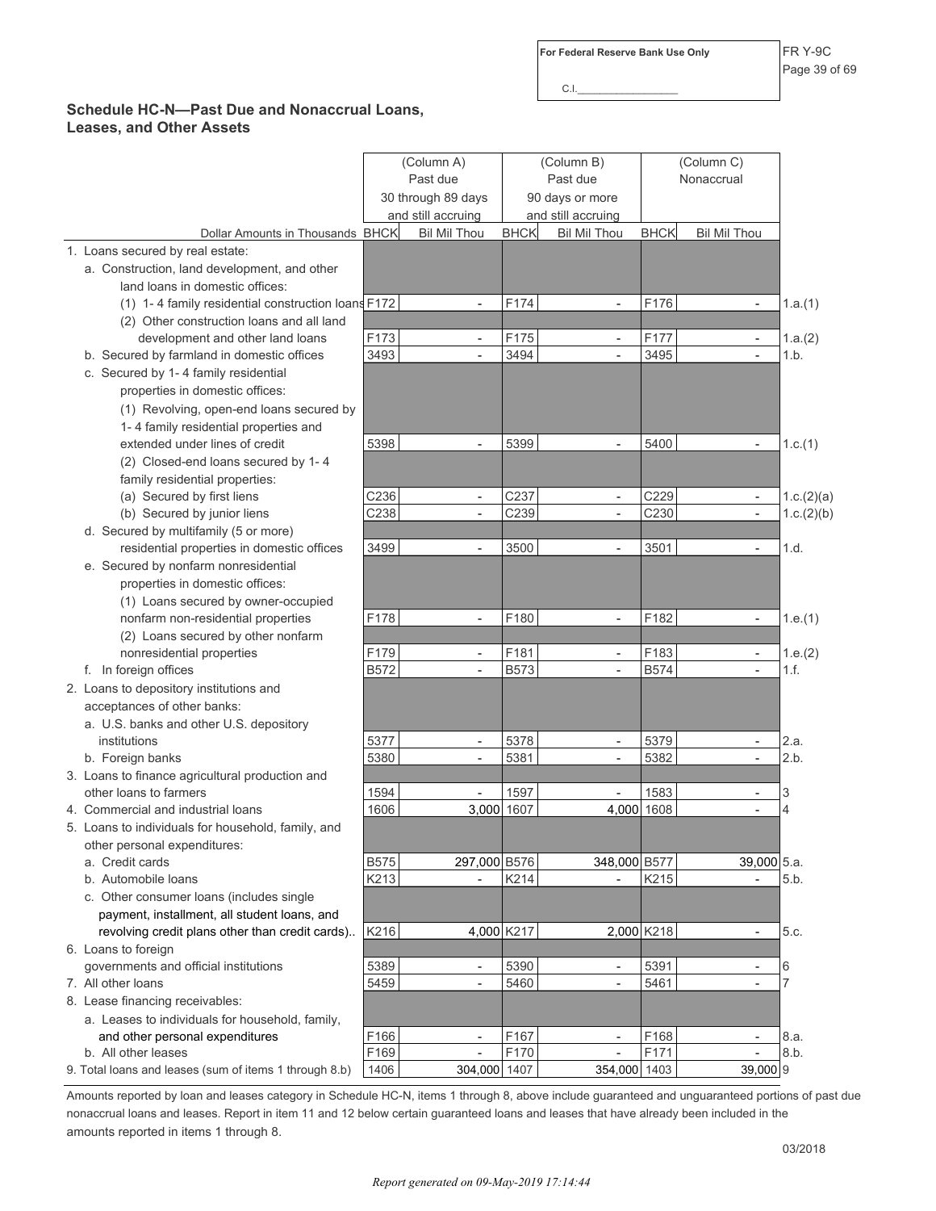C.I.\_\_\_\_\_\_\_\_\_\_\_\_\_\_\_\_\_\_

### **Schedule HC-N—Past Due and Nonaccrual Loans, Leases, and Other Assets**

|                                                        | (Column A)<br>Past due<br>30 through 89 days<br>and still accruing |                          | (Column B)<br>Past due<br>90 days or more<br>and still accruing |                          | (Column C)<br>Nonaccrual |                          |                |
|--------------------------------------------------------|--------------------------------------------------------------------|--------------------------|-----------------------------------------------------------------|--------------------------|--------------------------|--------------------------|----------------|
| Dollar Amounts in Thousands BHCK                       |                                                                    | <b>Bil Mil Thou</b>      | <b>BHCK</b>                                                     | <b>Bil Mil Thou</b>      | <b>BHCK</b>              | <b>Bil Mil Thou</b>      |                |
| 1. Loans secured by real estate:                       |                                                                    |                          |                                                                 |                          |                          |                          |                |
| a. Construction, land development, and other           |                                                                    |                          |                                                                 |                          |                          |                          |                |
| land loans in domestic offices:                        |                                                                    |                          |                                                                 |                          |                          |                          |                |
| (1) 1-4 family residential construction loans F172     |                                                                    | $\overline{a}$           | F174                                                            | $\blacksquare$           | F176                     | $\frac{1}{2}$            | 1.a.(1)        |
| (2) Other construction loans and all land              |                                                                    |                          |                                                                 |                          |                          |                          |                |
| development and other land loans                       | F173                                                               | $\overline{\phantom{a}}$ | F175                                                            | $\overline{\phantom{a}}$ | F177                     | $\overline{\phantom{a}}$ | 1.a.(2)        |
| b. Secured by farmland in domestic offices             | 3493                                                               | $\overline{a}$           | 3494                                                            | $\overline{\phantom{a}}$ | 3495                     | $\overline{a}$           | 1.b.           |
| c. Secured by 1-4 family residential                   |                                                                    |                          |                                                                 |                          |                          |                          |                |
| properties in domestic offices:                        |                                                                    |                          |                                                                 |                          |                          |                          |                |
| (1) Revolving, open-end loans secured by               |                                                                    |                          |                                                                 |                          |                          |                          |                |
| 1-4 family residential properties and                  |                                                                    |                          |                                                                 |                          |                          |                          |                |
| extended under lines of credit                         | 5398                                                               |                          | 5399                                                            |                          | 5400                     |                          | 1.c.(1)        |
| (2) Closed-end loans secured by 1-4                    |                                                                    |                          |                                                                 |                          |                          |                          |                |
| family residential properties:                         |                                                                    |                          |                                                                 |                          |                          |                          |                |
| (a) Secured by first liens                             | C236                                                               | $\blacksquare$           | C237                                                            | $\blacksquare$           | C229                     | $\overline{\phantom{a}}$ | 1.c.(2)(a)     |
| (b) Secured by junior liens                            | C238                                                               | $\overline{\phantom{a}}$ | C239                                                            | $\overline{\phantom{a}}$ | C230                     | $\overline{\phantom{0}}$ | 1.c.(2)(b)     |
| d. Secured by multifamily (5 or more)                  |                                                                    |                          |                                                                 |                          |                          |                          |                |
| residential properties in domestic offices             | 3499                                                               | $\overline{a}$           | 3500                                                            | $\blacksquare$           | 3501                     | $\overline{a}$           | 1.d.           |
| e. Secured by nonfarm nonresidential                   |                                                                    |                          |                                                                 |                          |                          |                          |                |
| properties in domestic offices:                        |                                                                    |                          |                                                                 |                          |                          |                          |                |
| (1) Loans secured by owner-occupied                    |                                                                    |                          |                                                                 |                          |                          |                          |                |
| nonfarm non-residential properties                     | F178                                                               |                          | F180                                                            |                          | F182                     | $\overline{a}$           | 1.e.(1)        |
| (2) Loans secured by other nonfarm                     |                                                                    |                          |                                                                 |                          |                          |                          |                |
| nonresidential properties                              | F179                                                               | $\overline{\phantom{a}}$ | F181                                                            | $\blacksquare$           | F183                     | $\overline{\phantom{0}}$ | 1.e.(2)        |
| f. In foreign offices                                  | <b>B572</b>                                                        | $\overline{\phantom{a}}$ | <b>B573</b>                                                     | $\mathbf{r}$             | <b>B574</b>              | $\overline{\phantom{0}}$ | 1.f.           |
| 2. Loans to depository institutions and                |                                                                    |                          |                                                                 |                          |                          |                          |                |
| acceptances of other banks:                            |                                                                    |                          |                                                                 |                          |                          |                          |                |
| a. U.S. banks and other U.S. depository                |                                                                    |                          |                                                                 |                          |                          |                          |                |
| institutions                                           | 5377                                                               | $\overline{\phantom{a}}$ | 5378                                                            | $\overline{\phantom{a}}$ | 5379                     | $\overline{\phantom{0}}$ | 2.a.           |
| b. Foreign banks                                       | 5380                                                               |                          | 5381                                                            |                          | 5382                     |                          | 2.b.           |
| 3. Loans to finance agricultural production and        |                                                                    |                          |                                                                 |                          |                          |                          |                |
| other loans to farmers                                 | 1594                                                               |                          | 1597                                                            |                          | 1583                     | $\overline{\phantom{0}}$ | 3              |
| 4. Commercial and industrial loans                     | 1606                                                               | 3,000 1607               |                                                                 | 4,000 1608               |                          |                          | $\overline{4}$ |
| 5. Loans to individuals for household, family, and     |                                                                    |                          |                                                                 |                          |                          |                          |                |
| other personal expenditures:                           |                                                                    |                          |                                                                 |                          |                          |                          |                |
| a. Credit cards                                        | <b>B575</b>                                                        | 297,000 B576             |                                                                 | 348,000 B577             |                          | 39,000 5.a.              |                |
| b. Automobile loans                                    | K213                                                               | $\overline{a}$           | K214                                                            |                          | K215                     |                          | 5.b.           |
| c. Other consumer loans (includes single               |                                                                    |                          |                                                                 |                          |                          |                          |                |
| payment, installment, all student loans, and           |                                                                    |                          |                                                                 |                          |                          |                          |                |
| revolving credit plans other than credit cards)        | K216                                                               | 4,000 K217               |                                                                 | 2,000 K218               |                          | $\overline{\phantom{0}}$ | 5.c.           |
| 6. Loans to foreign                                    |                                                                    |                          |                                                                 |                          |                          |                          |                |
| governments and official institutions                  | 5389                                                               | $\overline{\phantom{a}}$ | 5390                                                            |                          | 5391                     | $\overline{\phantom{0}}$ | 6              |
| 7. All other loans                                     | 5459                                                               | $\overline{\phantom{a}}$ | 5460                                                            | $\blacksquare$           | 5461                     |                          | $\overline{7}$ |
| 8. Lease financing receivables:                        |                                                                    |                          |                                                                 |                          |                          |                          |                |
| a. Leases to individuals for household, family,        |                                                                    |                          |                                                                 |                          |                          |                          |                |
| and other personal expenditures                        | F166                                                               | $\overline{\phantom{a}}$ | F167                                                            | $\overline{\phantom{a}}$ | F168                     | $\overline{\phantom{0}}$ | 8.a.           |
| b. All other leases                                    | F169                                                               |                          | F170                                                            |                          | F171                     |                          | 8.b.           |
| 9. Total loans and leases (sum of items 1 through 8.b) | 1406                                                               | 304,000 1407             |                                                                 | 354,000 1403             |                          | 39,000 9                 |                |

Amounts reported by loan and leases category in Schedule HC-N, items 1 through 8, above include guaranteed and unguaranteed portions of past due nonaccrual loans and leases. Report in item 11 and 12 below certain guaranteed loans and leases that have already been included in the amounts reported in items 1 through 8.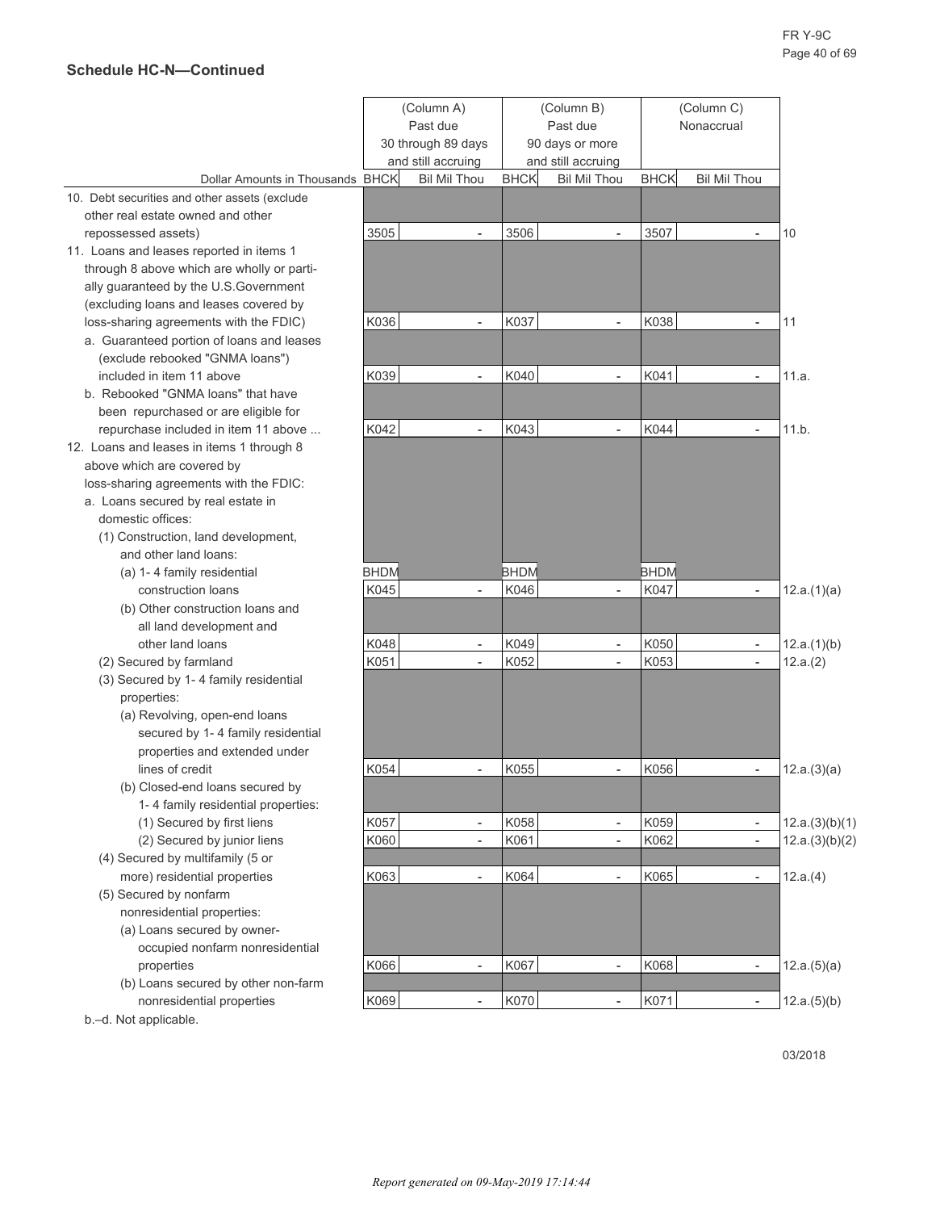|                                               | (Column A)         |                          | (Column B)  |                          | (Column C)  |                          |                |
|-----------------------------------------------|--------------------|--------------------------|-------------|--------------------------|-------------|--------------------------|----------------|
|                                               | Past due           |                          | Past due    |                          | Nonaccrual  |                          |                |
|                                               | 30 through 89 days |                          |             | 90 days or more          |             |                          |                |
|                                               |                    | and still accruing       |             | and still accruing       |             |                          |                |
| Dollar Amounts in Thousands BHCK              |                    | <b>Bil Mil Thou</b>      | <b>BHCK</b> | <b>Bil Mil Thou</b>      | <b>BHCK</b> | <b>Bil Mil Thou</b>      |                |
| 10. Debt securities and other assets (exclude |                    |                          |             |                          |             |                          |                |
| other real estate owned and other             |                    |                          |             |                          |             |                          |                |
| repossessed assets)                           | 3505               | $\overline{\phantom{a}}$ | 3506        |                          | 3507        |                          | 10             |
| 11. Loans and leases reported in items 1      |                    |                          |             |                          |             |                          |                |
| through 8 above which are wholly or parti-    |                    |                          |             |                          |             |                          |                |
| ally guaranteed by the U.S.Government         |                    |                          |             |                          |             |                          |                |
| (excluding loans and leases covered by        |                    |                          |             |                          |             |                          |                |
| loss-sharing agreements with the FDIC)        | K036               | $\overline{\phantom{a}}$ | K037        | $\overline{\phantom{a}}$ | K038        | $\overline{\phantom{a}}$ | 11             |
| a. Guaranteed portion of loans and leases     |                    |                          |             |                          |             |                          |                |
| (exclude rebooked "GNMA loans")               |                    |                          |             |                          |             |                          |                |
| included in item 11 above                     | K039               | $\overline{\phantom{a}}$ | K040        | $\overline{\phantom{a}}$ | K041        | $\overline{\phantom{a}}$ | 11.a.          |
| b. Rebooked "GNMA loans" that have            |                    |                          |             |                          |             |                          |                |
| been repurchased or are eligible for          |                    |                          |             |                          |             |                          |                |
| repurchase included in item 11 above          | K042               | $\overline{\phantom{a}}$ | K043        | $\overline{a}$           | K044        | $\overline{a}$           | 11.b.          |
| 12. Loans and leases in items 1 through 8     |                    |                          |             |                          |             |                          |                |
| above which are covered by                    |                    |                          |             |                          |             |                          |                |
| loss-sharing agreements with the FDIC:        |                    |                          |             |                          |             |                          |                |
| a. Loans secured by real estate in            |                    |                          |             |                          |             |                          |                |
| domestic offices:                             |                    |                          |             |                          |             |                          |                |
| (1) Construction, land development,           |                    |                          |             |                          |             |                          |                |
| and other land loans:                         |                    |                          |             |                          |             |                          |                |
| (a) 1-4 family residential                    | <b>BHDM</b>        |                          | <b>BHDM</b> |                          | <b>BHDM</b> |                          |                |
| construction loans                            | K045               |                          | K046        |                          | K047        | $\overline{\phantom{a}}$ | 12.a.(1)(a)    |
| (b) Other construction loans and              |                    |                          |             |                          |             |                          |                |
| all land development and                      |                    |                          |             |                          |             |                          |                |
| other land loans                              | K048               | $\blacksquare$           | K049        | $\overline{\phantom{a}}$ | K050        | $\blacksquare$           | 12.a.(1)(b)    |
| (2) Secured by farmland                       | K051               | $\overline{\phantom{a}}$ | K052        | $\overline{a}$           | K053        | $\overline{\phantom{a}}$ | 12.a.(2)       |
| (3) Secured by 1-4 family residential         |                    |                          |             |                          |             |                          |                |
| properties:                                   |                    |                          |             |                          |             |                          |                |
| (a) Revolving, open-end loans                 |                    |                          |             |                          |             |                          |                |
| secured by 1-4 family residential             |                    |                          |             |                          |             |                          |                |
| properties and extended under                 |                    |                          |             |                          |             |                          |                |
| lines of credit                               | K054               |                          | K055        |                          | K056        | $\overline{a}$           | 12.a.(3)(a)    |
| (b) Closed-end loans secured by               |                    |                          |             |                          |             |                          |                |
| 1-4 family residential properties:            |                    |                          |             |                          |             |                          |                |
| (1) Secured by first liens                    | K057               | $\blacksquare$           | K058        | $\overline{\phantom{a}}$ | K059        | $\blacksquare$           | 12.a.(3)(b)(1) |
| (2) Secured by junior liens                   | K060               | $\overline{\phantom{a}}$ | K061        | $\overline{a}$           | K062        | $\overline{\phantom{a}}$ | 12.a.(3)(b)(2) |
| (4) Secured by multifamily (5 or              |                    |                          |             |                          |             |                          |                |
| more) residential properties                  | K063               | $\overline{\phantom{a}}$ | K064        | $\overline{a}$           | K065        | $\overline{\phantom{a}}$ | 12.a.(4)       |
| (5) Secured by nonfarm                        |                    |                          |             |                          |             |                          |                |
| nonresidential properties:                    |                    |                          |             |                          |             |                          |                |
| (a) Loans secured by owner-                   |                    |                          |             |                          |             |                          |                |
| occupied nonfarm nonresidential               |                    |                          |             |                          |             |                          |                |
| properties                                    | K066               | $\Box$                   | K067        | $\overline{a}$           | K068        | $\overline{\phantom{a}}$ | 12.a.(5)(a)    |
| (b) Loans secured by other non-farm           |                    |                          |             |                          |             |                          |                |
| nonresidential properties                     | K069               |                          | K070        |                          | K071        | $\frac{1}{2}$            | 12.a.(5)(b)    |

b.–d. Not applicable.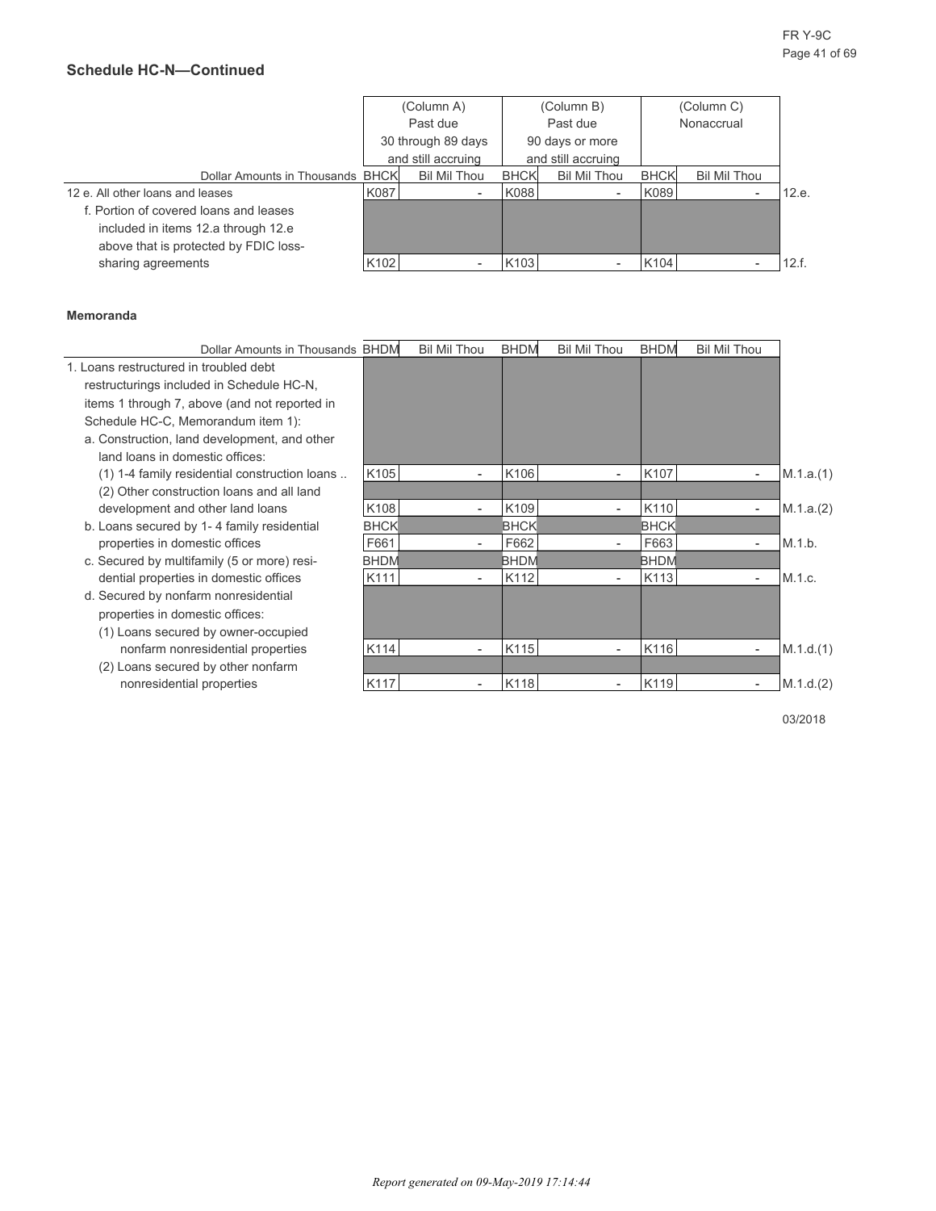|                                        |      | (Column A)          |             | (Column B)          |             | (Column C)   |       |
|----------------------------------------|------|---------------------|-------------|---------------------|-------------|--------------|-------|
|                                        |      | Past due            |             | Past due            |             | Nonaccrual   |       |
|                                        |      | 30 through 89 days  |             | 90 days or more     |             |              |       |
|                                        |      | and still accruing  |             | and still accruing  |             |              |       |
| Dollar Amounts in Thousands BHCK       |      | <b>Bil Mil Thou</b> | <b>BHCK</b> | <b>Bil Mil Thou</b> | <b>BHCK</b> | Bil Mil Thou |       |
| 12 e. All other loans and leases       | K087 |                     | K088        |                     | K089        |              | 12.e. |
| f. Portion of covered loans and leases |      |                     |             |                     |             |              |       |
| included in items 12.a through 12.e    |      |                     |             |                     |             |              |       |
| above that is protected by FDIC loss-  |      |                     |             |                     |             |              |       |
| sharing agreements                     | K102 |                     | K103        |                     | K104        |              | 12.f. |

#### **Memoranda**

| Dollar Amounts in Thousands BHDM              |             | <b>Bil Mil Thou</b>      | <b>BHDM</b> | <b>Bil Mil Thou</b>      | <b>BHDM</b> | <b>Bil Mil Thou</b>      |           |
|-----------------------------------------------|-------------|--------------------------|-------------|--------------------------|-------------|--------------------------|-----------|
| 1. Loans restructured in troubled debt        |             |                          |             |                          |             |                          |           |
| restructurings included in Schedule HC-N,     |             |                          |             |                          |             |                          |           |
| items 1 through 7, above (and not reported in |             |                          |             |                          |             |                          |           |
| Schedule HC-C, Memorandum item 1):            |             |                          |             |                          |             |                          |           |
| a. Construction, land development, and other  |             |                          |             |                          |             |                          |           |
| land loans in domestic offices:               |             |                          |             |                          |             |                          |           |
| (1) 1-4 family residential construction loans | K105        | $\overline{\phantom{a}}$ | K106        | $\overline{\phantom{0}}$ | K107        | $\overline{\phantom{a}}$ | M.1.a.(1) |
| (2) Other construction loans and all land     |             |                          |             |                          |             |                          |           |
| development and other land loans              | K108        |                          | K109        |                          | K110        | $\overline{\phantom{a}}$ | M.1.a.(2) |
| b. Loans secured by 1-4 family residential    | <b>BHCK</b> |                          | <b>BHCK</b> |                          | <b>BHCK</b> |                          |           |
| properties in domestic offices                | F661        |                          | F662        |                          | F663        | $\overline{\phantom{a}}$ | M.1.b.    |
| c. Secured by multifamily (5 or more) resi-   | <b>BHDM</b> |                          | <b>BHDM</b> |                          | <b>BHDM</b> |                          |           |
| dential properties in domestic offices        | K111        | $\overline{\phantom{a}}$ | K112        | $\overline{\phantom{a}}$ | K113        | $\overline{\phantom{a}}$ | M.1.c.    |
| d. Secured by nonfarm nonresidential          |             |                          |             |                          |             |                          |           |
| properties in domestic offices:               |             |                          |             |                          |             |                          |           |
| (1) Loans secured by owner-occupied           |             |                          |             |                          |             |                          |           |
| nonfarm nonresidential properties             | K114        |                          | K115        |                          | K116        | $\overline{\phantom{a}}$ | M.1.d.(1) |
| (2) Loans secured by other nonfarm            |             |                          |             |                          |             |                          |           |
| nonresidential properties                     | K117        | $\overline{\phantom{a}}$ | K118        | $\overline{\phantom{a}}$ | K119        | $\overline{\phantom{a}}$ | M.1.d.(2) |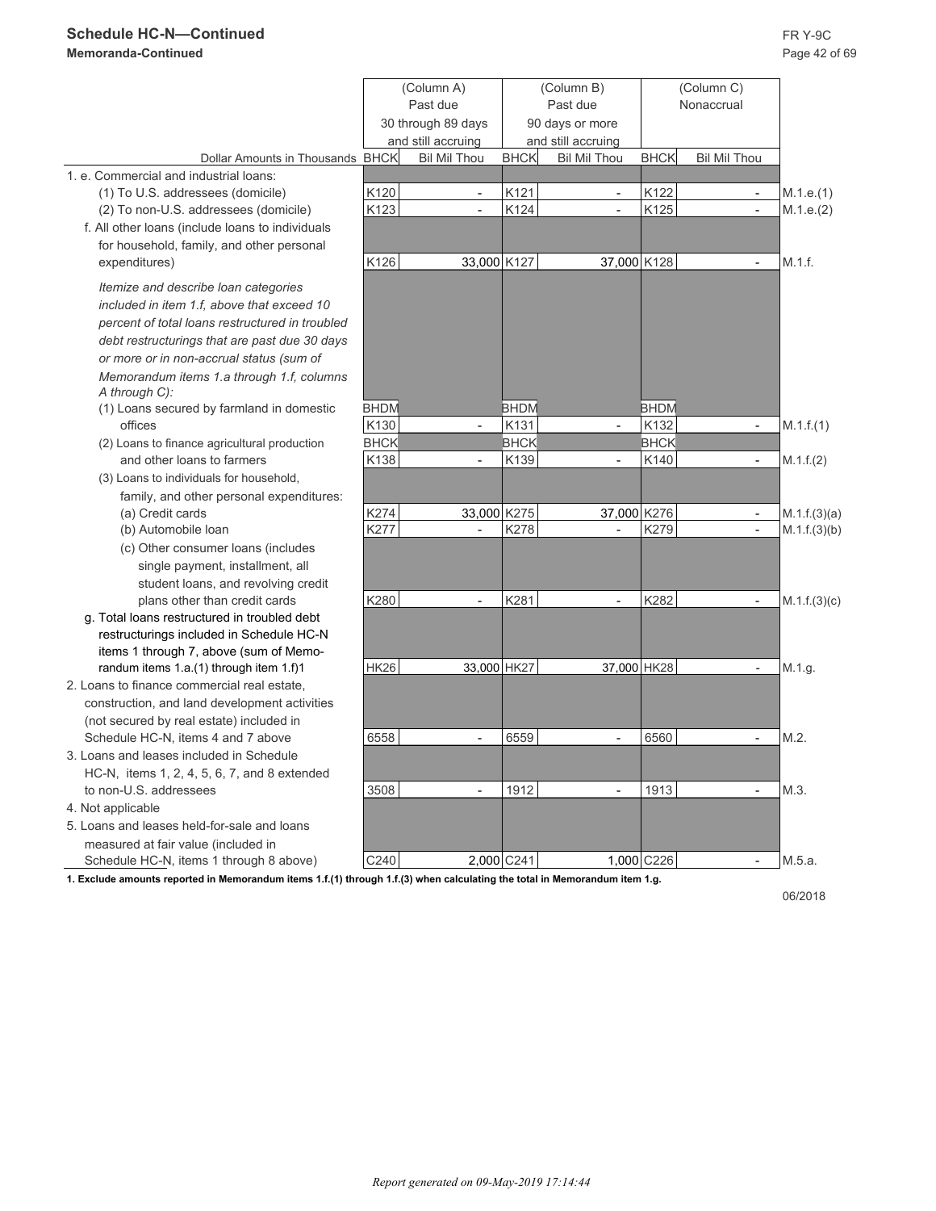## **Schedule HC-N—Continued** FR Y-9C

## **Memoranda-Continued** Page 42 of 69

|                                                                                   |             | (Column A)<br>Past due<br>30 through 89 days<br>and still accruing |             | (Column B)<br>Past due<br>90 days or more<br>and still accruing |             | (Column C)<br>Nonaccrual |              |
|-----------------------------------------------------------------------------------|-------------|--------------------------------------------------------------------|-------------|-----------------------------------------------------------------|-------------|--------------------------|--------------|
| Dollar Amounts in Thousands BHCK                                                  |             | <b>Bil Mil Thou</b>                                                | <b>BHCK</b> | <b>Bil Mil Thou</b>                                             | <b>BHCK</b> | <b>Bil Mil Thou</b>      |              |
| 1. e. Commercial and industrial loans:                                            |             |                                                                    |             |                                                                 |             |                          |              |
| (1) To U.S. addressees (domicile)                                                 | K120        | $\overline{\phantom{a}}$                                           | K121        | $\overline{\phantom{a}}$                                        | K122        | $\overline{\phantom{a}}$ | M.1.e.(1)    |
| (2) To non-U.S. addressees (domicile)                                             | K123        |                                                                    | K124        |                                                                 | K125        |                          | M.1.e.(2)    |
| f. All other loans (include loans to individuals                                  |             |                                                                    |             |                                                                 |             |                          |              |
| for household, family, and other personal                                         |             |                                                                    |             |                                                                 |             |                          |              |
| expenditures)                                                                     | K126        | 33,000 K127                                                        |             | 37,000 K128                                                     |             | $\overline{\phantom{a}}$ | M.1.f.       |
| Itemize and describe loan categories                                              |             |                                                                    |             |                                                                 |             |                          |              |
| included in item 1.f. above that exceed 10                                        |             |                                                                    |             |                                                                 |             |                          |              |
| percent of total loans restructured in troubled                                   |             |                                                                    |             |                                                                 |             |                          |              |
| debt restructurings that are past due 30 days                                     |             |                                                                    |             |                                                                 |             |                          |              |
| or more or in non-accrual status (sum of                                          |             |                                                                    |             |                                                                 |             |                          |              |
| Memorandum items 1.a through 1.f, columns                                         |             |                                                                    |             |                                                                 |             |                          |              |
| A through C):                                                                     |             |                                                                    |             |                                                                 |             |                          |              |
| (1) Loans secured by farmland in domestic                                         | <b>BHDM</b> |                                                                    | <b>BHDM</b> |                                                                 | <b>BHDM</b> |                          |              |
| offices                                                                           | K130        | $\overline{\phantom{a}}$                                           | K131        | $\overline{\phantom{a}}$                                        | K132        | $\blacksquare$           | M.1.f.(1)    |
| (2) Loans to finance agricultural production                                      | <b>BHCK</b> |                                                                    | <b>BHCK</b> |                                                                 | <b>BHCK</b> |                          |              |
| and other loans to farmers                                                        | K138        | $\blacksquare$                                                     | K139        | $\overline{\phantom{a}}$                                        | K140        | $\overline{\phantom{a}}$ | M.1.f.(2)    |
| (3) Loans to individuals for household,                                           |             |                                                                    |             |                                                                 |             |                          |              |
| family, and other personal expenditures:                                          |             |                                                                    |             |                                                                 |             |                          |              |
| (a) Credit cards                                                                  | K274        | 33,000 K275                                                        |             | 37,000 K276                                                     |             | $\overline{\phantom{a}}$ | M.1.f.(3)(a) |
| (b) Automobile Ioan                                                               | K277        |                                                                    | K278        |                                                                 | K279        |                          | M.1.f.(3)(b) |
| (c) Other consumer loans (includes                                                |             |                                                                    |             |                                                                 |             |                          |              |
| single payment, installment, all                                                  |             |                                                                    |             |                                                                 |             |                          |              |
| student loans, and revolving credit                                               |             |                                                                    |             |                                                                 |             |                          |              |
| plans other than credit cards                                                     | K280        | $\blacksquare$                                                     | K281        | $\blacksquare$                                                  | K282        | $\overline{\phantom{a}}$ | M.1.f.(3)(c) |
| g. Total loans restructured in troubled debt                                      |             |                                                                    |             |                                                                 |             |                          |              |
| restructurings included in Schedule HC-N                                          |             |                                                                    |             |                                                                 |             |                          |              |
| items 1 through 7, above (sum of Memo-<br>randum items 1.a.(1) through item 1.f)1 | <b>HK26</b> | 33,000 HK27                                                        |             | 37,000 HK28                                                     |             |                          | M.1.g.       |
| 2. Loans to finance commercial real estate,                                       |             |                                                                    |             |                                                                 |             |                          |              |
| construction, and land development activities                                     |             |                                                                    |             |                                                                 |             |                          |              |
| (not secured by real estate) included in                                          |             |                                                                    |             |                                                                 |             |                          |              |
| Schedule HC-N, items 4 and 7 above                                                | 6558        | $\blacksquare$                                                     | 6559        | $\overline{\phantom{a}}$                                        | 6560        | $\overline{\phantom{a}}$ | M.2.         |
| 3. Loans and leases included in Schedule                                          |             |                                                                    |             |                                                                 |             |                          |              |
| HC-N, items 1, 2, 4, 5, 6, 7, and 8 extended                                      |             |                                                                    |             |                                                                 |             |                          |              |
| to non-U.S. addressees                                                            | 3508        | $\blacksquare$                                                     | 1912        | $\overline{\phantom{a}}$                                        | 1913        | $\overline{a}$           | M.3.         |
| 4. Not applicable                                                                 |             |                                                                    |             |                                                                 |             |                          |              |
| 5. Loans and leases held-for-sale and loans                                       |             |                                                                    |             |                                                                 |             |                          |              |
| measured at fair value (included in                                               |             |                                                                    |             |                                                                 |             |                          |              |
| Schedule HC-N, items 1 through 8 above)                                           | C240        |                                                                    | 2,000 C241  |                                                                 | 1,000 C226  | $\overline{\phantom{0}}$ | M.5.a.       |
|                                                                                   |             |                                                                    |             |                                                                 |             |                          |              |

**1. Exclude amounts reported in Memorandum items 1.f.(1) through 1.f.(3) when calculating the total in Memorandum item 1.g.**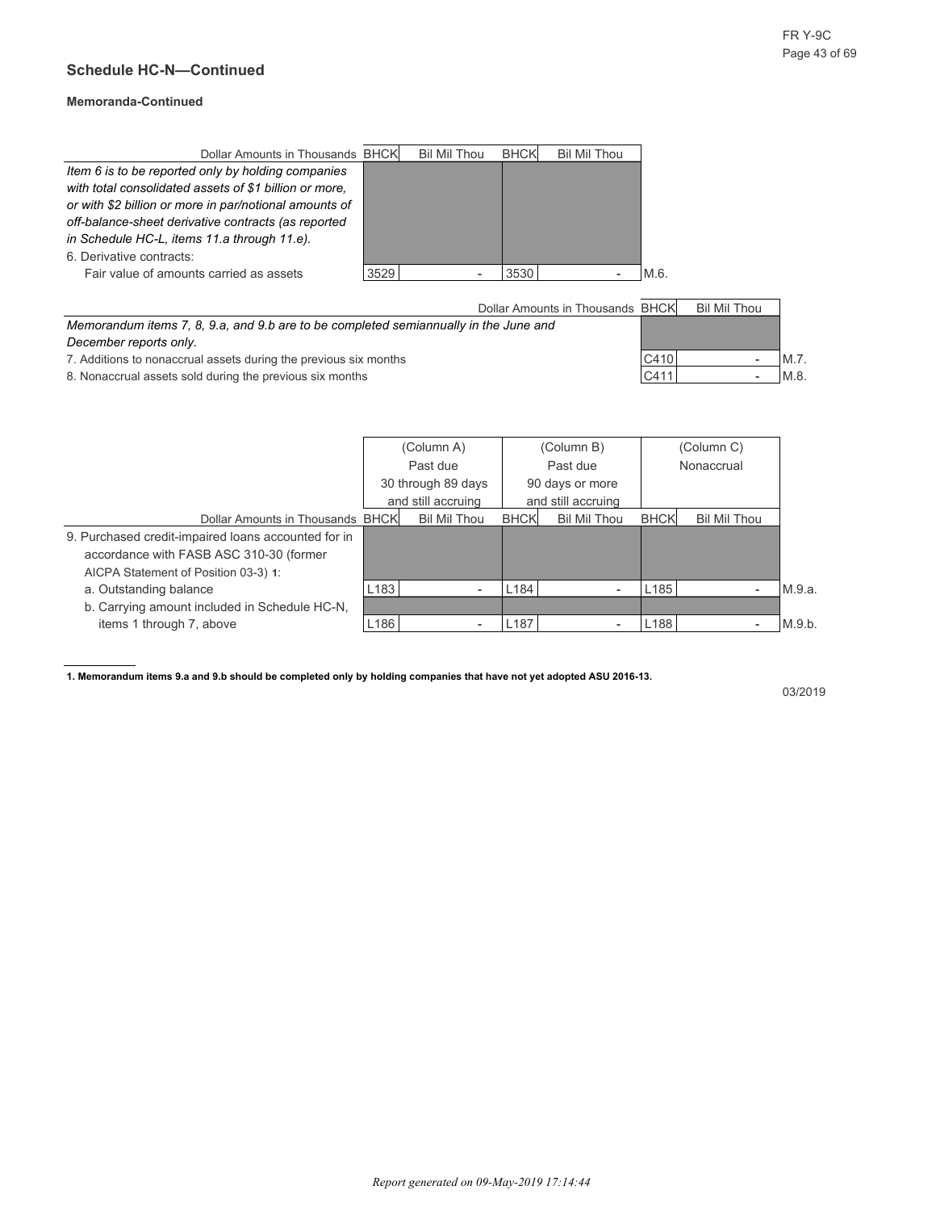#### **Memoranda-Continued**

| Dollar Amounts in Thousands BHCK                       |      | Bil Mil Thou | <b>BHCK</b> | Bil Mil Thou |
|--------------------------------------------------------|------|--------------|-------------|--------------|
| Item 6 is to be reported only by holding companies     |      |              |             |              |
| with total consolidated assets of \$1 billion or more. |      |              |             |              |
| or with \$2 billion or more in par/notional amounts of |      |              |             |              |
| off-balance-sheet derivative contracts (as reported    |      |              |             |              |
| in Schedule HC-L, items 11.a through 11.e).            |      |              |             |              |
| 6. Derivative contracts:                               |      |              |             |              |
| Fair value of amounts carried as assets                | 3529 |              | 3530        | M.6.         |

|                                                                                      | Dollar Amounts in Thousands BHCK |      | Bil Mil Thou |     |
|--------------------------------------------------------------------------------------|----------------------------------|------|--------------|-----|
| Memorandum items 7, 8, 9.a, and 9.b are to be completed semiannually in the June and |                                  |      |              |     |
| December reports only.                                                               |                                  |      |              |     |
| 7. Additions to nonaccrual assets during the previous six months                     |                                  | C410 | -            | M.7 |
| 8. Nonaccrual assets sold during the previous six months                             |                                  | C411 | -            | M.8 |

|                                                     |                  | (Column A)         |                  | (Column B)               |                  |              |        |
|-----------------------------------------------------|------------------|--------------------|------------------|--------------------------|------------------|--------------|--------|
|                                                     |                  | Past due           |                  | Past due                 | Nonaccrual       |              |        |
|                                                     |                  | 30 through 89 days |                  | 90 days or more          |                  |              |        |
|                                                     |                  | and still accruing |                  | and still accruing       |                  |              |        |
| Dollar Amounts in Thousands BHCK                    |                  | Bil Mil Thou       | <b>BHCK</b>      | Bil Mil Thou             | <b>BHCK</b>      | Bil Mil Thou |        |
| 9. Purchased credit-impaired loans accounted for in |                  |                    |                  |                          |                  |              |        |
| accordance with FASB ASC 310-30 (former             |                  |                    |                  |                          |                  |              |        |
| AICPA Statement of Position 03-3) 1:                |                  |                    |                  |                          |                  |              |        |
| a. Outstanding balance                              | L <sub>183</sub> |                    | L <sub>184</sub> | $\overline{\phantom{a}}$ | L <sub>185</sub> |              | M.9.a. |
| b. Carrying amount included in Schedule HC-N.       |                  |                    |                  |                          |                  |              |        |
| items 1 through 7, above                            | L <sub>186</sub> |                    | L <sub>187</sub> | $\overline{\phantom{0}}$ | L <sub>188</sub> |              | M.9.b. |

**1. Memorandum items 9.a and 9.b should be completed only by holding companies that have not yet adopted ASU 2016-13.**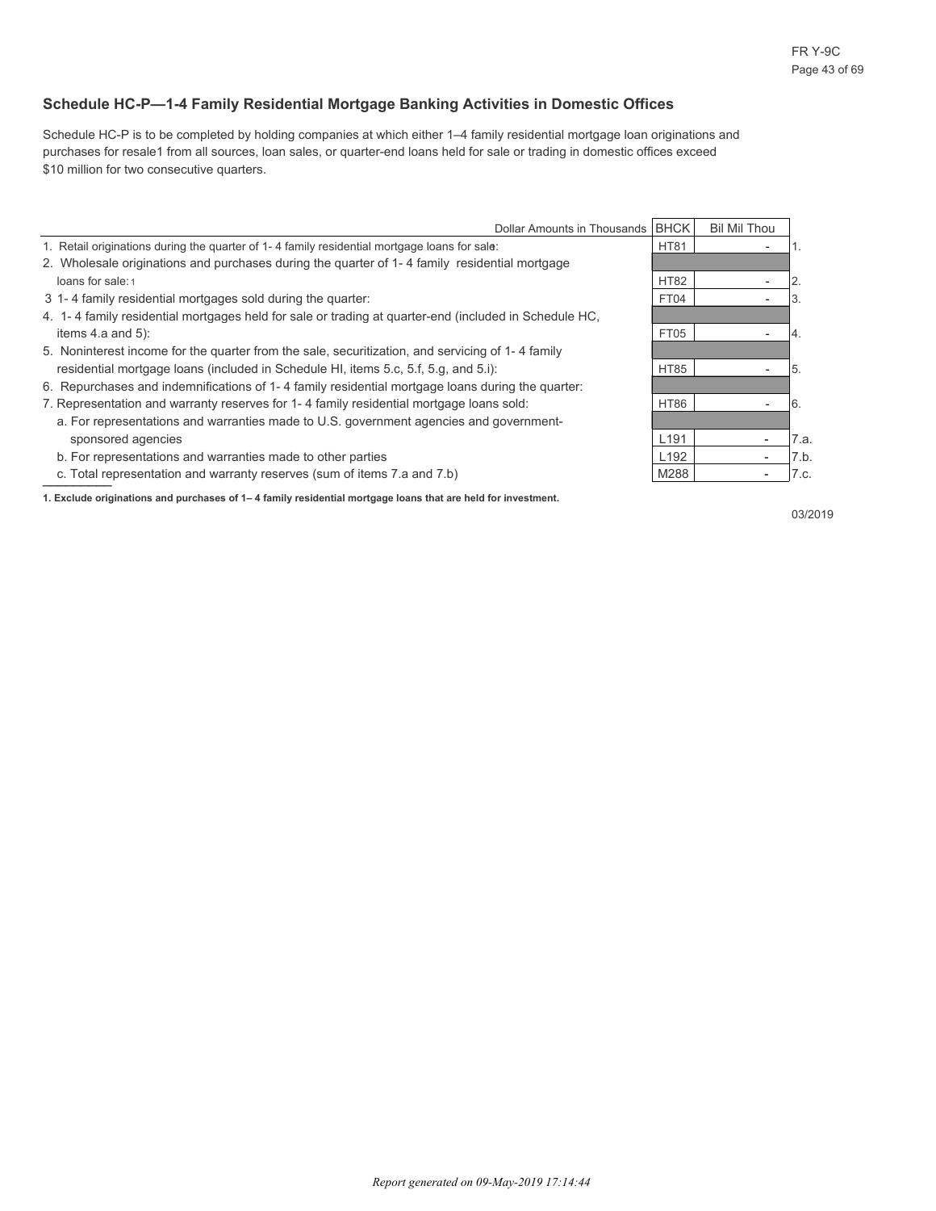#### **Schedule HC-P—1-4 Family Residential Mortgage Banking Activities in Domestic Offices**

Schedule HC-P is to be completed by holding companies at which either 1–4 family residential mortgage loan originations and purchases for resale1 from all sources, loan sales, or quarter-end loans held for sale or trading in domestic offices exceed \$10 million for two consecutive quarters.

| Dollar Amounts in Thousands                                                                           | <b>BHCK</b>      | <b>Bil Mil Thou</b> |      |
|-------------------------------------------------------------------------------------------------------|------------------|---------------------|------|
| 1. Retail originations during the quarter of 1-4 family residential mortgage loans for sale:          | <b>HT81</b>      |                     |      |
| 2. Wholesale originations and purchases during the quarter of 1-4 family residential mortgage         |                  |                     |      |
| loans for sale: 1                                                                                     | <b>HT82</b>      |                     | 2.   |
| 3 1-4 family residential mortgages sold during the quarter:                                           | FT04             |                     | 3.   |
| 4. 1-4 family residential mortgages held for sale or trading at quarter-end (included in Schedule HC, |                  |                     |      |
| items $4.a$ and $5$ ):                                                                                | FT05             |                     | 4.   |
| 5. Noninterest income for the quarter from the sale, securitization, and servicing of 1-4 family      |                  |                     |      |
| residential mortgage loans (included in Schedule HI, items 5.c, 5.f, 5.g, and 5.i):                   | <b>HT85</b>      |                     | 5.   |
| 6. Repurchases and indemnifications of 1-4 family residential mortgage loans during the quarter:      |                  |                     |      |
| 7. Representation and warranty reserves for 1-4 family residential mortgage loans sold:               | <b>HT86</b>      |                     | I 6. |
| a. For representations and warranties made to U.S. government agencies and government-                |                  |                     |      |
| sponsored agencies                                                                                    | L <sub>191</sub> |                     | 7.a. |
| b. For representations and warranties made to other parties                                           | L <sub>192</sub> |                     | 7.b. |
| c. Total representation and warranty reserves (sum of items 7.a and 7.b)                              | M288             |                     | 7.c. |

**1. Exclude originations and purchases of 1– 4 family residential mortgage loans that are held for investment.**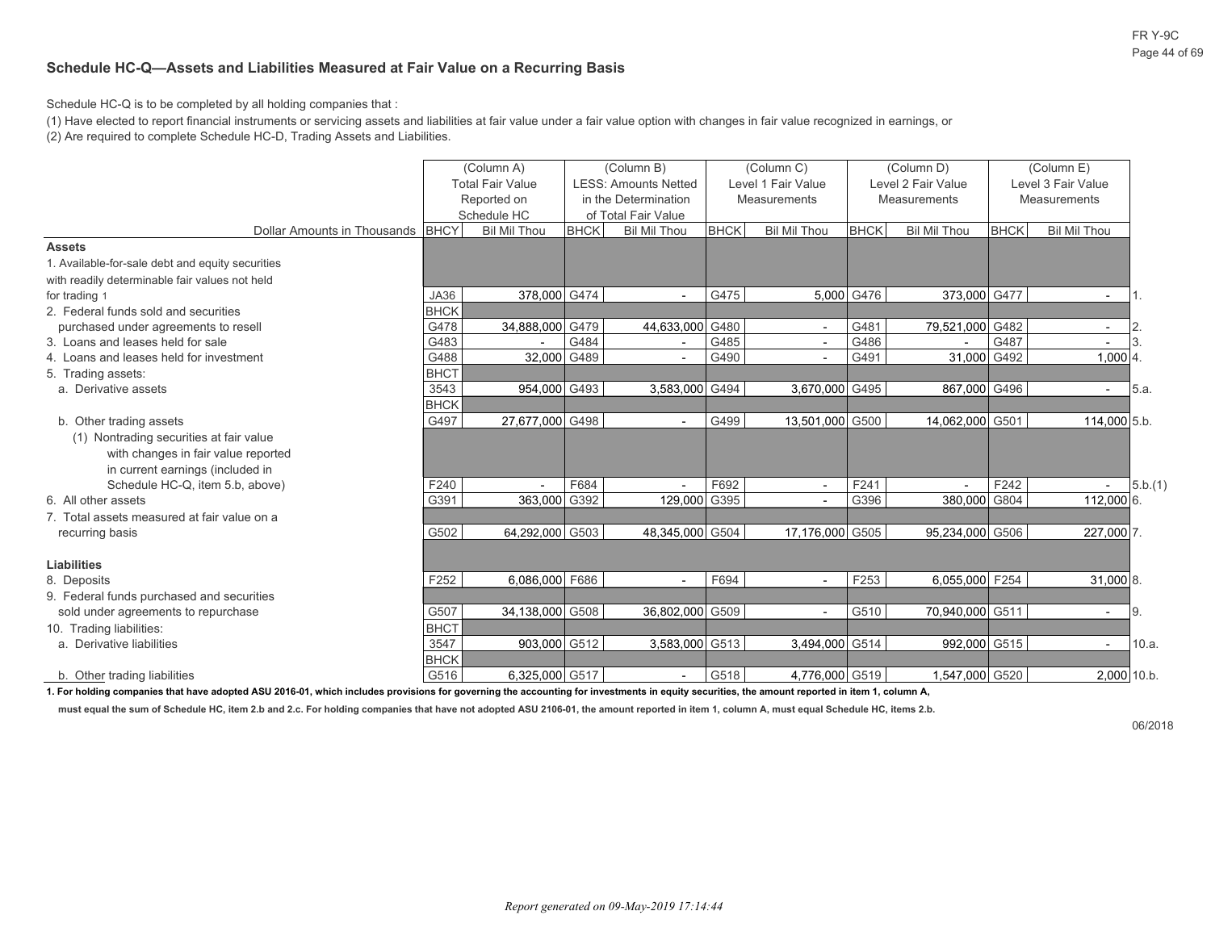FR Y-9C Page 44 of 69

#### **Schedule HC-Q—Assets and Liabilities Measured at Fair Value on a Recurring Basis**

Schedule HC-Q is to be completed by all holding companies that :

(1) Have elected to report financial instruments or servicing assets and liabilities at fair value under a fair value option with changes in fair value recognized in earnings, or

(2) Are required to complete Schedule HC-D, Trading Assets and Liabilities.

|                                                                                                            |             | (Column A)<br><b>Total Fair Value</b><br>Reported on<br>Schedule HC |             | (Column B)<br><b>LESS: Amounts Netted</b><br>in the Determination<br>of Total Fair Value |             | (Column C)<br>Level 1 Fair Value<br>Measurements |             | (Column D)<br>Level 2 Fair Value<br><b>Measurements</b> |             | (Column E)<br>Level 3 Fair Value<br>Measurements |
|------------------------------------------------------------------------------------------------------------|-------------|---------------------------------------------------------------------|-------------|------------------------------------------------------------------------------------------|-------------|--------------------------------------------------|-------------|---------------------------------------------------------|-------------|--------------------------------------------------|
| Dollar Amounts in Thousands BHCY                                                                           |             | <b>Bil Mil Thou</b>                                                 | <b>BHCK</b> | <b>Bil Mil Thou</b>                                                                      | <b>BHCK</b> | <b>Bil Mil Thou</b>                              | <b>BHCK</b> | <b>Bil Mil Thou</b>                                     | <b>BHCK</b> | <b>Bil Mil Thou</b>                              |
| <b>Assets</b>                                                                                              |             |                                                                     |             |                                                                                          |             |                                                  |             |                                                         |             |                                                  |
| 1. Available-for-sale debt and equity securities                                                           |             |                                                                     |             |                                                                                          |             |                                                  |             |                                                         |             |                                                  |
| with readily determinable fair values not held                                                             |             |                                                                     |             |                                                                                          |             |                                                  |             |                                                         |             |                                                  |
| for trading 1                                                                                              | JA36        | 378,000 G474                                                        |             | $\overline{\phantom{a}}$                                                                 | G475        |                                                  | 5,000 G476  | 373,000 G477                                            |             | $\overline{\phantom{a}}$                         |
| 2. Federal funds sold and securities                                                                       | <b>BHCK</b> |                                                                     |             |                                                                                          |             |                                                  |             |                                                         |             |                                                  |
| purchased under agreements to resell                                                                       | G478        | 34,888,000 G479                                                     |             | 44,633,000 G480                                                                          |             | $\sim$                                           | G481        | 79,521,000 G482                                         |             | 2<br>$\sim$                                      |
| 3. Loans and leases held for sale                                                                          | G483        |                                                                     | G484        | $\overline{\phantom{a}}$                                                                 | G485        | $\overline{a}$                                   | G486        |                                                         | G487        |                                                  |
| 4. Loans and leases held for investment                                                                    | G488        | 32,000 G489                                                         |             | $\overline{\phantom{a}}$                                                                 | G490        | $\sim$                                           | G491        | 31,000 G492                                             |             | $1,000$ 4                                        |
| 5. Trading assets:                                                                                         | <b>BHCT</b> |                                                                     |             |                                                                                          |             |                                                  |             |                                                         |             |                                                  |
| a. Derivative assets                                                                                       | 3543        | 954,000 G493                                                        |             | 3,583,000 G494                                                                           |             | 3,670,000 G495                                   |             | 867,000 G496                                            |             | 5.a.<br>$\overline{\phantom{a}}$                 |
|                                                                                                            | <b>BHCK</b> |                                                                     |             |                                                                                          |             |                                                  |             |                                                         |             |                                                  |
| b. Other trading assets                                                                                    | G497        | 27,677,000 G498                                                     |             | $\overline{\phantom{a}}$                                                                 | G499        | 13,501,000 G500                                  |             | 14,062,000 G501                                         |             | 114,000 5.b.                                     |
| (1) Nontrading securities at fair value                                                                    |             |                                                                     |             |                                                                                          |             |                                                  |             |                                                         |             |                                                  |
| with changes in fair value reported                                                                        |             |                                                                     |             |                                                                                          |             |                                                  |             |                                                         |             |                                                  |
| in current earnings (included in                                                                           |             |                                                                     |             |                                                                                          |             |                                                  |             |                                                         |             |                                                  |
| Schedule HC-Q, item 5.b, above)                                                                            | F240        |                                                                     | F684        | $\overline{a}$                                                                           | F692        | $\overline{\phantom{a}}$                         | F241        |                                                         | F242        | 5.b.(1)                                          |
| 6. All other assets                                                                                        | G391        | 363,000 G392                                                        |             | 129,000 G395                                                                             |             | $\overline{\phantom{a}}$                         | G396        | 380,000 G804                                            |             | 112,000 6.                                       |
| 7. Total assets measured at fair value on a                                                                |             |                                                                     |             |                                                                                          |             |                                                  |             |                                                         |             |                                                  |
| recurring basis                                                                                            | G502        | 64.292.000 G503                                                     |             | 48,345,000 G504                                                                          |             | 17.176.000 G505                                  |             | 95.234.000 G506                                         |             | 227.000 7.                                       |
|                                                                                                            |             |                                                                     |             |                                                                                          |             |                                                  |             |                                                         |             |                                                  |
| Liabilities                                                                                                |             |                                                                     |             |                                                                                          |             |                                                  |             |                                                         |             |                                                  |
| 8. Deposits                                                                                                | F252        | 6.086.000 F686                                                      |             | $\overline{\phantom{a}}$                                                                 | F694        | $\overline{\phantom{a}}$                         | F253        | 6,055,000 F254                                          |             | 31,000 8.                                        |
| 9. Federal funds purchased and securities                                                                  |             |                                                                     |             |                                                                                          |             |                                                  |             |                                                         |             |                                                  |
| sold under agreements to repurchase                                                                        | G507        | 34,138,000 G508                                                     |             | 36,802,000 G509                                                                          |             | $\overline{a}$                                   | G510        | 70,940,000 G511                                         |             | 9.<br>$\overline{a}$                             |
| 10. Trading liabilities:                                                                                   | <b>BHCT</b> |                                                                     |             |                                                                                          |             |                                                  |             |                                                         |             |                                                  |
| a. Derivative liabilities                                                                                  | 3547        | 903,000 G512                                                        |             | 3,583,000 G513                                                                           |             | 3,494,000 G514                                   |             | 992,000 G515                                            |             | 10.a.                                            |
|                                                                                                            | <b>BHCK</b> |                                                                     |             |                                                                                          |             |                                                  |             |                                                         |             |                                                  |
| b. Other trading liabilities<br>القريد والمراجع ويروده والمراجع وبالمالية<br>dented AOU 0040.04 control to | G516        | 6,325,000 G517                                                      |             |                                                                                          | G518        | 4.776.000 G519                                   |             | 1,547,000 G520                                          |             | 2,000 10.b.                                      |

**1. For holding companies that have adopted ASU 2016-01, which includes provisions for governing the accounting for investments in equity securities, the amount reported in item 1, column A,**

**must equal the sum of Schedule HC, item 2.b and 2.c. For holding companies that have not adopted ASU 2106-01, the amount reported in item 1, column A, must equal Schedule HC, items 2.b.**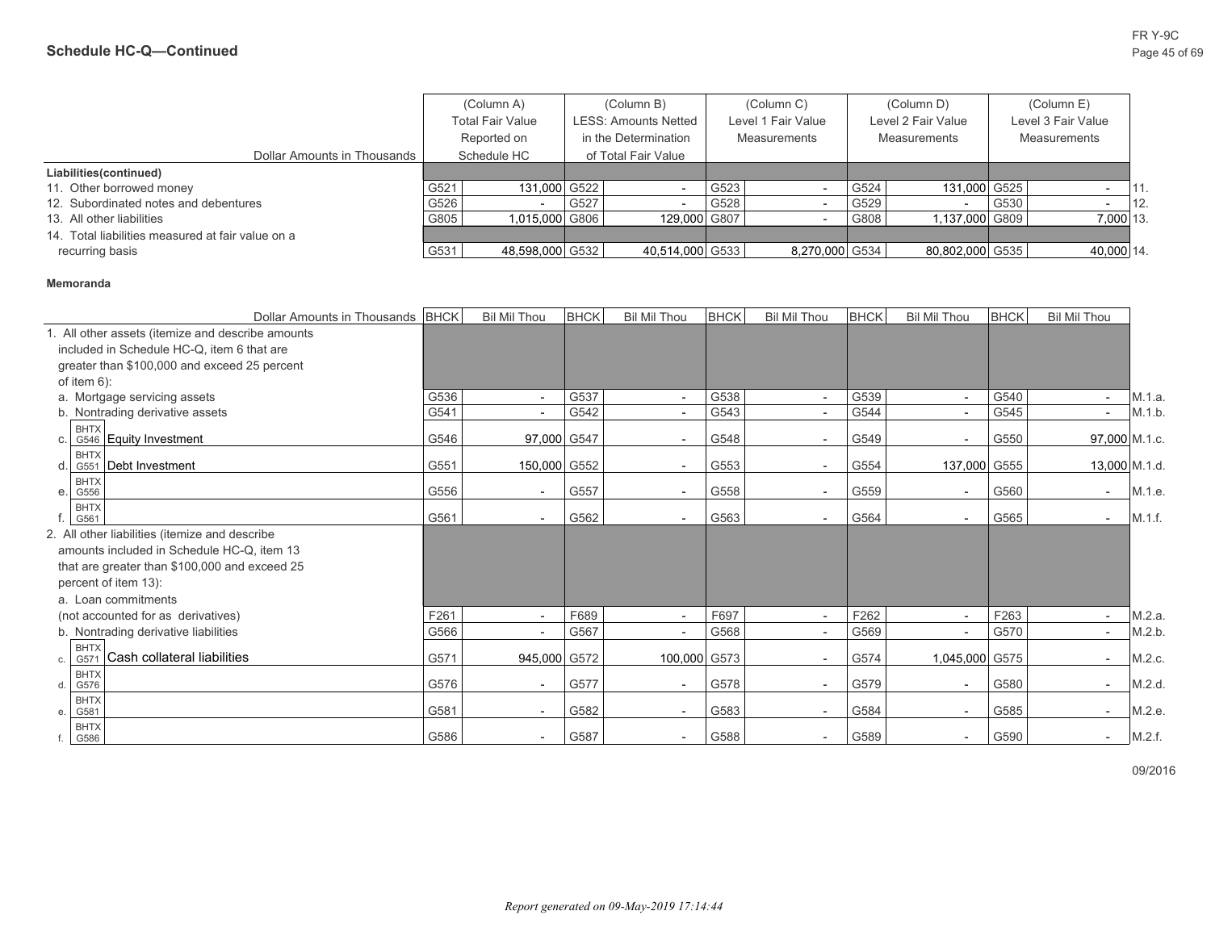|                                                   |      | (Column A)              |      | (Column B)           |      | (Column C)         |      | (Column D)         |      | (Column E)          |      |
|---------------------------------------------------|------|-------------------------|------|----------------------|------|--------------------|------|--------------------|------|---------------------|------|
|                                                   |      | <b>Total Fair Value</b> |      | LESS: Amounts Netted |      | Level 1 Fair Value |      | Level 2 Fair Value |      | Level 3 Fair Value  |      |
|                                                   |      | Reported on             |      | in the Determination |      | Measurements       |      | Measurements       |      | <b>Measurements</b> |      |
| Dollar Amounts in Thousands                       |      | Schedule HC             |      | of Total Fair Value  |      |                    |      |                    |      |                     |      |
| Liabilities(continued)                            |      |                         |      |                      |      |                    |      |                    |      |                     |      |
| 11. Other borrowed money                          | G521 | 131,000 G522            |      |                      | G523 |                    | G524 | 131.000 G525       |      |                     | 111. |
| 12. Subordinated notes and debentures             | G526 |                         | G527 |                      | G528 |                    | G529 |                    | G530 |                     | 12.  |
| 13. All other liabilities                         | G805 | 1.015.000 G806          |      | 129,000 G807         |      |                    | G808 | 1.137.000 G809 L   |      | 7.000 13.           |      |
| 14. Total liabilities measured at fair value on a |      |                         |      |                      |      |                    |      |                    |      |                     |      |
| recurring basis                                   | G531 | 48,598,000 G532         |      | 40,514,000 G533      |      | 8,270,000 G534     |      | 80,802,000 G535    |      | 40.000 14.          |      |

#### **Memoranda**

|                           |                                                   | Dollar Amounts in Thousands BHCK | <b>Bil Mil Thou</b>      | <b>BHCK</b> | <b>Bil Mil Thou</b>      | <b>BHCK</b> | <b>Bil Mil Thou</b>      | <b>BHCK</b> | <b>Bil Mil Thou</b>      | <b>BHCK</b> | <b>Bil Mil Thou</b>      |               |
|---------------------------|---------------------------------------------------|----------------------------------|--------------------------|-------------|--------------------------|-------------|--------------------------|-------------|--------------------------|-------------|--------------------------|---------------|
|                           | 1. All other assets (itemize and describe amounts |                                  |                          |             |                          |             |                          |             |                          |             |                          |               |
|                           | included in Schedule HC-Q, item 6 that are        |                                  |                          |             |                          |             |                          |             |                          |             |                          |               |
|                           | greater than \$100,000 and exceed 25 percent      |                                  |                          |             |                          |             |                          |             |                          |             |                          |               |
| of item $6$ ):            |                                                   |                                  |                          |             |                          |             |                          |             |                          |             |                          |               |
|                           | a. Mortgage servicing assets                      | G536                             | $\blacksquare$           | G537        | $ \,$                    | G538        | $\blacksquare$           | G539        |                          | G540        | $\sim$                   | M.1.a.        |
|                           | b. Nontrading derivative assets                   | G541                             | $\overline{\phantom{a}}$ | G542        | $\sim$                   | G543        | $\overline{\phantom{a}}$ | G544        | $\overline{\phantom{a}}$ | G545        | $\sim$                   | M.1.b.        |
| <b>BHTX</b><br>C.         | G546 Equity Investment                            | G546                             | 97,000 G547              |             | $\overline{\phantom{a}}$ | G548        | $\overline{\phantom{a}}$ | G549        |                          | G550        |                          | 97,000 M.1.c. |
| <b>BHTX</b><br>d.         | G551 Debt Investment                              | G551                             | 150,000 G552             |             | $\overline{\phantom{a}}$ | G553        | $\overline{\phantom{a}}$ | G554        | 137,000 G555             |             |                          | 13,000 M.1.d. |
| <b>BHTX</b><br>G556<br>e. |                                                   | G556                             | $\overline{\phantom{a}}$ | G557        | $\overline{\phantom{a}}$ | G558        | $\overline{\phantom{a}}$ | G559        |                          | G560        | $\overline{a}$           | M.1.e.        |
| <b>BHTX</b><br>G561       |                                                   | G561                             | $\overline{\phantom{a}}$ | G562        | $\overline{\phantom{a}}$ | G563        | $\blacksquare$           | G564        | $\overline{\phantom{a}}$ | G565        | $\sim$                   | M.1.f.        |
|                           | 2. All other liabilities (itemize and describe    |                                  |                          |             |                          |             |                          |             |                          |             |                          |               |
|                           | amounts included in Schedule HC-Q, item 13        |                                  |                          |             |                          |             |                          |             |                          |             |                          |               |
|                           | that are greater than \$100,000 and exceed 25     |                                  |                          |             |                          |             |                          |             |                          |             |                          |               |
|                           | percent of item 13):                              |                                  |                          |             |                          |             |                          |             |                          |             |                          |               |
|                           | a. Loan commitments                               |                                  |                          |             |                          |             |                          |             |                          |             |                          |               |
|                           | (not accounted for as derivatives)                | F261                             | $\overline{\phantom{a}}$ | F689        | $\overline{\phantom{a}}$ | F697        | $\blacksquare$           | F262        | $\overline{\phantom{a}}$ | F263        | $\sim$                   | M.2.a.        |
|                           | b. Nontrading derivative liabilities              | G566                             |                          | G567        | $\overline{\phantom{0}}$ | G568        | $\overline{\phantom{a}}$ | G569        |                          | G570        | $\sim$                   | M.2.b.        |
| G571<br>C.                | <b>BHTX</b><br>Cash collateral liabilities        | G571                             | 945,000 G572             |             | 100,000 G573             |             | $\overline{\phantom{a}}$ | G574        | 1,045,000 G575           |             |                          | M.2.c.        |
| <b>BHTX</b><br>G576<br>d. |                                                   | G576                             | $\overline{\phantom{a}}$ | G577        | $\overline{\phantom{a}}$ | G578        | $\blacksquare$           | G579        |                          | G580        | $\sim$                   | M.2.d.        |
| <b>BHTX</b><br>G581<br>е. |                                                   | G581                             | $\overline{\phantom{a}}$ | G582        | $\overline{\phantom{a}}$ | G583        | $\overline{\phantom{a}}$ | G584        |                          | G585        | $\overline{\phantom{a}}$ | M.2.e.        |
| <b>BHTX</b><br>G586       |                                                   | G586                             | $\overline{\phantom{a}}$ | G587        | $\overline{\phantom{a}}$ | G588        | $\overline{\phantom{a}}$ | G589        |                          | G590        | $\sim$                   | M.2.f.        |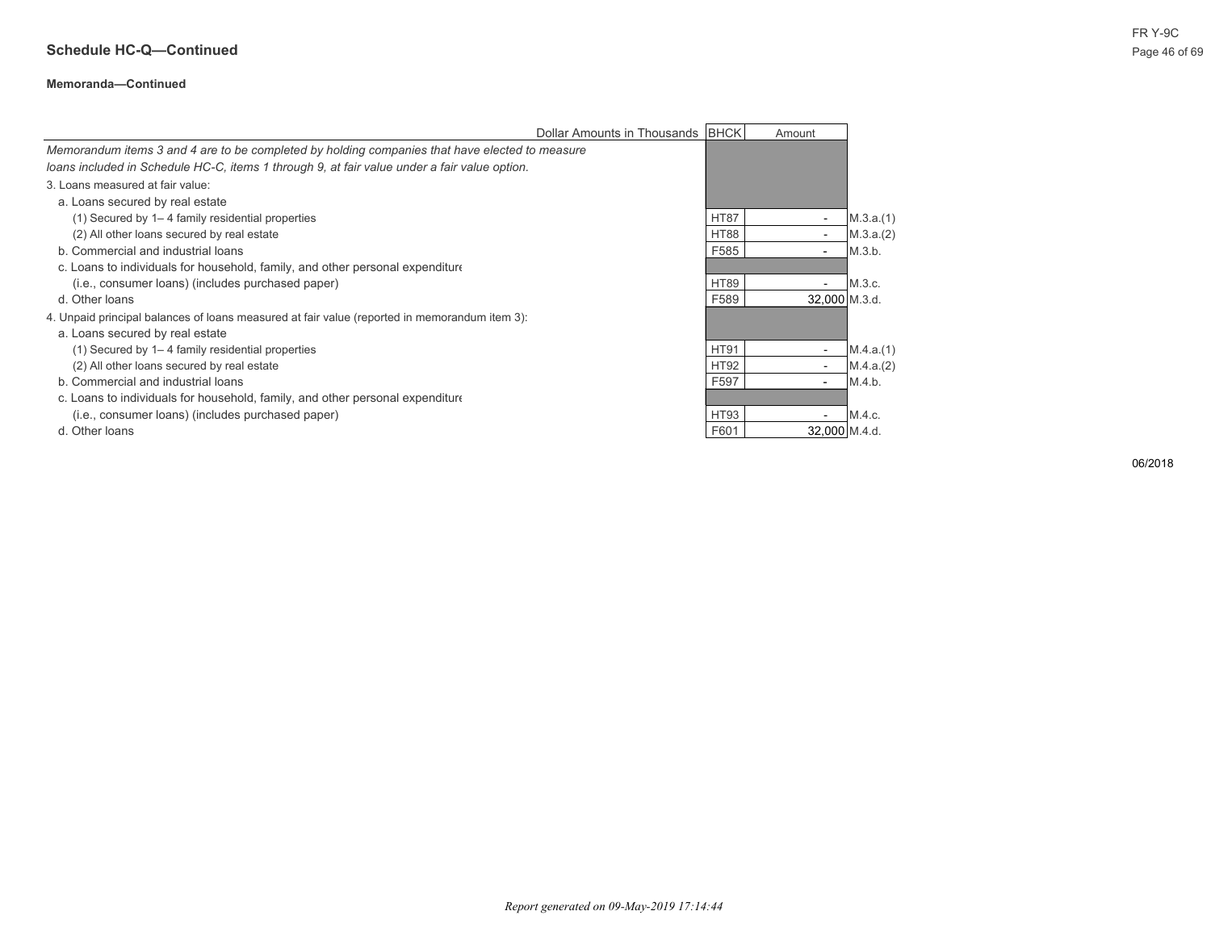## **Schedule HC-Q—Continued** Page 46 of 69

#### **Memoranda—Continued**

|                                                                                                | Dollar Amounts in Thousands BHCK |             | Amount                   |           |
|------------------------------------------------------------------------------------------------|----------------------------------|-------------|--------------------------|-----------|
| Memorandum items 3 and 4 are to be completed by holding companies that have elected to measure |                                  |             |                          |           |
| loans included in Schedule HC-C, items 1 through 9, at fair value under a fair value option.   |                                  |             |                          |           |
| 3. Loans measured at fair value:                                                               |                                  |             |                          |           |
| a. Loans secured by real estate                                                                |                                  |             |                          |           |
| (1) Secured by 1–4 family residential properties                                               |                                  | <b>HT87</b> | $\overline{\phantom{a}}$ | M.3.a.(1) |
| (2) All other loans secured by real estate                                                     |                                  | <b>HT88</b> | $\overline{\phantom{a}}$ | M.3.a.(2) |
| b. Commercial and industrial loans                                                             |                                  | F585        | $\overline{\phantom{a}}$ | M.3.b.    |
| c. Loans to individuals for household, family, and other personal expenditure                  |                                  |             |                          |           |
| (i.e., consumer loans) (includes purchased paper)                                              |                                  | <b>HT89</b> | ۰                        | M.3.c.    |
| d. Other loans                                                                                 |                                  | F589        | 32,000 M.3.d.            |           |
| 4. Unpaid principal balances of loans measured at fair value (reported in memorandum item 3):  |                                  |             |                          |           |
| a. Loans secured by real estate                                                                |                                  |             |                          |           |
| (1) Secured by 1–4 family residential properties                                               |                                  | <b>HT91</b> | $\overline{\phantom{a}}$ | M.4.a.(1) |
| (2) All other loans secured by real estate                                                     |                                  | <b>HT92</b> | $\sim$                   | M.4.a.(2) |
| b. Commercial and industrial loans                                                             |                                  | F597        | $\overline{\phantom{a}}$ | M.4.b.    |
| c. Loans to individuals for household, family, and other personal expenditure                  |                                  |             |                          |           |
| (i.e., consumer loans) (includes purchased paper)                                              |                                  | <b>HT93</b> | ۰                        | M.4.c.    |
| d. Other loans                                                                                 |                                  | F601        | 32,000 M.4.d.            |           |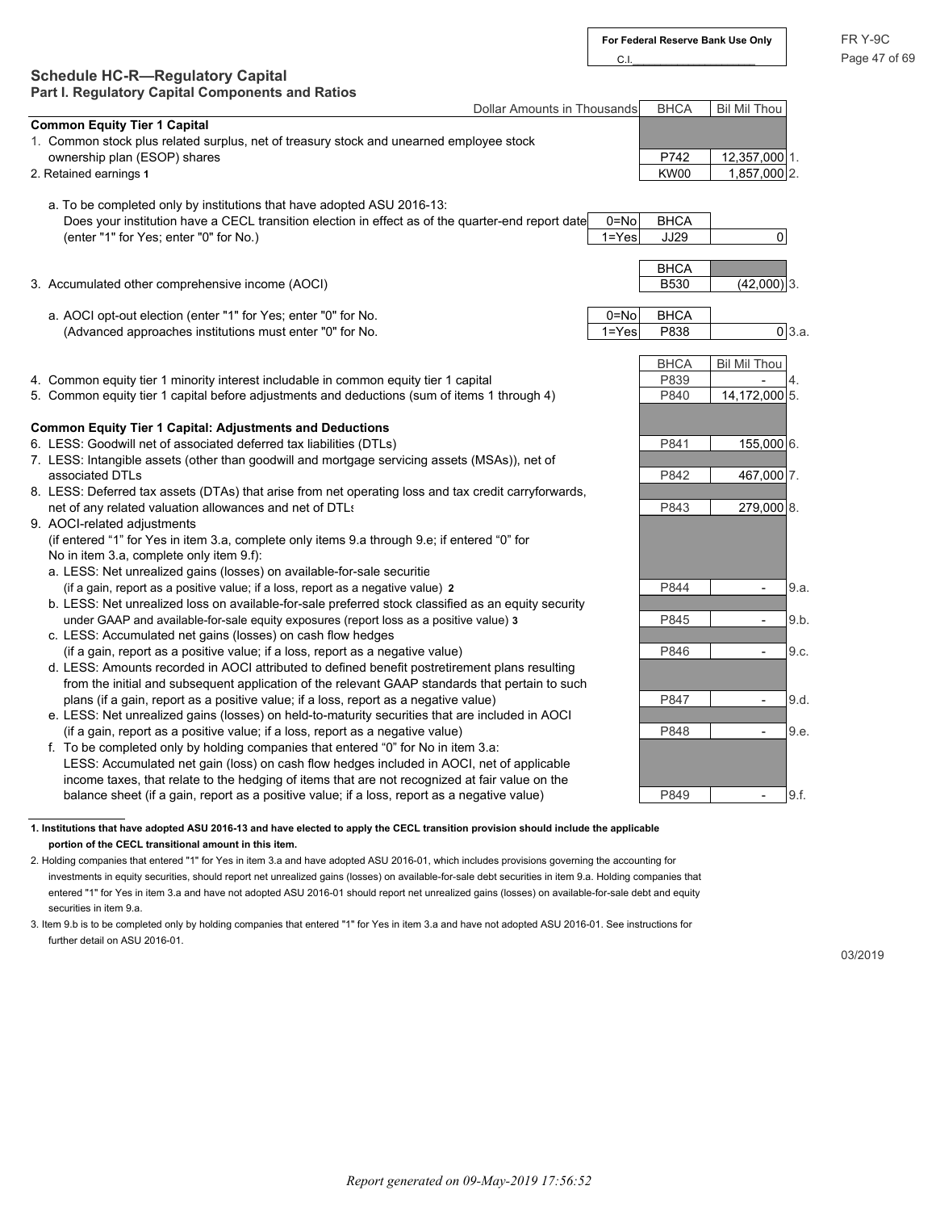### **Schedule HC-R—Regulatory Capital Part I. Regulatory Capital Components and Ratios**

| Dollar Amounts in Thousands                                                                                                         |           | <b>BHCA</b> | <b>Bil Mil Thou</b>      |                |
|-------------------------------------------------------------------------------------------------------------------------------------|-----------|-------------|--------------------------|----------------|
| <b>Common Equity Tier 1 Capital</b>                                                                                                 |           |             |                          |                |
| 1. Common stock plus related surplus, net of treasury stock and unearned employee stock                                             |           |             |                          |                |
| ownership plan (ESOP) shares                                                                                                        |           | P742        | 12,357,000 1.            |                |
| 2. Retained earnings 1                                                                                                              |           | KW00        | $1,857,000$ 2.           |                |
|                                                                                                                                     |           |             |                          |                |
| a. To be completed only by institutions that have adopted ASU 2016-13:                                                              |           |             |                          |                |
| Does your institution have a CECL transition election in effect as of the quarter-end report date                                   | 0=No      | <b>BHCA</b> |                          |                |
| (enter "1" for Yes; enter "0" for No.)                                                                                              | $1 = Yes$ | JJ29        | $\boldsymbol{0}$         |                |
|                                                                                                                                     |           |             |                          |                |
|                                                                                                                                     |           | <b>BHCA</b> |                          |                |
| 3. Accumulated other comprehensive income (AOCI)                                                                                    |           | <b>B530</b> | $(42,000)$ 3.            |                |
|                                                                                                                                     |           |             |                          |                |
| a. AOCI opt-out election (enter "1" for Yes; enter "0" for No.                                                                      | $0 = No$  | <b>BHCA</b> |                          |                |
| (Advanced approaches institutions must enter "0" for No.                                                                            | $1 = Yes$ | P838        |                          | $0 \vert 3.a.$ |
|                                                                                                                                     |           |             |                          |                |
|                                                                                                                                     |           | <b>BHCA</b> | <b>Bil Mil Thou</b>      |                |
| 4. Common equity tier 1 minority interest includable in common equity tier 1 capital                                                |           | P839        |                          | 4.             |
| 5. Common equity tier 1 capital before adjustments and deductions (sum of items 1 through 4)                                        |           | P840        | 14,172,000 5.            |                |
|                                                                                                                                     |           |             |                          |                |
| <b>Common Equity Tier 1 Capital: Adjustments and Deductions</b>                                                                     |           |             |                          |                |
| 6. LESS: Goodwill net of associated deferred tax liabilities (DTLs)                                                                 |           | P841        | 155,000 6.               |                |
| 7. LESS: Intangible assets (other than goodwill and mortgage servicing assets (MSAs)), net of                                       |           |             |                          |                |
| associated DTLs                                                                                                                     |           | P842        | 467,000 7.               |                |
| 8. LESS: Deferred tax assets (DTAs) that arise from net operating loss and tax credit carryforwards,                                |           |             |                          |                |
| net of any related valuation allowances and net of DTLs                                                                             |           | P843        | 279,000 8.               |                |
| 9. AOCI-related adjustments                                                                                                         |           |             |                          |                |
| (if entered "1" for Yes in item 3.a, complete only items 9.a through 9.e; if entered "0" for                                        |           |             |                          |                |
| No in item 3.a, complete only item 9.f):                                                                                            |           |             |                          |                |
| a. LESS: Net unrealized gains (losses) on available-for-sale securitie                                                              |           |             |                          |                |
| (if a gain, report as a positive value; if a loss, report as a negative value) 2                                                    |           | P844        |                          | 9.a.           |
| b. LESS: Net unrealized loss on available-for-sale preferred stock classified as an equity security                                 |           |             |                          |                |
| under GAAP and available-for-sale equity exposures (report loss as a positive value) 3                                              |           | P845        | $\overline{\phantom{a}}$ | 9.b.           |
| c. LESS: Accumulated net gains (losses) on cash flow hedges                                                                         |           |             |                          |                |
| (if a gain, report as a positive value; if a loss, report as a negative value)                                                      |           | P846        | $\overline{a}$           | 9.c.           |
| d. LESS: Amounts recorded in AOCI attributed to defined benefit postretirement plans resulting                                      |           |             |                          |                |
| from the initial and subsequent application of the relevant GAAP standards that pertain to such                                     |           |             |                          |                |
| plans (if a gain, report as a positive value; if a loss, report as a negative value)                                                |           | P847        | $\overline{a}$           | 9.d.           |
| e. LESS: Net unrealized gains (losses) on held-to-maturity securities that are included in AOCI                                     |           |             |                          |                |
| (if a gain, report as a positive value; if a loss, report as a negative value)                                                      |           | P848        | $\blacksquare$           | 9.e.           |
| f. To be completed only by holding companies that entered "0" for No in item 3.a:                                                   |           |             |                          |                |
| LESS: Accumulated net gain (loss) on cash flow hedges included in AOCI, net of applicable                                           |           |             |                          |                |
| income taxes, that relate to the hedging of items that are not recognized at fair value on the                                      |           |             |                          |                |
|                                                                                                                                     |           |             |                          |                |
| balance sheet (if a gain, report as a positive value; if a loss, report as a negative value)                                        |           | P849        | $\overline{\phantom{a}}$ | 9.f.           |
|                                                                                                                                     |           |             |                          |                |
| 1. Institutions that have adopted ASU 2016-13 and have elected to apply the CECL transition provision should include the applicable |           |             |                          |                |
| portion of the CECL transitional amount in this item.                                                                               |           |             |                          |                |

2. Holding companies that entered "1" for Yes in item 3.a and have adopted ASU 2016-01, which includes provisions governing the accounting for investments in equity securities, should report net unrealized gains (losses) on available-for-sale debt securities in item 9.a. Holding companies that entered "1" for Yes in item 3.a and have not adopted ASU 2016-01 should report net unrealized gains (losses) on available-for-sale debt and equity securities in item 9.a.

3. Item 9.b is to be completed only by holding companies that entered "1" for Yes in item 3.a and have not adopted ASU 2016-01. See instructions for further detail on ASU 2016-01.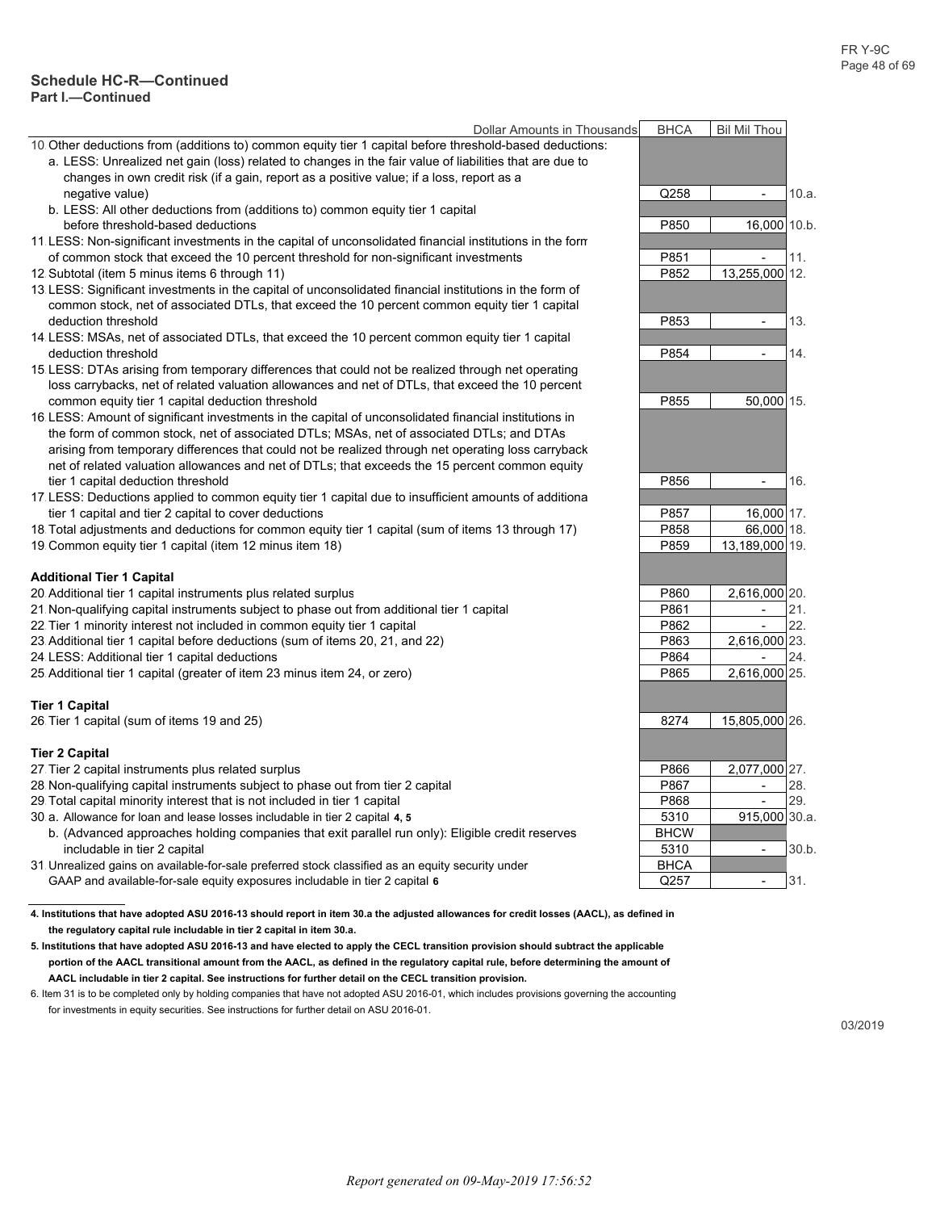#### **Schedule HC-R—Continued Part I.—Continued**

| Dollar Amounts in Thousands                                                                              | <b>BHCA</b> | <b>Bil Mil Thou</b>      |       |
|----------------------------------------------------------------------------------------------------------|-------------|--------------------------|-------|
| 10. Other deductions from (additions to) common equity tier 1 capital before threshold-based deductions: |             |                          |       |
| a. LESS: Unrealized net gain (loss) related to changes in the fair value of liabilities that are due to  |             |                          |       |
| changes in own credit risk (if a gain, report as a positive value; if a loss, report as a                |             |                          |       |
| negative value)                                                                                          | Q258        | $\blacksquare$           | 10.a. |
| b. LESS: All other deductions from (additions to) common equity tier 1 capital                           |             |                          |       |
| before threshold-based deductions                                                                        | P850        | 16,000 10.b.             |       |
| 11 LESS: Non-significant investments in the capital of unconsolidated financial institutions in the form |             |                          |       |
| of common stock that exceed the 10 percent threshold for non-significant investments                     | P851        | ÷,                       | 11.   |
| 12 Subtotal (item 5 minus items 6 through 11)                                                            | P852        | 13,255,000 12.           |       |
| 13 LESS: Significant investments in the capital of unconsolidated financial institutions in the form of  |             |                          |       |
| common stock, net of associated DTLs, that exceed the 10 percent common equity tier 1 capital            |             |                          |       |
| deduction threshold                                                                                      | P853        | $\overline{\phantom{a}}$ | 13.   |
| 14 LESS: MSAs, net of associated DTLs, that exceed the 10 percent common equity tier 1 capital           |             |                          |       |
| deduction threshold                                                                                      | P854        | $\overline{\phantom{a}}$ | 14.   |
| 15 LESS: DTAs arising from temporary differences that could not be realized through net operating        |             |                          |       |
| loss carrybacks, net of related valuation allowances and net of DTLs, that exceed the 10 percent         |             |                          |       |
| common equity tier 1 capital deduction threshold                                                         | P855        | 50,000 15.               |       |
| 16 LESS: Amount of significant investments in the capital of unconsolidated financial institutions in    |             |                          |       |
| the form of common stock, net of associated DTLs; MSAs, net of associated DTLs; and DTAs                 |             |                          |       |
| arising from temporary differences that could not be realized through net operating loss carryback       |             |                          |       |
|                                                                                                          |             |                          |       |
| net of related valuation allowances and net of DTLs; that exceeds the 15 percent common equity           | P856        | $\overline{\phantom{a}}$ | 16.   |
| tier 1 capital deduction threshold                                                                       |             |                          |       |
| 17 LESS: Deductions applied to common equity tier 1 capital due to insufficient amounts of additiona     |             |                          |       |
| tier 1 capital and tier 2 capital to cover deductions                                                    | P857        | 16,000 17.               |       |
| 18. Total adjustments and deductions for common equity tier 1 capital (sum of items 13 through 17)       | P858        | 66,000 18.               |       |
| 19 Common equity tier 1 capital (item 12 minus item 18)                                                  | P859        | 13,189,000 19.           |       |
| <b>Additional Tier 1 Capital</b>                                                                         |             |                          |       |
| 20 Additional tier 1 capital instruments plus related surplus                                            | P860        | 2.616.000 20.            |       |
| 21. Non-qualifying capital instruments subject to phase out from additional tier 1 capital               | P861        | $\mathbf{r}$             | 21.   |
| 22. Tier 1 minority interest not included in common equity tier 1 capital                                | P862        | $\frac{1}{2}$            | 22.   |
| 23 Additional tier 1 capital before deductions (sum of items 20, 21, and 22)                             | P863        | 2,616,000 23.            |       |
| 24 LESS: Additional tier 1 capital deductions                                                            | P864        |                          | 24.   |
| 25 Additional tier 1 capital (greater of item 23 minus item 24, or zero)                                 | P865        | 2,616,000 25.            |       |
|                                                                                                          |             |                          |       |
| <b>Tier 1 Capital</b>                                                                                    |             |                          |       |
| 26 Tier 1 capital (sum of items 19 and 25)                                                               | 8274        | 15,805,000 26.           |       |
|                                                                                                          |             |                          |       |
| <b>Tier 2 Capital</b>                                                                                    |             |                          |       |
| 27 Tier 2 capital instruments plus related surplus                                                       | P866        | 2,077,000 27.            |       |
| 28 Non-qualifying capital instruments subject to phase out from tier 2 capital                           | P867        | $\overline{\phantom{a}}$ | 28.   |
| 29 Total capital minority interest that is not included in tier 1 capital                                | P868        | $\overline{\phantom{a}}$ | 29.   |
| 30 a. Allowance for loan and lease losses includable in tier 2 capital 4, 5                              | 5310        | 915,000 30.a.            |       |
| b. (Advanced approaches holding companies that exit parallel run only): Eligible credit reserves         | <b>BHCW</b> |                          |       |
| includable in tier 2 capital                                                                             | 5310        | $\blacksquare$           | 30.b. |
| 31 Unrealized gains on available-for-sale preferred stock classified as an equity security under         | <b>BHCA</b> |                          |       |
| GAAP and available-for-sale equity exposures includable in tier 2 capital 6                              | Q257        | $\overline{\phantom{a}}$ | 31.   |
|                                                                                                          |             |                          |       |

**4. Institutions that have adopted ASU 2016-13 should report in item 30.a the adjusted allowances for credit losses (AACL), as defined in the regulatory capital rule includable in tier 2 capital in item 30.a.**

**5. Institutions that have adopted ASU 2016-13 and have elected to apply the CECL transition provision should subtract the applicable portion of the AACL transitional amount from the AACL, as defined in the regulatory capital rule, before determining the amount of AACL includable in tier 2 capital. See instructions for further detail on the CECL transition provision.**

6. Item 31 is to be completed only by holding companies that have not adopted ASU 2016-01, which includes provisions governing the accounting for investments in equity securities. See instructions for further detail on ASU 2016-01.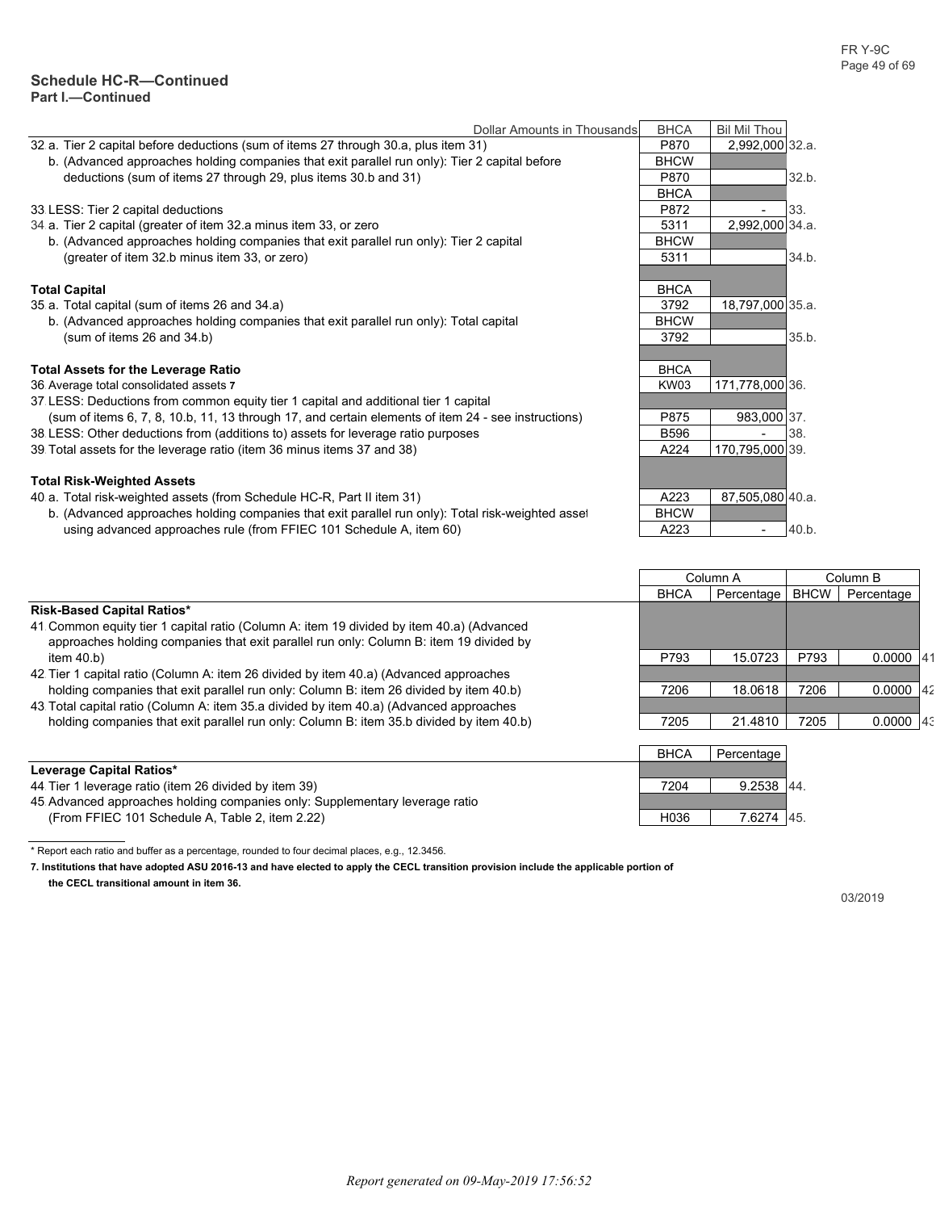|                                                                                                     | Dollar Amounts in Thousands | <b>BHCA</b> | <b>Bil Mil Thou</b>      |             |          |
|-----------------------------------------------------------------------------------------------------|-----------------------------|-------------|--------------------------|-------------|----------|
| 32 a. Tier 2 capital before deductions (sum of items 27 through 30.a, plus item 31)                 |                             | P870        | 2,992,000 32.a.          |             |          |
| b. (Advanced approaches holding companies that exit parallel run only): Tier 2 capital before       |                             | <b>BHCW</b> |                          |             |          |
| deductions (sum of items 27 through 29, plus items 30.b and 31)                                     |                             | P870        |                          | 32.b.       |          |
|                                                                                                     |                             | <b>BHCA</b> |                          |             |          |
| 33 LESS: Tier 2 capital deductions                                                                  |                             | P872        | $\overline{\phantom{a}}$ | 33.         |          |
| 34 a. Tier 2 capital (greater of item 32 a minus item 33, or zero                                   |                             | 5311        | 2,992,000 34.a.          |             |          |
| b. (Advanced approaches holding companies that exit parallel run only): Tier 2 capital              |                             | <b>BHCW</b> |                          |             |          |
| (greater of item 32.b minus item 33, or zero)                                                       |                             | 5311        |                          | 34.b.       |          |
|                                                                                                     |                             |             |                          |             |          |
| <b>Total Capital</b>                                                                                |                             | <b>BHCA</b> |                          |             |          |
| 35 a. Total capital (sum of items 26 and 34.a)                                                      |                             | 3792        | 18,797,000 35.a.         |             |          |
| b. (Advanced approaches holding companies that exit parallel run only): Total capital               |                             | <b>BHCW</b> |                          |             |          |
| (sum of items 26 and 34.b)                                                                          |                             | 3792        |                          | 35.b.       |          |
|                                                                                                     |                             |             |                          |             |          |
| <b>Total Assets for the Leverage Ratio</b>                                                          |                             | <b>BHCA</b> |                          |             |          |
| 36 Average total consolidated assets 7                                                              |                             | KW03        | 171,778,000 36.          |             |          |
| 37 LESS: Deductions from common equity tier 1 capital and additional tier 1 capital                 |                             |             |                          |             |          |
| (sum of items 6, 7, 8, 10.b, 11, 13 through 17, and certain elements of item 24 - see instructions) |                             | P875        | 983,000 37.              |             |          |
| 38 LESS: Other deductions from (additions to) assets for leverage ratio purposes                    |                             | <b>B596</b> |                          | 38.         |          |
| 39 Total assets for the leverage ratio (item 36 minus items 37 and 38)                              |                             | A224        | 170,795,000 39.          |             |          |
|                                                                                                     |                             |             |                          |             |          |
| <b>Total Risk-Weighted Assets</b>                                                                   |                             |             |                          |             |          |
| 40 a. Total risk-weighted assets (from Schedule HC-R, Part II item 31)                              |                             | A223        | 87,505,080 40.a.         |             |          |
| b. (Advanced approaches holding companies that exit parallel run only): Total risk-weighted asset   |                             | <b>BHCW</b> |                          |             |          |
| using advanced approaches rule (from FFIEC 101 Schedule A, item 60)                                 |                             | A223        | $\overline{\phantom{a}}$ | 40.b.       |          |
|                                                                                                     |                             |             |                          |             |          |
|                                                                                                     |                             |             |                          |             |          |
|                                                                                                     |                             |             | Column A                 |             | Column B |
|                                                                                                     |                             | <b>BHCA</b> | Percentage               | <b>BHCW</b> | Percer   |
|                                                                                                     |                             |             |                          |             |          |

|                                                                                                                                                                                    | <b>BHCA</b> | Percentage | <b>BHCW</b> | Percentage |
|------------------------------------------------------------------------------------------------------------------------------------------------------------------------------------|-------------|------------|-------------|------------|
| <b>Risk-Based Capital Ratios*</b>                                                                                                                                                  |             |            |             |            |
| 41 Common equity tier 1 capital ratio (Column A: item 19 divided by item 40.a) (Advanced<br>approaches holding companies that exit parallel run only: Column B: item 19 divided by |             |            |             |            |
| item $40.b$                                                                                                                                                                        | P793        | 15.0723    | P793        | 0.0000     |
| 42 Tier 1 capital ratio (Column A: item 26 divided by item 40.a) (Advanced approaches                                                                                              |             |            |             |            |
| holding companies that exit parallel run only: Column B: item 26 divided by item 40.b)                                                                                             | 7206        | 18.0618    | 7206        | 0.0000     |
| 43. Total capital ratio (Column A: item 35.a divided by item 40.a) (Advanced approaches                                                                                            |             |            |             |            |
| holding companies that exit parallel run only: Column B: item 35 b divided by item 40 b)                                                                                           | 7205        | 21.4810    | 7205        | 0.0000     |
|                                                                                                                                                                                    |             |            |             |            |
|                                                                                                                                                                                    | <b>BHCA</b> | Percentage |             |            |
| Leverage Capital Ratios*                                                                                                                                                           |             |            |             |            |
| 44 Tier 1 leverage ratio (item 26 divided by item 39)                                                                                                                              | 7204        | 9.2538     | 44.         |            |
| 45. Advanced approaches holding companies only: Supplementary leverage ratio                                                                                                       |             |            |             |            |
| (From FFIEC 101 Schedule A, Table 2, item 2.22)                                                                                                                                    | H036        | 7.6274 45. |             |            |

**7. Institutions that have adopted ASU 2016-13 and have elected to apply the CECL transition provision include the applicable portion of the CECL transitional amount in item 36.**

<sup>\*</sup> Report each ratio and buffer as a percentage, rounded to four decimal places, e.g., 12.3456.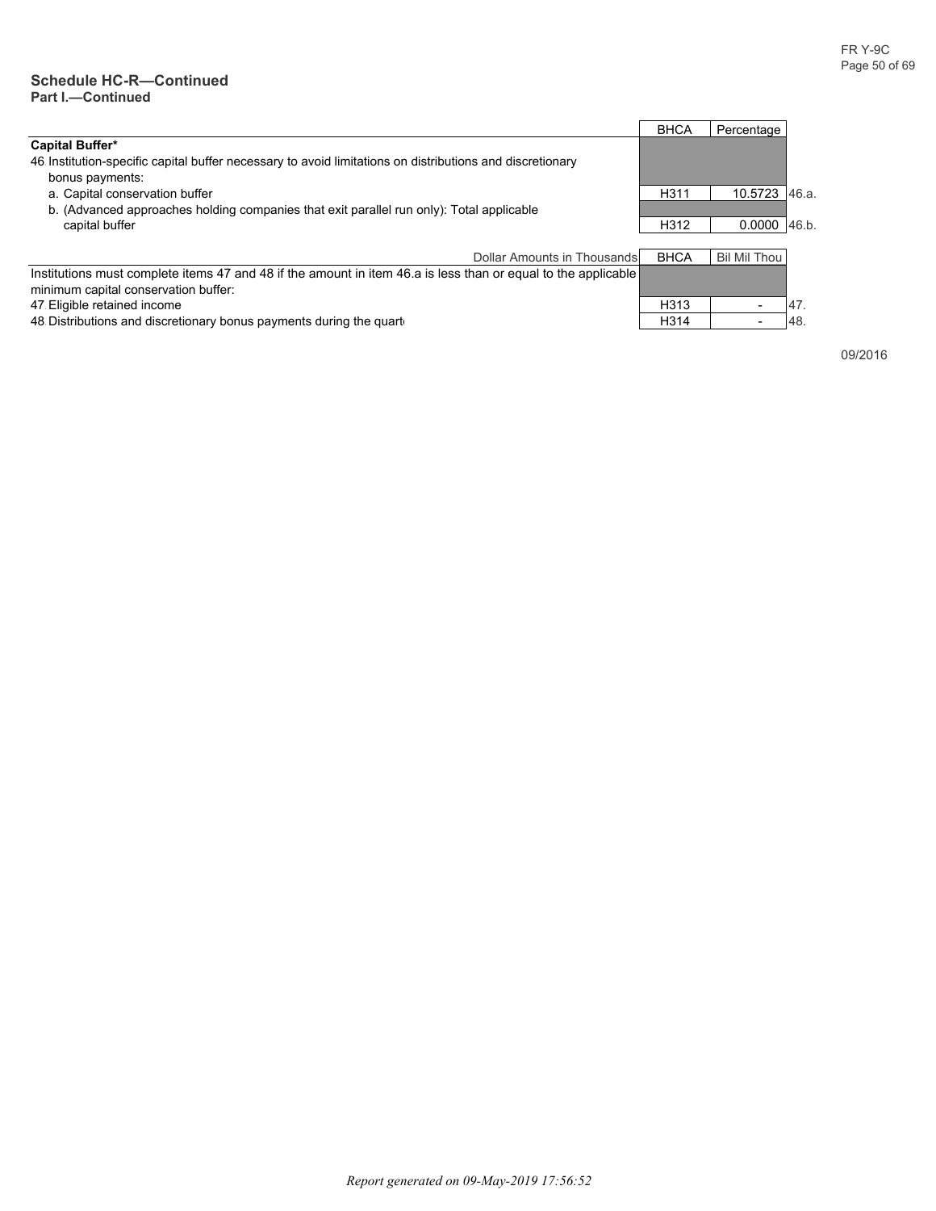#### **Schedule HC-R—Continued Part I.—Continued**

|                                                                                                                                                       | <b>BHCA</b>       | Percentage          |       |
|-------------------------------------------------------------------------------------------------------------------------------------------------------|-------------------|---------------------|-------|
| <b>Capital Buffer*</b>                                                                                                                                |                   |                     |       |
| 46 Institution-specific capital buffer necessary to avoid limitations on distributions and discretionary<br>bonus payments:                           |                   |                     |       |
| a. Capital conservation buffer                                                                                                                        | H311              | 10.5723             | 46.a. |
| b. (Advanced approaches holding companies that exit parallel run only): Total applicable                                                              |                   |                     |       |
| capital buffer                                                                                                                                        | H312              | 0.0000              | 46.b. |
|                                                                                                                                                       |                   |                     |       |
| Dollar Amounts in Thousands                                                                                                                           | <b>BHCA</b>       | <b>Bil Mil Thou</b> |       |
| Institutions must complete items 47 and 48 if the amount in item 46 a is less than or equal to the applicable<br>minimum capital conservation buffer: |                   |                     |       |
| 47 Eligible retained income                                                                                                                           | H313              |                     | 47.   |
| 48 Distributions and discretionary bonus payments during the quartetial-                                                                              | H <sub>3</sub> 14 |                     | 48    |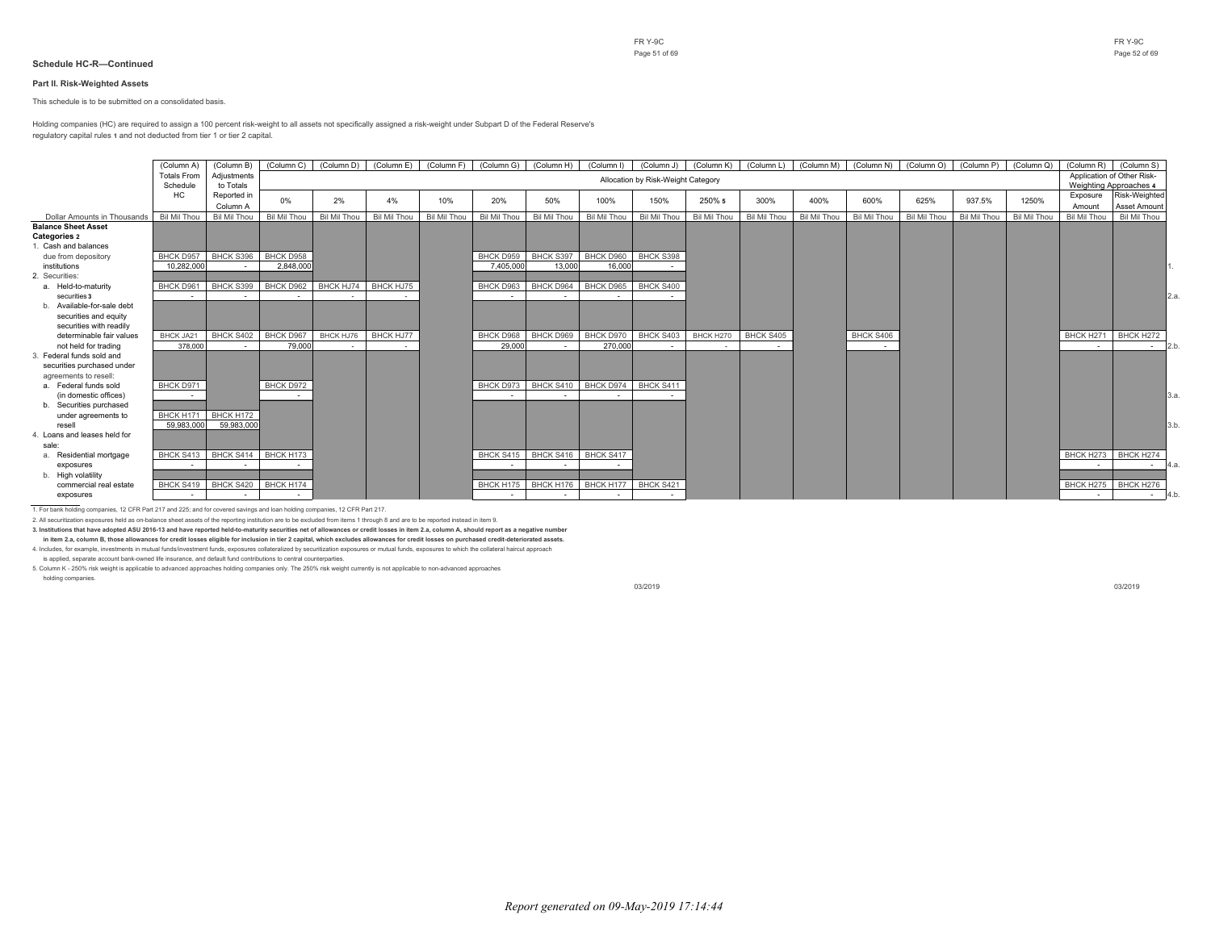#### **Part II. Risk-Weighted Assets**

This schedule is to be submitted on a consolidated basis.

Holding companies (HC) are required to assign a 100 percent risk-weight to all assets not specifically assigned a risk-weight under Subpart D of the Federal Reserve's regulatory capital rules **1** and not deducted from tier 1 or tier 2 capital.

|                              | (Column A)         | (Column B)   |                     |              |              |              |                          | (Column C)   (Column D)   (Column E)   (Column F)   (Column G)   (Column H) | (Column I)          | (Column J)                         | (Column K)   |              | (Column L) (Column M) (Column N) (Column O) (Column P) (Column Q) |              |              |              |              | (Column R)   | (Column S)                 |  |
|------------------------------|--------------------|--------------|---------------------|--------------|--------------|--------------|--------------------------|-----------------------------------------------------------------------------|---------------------|------------------------------------|--------------|--------------|-------------------------------------------------------------------|--------------|--------------|--------------|--------------|--------------|----------------------------|--|
|                              | <b>Totals From</b> | Adjustments  |                     |              |              |              |                          |                                                                             |                     | Allocation by Risk-Weight Category |              |              |                                                                   |              |              |              |              |              | Application of Other Risk- |  |
|                              | Schedule           | to Totals    |                     |              |              |              |                          |                                                                             |                     |                                    |              |              |                                                                   |              |              |              |              |              | Weighting Approaches 4     |  |
|                              | HC                 | Reported in  | 0%                  | 2%           | 4%           | 10%          | 20%                      | 50%                                                                         | 100%                | 150%                               | 250% 5       | 300%         | 400%                                                              | 600%         | 625%         | 937.5%       | 1250%        | Exposure     | Risk-Weighted              |  |
|                              |                    | Column A     |                     |              |              |              |                          |                                                                             |                     |                                    |              |              |                                                                   |              |              |              |              | Amount       | Asset Amount               |  |
| Dollar Amounts in Thousands  | Bil Mil Thou       | Bil Mil Thou | Bil Mil Thou        | Bil Mil Thou | Bil Mil Thou | Bil Mil Thou | Bil Mil Thou             | Bil Mil Thou                                                                | Bil Mil Thou        | Bil Mil Thou                       | Bil Mil Thou | Bil Mil Thou | Bil Mil Thou                                                      | Bil Mil Thou | Bil Mil Thou | Bil Mil Thou | Bil Mil Thou | Bil Mil Thou | Bil Mil Thou               |  |
| <b>Balance Sheet Asset</b>   |                    |              |                     |              |              |              |                          |                                                                             |                     |                                    |              |              |                                                                   |              |              |              |              |              |                            |  |
| <b>Categories 2</b>          |                    |              |                     |              |              |              |                          |                                                                             |                     |                                    |              |              |                                                                   |              |              |              |              |              |                            |  |
| Cash and balances            |                    |              |                     |              |              |              |                          |                                                                             |                     |                                    |              |              |                                                                   |              |              |              |              |              |                            |  |
| due from depository          | BHCK D957          | BHCK S396    | BHCK D958           |              |              |              | BHCK D959                | BHCK S397                                                                   | BHCK D960           | BHCK S398                          |              |              |                                                                   |              |              |              |              |              |                            |  |
| institutions                 | 10.282.000         |              | 2.848.000           |              |              |              | 7.405.000                | 13,000                                                                      | 16,000              |                                    |              |              |                                                                   |              |              |              |              |              |                            |  |
| 2. Securities:               |                    |              |                     |              |              |              |                          |                                                                             |                     |                                    |              |              |                                                                   |              |              |              |              |              |                            |  |
| a. Held-to-maturity          | BHCK D961          | BHCK S399    | BHCK D962           | BHCK HJ74    | BHCK HJ75    |              | BHCK D963                | BHCK D964                                                                   | BHCK D965           | BHCK S400                          |              |              |                                                                   |              |              |              |              |              |                            |  |
| securities 3                 | $\sim$             |              | $\sim$              |              |              |              |                          | $\sim$                                                                      |                     |                                    |              |              |                                                                   |              |              |              |              |              | 2.a.                       |  |
| Available-for-sale debt      |                    |              |                     |              |              |              |                          |                                                                             |                     |                                    |              |              |                                                                   |              |              |              |              |              |                            |  |
| securities and equity        |                    |              |                     |              |              |              |                          |                                                                             |                     |                                    |              |              |                                                                   |              |              |              |              |              |                            |  |
| securities with readily      |                    |              |                     |              |              |              |                          |                                                                             |                     |                                    |              |              |                                                                   |              |              |              |              |              |                            |  |
| determinable fair values     | BHCK JA21          |              | BHCK S402 BHCK D967 | BHCK HJ76    | BHCK HJ77    |              | BHCK D968                | BHCK D969                                                                   | BHCK D970 BHCK S403 |                                    | BHCK H270    | BHCK S405    |                                                                   | BHCK S406    |              |              |              | BHCK H271    | BHCK H272                  |  |
| not held for trading         | 378,000            |              | 79,000              |              |              |              | 29,000                   |                                                                             | 270,000             |                                    |              |              |                                                                   |              |              |              |              |              | 2.b.<br>$\sim$             |  |
| 3. Federal funds sold and    |                    |              |                     |              |              |              |                          |                                                                             |                     |                                    |              |              |                                                                   |              |              |              |              |              |                            |  |
| securities purchased under   |                    |              |                     |              |              |              |                          |                                                                             |                     |                                    |              |              |                                                                   |              |              |              |              |              |                            |  |
| agreements to resell:        |                    |              |                     |              |              |              |                          |                                                                             |                     |                                    |              |              |                                                                   |              |              |              |              |              |                            |  |
| a. Federal funds sold        | BHCK D971          |              | BHCK D972           |              |              |              |                          | BHCK D973 BHCK S410 BHCK D974                                               |                     | BHCK S411                          |              |              |                                                                   |              |              |              |              |              |                            |  |
| (in domestic offices)        | $\sim$             |              |                     |              |              |              |                          | $\sim$                                                                      |                     |                                    |              |              |                                                                   |              |              |              |              |              | 3.a.                       |  |
| b. Securities purchased      |                    |              |                     |              |              |              |                          |                                                                             |                     |                                    |              |              |                                                                   |              |              |              |              |              |                            |  |
| under agreements to          | BHCK H171          | BHCK H172    |                     |              |              |              |                          |                                                                             |                     |                                    |              |              |                                                                   |              |              |              |              |              |                            |  |
| resell                       | 59,983,000         | 59.983.000   |                     |              |              |              |                          |                                                                             |                     |                                    |              |              |                                                                   |              |              |              |              |              | 3.b.                       |  |
| 4. Loans and leases held for |                    |              |                     |              |              |              |                          |                                                                             |                     |                                    |              |              |                                                                   |              |              |              |              |              |                            |  |
|                              |                    |              |                     |              |              |              |                          |                                                                             |                     |                                    |              |              |                                                                   |              |              |              |              |              |                            |  |
| a. Residential mortgage      | BHCK S413          | BHCK S414    | BHCK H173           |              |              |              |                          | BHCK S415 BHCK S416 BHCK S417                                               |                     |                                    |              |              |                                                                   |              |              |              |              | BHCK H273    | BHCK H274                  |  |
| exposures                    | $\sim$             |              |                     |              |              |              | $\overline{\phantom{a}}$ | $\sim$                                                                      |                     |                                    |              |              |                                                                   |              |              |              |              | $\sim$       | 4.a.<br>$\sim$             |  |
| b. High volatility           |                    |              |                     |              |              |              |                          |                                                                             |                     |                                    |              |              |                                                                   |              |              |              |              |              |                            |  |
| commercial real estate       | BHCK S419          | BHCK S420    | BHCK H174           |              |              |              | BHCK H175                | BHCK H176                                                                   | BHCK H177           | BHCK S421                          |              |              |                                                                   |              |              |              |              | BHCK H275    | BHCK H276                  |  |
| exposures                    | $\sim$             |              |                     |              |              |              |                          |                                                                             |                     |                                    |              |              |                                                                   |              |              |              |              |              | 4.b.<br>$\sim$             |  |

1. For bank holding companies, 12 CFR Part 217 and 225; and for covered savings and loan holding companies, 12 CFR Part 217.

2. All securitization exposures held as on-balance sheet assets of the reporting institution are to be excluded from items 1 through 8 and are to be reported instead in item 9.

**3. Institutions that have adopted ASU 2016-13 and have reported held-to-maturity securities net of allowances or credit losses in item 2.a, column A, should report as a negative number**

**in item 2.a, column B, those allowances for credit losses eligible for inclusion in tier 2 capital, which excludes allowances for credit losses on purchased credit-deteriorated assets.**

4. Includes, for example, investments in mutual funds/investment funds, exposures collateralized by securitization exposures or mutual funds, exposures to which the collateral haircut approach

is applied, separate account bank-owned life insurance, and default fund contributions to central counterparties.

5. Column K - 250% risk weight is applicable to advanced approaches holding companies only. The 250% risk weight currently is not applicable to non-advanced approaches

holding companies.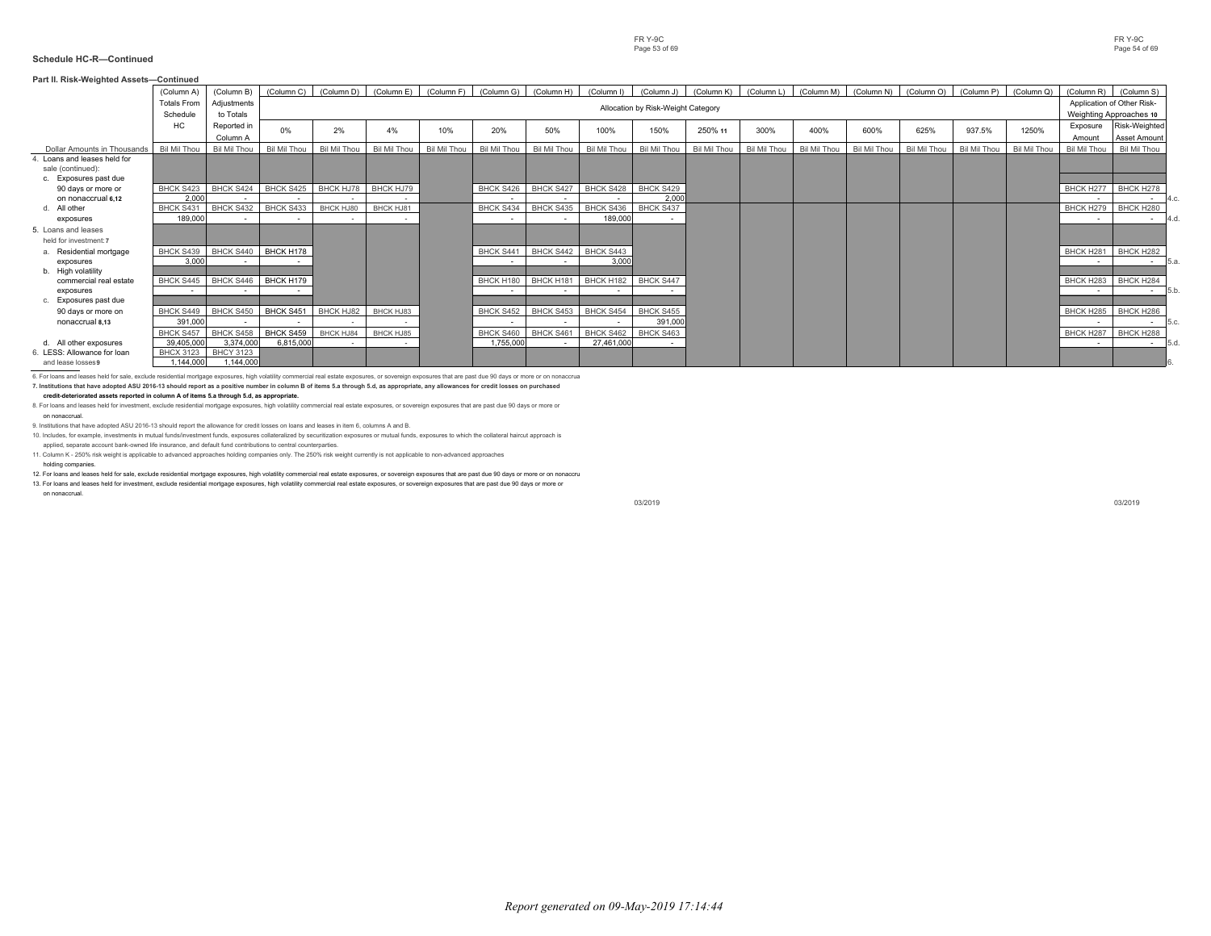| Part II. Risk-Weighted Assets-Continued                                 |                                |                          |              |              |              |              |              |                                                                              |              |                                    |              |              |                                  |              |              |                       |              |                    |                                                       |
|-------------------------------------------------------------------------|--------------------------------|--------------------------|--------------|--------------|--------------|--------------|--------------|------------------------------------------------------------------------------|--------------|------------------------------------|--------------|--------------|----------------------------------|--------------|--------------|-----------------------|--------------|--------------------|-------------------------------------------------------|
|                                                                         | (Column A)                     | (Column B)               | (Column C)   | (Column D)   |              |              |              | (Column E) (Column F) (Column G) (Column H) (Column I) (Column J) (Column K) |              |                                    |              |              | (Column L) (Column M) (Column N) |              | (Column O)   | (Column P) (Column Q) |              | (Column R)         | (Column S)                                            |
|                                                                         | <b>Totals From</b><br>Schedule | Adjustments<br>to Totals |              |              |              |              |              |                                                                              |              | Allocation by Risk-Weight Category |              |              |                                  |              |              |                       |              |                    | Application of Other Risk-<br>Weighting Approaches 10 |
|                                                                         | HC                             | Reported in<br>Column A  | $0\%$        | 2%           | 4%           | 10%          | 20%          | 50%                                                                          | 100%         | 150%                               | 250% 11      | 300%         | 400%                             | 600%         | 625%         | 937.5%                | 1250%        | Exposure<br>Amount | Risk-Weighted<br>Asset Amount                         |
| Dollar Amounts in Thousands                                             | Bil Mil Thou                   | Bil Mil Thou             | Bil Mil Thou | Bil Mil Thou | Bil Mil Thou | Bil Mil Thou | Bil Mil Thou | Bil Mil Thou                                                                 | Bil Mil Thou | Bil Mil Thou                       | Bil Mil Thou | Bil Mil Thou | Bil Mil Thou                     | Bil Mil Thou | Bil Mil Thou | Bil Mil Thou          | Bil Mil Thou | Bil Mil Thou       | Bil Mil Thou                                          |
| Loans and leases held for<br>sale (continued):<br>c. Exposures past due |                                |                          |              |              |              |              |              |                                                                              |              |                                    |              |              |                                  |              |              |                       |              |                    |                                                       |
| 90 days or more or                                                      | BHCK S423                      | BHCK S424                | BHCK S425    | BHCK HJ78    | BHCK HJ79    |              | BHCK S426    | BHCK S427                                                                    | BHCK S428    | BHCK S429                          |              |              |                                  |              |              |                       |              | BHCK H277          | BHCK H278                                             |
| on nonaccrual 6.12                                                      | 2.000                          |                          |              |              |              |              |              |                                                                              |              | 2.000                              |              |              |                                  |              |              |                       |              |                    | 4.c.<br>$\sim$                                        |
| All other                                                               | BHCK S431                      | BHCK S432                | BHCK S433    | BHCK HJ80    | BHCK HJ81    |              | BHCK S434    | BHCK S435                                                                    | BHCK S436    | BHCK S437                          |              |              |                                  |              |              |                       |              | BHCK H279          | BHCK H280                                             |
| exposures                                                               | 189,000                        |                          |              | $\sim$       | $\sim$       |              | $\sim$       | $\sim$                                                                       | 189,000      |                                    |              |              |                                  |              |              |                       |              | $\sim$             | $4d$ .<br>$\sim$                                      |
| 5. Loans and leases                                                     |                                |                          |              |              |              |              |              |                                                                              |              |                                    |              |              |                                  |              |              |                       |              |                    |                                                       |
| held for investment: 7                                                  |                                |                          |              |              |              |              |              |                                                                              |              |                                    |              |              |                                  |              |              |                       |              |                    |                                                       |
| Residential mortgage                                                    | BHCK S439                      | BHCK S440                | BHCK H178    |              |              |              | BHCK S441    | BHCK S442 BHCK S443                                                          |              |                                    |              |              |                                  |              |              |                       |              | BHCK H281          | BHCK H282                                             |
| exposures<br>b. High volatility                                         | 3,000                          |                          |              |              |              |              |              |                                                                              | 3.000        |                                    |              |              |                                  |              |              |                       |              |                    | 15.a.<br>$\sim$                                       |
| commercial real estate                                                  | BHCK S445                      | BHCK S446                | BHCK H179    |              |              |              | BHCK H180    | BHCK H181                                                                    | BHCK H182    | BHCK S447                          |              |              |                                  |              |              |                       |              | BHCK H283          | BHCK H284                                             |
| exposures                                                               |                                |                          |              |              |              |              |              |                                                                              |              |                                    |              |              |                                  |              |              |                       |              | $\sim$             | 5.b.<br>$\sim$                                        |
| c. Exposures past due                                                   |                                |                          |              |              |              |              |              |                                                                              |              |                                    |              |              |                                  |              |              |                       |              |                    |                                                       |
| 90 days or more on                                                      | BHCK S449                      | BHCK S450                | BHCK S451    | BHCK HJ82    | BHCK HJ83    |              | BHCK S452    | BHCK S453                                                                    | BHCK S454    | BHCK S455                          |              |              |                                  |              |              |                       |              | BHCK H285          | BHCK H286                                             |
| nonaccrual 8.13                                                         | 391.000                        |                          |              |              |              |              |              |                                                                              |              | 391.000                            |              |              |                                  |              |              |                       |              |                    | 5.c.<br>$\sim$                                        |
|                                                                         | <b>BHCK S457</b>               | BHCK S458                | BHCK S459    | BHCK HJ84    | BHCK HJ85    |              | BHCK S460    | BHCK S461                                                                    | BHCK S462    | BHCK S463                          |              |              |                                  |              |              |                       |              | BHCK H287          | BHCK H288                                             |
| d. All other exposures                                                  | 39,405,000                     | 3,374,000                | 6,815,000    |              |              |              | 1,755,000    | $\sim$                                                                       | 27.461.000   |                                    |              |              |                                  |              |              |                       |              | $\sim$             | 5d<br>$\sim$                                          |
| LESS: Allowance for loan                                                | <b>BHCX 3123</b>               | <b>BHCY 3123</b>         |              |              |              |              |              |                                                                              |              |                                    |              |              |                                  |              |              |                       |              |                    |                                                       |
| and lease losses9                                                       | 1,144,000                      | 1.144.000                |              |              |              |              |              |                                                                              |              |                                    |              |              |                                  |              |              |                       |              |                    |                                                       |

6. For loans and leases held for sale, exclude residential mortgage exposures, high volatility commercial real estate exposures, or sovereign exposures that are past due 90 days or more or on nonaccrual. **7. Institutions that have adopted ASU 2016-13 should report as a positive number in column B of items 5.a through 5.d, as appropriate, any allowances for credit losses on purchased**

#### **credit-deteriorated assets reported in column A of items 5.a through 5.d, as appropriate.**

8. For loans and leases held for investment, exclude residential mortgage exposures, high volatility commercial real estate exposures, or sovereign exposures that are past due 90 days or more or

on nonaccrual.

9. Institutions that have adopted ASU 2016-13 should report the allowance for credit losses on loans and leases in item 6, columns A and B.

10. Includes, for example, investments in mutual funds/investment funds, exposures collateralized by securitization exposures or mutual funds, exposures to which the collateral haircut approach is applied, separate account bank-owned life insurance, and default fund contributions to central counterparties.

11. Column K - 250% risk weight is applicable to advanced approaches holding companies only. The 250% risk weight currently is not applicable to non-advanced approaches

holding companies.

12. For loans and leases held for sale, exclude residential mortgage exposures, high volatility commercial real estate exposures, or sovereign exposures that are past due 90 days or more or on nonaccru

13. For loans and leases held for investment, exclude residential mortgage exposures, high volatility commercial real estate exposures, or sovereign exposures that are past due 90 days or more or on nonaccrual.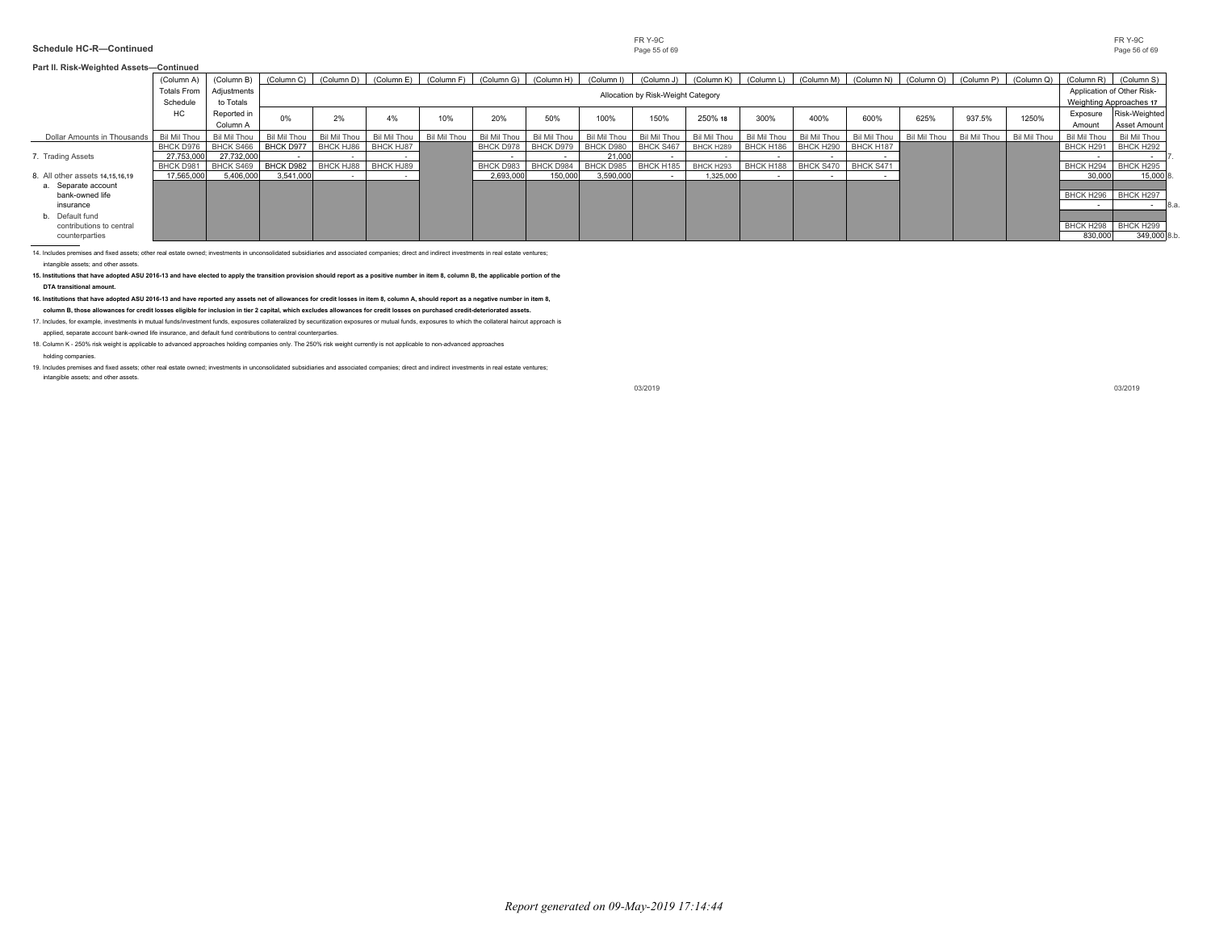#### **Schedule HC-R—Continued** Page 55 of 69 Page 55 of 69 Page 55 of 69 Page 55 of 69 Page 55 of 69

|                                                               | (Column A)                           | (Column B)                           | (Column C)             | (Column D)             | (Column E)             | (Column F)   | (Column G)             | (Column H)                    | (Column I)                       | (Column J)                         | (Column K)             | (Column L)               | (Column M)             | (Column N)             | (Column O) (Column P) |              | (Column Q)   | (Column R) (Column S)                         |                               |
|---------------------------------------------------------------|--------------------------------------|--------------------------------------|------------------------|------------------------|------------------------|--------------|------------------------|-------------------------------|----------------------------------|------------------------------------|------------------------|--------------------------|------------------------|------------------------|-----------------------|--------------|--------------|-----------------------------------------------|-------------------------------|
|                                                               | <b>Totals From</b>                   | Adjustments                          |                        |                        |                        |              |                        |                               |                                  | Allocation by Risk-Weight Category |                        |                          |                        |                        |                       |              |              | Application of Other Risk-                    |                               |
|                                                               | Schedule<br>HC                       | to Totals<br>Reported in<br>Column A | 0%                     | 2%                     | 4%                     | 10%          | 20%                    | 50%                           | 100%                             | 150%                               | 250% 18                | 300%                     | 400%                   | 600%                   | 625%                  | 937.5%       | 1250%        | Weighting Approaches 17<br>Exposure<br>Amount | Risk-Weighted<br>Asset Amount |
| Dollar Amounts in Thousands                                   | Bil Mil Thou                         | Bil Mil Thou                         | Bil Mil Thou           | Bil Mil Thou           | Bil Mil Thou           | Bil Mil Thou | Bil Mil Thou           | <b>Bil Mil Thou</b>           | Bil Mil Thou                     | Bil Mil Thou                       | Bil Mil Thou           | Bil Mil Thou             | Bil Mil Thou           | Bil Mil Thou           | Bil Mil Thou          | Bil Mil Thou | Bil Mil Thou | Bil Mil Thou                                  | Bil Mil Thou                  |
| 7. Trading Assets                                             | BHCK D976<br>27,753,000<br>BHCK D981 | BHCK S466<br>27,732,000<br>BHCK S469 | BHCK D977<br>BHCK D982 | BHCK HJ86<br>BHCK HJ88 | BHCK HJ87<br>BHCK HJ89 |              | BHCK D978<br>BHCK D983 | <b>BHCK D979</b><br>BHCK D984 | BHCK D980<br>21,000<br>BHCK D985 | BHCK S467<br>BHCK H185             | BHCK H289<br>BHCK H293 | BHCK H186<br>BHCK H188   | BHCK H290<br>BHCK S470 | BHCK H187<br>BHCK S471 |                       |              |              | BHCK H291<br>BHCK H294                        | BHCK H292<br>BHCK H295        |
| 8. All other assets 14,15,16,19<br>Separate account           | 17,565,000                           | 5,406,000                            | 3,541,000              |                        |                        |              | 2,693,000              | 150,000                       | 3,590,000                        |                                    | 1,325,000              | $\overline{\phantom{a}}$ |                        |                        |                       |              |              | 30,000                                        | 15,000                        |
| bank-owned life<br>insurance                                  |                                      |                                      |                        |                        |                        |              |                        |                               |                                  |                                    |                        |                          |                        |                        |                       |              |              | BHCK H296 BHCK H297                           | $\sim$                        |
| b. Default fund<br>contributions to central<br>counterparties |                                      |                                      |                        |                        |                        |              |                        |                               |                                  |                                    |                        |                          |                        |                        |                       |              |              | BHCK H298<br>830,000                          | BHCK H299<br>349,000 8.b.     |

intangible assets; and other assets.

**15. Institutions that have adopted ASU 2016-13 and have elected to apply the transition provision should report as a positive number in item 8, column B, the applicable portion of the**

**DTA transitional amount.**

**16. Institutions that have adopted ASU 2016-13 and have reported any assets net of allowances for credit losses in item 8, column A, should report as a negative number in item 8, column B, those allowances for credit losses eligible for inclusion in tier 2 capital, which excludes allowances for credit losses on purchased credit-deteriorated assets.**

17. Includes, for example, investments in mutual funds/investment funds, exposures collateralized by securitization exposures or mutual funds, exposures to which the collateral haircut approach is

applied, separate account bank-owned life insurance, and default fund contributions to central counterparties.

18. Column K - 250% risk weight is applicable to advanced approaches holding companies only. The 250% risk weight currently is not applicable to non-advanced approaches

#### holding companies.

19. Includes premises and fixed assets; other real estate owned; investments in unconsolidated subsidiaries and associated companies; direct and indirect investments in real estate ventures; intangible assets; and other assets.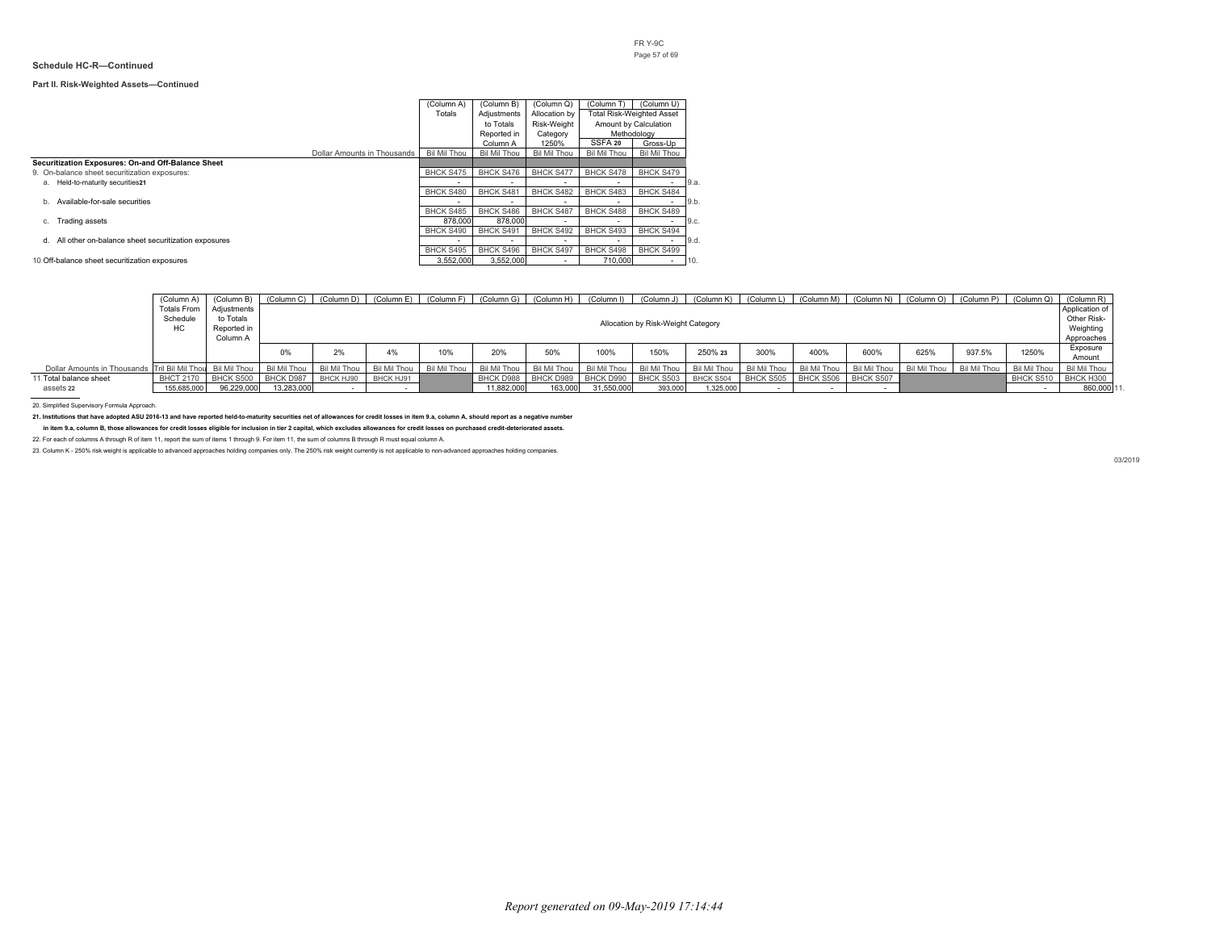#### **Part II. Risk-Weighted Assets—Continued**

|                                                           |                             | (Column A)          | (Column B)   | (Column Q)       | (Column T)          | (Column U)                       |      |
|-----------------------------------------------------------|-----------------------------|---------------------|--------------|------------------|---------------------|----------------------------------|------|
|                                                           |                             | Totals              | Adjustments  | Allocation by    |                     | <b>Total Risk-Weighted Asset</b> |      |
|                                                           |                             |                     | to Totals    | Risk-Weight      |                     | Amount by Calculation            |      |
|                                                           |                             |                     | Reported in  | Category         |                     | Methodology                      |      |
|                                                           |                             |                     | Column A     | 1250%            | SSFA 20             | Gross-Up                         |      |
|                                                           | Dollar Amounts in Thousands | <b>Bil Mil Thou</b> | Bil Mil Thou | Bil Mil Thou     | <b>Bil Mil Thou</b> | Bil Mil Thou                     |      |
| Securitization Exposures: On-and Off-Balance Sheet        |                             |                     |              |                  |                     |                                  |      |
| 9. On-balance sheet securitization exposures:             |                             | BHCK S475           | BHCK S476    | <b>BHCK S477</b> | <b>BHCK S478</b>    | BHCK S479                        |      |
| Held-to-maturity securities21<br>а.                       |                             |                     |              |                  |                     |                                  | 9.a. |
|                                                           |                             | BHCK S480           | BHCK S481    | <b>BHCK S482</b> | BHCK S483           | BHCK S484                        |      |
| Available-for-sale securities<br>b.                       |                             |                     |              | -                |                     | $\sim$                           | 9.b. |
|                                                           |                             | BHCK S485           | BHCK S486    | <b>BHCK S487</b> | <b>BHCK S488</b>    | BHCK S489                        |      |
| Trading assets<br>c.                                      |                             | 878,000             | 878,000      |                  | ۰.                  | <b>.</b>                         | 9.c. |
|                                                           |                             | BHCK S490           | BHCK S491    | BHCK S492        | BHCK S493           | BHCK S494                        |      |
| All other on-balance sheet securitization exposures<br>d. |                             |                     |              | ۰.               | ۰.                  | <b>.</b>                         | 9.d. |
|                                                           |                             | <b>BHCK S495</b>    | BHCK S496    | <b>BHCK S497</b> | <b>BHCK S498</b>    | BHCK S499                        |      |
| 10. Off-balance sheet securitization exposures            |                             | 3.552.000           | 3.552.000    | <b>.</b>         | 710,000             | $\overline{\phantom{a}}$         | 10   |

|                                                            | 'Column A'<br>Totals From<br>Schedule<br>HC | Adiustments<br>to Totals<br>Reported in<br>Column A |              |                  | (Column B)   (Column C)   (Column D)   (Column E)   (Column F)   (Column G)   (Column H)   (Column H)   (Column J)   (Column K)   (Column L)   (Column M)   (Column M)   (Column O)   (Column P)   (Column Q)   (Column R) |              |              |                     |              | Allocation by Risk-Weight Category |           |                               |              |              |                           |        |              | Application of<br>Other Risk-<br>Weighting<br>Approaches |
|------------------------------------------------------------|---------------------------------------------|-----------------------------------------------------|--------------|------------------|----------------------------------------------------------------------------------------------------------------------------------------------------------------------------------------------------------------------------|--------------|--------------|---------------------|--------------|------------------------------------|-----------|-------------------------------|--------------|--------------|---------------------------|--------|--------------|----------------------------------------------------------|
|                                                            |                                             |                                                     |              | 2%               | 4%                                                                                                                                                                                                                         | 10%          | 20%          | 50%                 | 100%         | 150%                               | 250% 23   | 300%                          | 400%         | 600%         | 625%                      | 937.5% | 1250%        | Exposure<br>Amount                                       |
| Dollar Amounts in Thousands Tril Bil Mil Thou Bil Mil Thou |                                             |                                                     | Bil Mil Thou | Bil Mil Thou     | Bil Mil Thou                                                                                                                                                                                                               | Bil Mil Thou | Bil Mil Thou | Bil Mil Thou        | Bil Mil Thou | Bil Mil Thou                       |           | Bil Mil Thou   Bil Mil Thou   | Bil Mil Thou | Bil Mil Thou | Bil Mil Thou Bil Mil Thou |        | Bil Mil Thou | Bil Mil Thou                                             |
| 11. Total balance sheet                                    | <b>BHCT 2170</b>                            | BHCK S500                                           | BHCK D987    | <b>BHCK HJ90</b> | BHCK HJ91                                                                                                                                                                                                                  |              | BHCK D988    | BHCK D989 BHCK D990 |              | BHCK S503                          | BHCK S504 | BHCK S505 BHCK S506 BHCK S507 |              |              |                           |        | BHCK S510    | BHCK H300                                                |
| assets 22                                                  | 155.685.000                                 | 96.229.000                                          | 13.283.000   |                  |                                                                                                                                                                                                                            |              | 11.882.000   | 163,000             | 31.550.000   | 393,000                            | 1,325,000 |                               |              |              |                           |        |              | 860,000 11                                               |

20. Simplified Supervisory Formula Approach.

**21. Institutions that have adopted ASU 2016-13 and have reported held-to-maturity securities net of allowances for credit losses in item 9.a, column A, should report as a negative number**

**in item 9.a, column B, those allowances for credit losses eligible for inclusion in tier 2 capital, which excludes allowances for credit losses on purchased credit-deteriorated assets.**

22. For each of columns A through R of item 11, report the sum of items 1 through 9. For item 11, the sum of columns B through R must equal column A.

23. Column K - 250% risk weight is applicable to advanced approaches holding companies only. The 250% risk weight currently is not applicable to non-advanced approaches holding companies.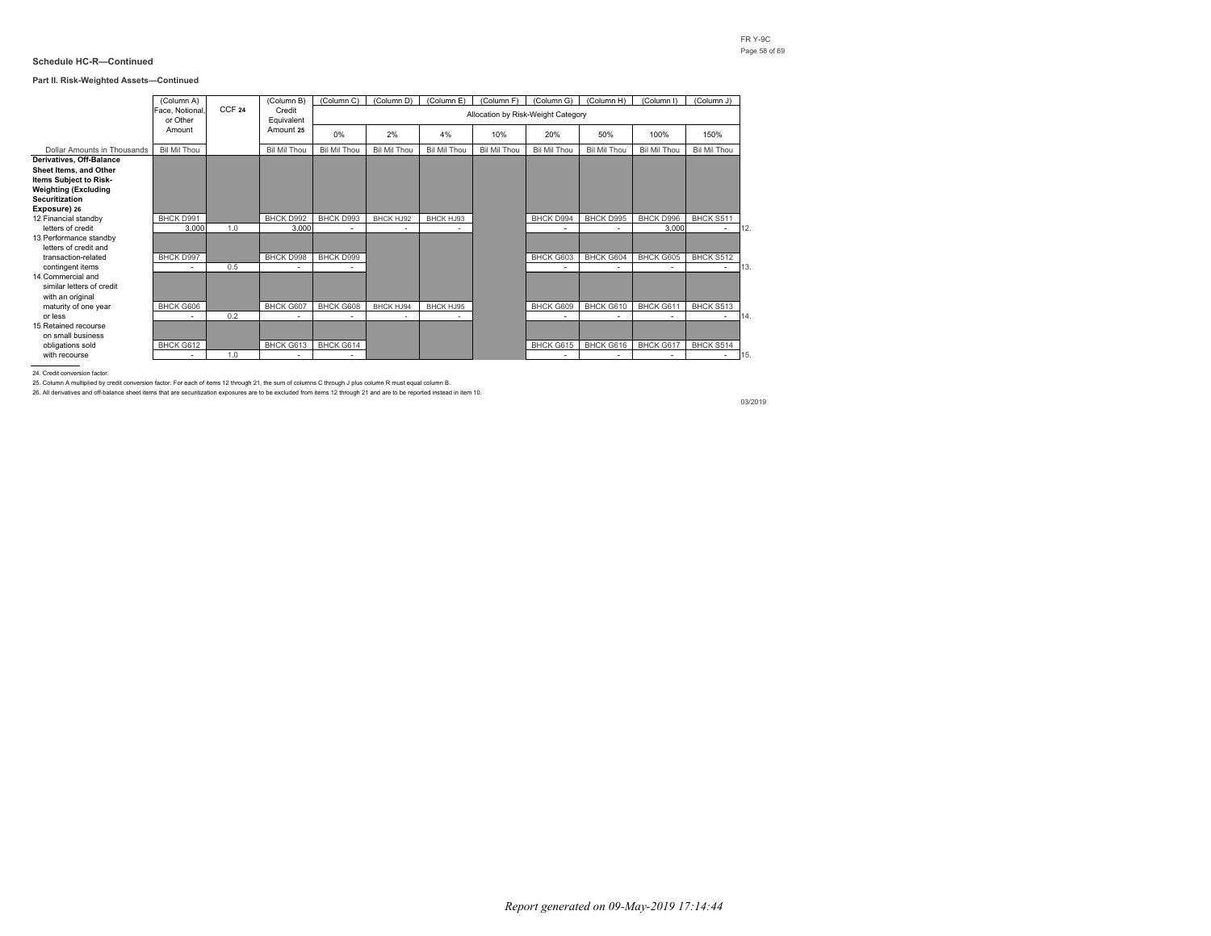#### **Part II. Risk-Weighted Assets—Continued**

|                             | (Column A)      |                   | (Column B)          | (Column C)          | (Column D)   | (Column E)   | (Column F)   | (Column G)                         | (Column H)               | (Column I)          | (Column J)   |     |
|-----------------------------|-----------------|-------------------|---------------------|---------------------|--------------|--------------|--------------|------------------------------------|--------------------------|---------------------|--------------|-----|
|                             | Face, Notional, | CCF <sub>24</sub> | Credit              |                     |              |              |              |                                    |                          |                     |              |     |
|                             | or Other        |                   | Equivalent          |                     |              |              |              | Allocation by Risk-Weight Category |                          |                     |              |     |
|                             | Amount          |                   | Amount 25           |                     |              |              |              |                                    |                          |                     |              |     |
|                             |                 |                   |                     | 0%                  | 2%           | 4%           | 10%          | 20%                                | 50%                      | 100%                | 150%         |     |
| Dollar Amounts in Thousands | Bil Mil Thou    |                   | <b>Bil Mil Thou</b> | <b>Bil Mil Thou</b> | Bil Mil Thou | Bil Mil Thou | Bil Mil Thou | Bil Mil Thou                       | <b>Bil Mil Thou</b>      | <b>Bil Mil Thou</b> | Bil Mil Thou |     |
| Derivatives, Off-Balance    |                 |                   |                     |                     |              |              |              |                                    |                          |                     |              |     |
| Sheet Items, and Other      |                 |                   |                     |                     |              |              |              |                                    |                          |                     |              |     |
| Items Subject to Risk-      |                 |                   |                     |                     |              |              |              |                                    |                          |                     |              |     |
| <b>Weighting (Excluding</b> |                 |                   |                     |                     |              |              |              |                                    |                          |                     |              |     |
| <b>Securitization</b>       |                 |                   |                     |                     |              |              |              |                                    |                          |                     |              |     |
| Exposure) 26                |                 |                   |                     |                     |              |              |              |                                    |                          |                     |              |     |
| 12 Financial standby        | BHCK D991       |                   | BHCK D992           | BHCK D993           | BHCK HJ92    | BHCK HJ93    |              | BHCK D994                          | BHCK D995                | BHCK D996           | BHCK S511    |     |
| letters of credit           | 3,000           | 1.0               | 3,000               |                     | ٠            |              |              | ٠                                  |                          | 3,000               | $\sim$       | 12. |
| 13. Performance standby     |                 |                   |                     |                     |              |              |              |                                    |                          |                     |              |     |
| letters of credit and       |                 |                   |                     |                     |              |              |              |                                    |                          |                     |              |     |
| transaction-related         | BHCK D997       |                   | BHCK D998           | BHCK D999           |              |              |              | BHCK G603                          | BHCK G604                | BHCK G605           | BHCK S512    |     |
| contingent items            | ٠               | 0.5               | ٠                   |                     |              |              |              | $\sim$                             |                          |                     | $\sim$       | 13. |
| 14 Commercial and           |                 |                   |                     |                     |              |              |              |                                    |                          |                     |              |     |
| similar letters of credit   |                 |                   |                     |                     |              |              |              |                                    |                          |                     |              |     |
| with an original            |                 |                   |                     |                     |              |              |              |                                    |                          |                     |              |     |
| maturity of one year        | BHCK G606       |                   | BHCK G607           | BHCK G608           | BHCK HJ94    | BHCK HJ95    |              | BHCK G609                          | BHCK G610                | BHCK G611           | BHCK S513    |     |
| or less                     |                 | 0.2               |                     |                     | $\sim$       |              |              | $\sim$                             |                          |                     | $\sim$       | 14  |
| 15 Retained recourse        |                 |                   |                     |                     |              |              |              |                                    |                          |                     |              |     |
| on small business           |                 |                   |                     |                     |              |              |              |                                    |                          |                     |              |     |
| obligations sold            | BHCK G612       |                   | BHCK G613           | BHCK G614           |              |              |              | BHCK G615                          | BHCK G616                | BHCK G617           | BHCK S514    |     |
| with recourse               | ٠               | 1.0               | ٠                   |                     |              |              |              | ٠                                  | $\overline{\phantom{a}}$ | ۰                   | $\sim$       | 15. |

24. Credit conversion factor.

25. Column A multiplied by credit conversion factor. For each of items 12 through 21, the sum of columns C through J plus column R must equal column B.

26. All derivatives and off-balance sheet items that are securitization exposures are to be excluded from items 12 through 21 and are to be reported instead in item 10.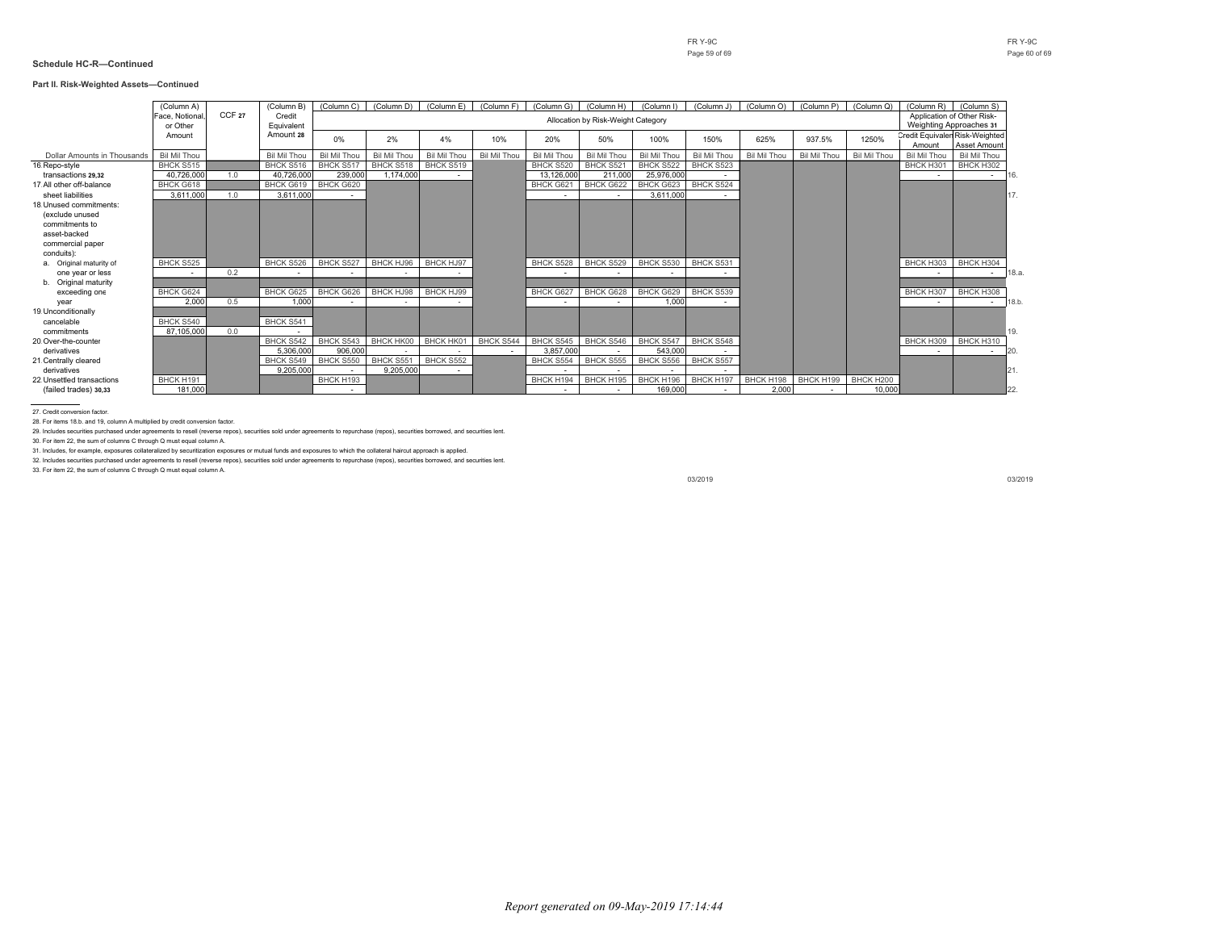#### **Part II. Risk-Weighted Assets—Continued**

|                             | (Column A)     |                   | (Column B)          | (Column C)          | (Column D)   | (Column E)       | (Column F)   | (Column G)          | (Column H)                         | (Column I)   | (Column J)          | (Column O)   | (Column P)   | (Column Q)       | (Column R)          | (Column S)                            |
|-----------------------------|----------------|-------------------|---------------------|---------------------|--------------|------------------|--------------|---------------------|------------------------------------|--------------|---------------------|--------------|--------------|------------------|---------------------|---------------------------------------|
|                             | Face, Notional | CCF <sub>27</sub> | Credit              |                     |              |                  |              |                     | Allocation by Risk-Weight Category |              |                     |              |              |                  |                     | Application of Other Risk-            |
|                             | or Other       |                   | Equivalent          |                     |              |                  |              |                     |                                    |              |                     |              |              |                  |                     | Weighting Approaches 31               |
|                             | Amount         |                   | Amount 28           | 0%                  | 2%           | 4%               | 10%          | 20%                 | 50%                                | 100%         | 150%                | 625%         | 937.5%       | 1250%            |                     | <b>Credit Equivalen Risk-Weighted</b> |
|                             |                |                   |                     |                     |              |                  |              |                     |                                    |              |                     |              |              |                  | Amount              | Asset Amount                          |
| Dollar Amounts in Thousands | Bil Mil Thou   |                   | <b>Bil Mil Thou</b> | <b>Bil Mil Thou</b> | Bil Mil Thou | Bil Mil Thou     | Bil Mil Thou | <b>Bil Mil Thou</b> | Bil Mil Thou                       | Bil Mil Thou | <b>Bil Mil Thou</b> | Bil Mil Thou | Bil Mil Thou | Bil Mil Thou     | <b>Bil Mil Thou</b> | Bil Mil Thou                          |
| 16. Repo-style              | BHCK S515      |                   | BHCK S516           | BHCK S517           | BHCK S518    | BHCK S519        |              | BHCK S520           | BHCK S521                          | BHCK S522    | BHCK S523           |              |              |                  | BHCK H301           | BHCK H302                             |
| transactions 29.32          | 40.726.000     | 1.0               | 40.726.000          | 239,000             | 1.174.000    |                  |              | 13.126.000          | 211,000                            | 25.976.000   |                     |              |              |                  | $\sim$              | $\sim$                                |
| 17. All other off-balance   | BHCK G618      |                   | BHCK G619           | BHCK G620           |              |                  |              | BHCK G621           | BHCK G622                          | BHCK G623    | BHCK S524           |              |              |                  |                     |                                       |
| sheet liabilities           | 3.611.000      | 1.0               | 3.611.000           |                     |              |                  |              |                     |                                    | 3.611.000    |                     |              |              |                  |                     |                                       |
| 18 Unused commitments:      |                |                   |                     |                     |              |                  |              |                     |                                    |              |                     |              |              |                  |                     |                                       |
| (exclude unused             |                |                   |                     |                     |              |                  |              |                     |                                    |              |                     |              |              |                  |                     |                                       |
| commitments to              |                |                   |                     |                     |              |                  |              |                     |                                    |              |                     |              |              |                  |                     |                                       |
| asset-backed                |                |                   |                     |                     |              |                  |              |                     |                                    |              |                     |              |              |                  |                     |                                       |
| commercial paper            |                |                   |                     |                     |              |                  |              |                     |                                    |              |                     |              |              |                  |                     |                                       |
| conduits):                  |                |                   |                     |                     |              |                  |              |                     |                                    |              |                     |              |              |                  |                     |                                       |
| a. Original maturity of     | BHCK S525      |                   | BHCK S526           | BHCK S527           | BHCK HJ96    | BHCK HJ97        |              | BHCK S528           | BHCK S529                          | BHCK S530    | BHCK S531           |              |              |                  | BHCK H303           | BHCK H304                             |
| one year or less            |                | 0.2               |                     |                     |              |                  |              |                     |                                    |              |                     |              |              |                  |                     | $\sim$                                |
| b. Original maturity        |                |                   |                     |                     |              |                  |              |                     |                                    |              |                     |              |              |                  |                     |                                       |
| exceeding one               | BHCK G624      |                   | BHCK G625           | BHCK G626           | BHCK HJ98    | <b>BHCK HJ99</b> |              | BHCK G627           | BHCK G628                          | BHCK G629    | BHCK S539           |              |              |                  | BHCK H307           | BHCK H308                             |
| year                        | 2.000          | 0.5               | 1.000               |                     |              |                  |              |                     |                                    | 1.000        |                     |              |              |                  |                     |                                       |
| 19. Unconditionally         |                |                   |                     |                     |              |                  |              |                     |                                    |              |                     |              |              |                  |                     |                                       |
| cancelable                  | BHCK S540      |                   | BHCK S541           |                     |              |                  |              |                     |                                    |              |                     |              |              |                  |                     |                                       |
| commitments                 | 87.105.000     | 0.0               |                     |                     |              |                  |              |                     |                                    |              |                     |              |              |                  |                     | 19.                                   |
| 20. Over-the-counter        |                |                   | BHCK S542           | BHCK S543           | BHCK HK00    | BHCK HK01        | BHCK S544    | BHCK S545           | BHCK S546                          | BHCK S547    | BHCK S548           |              |              |                  | BHCK H309           | BHCK H310                             |
| derivatives                 |                |                   | 5.306.000           | 906.000             |              |                  |              | 3.857.000           |                                    | 543.000      |                     |              |              |                  | $\sim$              | $\sim$                                |
| 21 Centrally cleared        |                |                   | BHCK S549           | BHCK S550           | BHCK S551    | BHCK S552        |              | <b>BHCK S554</b>    | BHCK S555                          | BHCK S556    | BHCK S557           |              |              |                  |                     |                                       |
| derivatives                 |                |                   | 9.205.000           |                     | 9.205.000    |                  |              |                     |                                    |              |                     |              |              |                  |                     | 21.                                   |
| 22 Unsettled transactions   | BHCK H191      |                   |                     | BHCK H193           |              |                  |              | BHCK H194           | BHCK H195                          | BHCK H196    | BHCK H197           | BHCK H198    | BHCK H199    | <b>BHCK H200</b> |                     |                                       |
| (failed trades) 30.33       | 181.000        |                   |                     | $\sim$              |              |                  |              |                     | $\sim$                             | 169,000      |                     | 2.000        |              | 10,000           |                     | 22.                                   |

27. Credit conversion factor.

28. For items 18.b. and 19, column A multiplied by credit conversion factor.

29. Includes securities purchased under agreements to resell (reverse repos), securities sold under agreements to repurchase (repos), securities borrowed, and securities lent.

30. For item 22, the sum of columns C through Q must equal column A.

31. Includes, for example, exposures collateralized by securitization exposures or mutual funds and exposures to which the collateral haircut approach is applied.

32. Includes securities purchased under agreements to resell (reverse repos), securities sold under agreements to repurchase (repos), securities borrowed, and securities lent.

33. For item 22, the sum of columns C through Q must equal column A.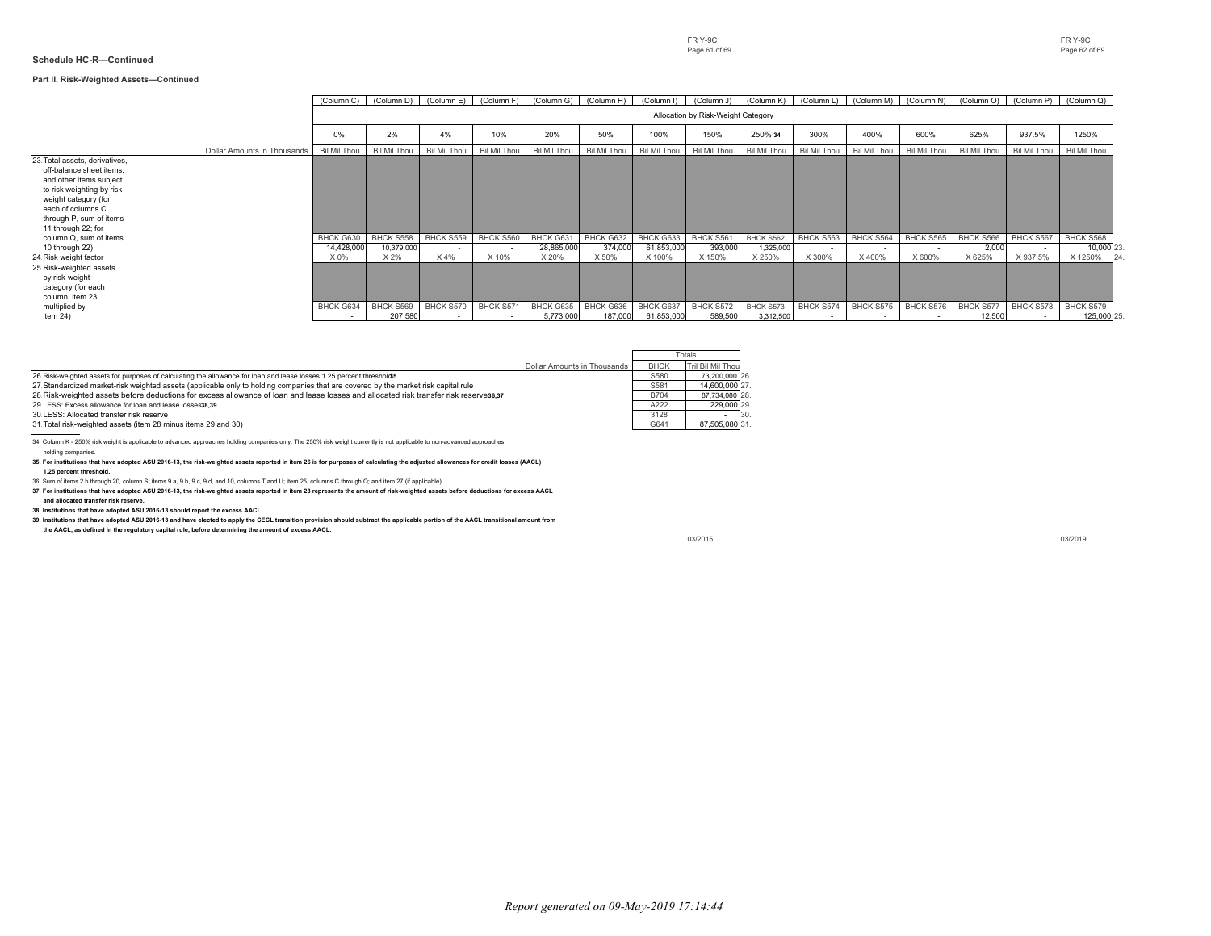#### **Part II. Risk-Weighted Assets—Continued**

|                                                                                                                                                                                                                   |                             | (Column C)          | (Column D)                         | (Column E)   | (Column F)   | (Column G)   | (Column H)   | (Column I)   | (Column J)   | (Column K)   | (Column L)   | (Column M)   | (Column N)   | (Column O)   | (Column P)   | (Column Q)          |
|-------------------------------------------------------------------------------------------------------------------------------------------------------------------------------------------------------------------|-----------------------------|---------------------|------------------------------------|--------------|--------------|--------------|--------------|--------------|--------------|--------------|--------------|--------------|--------------|--------------|--------------|---------------------|
|                                                                                                                                                                                                                   |                             |                     | Allocation by Risk-Weight Category |              |              |              |              |              |              |              |              |              |              |              |              |                     |
|                                                                                                                                                                                                                   |                             | 0%                  | 2%                                 | 4%           | 10%          | 20%          | 50%          | 100%         | 150%         | 250% 34      | 300%         | 400%         | 600%         | 625%         | 937.5%       | 1250%               |
|                                                                                                                                                                                                                   | Dollar Amounts in Thousands | <b>Bil Mil Thou</b> | <b>Bil Mil Thou</b>                | Bil Mil Thou | Bil Mil Thou | Bil Mil Thou | Bil Mil Thou | Bil Mil Thou | Bil Mil Thou | Bil Mil Thou | Bil Mil Thou | Bil Mil Thou | Bil Mil Thou | Bil Mil Thou | Bil Mil Thou | <b>Bil Mil Thou</b> |
| 23. Total assets, derivatives,<br>off-balance sheet items.<br>and other items subject<br>to risk weighting by risk-<br>weight category (for<br>each of columns C<br>through P, sum of items<br>11 through 22; for |                             |                     |                                    |              |              |              |              |              |              |              |              |              |              |              |              |                     |
| column Q, sum of items                                                                                                                                                                                            |                             | BHCK G630           | BHCK S558                          | BHCK S559    | BHCK S560    | BHCK G631    | BHCK G632    | BHCK G633    | BHCK S561    | BHCK S562    | BHCK S563    | BHCK S564    | BHCK S565    | BHCK S566    | BHCK S567    | BHCK S568           |
| 10 through 22)                                                                                                                                                                                                    |                             | 14,428,000          | 10,379,000                         | $\sim$       |              | 28,865,000   | 374,000      | 61,853,000   | 393,000      | 1,325,000    | $\sim$       | $\sim$       | $\sim$       | 2,000        |              | 10,000 23.          |
| 24. Risk weight factor<br>25 Risk-weighted assets<br>by risk-weight<br>category (for each<br>column, item 23                                                                                                      |                             | X0%                 | X 2%                               | X4%          | X 10%        | X 20%        | X 50%        | X 100%       | X 150%       | X 250%       | X 300%       | X 400%       | X 600%       | X 625%       | X 937.5%     | X 1250%             |
| multiplied by                                                                                                                                                                                                     |                             | BHCK G634           | BHCK S569                          | BHCK S570    | BHCK S571    | BHCK G635    | BHCK G636    | BHCK G637    | BHCK S572    | BHCK S573    | BHCK S574    | BHCK S575    | BHCK S576    | BHCK S577    | BHCK S578    | BHCK S579           |
| item 24)                                                                                                                                                                                                          |                             | $\sim$              | 207.580                            |              |              | 5,773,000    | 187,000      | 61,853,000   | 589,500      | 3,312,500    |              |              |              | 12,500       |              | 125,000 25.         |

|                                                                                                                                                                                                |                             |             | Totals            |
|------------------------------------------------------------------------------------------------------------------------------------------------------------------------------------------------|-----------------------------|-------------|-------------------|
|                                                                                                                                                                                                | Dollar Amounts in Thousands | <b>BHCK</b> | Tril Bil Mil Thou |
| 26. Risk-weighted assets for purposes of calculating the allowance for loan and lease losses 1.25 percent threshold 5                                                                          |                             | S580        | 73.200.000 26.    |
| 27. Standardized market-risk weighted assets (applicable only to holding companies that are covered by the market risk capital rule                                                            |                             | S581        | 14.600.000 27.    |
| 28. Risk-weighted assets before deductions for excess allowance of loan and lease losses and allocated risk transfer risk reserves6,37                                                         |                             | <b>B704</b> | 87.734.080 28.    |
| 29. LESS: Excess allowance for loan and lease losses38.39                                                                                                                                      |                             | A222        | 229,000 29.       |
| 30 LESS: Allocated transfer risk reserve                                                                                                                                                       |                             | 3128        | 30<br>۰.          |
| 31. Total risk-weighted assets (item 28 minus items 29 and 30)                                                                                                                                 |                             | G641        | 87.505.080 31.    |
| 34. Column K - 250% risk weight is applicable to advanced approaches holding companies only. The 250% risk weight currently is not applicable to non-advanced approaches<br>holding companies. |                             |             |                   |

**35. For institutions that have adopted ASU 2016-13, the risk-weighted assets reported in item 26 is for purposes of calculating the adjusted allowances for credit losses (AACL) 1.25 percent threshold.**

36. Sum of items 2.b through 20, column S; items 9.a, 9.b, 9.c, 9.d, and 10, columns T and U; item 25, columns C through Q; and item 27 (if applicable).

**37. For institutions that have adopted ASU 2016-13, the risk-weighted assets reported in item 28 represents the amount of risk-weighted assets before deductions for excess AACL and allocated transfer risk reserve.**

**38. Institutions that have adopted ASU 2016-13 should report the excess AACL.**

**39. Institutions that have adopted ASU 2016-13 and have elected to apply the CECL transition provision should subtract the applicable portion of the AACL transitional amount from**

**the AACL, as defined in the regulatory capital rule, before determining the amount of excess AACL.**

03/2015 03/2019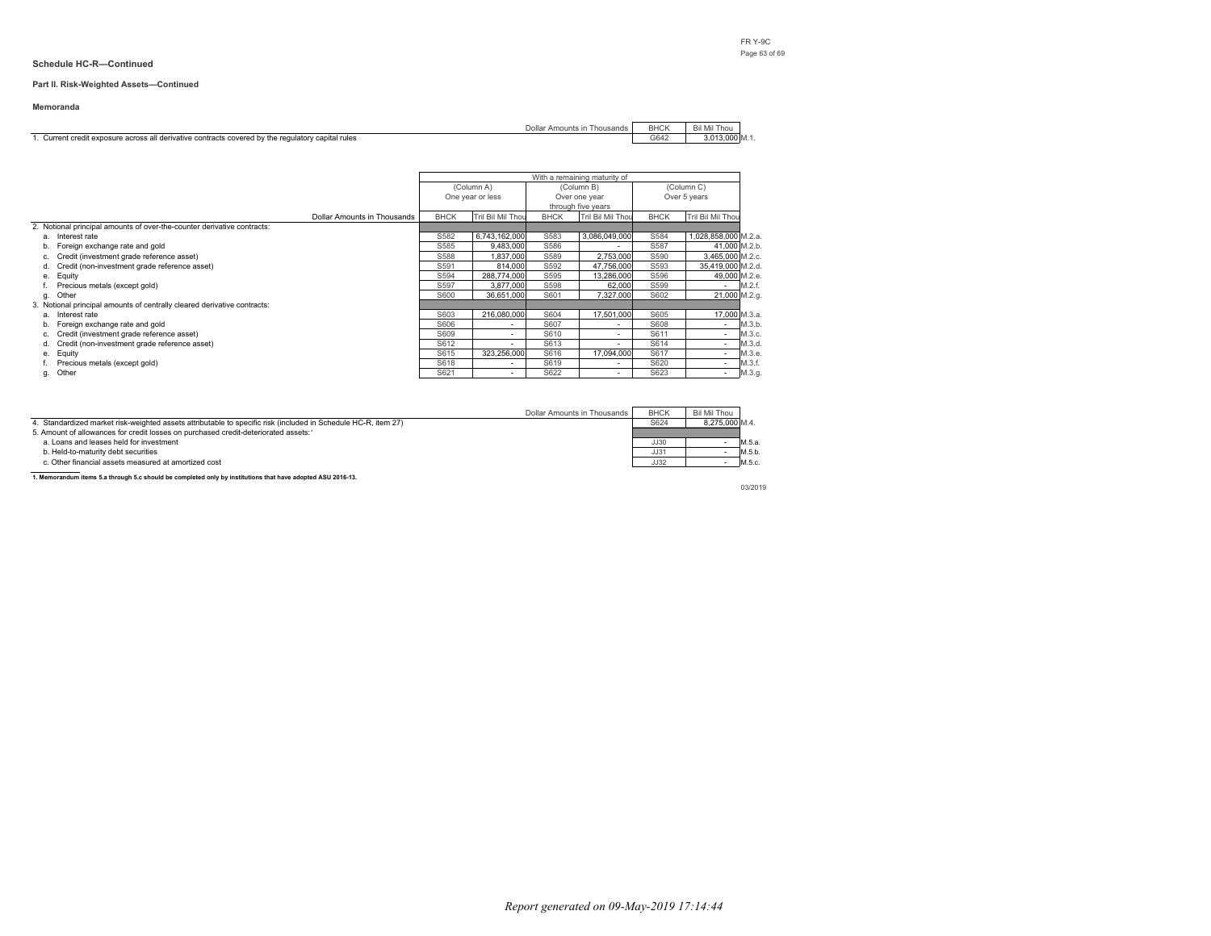#### **Part II. Risk-Weighted Assets—Continued**

#### **Memoranda**

| Dollar Amounts in Thousands                                                                     | <b>BHCK</b> | Bil Mil Thou<br>-MII      |
|-------------------------------------------------------------------------------------------------|-------------|---------------------------|
| Current credit exposure across all derivative contracts covered by the regulatory capital rules | G642        | $3.013.000 \, \text{M}$ . |

|                                                                          |                             | With a remaining maturity of |                   |                    |                   |             |                                    |
|--------------------------------------------------------------------------|-----------------------------|------------------------------|-------------------|--------------------|-------------------|-------------|------------------------------------|
|                                                                          |                             | (Column A)                   |                   |                    | (Column B)        | (Column C)  |                                    |
|                                                                          |                             |                              | One year or less  |                    | Over one year     |             | Over 5 years                       |
|                                                                          |                             |                              |                   | through five years |                   |             |                                    |
|                                                                          | Dollar Amounts in Thousands | <b>BHCK</b>                  | Tril Bil Mil Thou | <b>BHCK</b>        | Tril Bil Mil Thou | <b>BHCK</b> | Tril Bil Mil Thou                  |
| 2. Notional principal amounts of over-the-counter derivative contracts:  |                             |                              |                   |                    |                   |             |                                    |
| a. Interest rate                                                         |                             | S582                         | 6.743.162.000     | S583               | 3.086.049.000     | S584        | 1.028.858.000 M.2.a.               |
| Foreign exchange rate and gold<br>b.                                     |                             | S585                         | 9.483.000         | S586               |                   | S587        | 41.000 M.2.b.                      |
| Credit (investment grade reference asset)                                |                             | S588                         | 1.837.000         | S589               | 2.753.000         | S590        | 3.465.000 M.2.c.                   |
| Credit (non-investment grade reference asset)<br>d.                      |                             | S591                         | 814.000           | S592               | 47.756.000        | S593        | 35,419,000 M.2.d.                  |
| Equity<br>e.                                                             |                             | S594                         | 288.774.000       | S595               | 13.286.000        | S596        | 49.000 M.2.e.                      |
| Precious metals (except gold)                                            |                             | S597                         | 3,877,000         | S598               | 62,000            | S599        | M.2.f.<br>$\overline{\phantom{a}}$ |
| Other<br>g.                                                              |                             | S600                         | 36.651.000        | S601               | 7.327.000         | S602        | 21,000 M.2.g.                      |
| 3. Notional principal amounts of centrally cleared derivative contracts: |                             |                              |                   |                    |                   |             |                                    |
| Interest rate<br>а.                                                      |                             | S603                         | 216.080.000       | S604               | 17.501.000        | S605        | 17.000 M.3.a.                      |
| Foreign exchange rate and gold<br>b.                                     |                             | S606                         | $\sim$            | S607               |                   | S608        | M.3.b.                             |
| Credit (investment grade reference asset)<br>c.                          |                             | S609                         | ۰                 | S610               | ۰                 | S611        | M.3.c.<br>$\overline{\phantom{a}}$ |
| Credit (non-investment grade reference asset)<br>d.                      |                             | S612                         | ٠                 | S613               | $\sim$            | S614        | M.3.d.<br><b>.</b>                 |
| Equity<br>e.                                                             |                             | S615                         | 323.256.000       | S616               | 17.094.000        | S617        | M.3.e.<br>$\overline{\phantom{a}}$ |
| Precious metals (except gold)                                            |                             | S618                         | ٠                 | S619               |                   | S620        | M.3.f.                             |
| Other<br>g.                                                              |                             | S621                         | $\sim$            | S622               |                   | S623        | M.3.g.<br><b>.</b>                 |

| Dollar Amounts in Thousands                                                                                    | <b>BHCK</b> | Bil Mil Thou   |        |
|----------------------------------------------------------------------------------------------------------------|-------------|----------------|--------|
| 4. Standardized market risk-weighted assets attributable to specific risk (included in Schedule HC-R, item 27) | S624        | 8.275.000 M.4. |        |
| 5. Amount of allowances for credit losses on purchased credit-deteriorated assets:1                            |             |                |        |
| a. Loans and leases held for investment                                                                        | JJ30        |                | M.5.a. |
| b. Held-to-maturity debt securities                                                                            | JJ31        |                | M.5.b. |
| c. Other financial assets measured at amortized cost                                                           | JJ32        |                | M.5.c. |

**1. Memorandum items 5.a through 5.c should be completed only by institutions that have adopted ASU 2016-13.**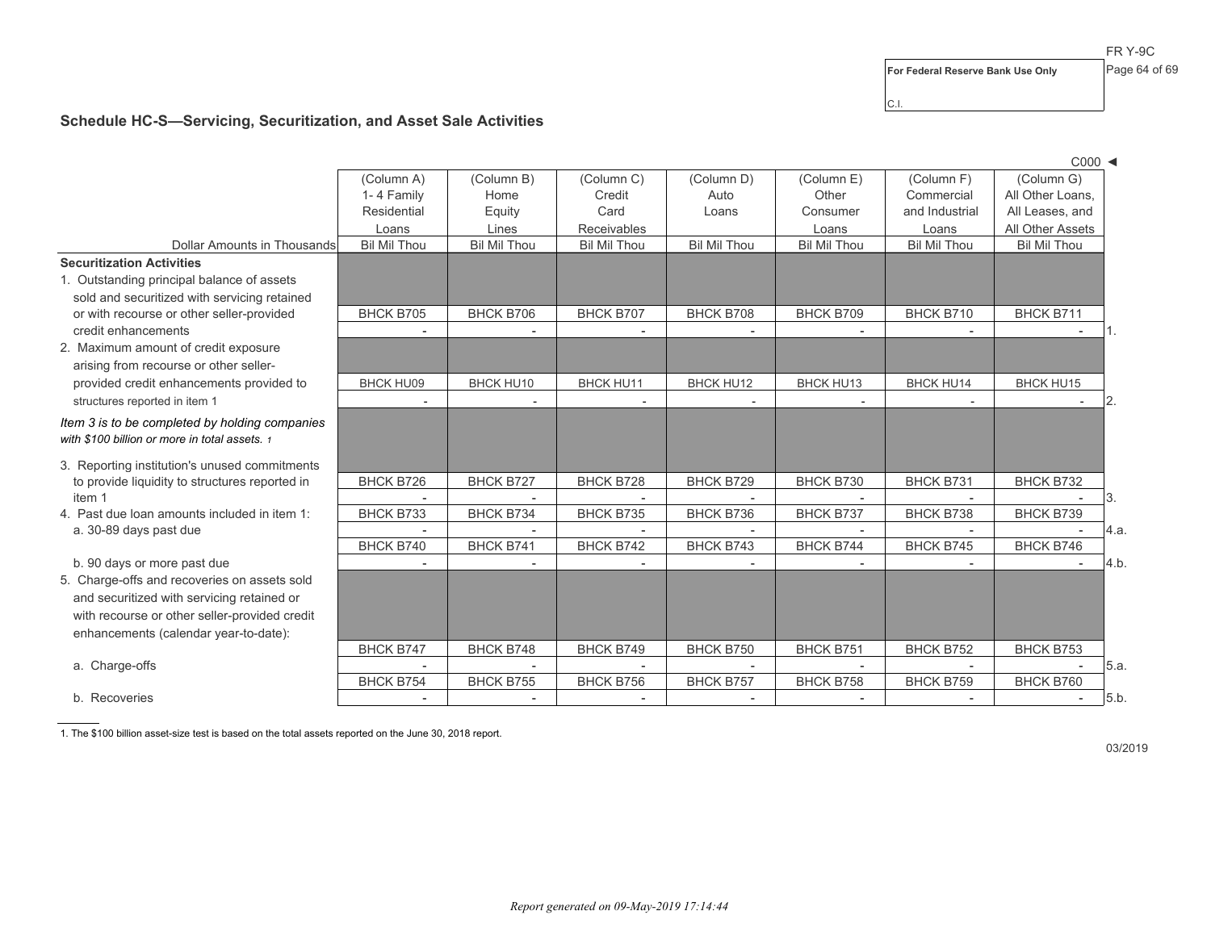For Federal Reserve Bank Use Only Page 64 of 69

C.I.

## **Schedule HC-S—Servicing, Securitization, and Asset Sale Activities**

|                                                |                          |                          |                          |                     |                     |                          | $C000$ $\blacktriangleleft$      |
|------------------------------------------------|--------------------------|--------------------------|--------------------------|---------------------|---------------------|--------------------------|----------------------------------|
|                                                | (Column A)               | (Column B)               | (Column C)               | (Column D)          | (Column E)          | (Column F)               | (Column G)                       |
|                                                | 1-4 Family               | Home                     | Credit                   | Auto                | Other               | Commercial               | All Other Loans,                 |
|                                                | Residential              | Equity                   | Card                     | Loans               | Consumer            | and Industrial           | All Leases, and                  |
|                                                | Loans                    | Lines                    | <b>Receivables</b>       |                     | Loans               | Loans                    | All Other Assets                 |
| Dollar Amounts in Thousands                    | <b>Bil Mil Thou</b>      | <b>Bil Mil Thou</b>      | <b>Bil Mil Thou</b>      | <b>Bil Mil Thou</b> | <b>Bil Mil Thou</b> | <b>Bil Mil Thou</b>      | <b>Bil Mil Thou</b>              |
| <b>Securitization Activities</b>               |                          |                          |                          |                     |                     |                          |                                  |
| 1. Outstanding principal balance of assets     |                          |                          |                          |                     |                     |                          |                                  |
| sold and securitized with servicing retained   |                          |                          |                          |                     |                     |                          |                                  |
| or with recourse or other seller-provided      | <b>BHCK B705</b>         | BHCK B706                | <b>BHCK B707</b>         | BHCK B708           | BHCK B709           | BHCK B710                | BHCK B711                        |
| credit enhancements                            |                          |                          |                          |                     |                     |                          |                                  |
| 2. Maximum amount of credit exposure           |                          |                          |                          |                     |                     |                          |                                  |
| arising from recourse or other seller-         |                          |                          |                          |                     |                     |                          |                                  |
| provided credit enhancements provided to       | <b>BHCK HU09</b>         | BHCK HU10                | <b>BHCK HU11</b>         | <b>BHCK HU12</b>    | BHCK HU13           | <b>BHCK HU14</b>         | <b>BHCK HU15</b>                 |
| structures reported in item 1                  | $\overline{a}$           |                          |                          | $\sim$              |                     |                          | 2.                               |
| Item 3 is to be completed by holding companies |                          |                          |                          |                     |                     |                          |                                  |
| with \$100 billion or more in total assets. 1  |                          |                          |                          |                     |                     |                          |                                  |
| 3. Reporting institution's unused commitments  |                          |                          |                          |                     |                     |                          |                                  |
| to provide liquidity to structures reported in | <b>BHCK B726</b>         | <b>BHCK B727</b>         | <b>BHCK B728</b>         | BHCK B729           | BHCK B730           | BHCK B731                | BHCK B732                        |
| item 1                                         |                          |                          |                          |                     |                     |                          | 3.                               |
| 4. Past due loan amounts included in item 1:   | BHCK B733                | BHCK B734                | <b>BHCK B735</b>         | BHCK B736           | BHCK B737           | BHCK B738                | BHCK B739                        |
| a. 30-89 days past due                         |                          |                          |                          |                     |                     | $\overline{\phantom{a}}$ | 4.a.                             |
|                                                | BHCK B740                | BHCK B741                | <b>BHCK B742</b>         | BHCK B743           | <b>BHCK B744</b>    | <b>BHCK B745</b>         | BHCK B746                        |
| b. 90 days or more past due                    |                          |                          | $\overline{\phantom{a}}$ |                     |                     |                          | 4.b.                             |
| 5. Charge-offs and recoveries on assets sold   |                          |                          |                          |                     |                     |                          |                                  |
| and securitized with servicing retained or     |                          |                          |                          |                     |                     |                          |                                  |
| with recourse or other seller-provided credit  |                          |                          |                          |                     |                     |                          |                                  |
| enhancements (calendar year-to-date):          |                          |                          |                          |                     |                     |                          |                                  |
|                                                | BHCK B747                | BHCK B748                | BHCK B749                | BHCK B750           | BHCK B751           | BHCK B752                | BHCK B753                        |
| a. Charge-offs                                 | $\overline{a}$           | $\sim$                   |                          | $\sim$              |                     | $\overline{a}$           | 5.a.                             |
|                                                | <b>BHCK B754</b>         | BHCK B755                | BHCK B756                | <b>BHCK B757</b>    | <b>BHCK B758</b>    | <b>BHCK B759</b>         | BHCK B760                        |
| b. Recoveries                                  | $\overline{\phantom{a}}$ | $\overline{\phantom{a}}$ | $\overline{\phantom{a}}$ |                     |                     | $\overline{\phantom{a}}$ | 5.b.<br>$\overline{\phantom{a}}$ |

1. The \$100 billion asset-size test is based on the total assets reported on the June 30, 2018 report.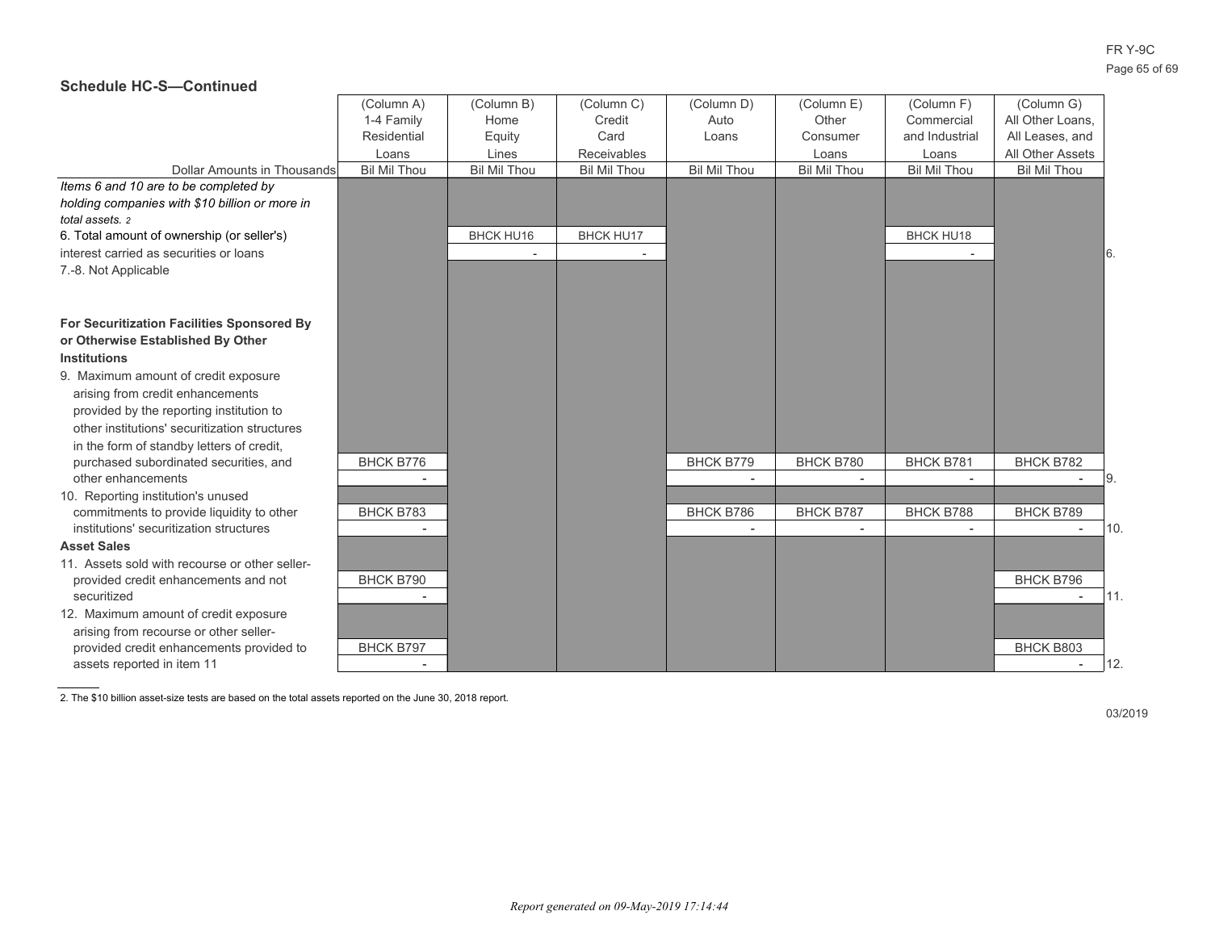|                                                | (Column A)          | (Column B)          | (Column C)          | (Column D)          | (Column E)          | (Column F)          | (Column G)          |     |
|------------------------------------------------|---------------------|---------------------|---------------------|---------------------|---------------------|---------------------|---------------------|-----|
|                                                | 1-4 Family          | Home                | Credit              | Auto                | Other               | Commercial          | All Other Loans,    |     |
|                                                | Residential         | Equity              | Card                | Loans               | Consumer            | and Industrial      | All Leases, and     |     |
|                                                | Loans               | Lines               | Receivables         |                     | Loans               | Loans               | All Other Assets    |     |
| Dollar Amounts in Thousands                    | <b>Bil Mil Thou</b> | <b>Bil Mil Thou</b> | <b>Bil Mil Thou</b> | <b>Bil Mil Thou</b> | <b>Bil Mil Thou</b> | <b>Bil Mil Thou</b> | <b>Bil Mil Thou</b> |     |
| Items 6 and 10 are to be completed by          |                     |                     |                     |                     |                     |                     |                     |     |
| holding companies with \$10 billion or more in |                     |                     |                     |                     |                     |                     |                     |     |
| total assets. 2                                |                     |                     |                     |                     |                     |                     |                     |     |
| 6. Total amount of ownership (or seller's)     |                     | <b>BHCK HU16</b>    | <b>BHCK HU17</b>    |                     |                     | BHCK HU18           |                     |     |
| interest carried as securities or loans        |                     |                     |                     |                     |                     |                     |                     | 6.  |
| 7.-8. Not Applicable                           |                     |                     |                     |                     |                     |                     |                     |     |
|                                                |                     |                     |                     |                     |                     |                     |                     |     |
|                                                |                     |                     |                     |                     |                     |                     |                     |     |
| For Securitization Facilities Sponsored By     |                     |                     |                     |                     |                     |                     |                     |     |
| or Otherwise Established By Other              |                     |                     |                     |                     |                     |                     |                     |     |
| <b>Institutions</b>                            |                     |                     |                     |                     |                     |                     |                     |     |
| 9. Maximum amount of credit exposure           |                     |                     |                     |                     |                     |                     |                     |     |
| arising from credit enhancements               |                     |                     |                     |                     |                     |                     |                     |     |
| provided by the reporting institution to       |                     |                     |                     |                     |                     |                     |                     |     |
| other institutions' securitization structures  |                     |                     |                     |                     |                     |                     |                     |     |
| in the form of standby letters of credit,      |                     |                     |                     |                     |                     |                     |                     |     |
| purchased subordinated securities, and         | BHCK B776           |                     |                     | BHCK B779           | BHCK B780           | BHCK B781           | BHCK B782           |     |
| other enhancements                             |                     |                     |                     |                     |                     |                     |                     | 9.  |
| 10. Reporting institution's unused             |                     |                     |                     |                     |                     |                     |                     |     |
| commitments to provide liquidity to other      | BHCK B783           |                     |                     | <b>BHCK B786</b>    | BHCK B787           | BHCK B788           | BHCK B789           |     |
| institutions' securitization structures        |                     |                     |                     |                     |                     |                     |                     | 10. |
| <b>Asset Sales</b>                             |                     |                     |                     |                     |                     |                     |                     |     |
| 11. Assets sold with recourse or other seller- |                     |                     |                     |                     |                     |                     |                     |     |
| provided credit enhancements and not           | BHCK B790           |                     |                     |                     |                     |                     | BHCK B796           |     |
| securitized                                    |                     |                     |                     |                     |                     |                     |                     | 11. |
| 12. Maximum amount of credit exposure          |                     |                     |                     |                     |                     |                     |                     |     |
| arising from recourse or other seller-         |                     |                     |                     |                     |                     |                     |                     |     |
| provided credit enhancements provided to       | <b>BHCK B797</b>    |                     |                     |                     |                     |                     | BHCK B803           |     |
| assets reported in item 11                     |                     |                     |                     |                     |                     |                     |                     | 12. |

2. The \$10 billion asset-size tests are based on the total assets reported on the June 30, 2018 report.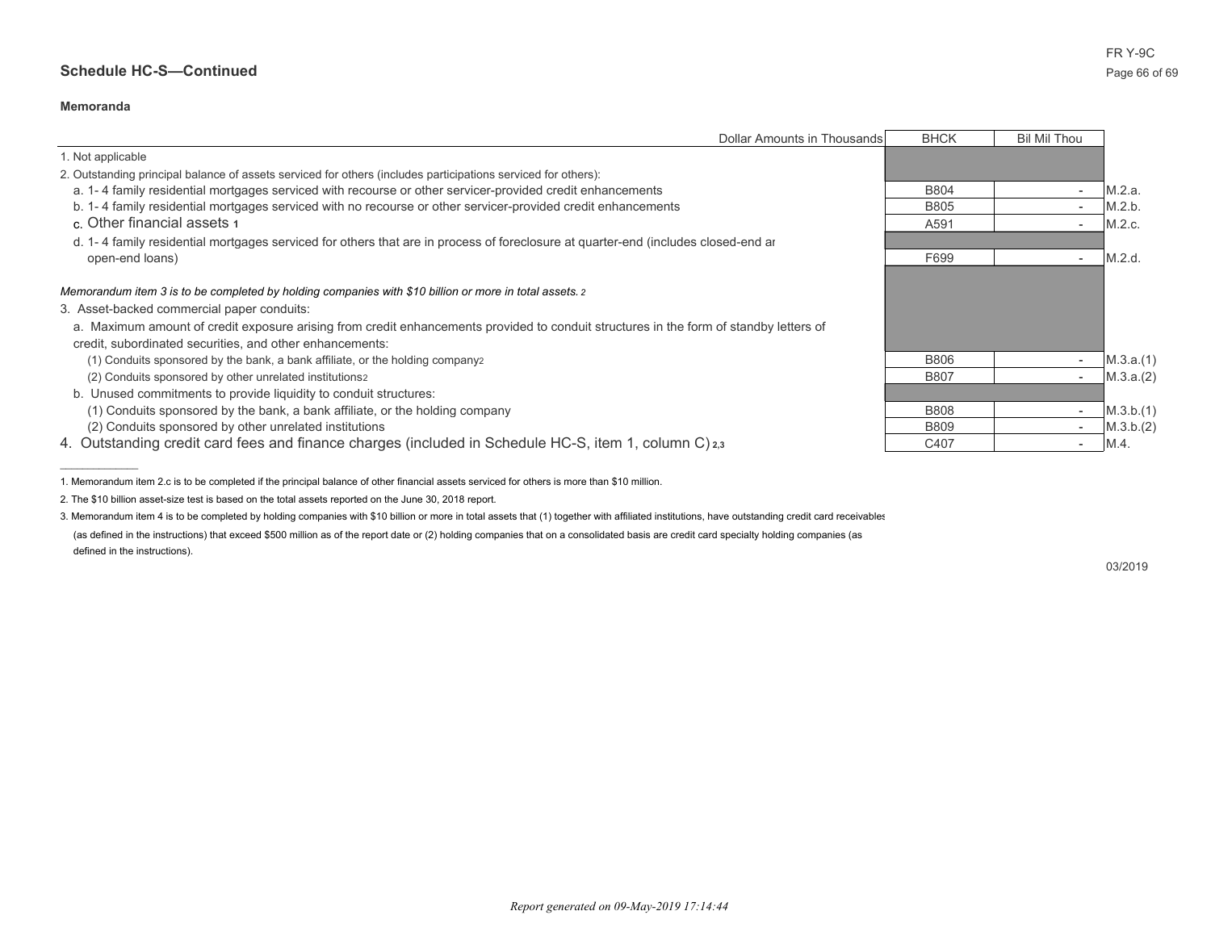#### **Memoranda**

 $\overline{\phantom{a}}$  , where  $\overline{\phantom{a}}$ 

|                                                                                                                                        | Dollar Amounts in Thousands | <b>BHCK</b> | <b>Bil Mil Thou</b> |           |
|----------------------------------------------------------------------------------------------------------------------------------------|-----------------------------|-------------|---------------------|-----------|
| 1. Not applicable                                                                                                                      |                             |             |                     |           |
| 2. Outstanding principal balance of assets serviced for others (includes participations serviced for others):                          |                             |             |                     |           |
| a. 1-4 family residential mortgages serviced with recourse or other servicer-provided credit enhancements                              |                             | <b>B804</b> |                     | M.2.a.    |
| b. 1-4 family residential mortgages serviced with no recourse or other servicer-provided credit enhancements                           |                             | <b>B805</b> |                     | M.2.b.    |
| c. Other financial assets 1                                                                                                            |                             | A591        |                     | M.2.c.    |
| d. 1-4 family residential mortgages serviced for others that are in process of foreclosure at guarter-end (includes closed-end ar      |                             |             |                     |           |
| open-end loans)                                                                                                                        |                             | F699        |                     | M.2.d.    |
|                                                                                                                                        |                             |             |                     |           |
| Memorandum item 3 is to be completed by holding companies with \$10 billion or more in total assets. 2                                 |                             |             |                     |           |
| 3. Asset-backed commercial paper conduits:                                                                                             |                             |             |                     |           |
| a. Maximum amount of credit exposure arising from credit enhancements provided to conduit structures in the form of standby letters of |                             |             |                     |           |
| credit, subordinated securities, and other enhancements:                                                                               |                             |             |                     |           |
| (1) Conduits sponsored by the bank, a bank affiliate, or the holding companyz                                                          |                             | <b>B806</b> |                     | M.3.a.(1) |
| (2) Conduits sponsored by other unrelated institutions2                                                                                |                             | <b>B807</b> |                     | M.3.a.(2) |
| b. Unused commitments to provide liquidity to conduit structures:                                                                      |                             |             |                     |           |
| (1) Conduits sponsored by the bank, a bank affiliate, or the holding company                                                           |                             | <b>B808</b> |                     | M.3.b.(1) |
| (2) Conduits sponsored by other unrelated institutions                                                                                 |                             | <b>B809</b> |                     | M.3.b.(2) |
| 4. Outstanding credit card fees and finance charges (included in Schedule HC-S, item 1, column C) 2,3                                  |                             | C407        |                     | M.4.      |

1. Memorandum item 2.c is to be completed if the principal balance of other financial assets serviced for others is more than \$10 million.

2. The \$10 billion asset-size test is based on the total assets reported on the June 30, 2018 report.

3. Memorandum item 4 is to be completed by holding companies with \$10 billion or more in total assets that (1) together with affiliated institutions, have outstanding credit card receivables

(as defined in the instructions) that exceed \$500 million as of the report date or (2) holding companies that on a consolidated basis are credit card specialty holding companies (as defined in the instructions).